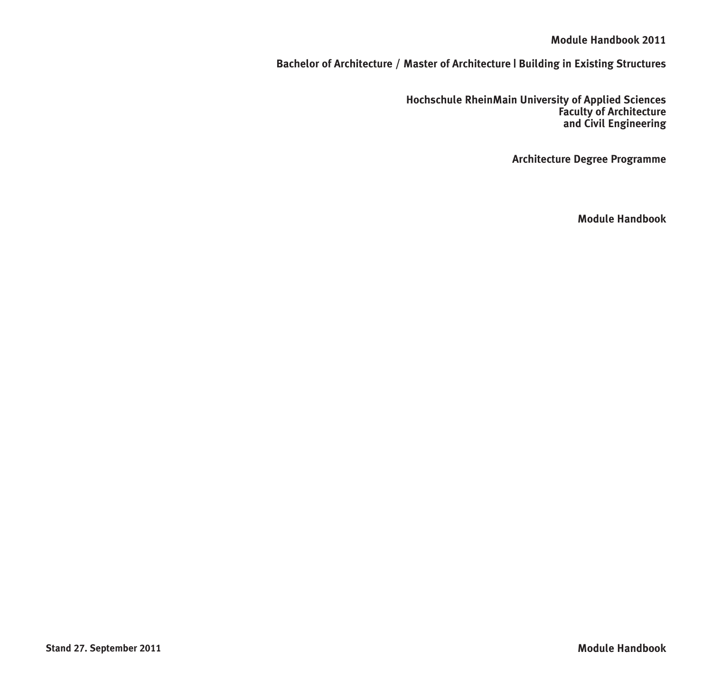### **Module Handbook 2011**

**Bachelor of Architecture / Master of Architecture | Building in Existing Structures**

**Hochschule RheinMain University of Applied Sciences Faculty of Architecture and Civil Engineering**

**Architecture Degree Programme**

**Module Handbook**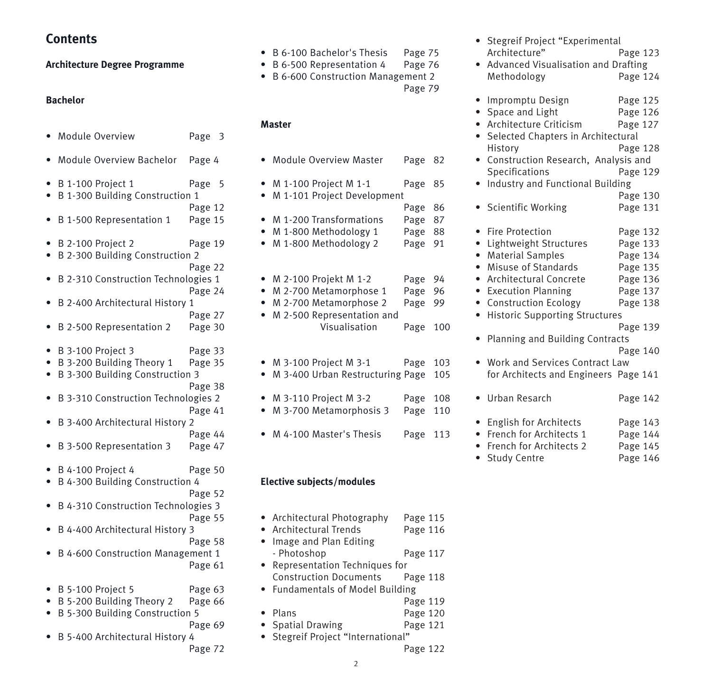**Contents**

#### **Architecture Degree Programme**

#### **Bachelor**

- Module Overview Page 3
- Module Overview Bachelor Page 4
- B 1-100 Project 1 Page 5
- B 1-300 Building Construction 1
- Page 12 • B 1-500 Representation 1 Page 15
- B 2-100 Project 2 Page 19
- B 2-300 Building Construction 2
- Page 22 • B 2-310 Construction Technologies 1
- Page 24
- B 2-400 Architectural History 1
- Page 27 • B 2-500 Representation 2 Page 30
- B 3-100 Project 3 Page 33
- B 3-200 Building Theory 1 Page 35
- B 3-300 Building Construction 3
- Page 38 • B 3-310 Construction Technologies 2
- Page 41
- B 3-400 Architectural History 2 Page 44
- B 3-500 Representation 3 Page 47
- B 4-100 Project 4 Page 50
- B 4-300 Building Construction 4
	-
- B 4-310 Construction Technologies 3 Page 55
- B 4-400 Architectural History 3
	- Page 58

Page 52

- B 4-600 Construction Management 1 Page 61
- B 5-100 Project 5 Page 63
- B 5-200 Building Theory 2 Page 66
- B 5-300 Building Construction 5
	- Page 69
- B 5-400 Architectural History 4 Page 72
- B 6-100 Bachelor's Thesis Page 75
- B 6-500 Representation 4 Page 76
- B 6-600 Construction Management 2 Page 79

#### **Master**

|                           |  | $\bullet$ Module Overview Master                     | Page | 82  |  |  |  |
|---------------------------|--|------------------------------------------------------|------|-----|--|--|--|
|                           |  | M 1-100 Project M 1-1<br>M 1-101 Project Development | Page | 85  |  |  |  |
|                           |  |                                                      | Page | 86  |  |  |  |
|                           |  | M 1-200 Transformations                              | Page | 87  |  |  |  |
| ٠                         |  | M 1-800 Methodology 1                                | Page | 88  |  |  |  |
| ٠                         |  | M 1-800 Methodology 2                                | Page | 91  |  |  |  |
|                           |  |                                                      |      |     |  |  |  |
| $\bullet$                 |  | M 2-100 Projekt M 1-2                                | Page | 94  |  |  |  |
| $\bullet$                 |  | M 2-700 Metamorphose 1                               | Page | 96  |  |  |  |
| ٠                         |  | M 2-700 Metamorphose 2                               | Page | 99  |  |  |  |
| $\bullet$                 |  | M 2-500 Representation and                           |      |     |  |  |  |
|                           |  | Visualisation                                        | Page | 100 |  |  |  |
|                           |  | M 3-100 Project M 3-1                                | Page | 103 |  |  |  |
|                           |  | M 3-400 Urban Restructuring Page                     |      | 105 |  |  |  |
|                           |  | M 3-110 Project M 3-2                                | Page | 108 |  |  |  |
|                           |  | M 3-700 Metamorphosis 3                              | Page | 110 |  |  |  |
|                           |  | M 4-100 Master's Thesis                              | Page | 113 |  |  |  |
| Elective subjects/modules |  |                                                      |      |     |  |  |  |
|                           |  |                                                      |      |     |  |  |  |

• Architectural Photography Page 115 • Architectural Trends Page 116 • Image and Plan Editing - Photoshop Page 117 • Representation Techniques for Construction Documents Page 118 • Fundamentals of Model Building Page 119 • Plans Page 120 • Spatial Drawing Page 121 • Stegreif Project "International" Page 122

2

| Architecture"                                      | Page 123 |
|----------------------------------------------------|----------|
| Advanced Visualisation and Drafting                |          |
| Methodology                                        | Page 124 |
| Impromptu Design<br>$\bullet$                      | Page 125 |
| Space and Light<br>$\bullet$                       | Page 126 |
| Architecture Criticism<br>٠                        | Page 127 |
| Selected Chapters in Architectural<br>٠            |          |
| History                                            | Page 128 |
| Construction Research, Analysis and<br>$\bullet$   |          |
| Specifications                                     | Page 129 |
| Industry and Functional Building<br>$\bullet$      |          |
|                                                    | Page 130 |
| Scientific Working<br>$\bullet$                    | Page 131 |
|                                                    |          |
| <b>Fire Protection</b><br>$\bullet$                | Page 132 |
| Lightweight Structures<br>$\bullet$                | Page 133 |
| <b>Material Samples</b><br>$\bullet$               | Page 134 |
| Misuse of Standards<br>$\bullet$                   | Page 135 |
| Architectural Concrete<br>$\bullet$                | Page 136 |
| <b>Execution Planning</b><br>٠                     | Page 137 |
| <b>Construction Ecology</b><br>٠                   | Page 138 |
| <b>Historic Supporting Structures</b><br>$\bullet$ |          |
|                                                    | Page 139 |
| <b>Planning and Building Contracts</b>             |          |
|                                                    | Page 140 |
| Work and Services Contract Law                     |          |
| for Architects and Engineers Page 141              |          |
| Urban Resarch                                      | Page 142 |
|                                                    |          |
| English for Architects                             | Page 143 |
| French for Architects 1<br>$\bullet$               | Page 144 |
| French for Architects 2<br>$\bullet$               | Page 145 |

• Stegreif Project "Experimental

• Study Centre Page 146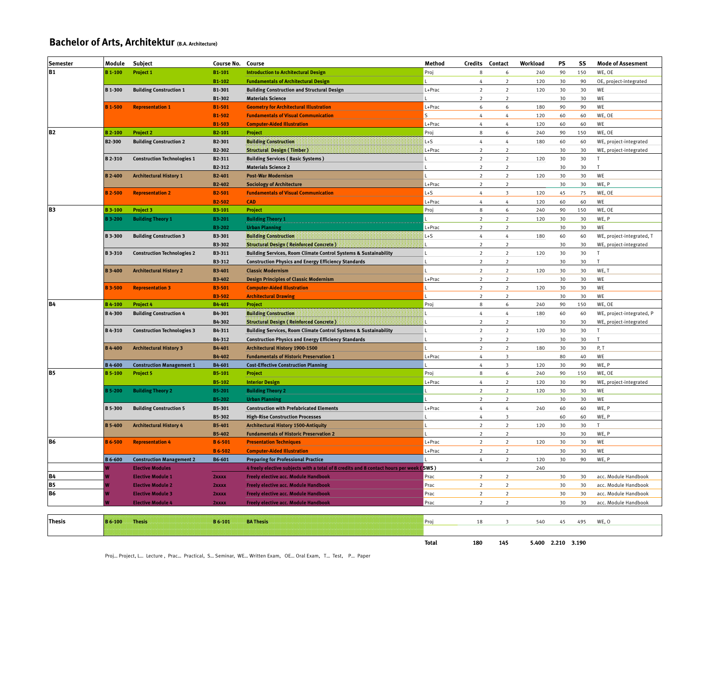### **Bachelor of Arts, Architektur (B.A. Architecture)**

| <b>Semester</b> | Module                           | <b>Subject</b>                     | <b>Course No.</b>   | Course                                                                                  | Method       | Credits                      | Contact                               | Workload          | PS       | SS        | <b>Mode of Assesment</b>     |
|-----------------|----------------------------------|------------------------------------|---------------------|-----------------------------------------------------------------------------------------|--------------|------------------------------|---------------------------------------|-------------------|----------|-----------|------------------------------|
| <b>B1</b>       | <b>B</b> 1-100                   | Project 1                          | B1-101              | <b>Introduction to Architectural Design</b>                                             | Proj         | 8                            | 6                                     | 240               | 90       | 150       | WE, OE                       |
|                 |                                  |                                    | B1-102              | <b>Fundamentals of Architectural Design</b>                                             |              | 4                            | $\mathbf 2$                           | 120               | 30       | 90        | OE, project-integrated       |
|                 | B 1-300                          | <b>Building Construction 1</b>     | B1-301              | <b>Building Construction and Structural Design</b>                                      | L+Prac       | $\overline{2}$               | $\overline{2}$                        | 120               | 30       | 30        | WE                           |
|                 |                                  |                                    | B1-302              | <b>Materials Science</b>                                                                |              | $\overline{\phantom{a}}$     | $\overline{z}$                        |                   | 30       | 30        | WE                           |
|                 | <b>B</b> 1-500                   | <b>Representation 1</b>            | B1-501              | <b>Geometry for Architectural Illustration</b>                                          | L+Prac       | $\boldsymbol{6}$             | $\epsilon$                            | 180               | 90       | 90        | WE                           |
|                 |                                  |                                    | B1-502              | <b>Fundamentals of Visual Communication</b>                                             | s            | 4                            | $\overline{4}$                        | 120               | 60       | 60        | WE, OE                       |
|                 |                                  |                                    | <b>B1-503</b>       | <b>Computer-Aided Illustration</b>                                                      | L+Prac       | $\overline{4}$               | $\overline{4}$                        | 120               | 60       | 60        | WE                           |
| <b>B2</b>       | <b>B</b> 2-100                   | <b>Project 2</b>                   | B <sub>2</sub> -101 | <b>Project</b>                                                                          | Proi         | 8                            | 6                                     | 240               | 90       | 150       | WE, OE                       |
|                 | B2-300                           | <b>Building Construction 2</b>     | B2-301              | <b>Building Construction</b>                                                            | $L + S$      | $\sqrt{4}$                   | $\overline{4}$                        | 180               | 60       | 60        | WE, project-integrated       |
|                 |                                  |                                    | B2-302              | <b>Structural Design (Timber)</b>                                                       | L+Prac       | $\overline{2}$               | $\overline{2}$                        |                   | 30       | 30        | WE, project-integrated       |
|                 | B 2-310                          | <b>Construction Technologies 1</b> | B2-311              | <b>Building Services (Basic Systems)</b>                                                |              | $\overline{\mathbf{2}}$      | $\overline{2}$                        | 120               | 30       | 30        | T                            |
|                 |                                  |                                    | B2-312              | <b>Materials Science 2</b>                                                              |              | $\mathbf 2$                  | $\overline{2}$                        |                   | 30       | 30        | T                            |
|                 | <b>B</b> 2-400                   | <b>Architectural History 1</b>     | B2-401              | <b>Post-War Modernism</b>                                                               |              | $\overline{\mathbf{2}}$      | $\mathbf 2$                           | 120               | 30       | 30        | WE                           |
|                 |                                  |                                    | B2-402              | <b>Sociology of Architecture</b>                                                        | L+Prac       | $\overline{2}$               | $\overline{2}$                        |                   | 30       | 30        | WE, P                        |
|                 | <b>B2-500</b>                    | <b>Representation 2</b>            | B <sub>2</sub> -501 | <b>Fundamentals of Visual Communication</b>                                             | $L + S$      | $\overline{4}$               | $\overline{\mathbf{3}}$               | 120               | 45       | 75        | WE, OE                       |
|                 |                                  |                                    | <b>B2-502</b>       | <b>CAD</b>                                                                              | L+Prac       | $\overline{4}$               | $\overline{4}$                        | 120               | 60       | 60        | WE                           |
| lвз             | <b>B3-100</b>                    | Project 3                          | <b>B3-101</b>       | <b>Project</b>                                                                          | Proj         | $\bf8$                       | $\epsilon$                            | 240               | 90       | 150       | WE, OE                       |
|                 | <b>B3-200</b>                    | <b>Building Theory 1</b>           | B3-201              | <b>Building Theory 1</b>                                                                |              | $\overline{\mathbf{2}}$      | $\mathbf 2$                           | 120               | 30       | 30        | WE, P                        |
|                 |                                  |                                    | <b>B3-202</b>       | <b>Urban Planning</b>                                                                   | +Prac        | $\overline{2}$               | $\overline{2}$                        |                   | 30       | 30        | WE                           |
|                 | <b>B3-300</b>                    | <b>Building Construction 3</b>     | B3-301              | <b>Building Construction</b>                                                            | $L + S$      | $\sqrt{4}$                   | $\overline{4}$                        | 180               | 60       | 60        | WE, project-integrated, T    |
|                 |                                  |                                    | B3-302              | <b>Structural Design (Reinforced Concrete)</b>                                          |              | $\overline{2}$               | $\overline{2}$                        |                   | 30       | 30        | WE, project-integrated       |
|                 | B 3-310                          | <b>Construction Technologies 2</b> | B3-311              | <b>Building Services, Room Climate Control Systems &amp; Sustainability</b>             | г            | $\overline{2}$               | $\overline{2}$                        | 120               | 30       | 30        | T.                           |
|                 |                                  |                                    | B3-312              | <b>Construction Physics and Energy Efficiency Standards</b>                             |              | $\mathbf 2$                  | $\overline{2}$                        |                   | 30       | 30        | T                            |
|                 | <b>B3-400</b>                    | <b>Architectural History 2</b>     | <b>B3-401</b>       | <b>Classic Modernism</b>                                                                |              | $\overline{2}$               | $\overline{2}$                        | 120               | 30       | 30        | WE, T                        |
|                 |                                  |                                    | B3-402              | <b>Design Principles of Classic Modernism</b>                                           | L+Prac       | $\mathbf 2$                  | $\overline{2}$                        |                   | 30       | 30        | WE                           |
|                 | <b>B3-500</b>                    | <b>Representation 3</b>            | <b>B3-501</b>       | <b>Computer-Aided Illustration</b>                                                      |              | $\overline{2}$               | $\overline{2}$                        | 120               | 30       | 30        | WE                           |
|                 |                                  |                                    | <b>B3-502</b>       | <b>Architectural Drawing</b>                                                            |              | $\overline{2}$               | $\overline{2}$                        |                   | 30       | 30        | WE                           |
| <b>B4</b>       | <b>B</b> 4-100                   | <b>Project 4</b>                   | B4-401              | <b>Project</b>                                                                          | Proj         | $\bf8$                       | $\epsilon$                            | 240               | 90       | 150       | WE, OE                       |
|                 | B 4-300                          | <b>Building Construction 4</b>     | B4-301              | <b>Building Construction</b>                                                            |              | $\sqrt{4}$                   | $\overline{4}$                        | 180               | 60       | 60        | WE, project-integrated, P    |
|                 |                                  |                                    | B4-302              | <b>Structural Design (Reinforced Concrete)</b>                                          |              | $\mathbf 2$                  | $\overline{2}$                        |                   | 30       | 30        | WE, project-integrated       |
|                 | B 4-310                          | <b>Construction Technologies 3</b> | B4-311              | <b>Building Services, Room Climate Control Systems &amp; Sustainability</b>             |              | $\overline{2}$               | 2                                     | 120               | 30       | 30        | T                            |
|                 |                                  |                                    | B4-312              | <b>Construction Physics and Energy Efficiency Standards</b>                             |              | $\overline{2}$               | $\overline{2}$                        |                   | 30       | 30        | T.                           |
|                 | <b>B</b> 4-400                   | <b>Architectural History 3</b>     | B4-401              | Architectural History 1900-1500                                                         |              | $\mathbf 2$                  | $\overline{2}$                        | 180               | 30       | 30        | P, T                         |
|                 |                                  | <b>Construction Management 1</b>   | B4-402              | <b>Fundamentals of Historic Preservation 1</b>                                          | L+Prac       | $\sqrt{4}$<br>$\overline{4}$ | $\overline{\mathbf{3}}$               |                   | 80       | 40        | WE                           |
| <b>B5</b>       | <b>B</b> 4-600<br><b>B</b> 5-100 | <b>Project 5</b>                   | B4-601<br>B5-101    | <b>Cost-Effective Construction Planning</b><br>Project                                  | Proj         | $\bf8$                       | $\overline{\mathbf{3}}$<br>$\epsilon$ | 120<br>240        | 30<br>90 | 90<br>150 | WE, P<br>WE, OE              |
|                 |                                  |                                    | <b>B5-102</b>       |                                                                                         | L+Prac       | $\overline{4}$               | $\overline{2}$                        | 120               | 30       | 90        |                              |
|                 | 35-200                           | <b>Building Theory 2</b>           | B5-201              | <b>Interior Design</b><br><b>Building Theory 2</b>                                      |              | $\overline{2}$               | $\overline{2}$                        | 120               | 30       | 30        | WE, project-integrated<br>WE |
|                 |                                  |                                    | <b>B5-202</b>       | <b>Urban Planning</b>                                                                   |              | $\overline{2}$               | $\overline{2}$                        |                   | 30       | 30        | WE                           |
|                 | <b>B</b> 5-300                   | <b>Building Construction 5</b>     | B5-301              | <b>Construction with Prefabricated Elements</b>                                         | L+Prac       | $\Delta$                     | 4                                     | 240               | 60       | 60        | WE, P                        |
|                 |                                  |                                    | B5-302              | <b>High-Rise Construction Processes</b>                                                 |              | $\sqrt{4}$                   | $\overline{\mathbf{3}}$               |                   | 60       | 60        | WE, P                        |
|                 | <b>B</b> 5-400                   | <b>Architectural History 4</b>     | B5-401              | <b>Architectural History 1500-Antiquity</b>                                             |              | $\overline{2}$               | $\overline{2}$                        | 120               | 30       | 30        | T.                           |
|                 |                                  |                                    | B5-402              | <b>Fundamentals of Historic Preservation 2</b>                                          |              | $\overline{2}$               | $\overline{2}$                        |                   | 30       | 30        | WE, P                        |
| <b>B6</b>       | <b>B</b> 6-500                   | <b>Representation 4</b>            | <b>B</b> 6-501      | <b>Presentation Techniques</b>                                                          | L+Prac       | $\overline{\mathbf{2}}$      | $\overline{2}$                        | 120               | 30       | 30        | WE                           |
|                 |                                  |                                    | <b>B</b> 6-502      | <b>Computer-Aided Illustration</b>                                                      | L+Prac       | $\,2$                        | $\mathbf 2$                           |                   | 30       | 30        | WE                           |
|                 | <b>B</b> 6-600                   | <b>Construction Management 2</b>   | B6-601              | <b>Preparing for Professional Practice</b>                                              |              | $\overline{4}$               | $\overline{2}$                        | 120               | 30       | 90        | WE, P                        |
|                 |                                  | <b>Elective Modules</b>            |                     | 4 freely elective subjects with a total of 8 credits and 8 contact hours per week (SWS) |              |                              |                                       | 240               |          |           |                              |
| <b>B4</b>       |                                  | <b>Elective Module 1</b>           | 2xxx                | <b>Freely elective acc. Module Handbook</b>                                             | Prac         | $\overline{2}$               | $\overline{2}$                        |                   | 30       | 30        | acc. Module Handbook         |
| <b>B5</b>       |                                  | <b>Elective Module 2</b>           | 2xxxx               | <b>Freely elective acc. Module Handbook</b>                                             | Prac         | $\mathbf 2$                  | $\overline{2}$                        |                   | 30       | 30        | acc. Module Handbook         |
| <b>B6</b>       |                                  | <b>Elective Module 3</b>           | 2xxxx               | <b>Freely elective acc. Module Handbook</b>                                             | Prac         | $\overline{\mathbf{2}}$      | $\overline{2}$                        |                   | 30       | 30        | acc. Module Handbook         |
|                 |                                  | <b>Elective Module 4</b>           | 2xxxx               | <b>Freely elective acc. Module Handbook</b>                                             | Prac         | $\overline{2}$               | $\overline{2}$                        |                   | 30       | 30        | acc. Module Handbook         |
|                 |                                  |                                    |                     |                                                                                         |              |                              |                                       |                   |          |           |                              |
| <b>Thesis</b>   | B 6-100                          | <b>Thesis</b>                      | B 6-101             | <b>BA Thesis</b>                                                                        | Proj         | 18                           | $\overline{\mathbf{3}}$               | 540               | 45       | 495       | WE, O                        |
|                 |                                  |                                    |                     |                                                                                         |              |                              |                                       |                   |          |           |                              |
|                 |                                  |                                    |                     |                                                                                         |              |                              |                                       |                   |          |           |                              |
|                 |                                  |                                    |                     |                                                                                         | <b>Total</b> | 180                          | 145                                   | 5.400 2.210 3.190 |          |           |                              |

Proj… Project, L… Lecture , Prac… Practical, S… Seminar, WE… Written Exam, OE… Oral Exam, T… Test, P… Paper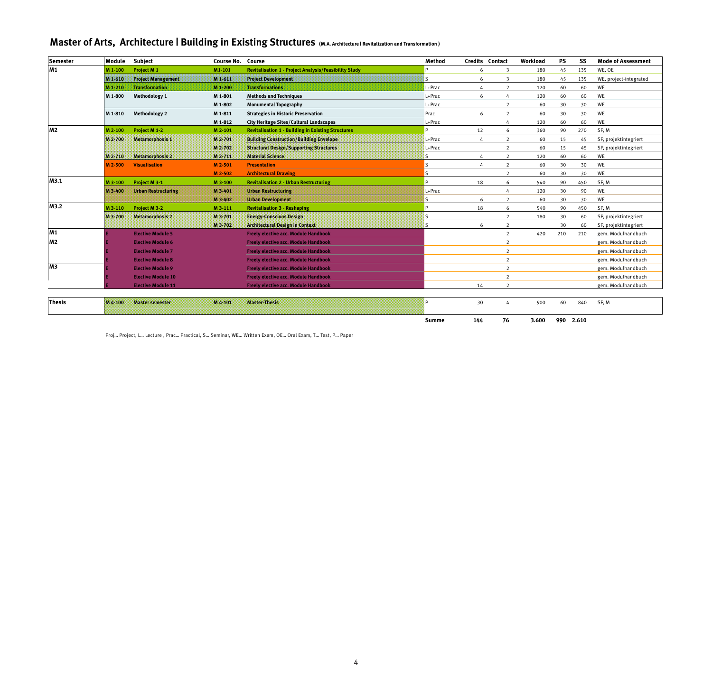### **Master of Arts, Architecture | Building in Existing Structures (M.A. Architecture | Revitalization and Transformation )**

| <b>Semester</b> | Module             | <b>Subject</b>             | Course No. | Course                                                       | Method | <b>Credits Contact</b>       | Workload | PS  | SS  | <b>Mode of Assessment</b> |
|-----------------|--------------------|----------------------------|------------|--------------------------------------------------------------|--------|------------------------------|----------|-----|-----|---------------------------|
| M1              | M 1-100            | Project M 1                | M1-101     | <b>Revitalisation 1 - Project Analysis/Feasibility Study</b> | P      | $\overline{\mathbf{3}}$<br>6 | 180      | 45  | 135 | WE, OE                    |
|                 | M 1-610            | <b>Project Management</b>  | M1-611     | <b>Project Development</b>                                   |        | 6<br>$\overline{\mathbf{3}}$ | 180      | 45  | 135 | WE, project-integrated    |
|                 | M 1-210            | <b>Transformation</b>      | M 1-200    | <b>Transformations</b>                                       | L+Prac | 2<br>$\overline{h}$          | 120      | 60  | 60  | WE                        |
|                 | M 1-800            | Methodology 1              | M 1-801    | <b>Methods and Techniques</b>                                | L+Prac | 6<br>$\overline{a}$          | 120      | 60  | 60  | WE                        |
|                 |                    |                            | M 1-802    | <b>Monumental Topography</b>                                 | L+Prac | 2                            | 60       | 30  | 30  | WE                        |
|                 | M 1-810            | Methodology 2              | M 1-811    | <b>Strategies in Historic Preservation</b>                   | Prac   | 2<br>6                       | 60       | 30  | 30  | WF                        |
|                 |                    |                            | M 1-812    | <b>City Heritage Sites/Cultural Landscapes</b>               | L+Prac | 4                            | 120      | 60  | 60  | WE                        |
| M <sub>2</sub>  | M 2-100            | Project M 1-2              | M 2-101    | <b>Revitalisation 1 - Building in Existing Structures</b>    | P      | 6<br>12                      | 360      | 90  | 270 | SP, M                     |
|                 | M 2-700            | <b>Metamorphosis 1</b>     | M 2-701    | <b>Building Construction/Building Envelope</b>               | L+Prac | 2<br>$\overline{a}$          | 60       | 15  | 45  | SP, projektintegriert     |
|                 |                    |                            | M 2-702    | <b>Structural Design/Supporting Structures</b>               | L+Prac | $\overline{2}$               | 60       | 15  | 45  | SP, projektintegriert     |
|                 | M <sub>2</sub> 710 | Metamorphosis 2            | M 2 711    | <b>Material Science:</b>                                     | is.    | 2<br>$\overline{h}$          | 120      | 60  | 60  | WE                        |
|                 | M 2-500            | <b>Visualisation</b>       | M 2-501    | <b>Presentation</b>                                          | ls.    | 2<br>4                       | 60       | 30  | 30  | WE                        |
|                 |                    |                            | M 2-502    | <b>Architectural Drawing</b>                                 | ls.    | 2                            | 60       | 30  | 30  | WE                        |
| M3.1            | M 3-100            | Project M 3-1              | M 3-100    | <b>Revitalisation 2 - Urban Restructuring</b>                | b      | 18<br>6                      | 540      | 90  | 450 | SP.M                      |
|                 | M 3-400            | <b>Urban Restructuring</b> | M 3-401    | <b>Urban Restructuring</b>                                   | L+Prac | 4                            | 120      | 30  | 90  | WE                        |
|                 |                    |                            | M 3-402    | <b>Urban Development</b>                                     | ls.    | $\overline{2}$<br>6          | 60       | 30  | 30  | WE                        |
| M3.2            | M 3-110            | Project M 3-2              | M 3-111    | <b>Revitalisation 3 - Reshaping</b>                          | P      | 18<br>6                      | 540      | 90  | 450 | SP, M                     |
|                 | M 3-700            | <b>Metamorphosis 2</b>     | M 3-701    | <b>Energy-Conscious Design</b>                               |        | 2                            | 180      | 30  | 60  | SP, projektintegriert     |
|                 |                    |                            | M 3-702    | <b>Architectural Design in Context:</b>                      |        | $\overline{2}$<br>6          |          | 30  | 60  | SP, projektintegriert     |
| M1              |                    | <b>Elective Module 5</b>   |            | <b>Freely elective acc. Module Handbook</b>                  |        | 2                            | 420      | 210 | 210 | gem. Modulhandbuch        |
| <b>M2</b>       |                    | <b>Elective Module 6</b>   |            | <b>Freely elective acc. Module Handbook</b>                  |        | 2                            |          |     |     | gem. Modulhandbuch        |
|                 |                    | <b>Elective Module 7</b>   |            | <b>Freely elective acc. Module Handbook</b>                  |        | 2                            |          |     |     | gem. Modulhandbuch        |
|                 |                    | <b>Elective Module 8</b>   |            | <b>Freely elective acc. Module Handbook</b>                  |        | $\overline{2}$               |          |     |     | gem. Modulhandbuch        |
| M <sub>3</sub>  |                    | <b>Elective Module 9</b>   |            | <b>Freely elective acc. Module Handbook</b>                  |        | 2                            |          |     |     | gem. Modulhandbuch        |
|                 |                    | <b>Elective Module 10</b>  |            | <b>Freely elective acc. Module Handbook</b>                  |        | $\overline{2}$               |          |     |     | gem. Modulhandbuch        |
|                 |                    | <b>Elective Module 11</b>  |            | <b>Freely elective acc. Module Handbook</b>                  |        | 14<br>$\overline{2}$         |          |     |     | gem. Modulhandbuch        |
|                 |                    |                            |            |                                                              |        |                              |          |     |     |                           |
| <b>Thesis</b>   | M = 100            | <b>Master semester</b>     | MA-101     | <b>Master-Thesis</b>                                         |        | 30<br>4                      | 900      | 60  | 840 | SP, M                     |

**Summe 144 76 3.600 990 2.610**

Proj… Project, L… Lecture , Prac… Practical, S… Seminar, WE… Written Exam, OE… Oral Exam, T… Test, P… Paper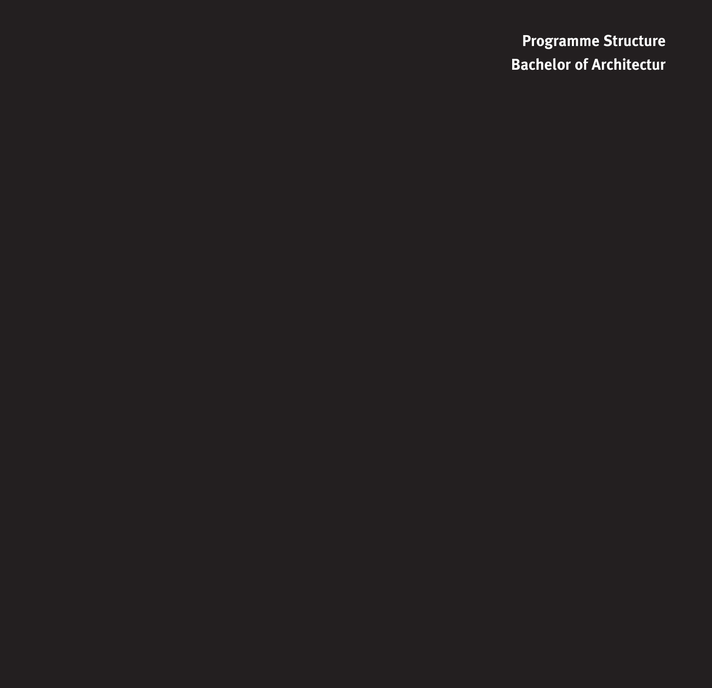**Programme Structure Bachelor of Architectur**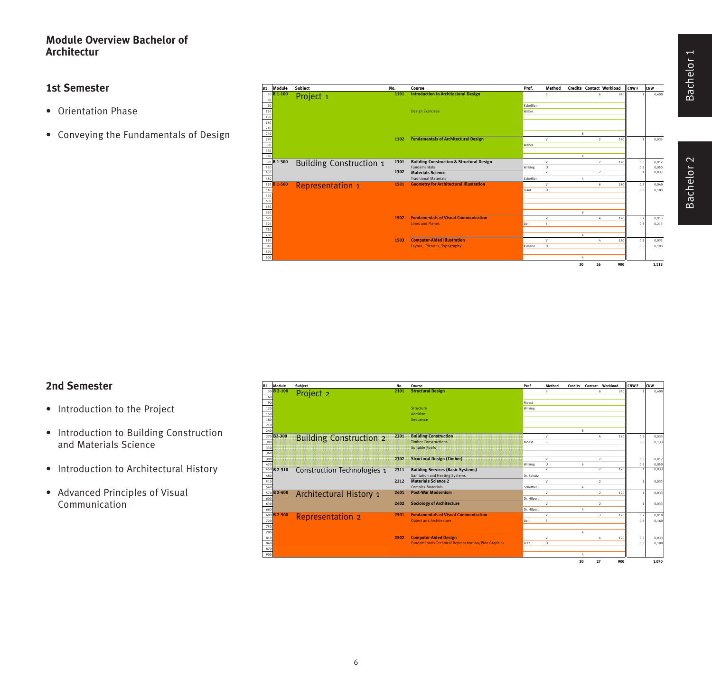### **Module Overview Bachelor of Architectur**

#### **1st Semester**

- Orientation Phase
- Conveying the Fundamentals of Design

| Module<br><b>B1</b> | <b>Subject</b>                 | No.  | Course                                               | Prof.     | Method                       |    | <b>Credits Contact Workload</b> |     | CNW <sub>F</sub> | CNW            |
|---------------------|--------------------------------|------|------------------------------------------------------|-----------|------------------------------|----|---------------------------------|-----|------------------|----------------|
| 30 B 1-100          | Project <sub>1</sub>           | 1101 | <b>Introduction to Architectural Design</b>          |           | s.                           |    | z                               | 240 |                  | 0.400          |
| 60                  |                                |      |                                                      |           |                              |    |                                 |     |                  |                |
| 90                  |                                |      |                                                      | Scheffler |                              |    |                                 |     |                  |                |
| 120                 |                                |      | <b>Design Exercises</b>                              | Weber     |                              |    |                                 |     |                  |                |
| 150                 |                                |      |                                                      |           |                              |    |                                 |     |                  |                |
| 180                 |                                |      |                                                      |           |                              |    |                                 |     |                  |                |
| 210                 |                                |      |                                                      |           |                              |    |                                 |     |                  |                |
| 240                 |                                |      |                                                      |           |                              | 8  |                                 |     |                  |                |
| 270                 |                                | 1102 | <b>Fundamentals of Architectural Design</b>          |           | v                            |    | $\overline{2}$                  | 120 |                  | 0.033          |
| 300                 |                                |      |                                                      | Weber     |                              |    |                                 |     |                  |                |
| 330<br>360          |                                |      |                                                      |           |                              |    |                                 |     |                  |                |
|                     |                                |      |                                                      |           |                              | 4  |                                 |     |                  |                |
| 390 B 1-300         | <b>Building Construction 1</b> | 1301 | <b>Building Construction &amp; Structural Design</b> |           | v                            |    | $\rightarrow$                   | 120 | 0.5              | 0.017          |
| 420<br>450          |                                | 1302 | Fundamentals                                         | Wilking   | Ü<br>$\overline{\mathsf{v}}$ |    | $\overline{2}$                  |     | 0,5              | 0.050<br>0.033 |
|                     |                                |      | <b>Materials Science</b>                             |           |                              |    |                                 |     |                  |                |
| 480                 |                                |      | <b>Traditional Materials</b>                         | Scheffler |                              | 4  |                                 |     |                  |                |
| 510 B 1-500         | <b>Representation 1</b>        | 1501 | <b>Geometry for Architectural Illustration</b>       |           | v                            |    | 6                               | 180 | 0,4              | 0.040          |
| 540                 |                                |      |                                                      | Traut     | Ü.                           |    |                                 |     | 0.6              | 0.180          |
| 570                 |                                |      |                                                      |           |                              |    |                                 |     |                  |                |
| 600                 |                                |      |                                                      |           |                              |    |                                 |     |                  |                |
| 630                 |                                |      |                                                      |           |                              |    |                                 |     |                  |                |
| 660                 |                                |      | <b>Fundamentals of Visual Communication</b>          |           |                              | 6  |                                 |     |                  |                |
| 690<br>720          |                                | 1502 | <b>Lines and Planes</b>                              |           | v                            |    | ٨                               | 120 | 0,2              | 0.013          |
|                     |                                |      |                                                      | Deil      | s.                           |    |                                 |     | 0.8              | 0.213          |
| 750<br>780          |                                |      |                                                      |           |                              |    |                                 |     |                  |                |
| 810                 |                                | 1503 | <b>Computer-Aided Illustration</b>                   |           | v                            | 4  | $\Delta$                        | 120 | 0.5              | 0.033          |
|                     |                                |      | Layout, Pictures, Typography                         | Kieferle  | Ü.                           |    |                                 |     |                  | 0.100          |
| 840<br>870          |                                |      |                                                      |           |                              |    |                                 |     | 0.5              |                |
| 900                 |                                |      |                                                      |           |                              | Δ  |                                 |     |                  |                |
|                     |                                |      |                                                      |           |                              |    |                                 |     |                  |                |
|                     |                                |      |                                                      |           |                              | 30 | 26                              | 900 |                  | 1.113          |

# **2nd Semester**

- Introduction to the Project
- Introduction to Building Construction and Materials Science
- Introduction to Architectural History
- Advanced Principles of Visual Communication

| <b>B2</b>         | Module                  | Subject                        | No.  | Course                                                     | Prof        | Method   | Credits |    | Contact Workload      | CNW <sub>F</sub> | <b>CNW</b> |
|-------------------|-------------------------|--------------------------------|------|------------------------------------------------------------|-------------|----------|---------|----|-----------------------|------------------|------------|
|                   | 30 B 2-100              | Project <sub>2</sub>           | 2101 | <b>Structural Design</b>                                   |             | $\leq$   |         |    | 240                   |                  | 0,400      |
| 60                |                         |                                |      |                                                            |             |          |         |    |                       |                  |            |
| $\frac{90}{120}$  |                         |                                |      |                                                            | Moest       |          |         |    |                       |                  |            |
|                   |                         |                                |      | Structure                                                  | Wilking     |          |         |    |                       |                  |            |
| 150               |                         |                                |      | <b>Addition</b>                                            |             |          |         |    |                       |                  |            |
| 180<br>210        |                         |                                |      | Sequence                                                   |             |          |         |    |                       |                  |            |
|                   |                         |                                |      |                                                            |             |          |         |    |                       |                  |            |
| 240               | 270 B <sub>2</sub> -300 |                                | 2301 | <b>Building Construction</b>                               |             | v        | Ŕ       |    | 180                   |                  |            |
| 300               |                         | <b>Building Construction 2</b> |      | <b>Timber Constructions</b>                                | Moest       | s        |         |    |                       | 0,5<br>0.5       | 0,033      |
| 330               |                         |                                |      | <b>Suitable Roofs</b>                                      |             |          |         |    |                       |                  | 0,133      |
| 360               |                         |                                |      |                                                            |             |          |         |    |                       |                  |            |
| 390               |                         |                                | 2302 | <b>Structural Design (Timber)</b>                          |             | v        |         |    | $\overline{2}$        | 0,5              | 0,017      |
| 420               |                         |                                |      |                                                            | Wilking     | Ü        | 6       |    |                       | 0,5              | 0,050      |
|                   | 450 B 2-310             | Construction Technologies 1    | 2311 | <b>Building Services (Basic Systems)</b>                   |             | v        |         |    | $\rightarrow$<br>120  |                  | 0.033      |
| 480               |                         |                                |      | Sanitation and Heating Systems                             | Dr. Schütz  |          |         |    |                       |                  |            |
| 510               |                         |                                | 2312 | <b>Materials Science 2</b>                                 |             | v        |         |    | $\rightarrow$         |                  | 0,033      |
| 540               |                         |                                |      | <b>Complex Materials</b>                                   | Scheffler   |          |         |    |                       |                  |            |
|                   | 570 B 2-400             | Architectural History 1        | 2401 | <b>Post-War Modernism</b>                                  |             | v        |         |    | $\overline{2}$<br>120 |                  | 0,033      |
| 600               |                         |                                |      |                                                            | Dr. Hilpert |          |         |    |                       |                  |            |
| 630<br>660        |                         |                                | 2402 | <b>Sociology of Architecture</b>                           |             | v        |         |    | $\overline{2}$        |                  | 0,033      |
|                   |                         |                                |      |                                                            | Dr. Hilpert |          |         |    |                       |                  |            |
|                   | 690 B 2-500             | <b>Representation 2</b>        | 2501 | <b>Fundamentals of Visual Communication</b>                |             | v        |         |    | 120                   | 0,2              | 0.010      |
| 720<br>750        |                         |                                |      | <b>Object and Architecture</b>                             | Deil        | s        |         |    |                       | 0.8              | 0,160      |
|                   |                         |                                |      |                                                            |             |          |         |    |                       |                  |            |
|                   |                         |                                |      |                                                            |             |          |         |    |                       |                  |            |
| 780<br>810<br>840 |                         |                                | 2502 | <b>Computer-Aided Design</b>                               |             | v        |         |    | 120                   | 0,5              | 0,033      |
|                   |                         |                                |      | <b>Fundamentals Technical Representation/Plan Graphics</b> | Fritz       | $\theta$ |         |    |                       | 0.5              | 0,100      |
| 870               |                         |                                |      |                                                            |             |          |         |    |                       |                  |            |
| 900               |                         |                                |      |                                                            |             |          |         |    |                       |                  |            |
|                   |                         |                                |      |                                                            |             |          | 30      | 27 | 900                   |                  | 1.070      |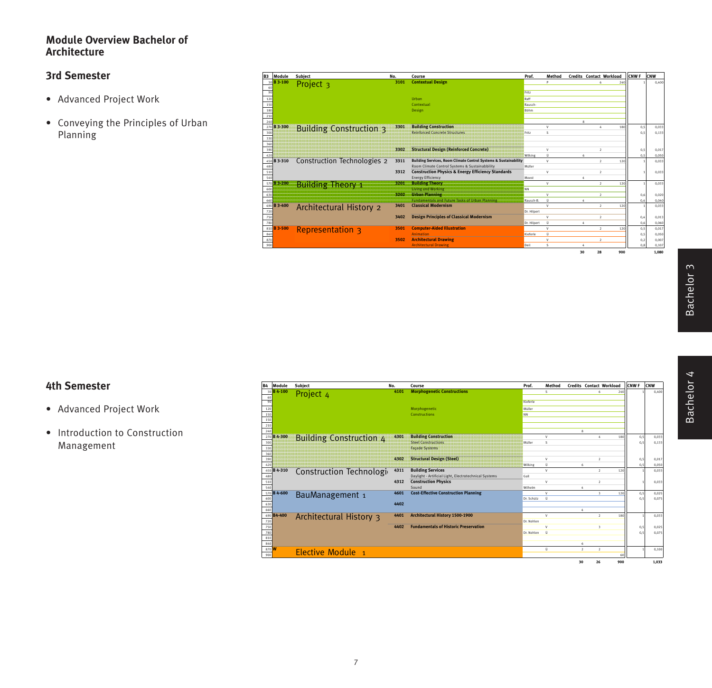### **Module Overview Bachelor of Architecture**

### **3rd Semester**

- Advanced Project Work
- Conveying the Principles of Urban Planning

| B <sub>3</sub> | Module      | <b>Subject</b>                     | No.  | Course                                                                                                                        | Prof.       | Method                   |         |    | <b>Credits Contact Workload</b> | <b>CNWF</b> | CNW   |
|----------------|-------------|------------------------------------|------|-------------------------------------------------------------------------------------------------------------------------------|-------------|--------------------------|---------|----|---------------------------------|-------------|-------|
|                | 30 B 3-100  | Project <sub>3</sub>               | 3101 | <b>Contextual Design</b>                                                                                                      |             | Þ                        |         |    | 240<br>۷                        |             | 0.400 |
|                |             |                                    |      |                                                                                                                               |             |                          |         |    |                                 |             |       |
| 90             |             |                                    |      |                                                                                                                               | Fritz       |                          |         |    |                                 |             |       |
| 120            |             |                                    |      | Urban                                                                                                                         | Raff        |                          |         |    |                                 |             |       |
| 150            |             |                                    |      | Contextual                                                                                                                    | Rausch-     |                          |         |    |                                 |             |       |
| 180            |             |                                    |      | <b>Design</b>                                                                                                                 | Böhm        |                          |         |    |                                 |             |       |
| 210            |             |                                    |      |                                                                                                                               |             |                          |         |    |                                 |             |       |
| 240            |             |                                    |      |                                                                                                                               |             |                          | $\circ$ |    |                                 |             |       |
|                | 270 B 3-300 | <b>Building Construction 3</b>     | 3301 | <b>Building Construction</b>                                                                                                  |             | $\vee$                   |         |    | 180<br>$\Lambda$                | 0,5         | 0,033 |
| 300            |             |                                    |      | Reinforced Concrete Structures                                                                                                | Fritz       | $\leq$                   |         |    |                                 | 0.5         | 0,133 |
| 330            |             |                                    |      |                                                                                                                               |             |                          |         |    |                                 |             |       |
| 360            |             |                                    |      |                                                                                                                               |             |                          |         |    |                                 |             |       |
| 390            |             |                                    | 3302 | <b>Structural Design (Reinforced Concrete)</b>                                                                                |             | v                        |         |    | $\overline{2}$                  | 0,5         | 0.017 |
| 420            |             |                                    |      |                                                                                                                               | Wilking     | $\bf{0}$<br>$\mathsf{v}$ | Á       |    |                                 | 0.5         | 0.050 |
| 480            | 450 B 3-310 | <b>Construction Technologies 2</b> | 3311 | <b>Building Services, Room Climate Control Systems &amp; Sustainability</b><br>Room Climate Control Systems & Sustainabbility | Müller      |                          |         |    | $\overline{2}$<br>120           |             | 0.033 |
|                |             |                                    | 3312 | <b>Construction Physics &amp; Energy Efficiency Standards</b>                                                                 |             | $\vee$                   |         |    | $\overline{2}$                  |             |       |
| 510<br>540     |             |                                    |      | <b>Energy Efficiency</b>                                                                                                      | Moest       |                          |         |    |                                 |             | 0,033 |
|                | 570 B 3-200 |                                    | 3201 | <b>Building Theory</b>                                                                                                        |             | $\mathsf{v}$             |         |    | $\mathcal{L}$<br>120            |             | 0,033 |
| 600            |             | <b>Building Theory 1</b>           |      | <b>Living and Working</b>                                                                                                     | <b>NN</b>   |                          |         |    |                                 |             |       |
| 630            |             |                                    | 3202 | <b>Urban Planning</b>                                                                                                         |             | $\vee$                   |         |    | $\overline{2}$                  | 0,6         | 0.020 |
| 660            |             |                                    |      | <b>Fundamentals and Future Tasks of Urban Planning</b>                                                                        | Rausch-B.   | 0.                       |         |    |                                 | 0.4         | 0,040 |
|                | 690 B 3-400 | Architectural History 2            | 3401 | <b>Classical Modernism</b>                                                                                                    |             | $\mathsf{v}$             |         |    | $\mathcal{L}$<br>120            |             | 0.033 |
| 720            |             |                                    |      |                                                                                                                               | Dr. Hilpert |                          |         |    |                                 |             |       |
| 750            |             |                                    | 3402 | <b>Design Principles of Classical Modernism</b>                                                                               |             | $\vee$                   |         |    | $\overline{2}$                  | 0,4         | 0.013 |
| 780            |             |                                    |      |                                                                                                                               | Dr. Hilpert | $\bf{0}$                 |         |    |                                 | 0,6         | 0,060 |
|                | 810 B 3-500 | <b>Representation 3</b>            | 3501 | <b>Computer-Aided Illustration</b>                                                                                            |             | $\mathsf{v}$             |         |    | $\rightarrow$<br>120            | 0,5         | 0.017 |
| 840            |             |                                    |      | <b>Animation</b>                                                                                                              | Kieferle    | Ü                        |         |    |                                 | 0,5         | 0,050 |
| 870            |             |                                    | 3502 | <b>Architectural Drawing</b>                                                                                                  |             | $\mathsf{v}$             |         |    | $\overline{2}$                  | 0,2         | 0,007 |
| 900            |             |                                    |      | <b>Architectural Drawing</b>                                                                                                  | Deil        | $\leq$                   |         |    |                                 | 0.8         | 0,107 |
|                |             |                                    |      |                                                                                                                               |             |                          | 30      | 28 | 900                             |             | 1.080 |

# **4th Semester**

- Advanced Project Work
- Introduction to Construction Management

| <b>B4</b>    | Module      | <b>Subject</b>                 | No.  | Course                                                | Prof.      | Method  |                |                         | <b>Credits Contact Workload</b> | <b>CNWF</b> | CNW   |
|--------------|-------------|--------------------------------|------|-------------------------------------------------------|------------|---------|----------------|-------------------------|---------------------------------|-------------|-------|
|              | 30 B 4-100  | Project <sub>4</sub>           | 4101 | <b>Morphogenetic Constructions</b>                    |            | s.      |                | $\epsilon$              | 240                             |             | 0,400 |
| 60           |             |                                |      |                                                       |            |         |                |                         |                                 |             |       |
| 90           |             |                                |      |                                                       | Kieferle   |         |                |                         |                                 |             |       |
| 120          |             |                                |      | Morphogenetic                                         | Müller     |         |                |                         |                                 |             |       |
| 150          |             |                                |      | Constructions                                         | NN         |         |                |                         |                                 |             |       |
| 150          |             |                                |      |                                                       |            |         |                |                         |                                 |             |       |
| 210          |             |                                |      |                                                       |            |         |                |                         |                                 |             |       |
| 240          | 270 B 4-300 |                                |      |                                                       |            |         | $\mathbf{R}$   | ۸                       |                                 |             |       |
|              |             | <b>Building Construction 4</b> | 4301 | <b>Building Construction</b><br>Steel Constructions   |            | v<br>Š. |                |                         | 180                             | 0,5         | 0,033 |
| 300          |             |                                |      | <b>Facade Systems</b>                                 | Müller     |         |                |                         |                                 | 0.5         | 0,133 |
| 330<br>360   |             |                                |      |                                                       |            |         |                |                         |                                 |             |       |
| 390          |             |                                | 4302 | <b>Structural Design (Steel)</b>                      |            | v       |                | $\overline{2}$          |                                 | 0,5         | 0,017 |
| 420          |             |                                |      |                                                       | Wilking    | Ü.      | 6              |                         |                                 | 0.5         | 0,050 |
|              | 450 B 4-310 | Construction Technologi        | 4311 | <b>Building Services</b>                              |            | v       |                | $\overline{2}$          | 120                             |             | 0,033 |
| 480          |             |                                |      | Daylight - Artificial Light, Electrotechnical Systems | Gall       |         |                |                         |                                 |             |       |
| 510          |             |                                | 4312 | <b>Construction Physics</b>                           |            | v       |                | $\overline{2}$          |                                 |             | 0.033 |
| 540          |             |                                |      | Sound                                                 | Wilhelm    |         |                |                         |                                 |             |       |
|              | 570 B 4-600 | BauManagement 1                | 4601 | <b>Cost-Effective Construction Planning</b>           |            | v       |                | $\overline{\mathbf{3}}$ | 120                             | 0,5         | 0,025 |
| 600          |             |                                |      |                                                       | Dr. Schütz | 0.      |                |                         |                                 | 0.5         | 0,075 |
| 630          |             |                                | 4402 |                                                       |            |         |                |                         |                                 |             |       |
| 660          |             |                                |      |                                                       |            |         |                |                         |                                 |             |       |
|              | 690 B4-400  | Architectural History 3        | 4401 | Architectural History 1500-1900                       |            | v       |                | $\mathcal{L}$           | 180                             |             | 0,03  |
| 720          |             |                                |      |                                                       | Dr. Nohlen |         |                |                         |                                 |             |       |
| 750          |             |                                | 4402 | <b>Fundamentals of Historic Preservation</b>          |            | v       |                | $\overline{\mathbf{3}}$ |                                 | 0,5         | 0,025 |
| 780          |             |                                |      |                                                       | Dr. Nohlen | Ü       |                |                         |                                 | 0.5         | 0,075 |
| 810          |             |                                |      |                                                       |            |         |                |                         |                                 |             |       |
| 840          |             |                                |      |                                                       |            |         | 6              |                         |                                 |             |       |
| 870 M<br>900 |             | Elective Module 1              |      |                                                       |            | Ü       | $\overline{2}$ | $\overline{2}$          | 60                              |             | 0,100 |
|              |             |                                |      |                                                       |            |         |                |                         |                                 |             |       |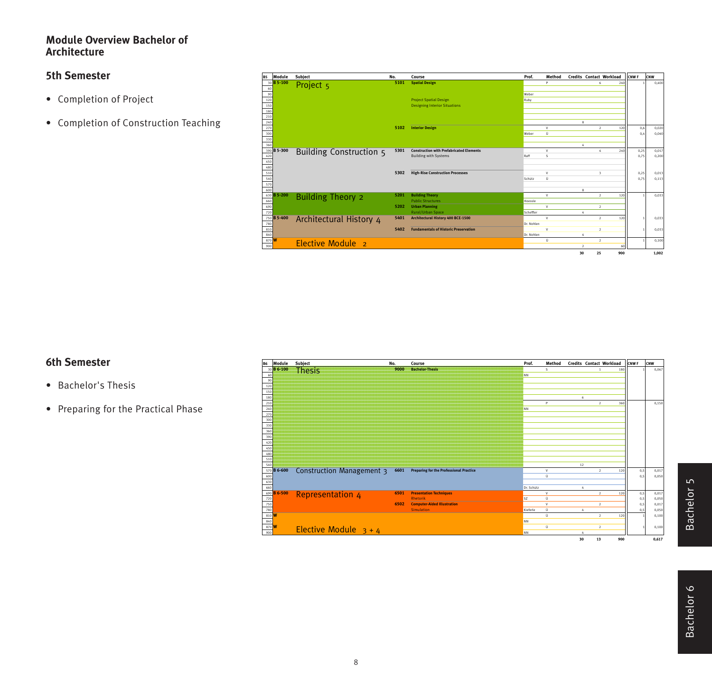### **Module Overview Bachelor of Architecture**

## **5th Semester**

- Completion of Project
- Completion of Construction Teaching

| <b>B5</b>  | Module      | Subject                  | No.  | Course                                          | Prof.      | Method       | <b>Credits Contact Workload</b> |                         |     | CNW <sub>F</sub> | CNW            |
|------------|-------------|--------------------------|------|-------------------------------------------------|------------|--------------|---------------------------------|-------------------------|-----|------------------|----------------|
|            | 30 B 5-100  | Project <sub>5</sub>     | 5101 | <b>Spatial Design</b>                           |            | Þ            |                                 | 6                       | 240 |                  | 0.400          |
| 60         |             |                          |      |                                                 |            |              |                                 |                         |     |                  |                |
| 90         |             |                          |      |                                                 | Weber      |              |                                 |                         |     |                  |                |
| 120        |             |                          |      | <b>Project Spatial Design</b>                   | Ruby       |              |                                 |                         |     |                  |                |
| 150        |             |                          |      | <b>Designing Interior Situations</b>            |            |              |                                 |                         |     |                  |                |
| 180        |             |                          |      |                                                 |            |              |                                 |                         |     |                  |                |
| 210        |             |                          |      |                                                 |            |              |                                 |                         |     |                  |                |
| 240        |             |                          |      |                                                 |            |              | $\mathbf{R}$                    |                         |     |                  |                |
| 270        |             |                          | 5102 | <b>Interior Design</b>                          |            | $\vee$       |                                 | $\overline{2}$          | 120 | 0,6              | 0,020          |
| 300        |             |                          |      |                                                 | Weber      | 0.           |                                 |                         |     | 0.4              | 0.040          |
| 330        |             |                          |      |                                                 |            |              |                                 |                         |     |                  |                |
| 360        |             |                          |      |                                                 |            |              |                                 |                         |     |                  |                |
|            | 390 B 5-300 | Building Construction 5  | 5301 | <b>Construction with Prefabricated Elements</b> |            | $\vee$<br>¢  |                                 | A                       | 240 | 0.25             | 0.017          |
| 420        |             |                          |      | <b>Building with Systems</b>                    | Raff       |              |                                 |                         |     | 0.75             | 0,200          |
| 450<br>480 |             |                          |      |                                                 |            |              |                                 |                         |     |                  |                |
|            |             |                          | 5302 | <b>High-Rise Construction Processes</b>         |            | $\vee$       |                                 | $\overline{\mathbf{3}}$ |     |                  |                |
| 510<br>540 |             |                          |      |                                                 | Schütz     | 0.           |                                 |                         |     | 0,25<br>0.75     | 0,013<br>0.113 |
| 570        |             |                          |      |                                                 |            |              |                                 |                         |     |                  |                |
| 600        |             |                          |      |                                                 |            |              | ×                               |                         |     |                  |                |
|            | 630 B 5-200 |                          | 5201 | <b>Building Theory</b>                          |            | $\mathsf{v}$ |                                 | $\overline{2}$          | 120 |                  | 0.033          |
| 660        |             | <b>Building Theory 2</b> |      | <b>Public Structures</b>                        | Hoessle    |              |                                 |                         |     |                  |                |
| 690        |             |                          | 5202 | <b>Urban Planning</b>                           |            | $\mathsf{v}$ |                                 | $\overline{2}$          |     |                  |                |
| 720        |             |                          |      | <b>Rural/Urban Space</b>                        | Scheffler  |              |                                 |                         |     |                  |                |
|            | 750 B 5-400 | Architectural History 4  | 5401 | Architectural History 400 BCE-1500              |            | $\mathsf{v}$ |                                 | $\overline{2}$          | 120 |                  | 0,033          |
| 780        |             |                          |      |                                                 | Dr. Nohlen |              |                                 |                         |     |                  |                |
| 810        |             |                          | 5402 | <b>Fundamentals of Historic Preservation</b>    |            | $\mathsf{v}$ |                                 | $\overline{2}$          |     |                  | 0.033          |
| 840        |             |                          |      |                                                 | Dr. Nohlen |              |                                 |                         |     |                  |                |
| 870 M      |             |                          |      |                                                 |            | Ü            |                                 | $\overline{2}$          |     |                  | 0,100          |
| 900        |             | Elective Module 2        |      |                                                 |            |              | $\overline{2}$                  |                         | 60  |                  |                |
|            |             |                          |      |                                                 |            |              | 30                              | 25                      | 900 |                  | 1.002          |

# **6th Semester**

- Bachelor's Thesis
- Preparing for the Practical Phase

| <b>B6</b> | Module                          | Subject                          | No.  | Course                                         | Prof.      | Method |            |    | Credits Contact Workload | CNW <sub>F</sub> | CNW   |
|-----------|---------------------------------|----------------------------------|------|------------------------------------------------|------------|--------|------------|----|--------------------------|------------------|-------|
|           | 30 B 6-100                      | <b>Thesis</b>                    | 9000 | <b>Bachelor-Thesis</b>                         |            | s.     |            |    | 180<br>1                 |                  | 0,067 |
| 60        |                                 |                                  |      |                                                | NN         |        |            |    |                          |                  |       |
| 90        |                                 |                                  |      |                                                |            |        |            |    |                          |                  |       |
| 120       |                                 |                                  |      |                                                |            |        |            |    |                          |                  |       |
| 150       |                                 |                                  |      |                                                |            |        |            |    |                          |                  |       |
| 180       |                                 |                                  |      |                                                |            |        | 6          |    |                          |                  |       |
| 210       |                                 |                                  |      |                                                |            | P      |            |    | $\overline{2}$<br>360    |                  | 0.150 |
| 240       |                                 |                                  |      |                                                | <b>NN</b>  |        |            |    |                          |                  |       |
| 270       |                                 |                                  |      |                                                |            |        |            |    |                          |                  |       |
| 300       |                                 |                                  |      |                                                |            |        |            |    |                          |                  |       |
| 330       |                                 |                                  |      |                                                |            |        |            |    |                          |                  |       |
| 360       |                                 |                                  |      |                                                |            |        |            |    |                          |                  |       |
| 390       |                                 |                                  |      |                                                |            |        |            |    |                          |                  |       |
| 420       |                                 |                                  |      |                                                |            |        |            |    |                          |                  |       |
| 450       |                                 |                                  |      |                                                |            |        |            |    |                          |                  |       |
| 480       |                                 |                                  |      |                                                |            |        |            |    |                          |                  |       |
| 510       |                                 |                                  |      |                                                |            |        |            |    |                          |                  |       |
| 540       | 570 B 6-600                     |                                  |      |                                                |            |        | 12         |    |                          |                  |       |
|           |                                 | <b>Construction Management 3</b> | 6601 | <b>Preparing for the Professional Practice</b> |            | v      |            |    | $\overline{2}$<br>120    | 0,5              | 0,017 |
| 600       |                                 |                                  |      |                                                |            | Ü      |            |    |                          | 0.5              | 0,050 |
| 630       |                                 |                                  |      |                                                | Dr. Schütz |        |            |    |                          |                  |       |
|           | 660<br>690 <mark>B 6-500</mark> |                                  | 6501 | <b>Presentation Techniques</b>                 |            | v      | 4          |    | $\overline{2}$<br>120    | 0,5              | 0,017 |
| 720       |                                 | <b>Representation 4</b>          |      | <b>Rhetorik</b>                                | SZ.        | Ü      |            |    |                          | 0,5              | 0,050 |
| 750       |                                 |                                  | 6502 | <b>Computer-Aided Illustration</b>             |            | v      |            |    | $\overline{2}$           |                  | 0,017 |
| 780       |                                 |                                  |      | <b>Simulation</b>                              | Kieferle   | Ü      | $\ddot{4}$ |    |                          | 0,5<br>0,5       | 0,050 |
|           | 810 W                           |                                  |      |                                                |            | Ĥ.     |            |    | $\overline{2}$<br>120    |                  | 0,100 |
| 840       |                                 |                                  |      |                                                | <b>NN</b>  |        |            |    |                          |                  |       |
|           | 870 W                           |                                  |      |                                                |            | Ü      |            |    | $\overline{2}$           |                  | 0,100 |
| 900       |                                 | Elective Module $3 + 4$          |      |                                                | NN         |        |            |    |                          |                  |       |
|           |                                 |                                  |      |                                                |            |        | 30         | 13 | 900                      |                  | 0.617 |
|           |                                 |                                  |      |                                                |            |        |            |    |                          |                  |       |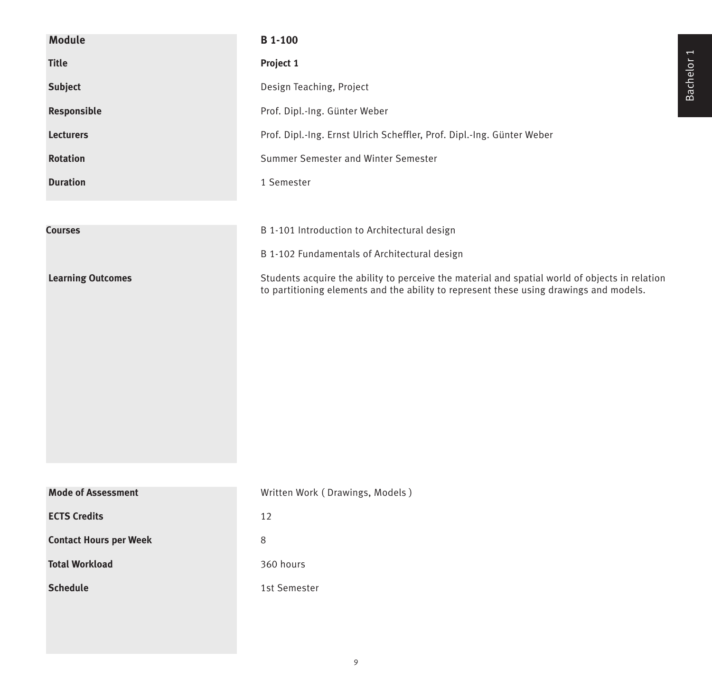| <b>Module</b>                 | <b>B</b> 1-100                                                                                                                                                                           |
|-------------------------------|------------------------------------------------------------------------------------------------------------------------------------------------------------------------------------------|
| <b>Title</b>                  | Project 1                                                                                                                                                                                |
| Subject                       | Design Teaching, Project                                                                                                                                                                 |
| Responsible                   | Prof. Dipl.-Ing. Günter Weber                                                                                                                                                            |
| <b>Lecturers</b>              | Prof. Dipl.-Ing. Ernst Ulrich Scheffler, Prof. Dipl.-Ing. Günter Weber                                                                                                                   |
| <b>Rotation</b>               | Summer Semester and Winter Semester                                                                                                                                                      |
| <b>Duration</b>               | 1 Semester                                                                                                                                                                               |
|                               |                                                                                                                                                                                          |
| <b>Courses</b>                | B 1-101 Introduction to Architectural design                                                                                                                                             |
|                               | B 1-102 Fundamentals of Architectural design                                                                                                                                             |
| <b>Learning Outcomes</b>      | Students acquire the ability to perceive the material and spatial world of objects in relation<br>to partitioning elements and the ability to represent these using drawings and models. |
| <b>Mode of Assessment</b>     | Written Work (Drawings, Models)                                                                                                                                                          |
| <b>ECTS Credits</b>           | 12                                                                                                                                                                                       |
| <b>Contact Hours per Week</b> | 8                                                                                                                                                                                        |
| <b>Total Workload</b>         | 360 hours                                                                                                                                                                                |
| <b>Schedule</b>               | 1st Semester                                                                                                                                                                             |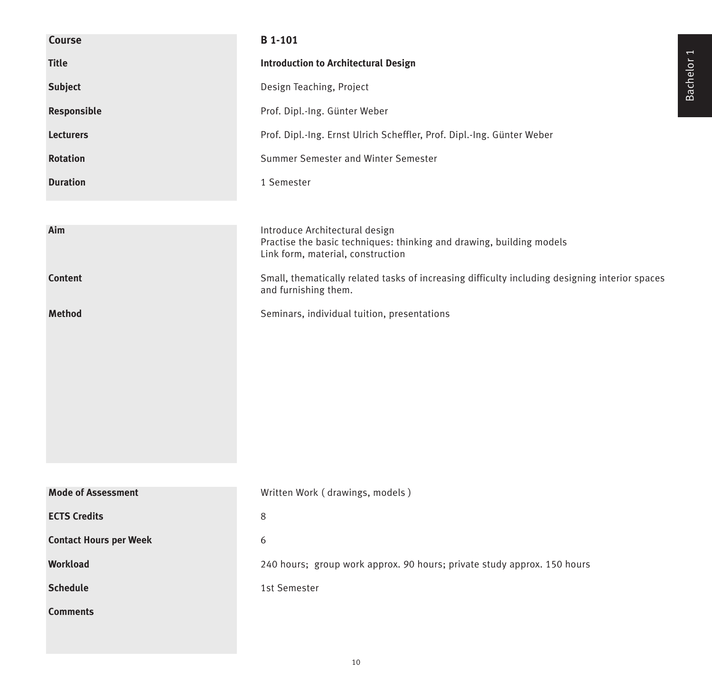| Course                        | <b>B</b> 1-101                                                                                                                              |
|-------------------------------|---------------------------------------------------------------------------------------------------------------------------------------------|
| <b>Title</b>                  | <b>Introduction to Architectural Design</b>                                                                                                 |
| <b>Subject</b>                | Design Teaching, Project                                                                                                                    |
| Responsible                   | Prof. Dipl.-Ing. Günter Weber                                                                                                               |
| <b>Lecturers</b>              | Prof. Dipl.-Ing. Ernst Ulrich Scheffler, Prof. Dipl.-Ing. Günter Weber                                                                      |
| <b>Rotation</b>               | Summer Semester and Winter Semester                                                                                                         |
| <b>Duration</b>               | 1 Semester                                                                                                                                  |
|                               |                                                                                                                                             |
| Aim                           | Introduce Architectural design<br>Practise the basic techniques: thinking and drawing, building models<br>Link form, material, construction |
| <b>Content</b>                | Small, thematically related tasks of increasing difficulty including designing interior spaces<br>and furnishing them.                      |
| <b>Method</b>                 | Seminars, individual tuition, presentations                                                                                                 |
|                               |                                                                                                                                             |
|                               |                                                                                                                                             |
|                               |                                                                                                                                             |
|                               |                                                                                                                                             |
|                               |                                                                                                                                             |
|                               |                                                                                                                                             |
|                               |                                                                                                                                             |
| <b>Mode of Assessment</b>     | Written Work (drawings, models)                                                                                                             |
| <b>ECTS Credits</b>           | 8                                                                                                                                           |
| <b>Contact Hours per Week</b> | 6                                                                                                                                           |
| <b>Workload</b>               | 240 hours; group work approx. 90 hours; private study approx. 150 hours                                                                     |
| <b>Schedule</b>               | 1st Semester                                                                                                                                |
| <b>Comments</b>               |                                                                                                                                             |
|                               |                                                                                                                                             |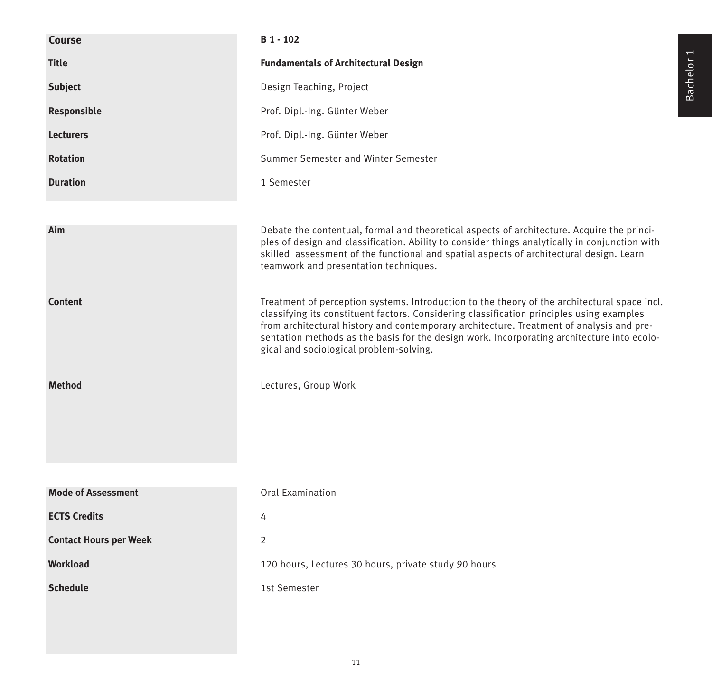| <b>Course</b>                 | B 1 - 102                                                                                                                                                                                                                                                                                                                                                                                                                      |
|-------------------------------|--------------------------------------------------------------------------------------------------------------------------------------------------------------------------------------------------------------------------------------------------------------------------------------------------------------------------------------------------------------------------------------------------------------------------------|
| <b>Title</b>                  | <b>Fundamentals of Architectural Design</b>                                                                                                                                                                                                                                                                                                                                                                                    |
| <b>Subject</b>                | Design Teaching, Project                                                                                                                                                                                                                                                                                                                                                                                                       |
| Responsible                   | Prof. Dipl.-Ing. Günter Weber                                                                                                                                                                                                                                                                                                                                                                                                  |
| <b>Lecturers</b>              | Prof. Dipl.-Ing. Günter Weber                                                                                                                                                                                                                                                                                                                                                                                                  |
| <b>Rotation</b>               | Summer Semester and Winter Semester                                                                                                                                                                                                                                                                                                                                                                                            |
| <b>Duration</b>               | 1 Semester                                                                                                                                                                                                                                                                                                                                                                                                                     |
|                               |                                                                                                                                                                                                                                                                                                                                                                                                                                |
| Aim                           | Debate the contentual, formal and theoretical aspects of architecture. Acquire the princi-<br>ples of design and classification. Ability to consider things analytically in conjunction with<br>skilled assessment of the functional and spatial aspects of architectural design. Learn<br>teamwork and presentation techniques.                                                                                               |
| <b>Content</b>                | Treatment of perception systems. Introduction to the theory of the architectural space incl.<br>classifying its constituent factors. Considering classification principles using examples<br>from architectural history and contemporary architecture. Treatment of analysis and pre-<br>sentation methods as the basis for the design work. Incorporating architecture into ecolo-<br>gical and sociological problem-solving. |
| <b>Method</b>                 | Lectures, Group Work                                                                                                                                                                                                                                                                                                                                                                                                           |
| <b>Mode of Assessment</b>     | <b>Oral Examination</b>                                                                                                                                                                                                                                                                                                                                                                                                        |
| <b>ECTS Credits</b>           | 4                                                                                                                                                                                                                                                                                                                                                                                                                              |
| <b>Contact Hours per Week</b> | $\overline{2}$                                                                                                                                                                                                                                                                                                                                                                                                                 |
| <b>Workload</b>               | 120 hours, Lectures 30 hours, private study 90 hours                                                                                                                                                                                                                                                                                                                                                                           |
| <b>Schedule</b>               | 1st Semester                                                                                                                                                                                                                                                                                                                                                                                                                   |
|                               |                                                                                                                                                                                                                                                                                                                                                                                                                                |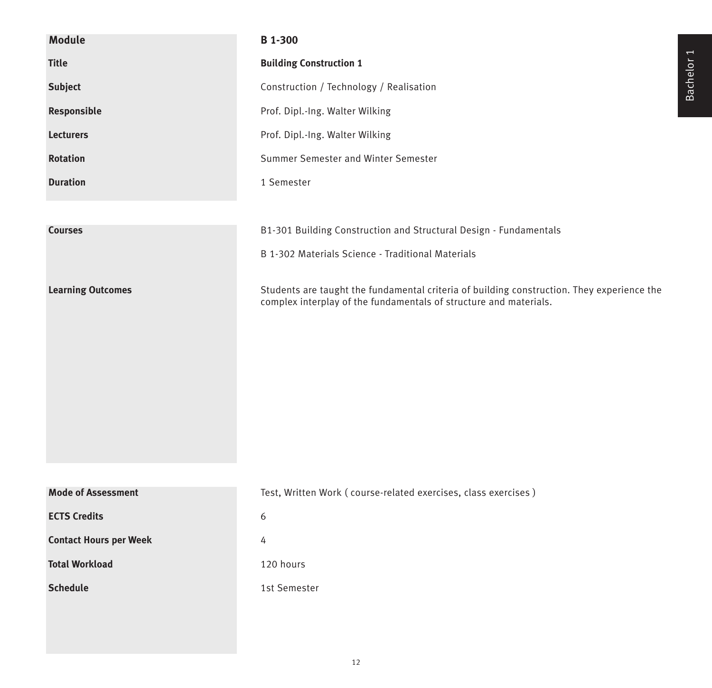| <b>Module</b>                 | <b>B</b> 1-300                                                                                                                                                  |
|-------------------------------|-----------------------------------------------------------------------------------------------------------------------------------------------------------------|
| <b>Title</b>                  | <b>Building Construction 1</b>                                                                                                                                  |
| Subject                       | Construction / Technology / Realisation                                                                                                                         |
| Responsible                   | Prof. Dipl.-Ing. Walter Wilking                                                                                                                                 |
| <b>Lecturers</b>              | Prof. Dipl.-Ing. Walter Wilking                                                                                                                                 |
| <b>Rotation</b>               | Summer Semester and Winter Semester                                                                                                                             |
| <b>Duration</b>               | 1 Semester                                                                                                                                                      |
|                               |                                                                                                                                                                 |
| <b>Courses</b>                | B1-301 Building Construction and Structural Design - Fundamentals                                                                                               |
|                               | B 1-302 Materials Science - Traditional Materials                                                                                                               |
| <b>Learning Outcomes</b>      | Students are taught the fundamental criteria of building construction. They experience the<br>complex interplay of the fundamentals of structure and materials. |
| <b>Mode of Assessment</b>     | Test, Written Work (course-related exercises, class exercises)                                                                                                  |
| <b>ECTS Credits</b>           | 6                                                                                                                                                               |
| <b>Contact Hours per Week</b> | 4                                                                                                                                                               |
| <b>Total Workload</b>         | 120 hours                                                                                                                                                       |
| <b>Schedule</b>               | 1st Semester                                                                                                                                                    |
|                               |                                                                                                                                                                 |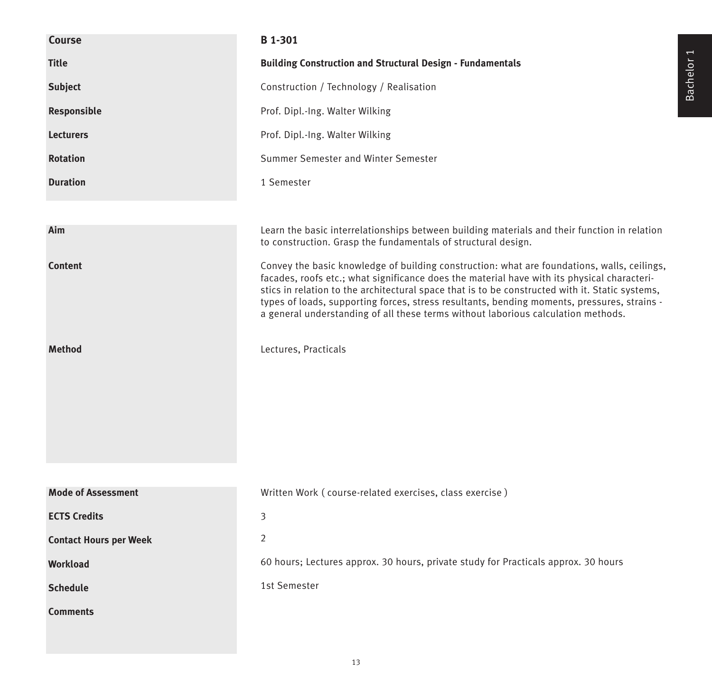| Course                        | <b>B</b> 1-301                                                                                                                                                                                                                                                                                                                                                                                                                                                                    |
|-------------------------------|-----------------------------------------------------------------------------------------------------------------------------------------------------------------------------------------------------------------------------------------------------------------------------------------------------------------------------------------------------------------------------------------------------------------------------------------------------------------------------------|
| <b>Title</b>                  | <b>Building Construction and Structural Design - Fundamentals</b>                                                                                                                                                                                                                                                                                                                                                                                                                 |
| <b>Subject</b>                | Construction / Technology / Realisation                                                                                                                                                                                                                                                                                                                                                                                                                                           |
| Responsible                   | Prof. Dipl.-Ing. Walter Wilking                                                                                                                                                                                                                                                                                                                                                                                                                                                   |
| <b>Lecturers</b>              | Prof. Dipl.-Ing. Walter Wilking                                                                                                                                                                                                                                                                                                                                                                                                                                                   |
| <b>Rotation</b>               | Summer Semester and Winter Semester                                                                                                                                                                                                                                                                                                                                                                                                                                               |
| <b>Duration</b>               | 1 Semester                                                                                                                                                                                                                                                                                                                                                                                                                                                                        |
|                               |                                                                                                                                                                                                                                                                                                                                                                                                                                                                                   |
| Aim                           | Learn the basic interrelationships between building materials and their function in relation<br>to construction. Grasp the fundamentals of structural design.                                                                                                                                                                                                                                                                                                                     |
| <b>Content</b>                | Convey the basic knowledge of building construction: what are foundations, walls, ceilings,<br>facades, roofs etc.; what significance does the material have with its physical characteri-<br>stics in relation to the architectural space that is to be constructed with it. Static systems,<br>types of loads, supporting forces, stress resultants, bending moments, pressures, strains -<br>a general understanding of all these terms without laborious calculation methods. |
| <b>Method</b>                 | Lectures, Practicals                                                                                                                                                                                                                                                                                                                                                                                                                                                              |
|                               |                                                                                                                                                                                                                                                                                                                                                                                                                                                                                   |
| <b>Mode of Assessment</b>     | Written Work (course-related exercises, class exercise)                                                                                                                                                                                                                                                                                                                                                                                                                           |
| <b>ECTS Credits</b>           | 3<br>$\overline{2}$                                                                                                                                                                                                                                                                                                                                                                                                                                                               |
| <b>Contact Hours per Week</b> | 60 hours; Lectures approx. 30 hours, private study for Practicals approx. 30 hours                                                                                                                                                                                                                                                                                                                                                                                                |
| Workload                      | 1st Semester                                                                                                                                                                                                                                                                                                                                                                                                                                                                      |
| <b>Schedule</b>               |                                                                                                                                                                                                                                                                                                                                                                                                                                                                                   |
| <b>Comments</b>               |                                                                                                                                                                                                                                                                                                                                                                                                                                                                                   |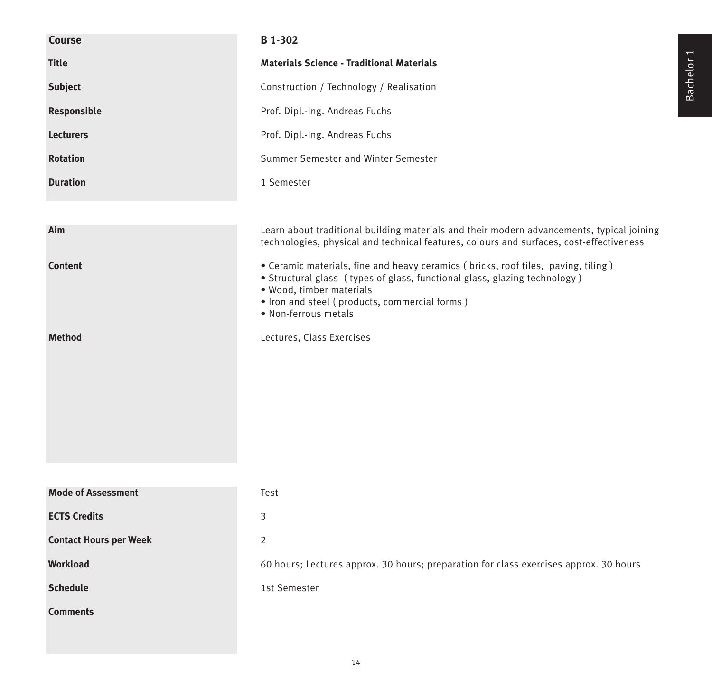| <b>Course</b>                 | <b>B</b> 1-302                                                                                                                                                                                                                                                      |
|-------------------------------|---------------------------------------------------------------------------------------------------------------------------------------------------------------------------------------------------------------------------------------------------------------------|
| <b>Title</b>                  | <b>Materials Science - Traditional Materials</b>                                                                                                                                                                                                                    |
| <b>Subject</b>                | Construction / Technology / Realisation                                                                                                                                                                                                                             |
| Responsible                   | Prof. Dipl.-Ing. Andreas Fuchs                                                                                                                                                                                                                                      |
| <b>Lecturers</b>              | Prof. Dipl.-Ing. Andreas Fuchs                                                                                                                                                                                                                                      |
| <b>Rotation</b>               | Summer Semester and Winter Semester                                                                                                                                                                                                                                 |
| <b>Duration</b>               | 1 Semester                                                                                                                                                                                                                                                          |
|                               |                                                                                                                                                                                                                                                                     |
| Aim                           | Learn about traditional building materials and their modern advancements, typical joining<br>technologies, physical and technical features, colours and surfaces, cost-effectiveness                                                                                |
| <b>Content</b>                | • Ceramic materials, fine and heavy ceramics (bricks, roof tiles, paving, tiling)<br>• Structural glass (types of glass, functional glass, glazing technology)<br>· Wood, timber materials<br>· Iron and steel (products, commercial forms)<br>· Non-ferrous metals |
| <b>Method</b>                 | Lectures, Class Exercises                                                                                                                                                                                                                                           |
| <b>Mode of Assessment</b>     |                                                                                                                                                                                                                                                                     |
|                               | Test                                                                                                                                                                                                                                                                |
| <b>ECTS Credits</b>           | 3                                                                                                                                                                                                                                                                   |
| <b>Contact Hours per Week</b> | $\overline{2}$                                                                                                                                                                                                                                                      |
| Workload                      | 60 hours; Lectures approx. 30 hours; preparation for class exercises approx. 30 hours                                                                                                                                                                               |
| <b>Schedule</b>               | 1st Semester                                                                                                                                                                                                                                                        |
| <b>Comments</b>               |                                                                                                                                                                                                                                                                     |

Bachelor 1

14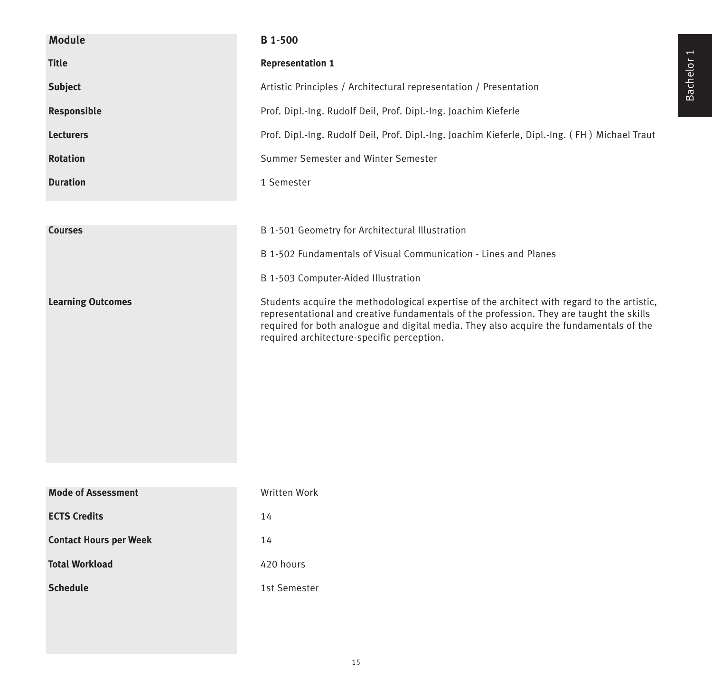| <b>Module</b>                 | <b>B</b> 1-500                                                                                                                                                                                                                                                                                                                   |
|-------------------------------|----------------------------------------------------------------------------------------------------------------------------------------------------------------------------------------------------------------------------------------------------------------------------------------------------------------------------------|
|                               |                                                                                                                                                                                                                                                                                                                                  |
| <b>Title</b>                  | <b>Representation 1</b>                                                                                                                                                                                                                                                                                                          |
| <b>Subject</b>                | Artistic Principles / Architectural representation / Presentation                                                                                                                                                                                                                                                                |
| Responsible                   | Prof. Dipl.-Ing. Rudolf Deil, Prof. Dipl.-Ing. Joachim Kieferle                                                                                                                                                                                                                                                                  |
| <b>Lecturers</b>              | Prof. Dipl.-Ing. Rudolf Deil, Prof. Dipl.-Ing. Joachim Kieferle, Dipl.-Ing. (FH) Michael Traut                                                                                                                                                                                                                                   |
| <b>Rotation</b>               | Summer Semester and Winter Semester                                                                                                                                                                                                                                                                                              |
| <b>Duration</b>               | 1 Semester                                                                                                                                                                                                                                                                                                                       |
|                               |                                                                                                                                                                                                                                                                                                                                  |
| <b>Courses</b>                | B 1-501 Geometry for Architectural Illustration                                                                                                                                                                                                                                                                                  |
|                               | B 1-502 Fundamentals of Visual Communication - Lines and Planes                                                                                                                                                                                                                                                                  |
|                               | B 1-503 Computer-Aided Illustration                                                                                                                                                                                                                                                                                              |
| <b>Learning Outcomes</b>      | Students acquire the methodological expertise of the architect with regard to the artistic,<br>representational and creative fundamentals of the profession. They are taught the skills<br>required for both analogue and digital media. They also acquire the fundamentals of the<br>required architecture-specific perception. |
|                               |                                                                                                                                                                                                                                                                                                                                  |
| <b>Mode of Assessment</b>     | Written Work                                                                                                                                                                                                                                                                                                                     |
| <b>ECTS Credits</b>           | 14                                                                                                                                                                                                                                                                                                                               |
| <b>Contact Hours per Week</b> | 14                                                                                                                                                                                                                                                                                                                               |
| <b>Total Workload</b>         | 420 hours                                                                                                                                                                                                                                                                                                                        |
| <b>Schedule</b>               | 1st Semester                                                                                                                                                                                                                                                                                                                     |
|                               |                                                                                                                                                                                                                                                                                                                                  |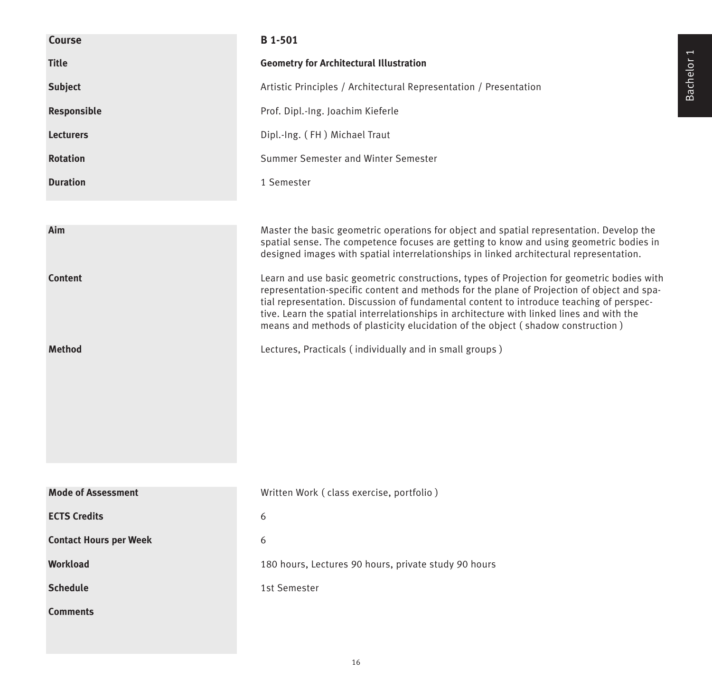| Course                        | B 1-501                                                                                                                                                                                                                                                                                                                                                                                                                                                              |
|-------------------------------|----------------------------------------------------------------------------------------------------------------------------------------------------------------------------------------------------------------------------------------------------------------------------------------------------------------------------------------------------------------------------------------------------------------------------------------------------------------------|
| <b>Title</b>                  | <b>Geometry for Architectural Illustration</b>                                                                                                                                                                                                                                                                                                                                                                                                                       |
| <b>Subject</b>                | Artistic Principles / Architectural Representation / Presentation                                                                                                                                                                                                                                                                                                                                                                                                    |
| Responsible                   | Prof. Dipl.-Ing. Joachim Kieferle                                                                                                                                                                                                                                                                                                                                                                                                                                    |
| <b>Lecturers</b>              | Dipl.-Ing. (FH) Michael Traut                                                                                                                                                                                                                                                                                                                                                                                                                                        |
| <b>Rotation</b>               | Summer Semester and Winter Semester                                                                                                                                                                                                                                                                                                                                                                                                                                  |
| <b>Duration</b>               | 1 Semester                                                                                                                                                                                                                                                                                                                                                                                                                                                           |
|                               |                                                                                                                                                                                                                                                                                                                                                                                                                                                                      |
| Aim                           | Master the basic geometric operations for object and spatial representation. Develop the<br>spatial sense. The competence focuses are getting to know and using geometric bodies in<br>designed images with spatial interrelationships in linked architectural representation.                                                                                                                                                                                       |
| <b>Content</b>                | Learn and use basic geometric constructions, types of Projection for geometric bodies with<br>representation-specific content and methods for the plane of Projection of object and spa-<br>tial representation. Discussion of fundamental content to introduce teaching of perspec-<br>tive. Learn the spatial interrelationships in architecture with linked lines and with the<br>means and methods of plasticity elucidation of the object (shadow construction) |
| <b>Method</b>                 | Lectures, Practicals (individually and in small groups)                                                                                                                                                                                                                                                                                                                                                                                                              |
|                               |                                                                                                                                                                                                                                                                                                                                                                                                                                                                      |
|                               |                                                                                                                                                                                                                                                                                                                                                                                                                                                                      |
|                               |                                                                                                                                                                                                                                                                                                                                                                                                                                                                      |
|                               |                                                                                                                                                                                                                                                                                                                                                                                                                                                                      |
|                               |                                                                                                                                                                                                                                                                                                                                                                                                                                                                      |
| <b>Mode of Assessment</b>     | Written Work (class exercise, portfolio)                                                                                                                                                                                                                                                                                                                                                                                                                             |
| <b>ECTS Credits</b>           | 6                                                                                                                                                                                                                                                                                                                                                                                                                                                                    |
| <b>Contact Hours per Week</b> | 6                                                                                                                                                                                                                                                                                                                                                                                                                                                                    |
| <b>Workload</b>               | 180 hours, Lectures 90 hours, private study 90 hours                                                                                                                                                                                                                                                                                                                                                                                                                 |
| <b>Schedule</b>               | 1st Semester                                                                                                                                                                                                                                                                                                                                                                                                                                                         |
| <b>Comments</b>               |                                                                                                                                                                                                                                                                                                                                                                                                                                                                      |
|                               |                                                                                                                                                                                                                                                                                                                                                                                                                                                                      |

Bachelor 1 Bachelor 1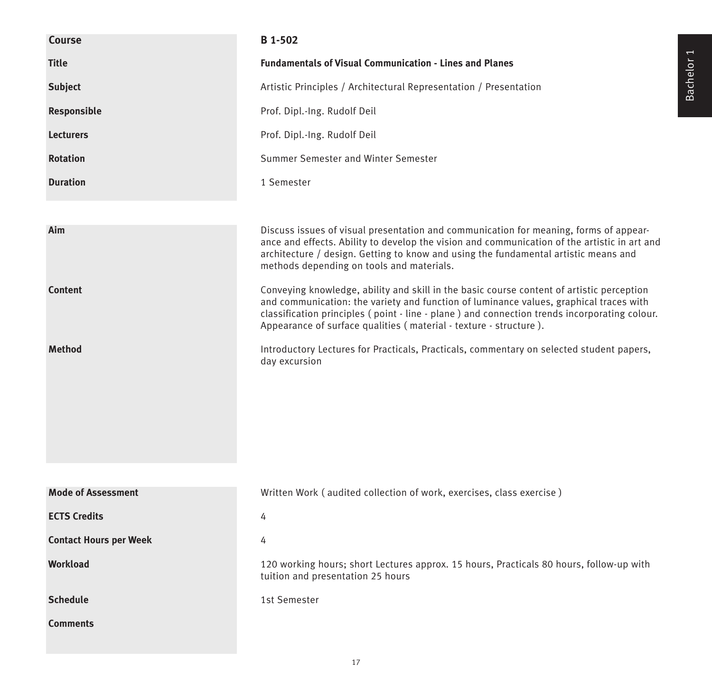| Course                        | B 1-502                                                                                                                                                                                                                                                                                                                                                   |
|-------------------------------|-----------------------------------------------------------------------------------------------------------------------------------------------------------------------------------------------------------------------------------------------------------------------------------------------------------------------------------------------------------|
| <b>Title</b>                  | <b>Fundamentals of Visual Communication - Lines and Planes</b>                                                                                                                                                                                                                                                                                            |
| <b>Subject</b>                | Artistic Principles / Architectural Representation / Presentation                                                                                                                                                                                                                                                                                         |
| Responsible                   | Prof. Dipl.-Ing. Rudolf Deil                                                                                                                                                                                                                                                                                                                              |
| <b>Lecturers</b>              | Prof. Dipl.-Ing. Rudolf Deil                                                                                                                                                                                                                                                                                                                              |
| <b>Rotation</b>               | Summer Semester and Winter Semester                                                                                                                                                                                                                                                                                                                       |
| <b>Duration</b>               | 1 Semester                                                                                                                                                                                                                                                                                                                                                |
|                               |                                                                                                                                                                                                                                                                                                                                                           |
| Aim                           | Discuss issues of visual presentation and communication for meaning, forms of appear-<br>ance and effects. Ability to develop the vision and communication of the artistic in art and<br>architecture / design. Getting to know and using the fundamental artistic means and<br>methods depending on tools and materials.                                 |
| <b>Content</b>                | Conveying knowledge, ability and skill in the basic course content of artistic perception<br>and communication: the variety and function of luminance values, graphical traces with<br>classification principles (point - line - plane ) and connection trends incorporating colour.<br>Appearance of surface qualities (material - texture - structure). |
| <b>Method</b>                 | Introductory Lectures for Practicals, Practicals, commentary on selected student papers,<br>day excursion                                                                                                                                                                                                                                                 |
|                               |                                                                                                                                                                                                                                                                                                                                                           |
| <b>Mode of Assessment</b>     | Written Work (audited collection of work, exercises, class exercise)                                                                                                                                                                                                                                                                                      |
| <b>ECTS Credits</b>           | 4                                                                                                                                                                                                                                                                                                                                                         |
| <b>Contact Hours per Week</b> | 4                                                                                                                                                                                                                                                                                                                                                         |
| <b>Workload</b>               | 120 working hours; short Lectures approx. 15 hours, Practicals 80 hours, follow-up with<br>tuition and presentation 25 hours                                                                                                                                                                                                                              |
| <b>Schedule</b>               | 1st Semester                                                                                                                                                                                                                                                                                                                                              |
| <b>Comments</b>               |                                                                                                                                                                                                                                                                                                                                                           |

Bachelor 1

17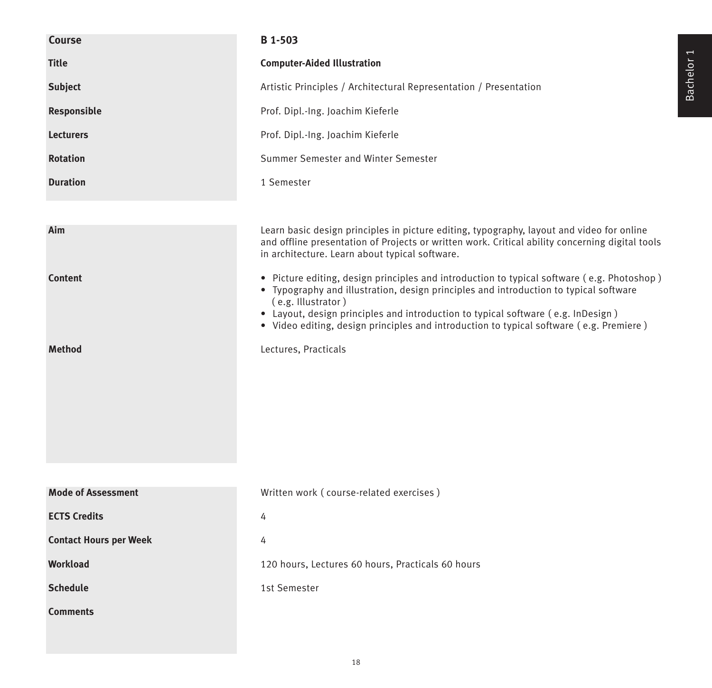| <b>Course</b>                 | B 1-503                                                                                                                                                                                                                                                                                                                                                                                  |
|-------------------------------|------------------------------------------------------------------------------------------------------------------------------------------------------------------------------------------------------------------------------------------------------------------------------------------------------------------------------------------------------------------------------------------|
| <b>Title</b>                  | <b>Computer-Aided Illustration</b>                                                                                                                                                                                                                                                                                                                                                       |
| <b>Subject</b>                | Artistic Principles / Architectural Representation / Presentation                                                                                                                                                                                                                                                                                                                        |
| Responsible                   | Prof. Dipl.-Ing. Joachim Kieferle                                                                                                                                                                                                                                                                                                                                                        |
| <b>Lecturers</b>              | Prof. Dipl.-Ing. Joachim Kieferle                                                                                                                                                                                                                                                                                                                                                        |
| <b>Rotation</b>               | Summer Semester and Winter Semester                                                                                                                                                                                                                                                                                                                                                      |
| <b>Duration</b>               | 1 Semester                                                                                                                                                                                                                                                                                                                                                                               |
|                               |                                                                                                                                                                                                                                                                                                                                                                                          |
| Aim                           | Learn basic design principles in picture editing, typography, layout and video for online<br>and offline presentation of Projects or written work. Critical ability concerning digital tools<br>in architecture. Learn about typical software.                                                                                                                                           |
| <b>Content</b>                | · Picture editing, design principles and introduction to typical software (e.g. Photoshop)<br>• Typography and illustration, design principles and introduction to typical software<br>(e.g. Illustrator)<br>• Layout, design principles and introduction to typical software (e.g. InDesign)<br>• Video editing, design principles and introduction to typical software (e.g. Premiere) |
| <b>Method</b>                 | Lectures, Practicals                                                                                                                                                                                                                                                                                                                                                                     |
| <b>Mode of Assessment</b>     |                                                                                                                                                                                                                                                                                                                                                                                          |
|                               | Written work (course-related exercises)                                                                                                                                                                                                                                                                                                                                                  |
| <b>ECTS Credits</b>           | 4                                                                                                                                                                                                                                                                                                                                                                                        |
| <b>Contact Hours per Week</b> | 4                                                                                                                                                                                                                                                                                                                                                                                        |
| Workload                      | 120 hours, Lectures 60 hours, Practicals 60 hours                                                                                                                                                                                                                                                                                                                                        |
| <b>Schedule</b>               | 1st Semester                                                                                                                                                                                                                                                                                                                                                                             |
| <b>Comments</b>               |                                                                                                                                                                                                                                                                                                                                                                                          |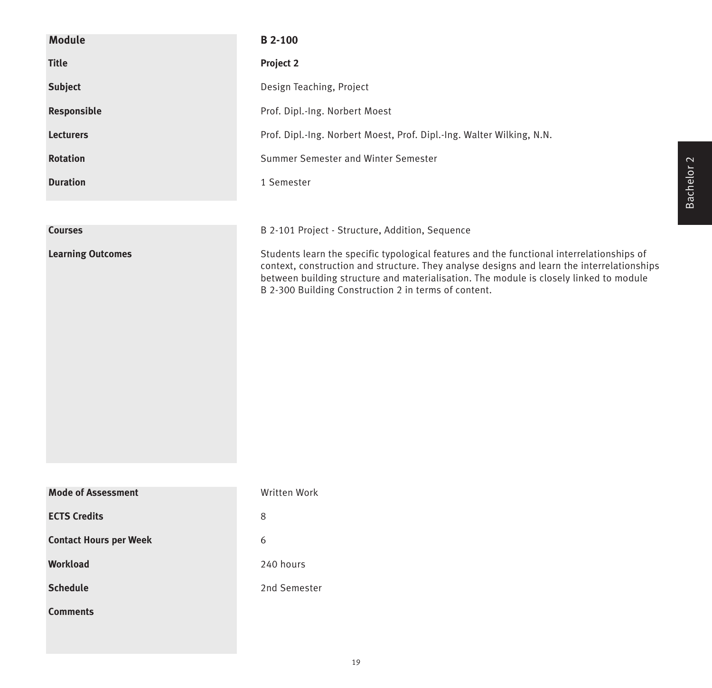| <b>Module</b>                 | <b>B2--100</b>                                                                                                                                                                                                                                                                                                                            |
|-------------------------------|-------------------------------------------------------------------------------------------------------------------------------------------------------------------------------------------------------------------------------------------------------------------------------------------------------------------------------------------|
| <b>Title</b>                  | Project 2                                                                                                                                                                                                                                                                                                                                 |
| <b>Subject</b>                | Design Teaching, Project                                                                                                                                                                                                                                                                                                                  |
| Responsible                   | Prof. Dipl.-Ing. Norbert Moest                                                                                                                                                                                                                                                                                                            |
| <b>Lecturers</b>              | Prof. Dipl.-Ing. Norbert Moest, Prof. Dipl.-Ing. Walter Wilking, N.N.                                                                                                                                                                                                                                                                     |
| <b>Rotation</b>               | Summer Semester and Winter Semester                                                                                                                                                                                                                                                                                                       |
| <b>Duration</b>               | 1 Semester                                                                                                                                                                                                                                                                                                                                |
|                               |                                                                                                                                                                                                                                                                                                                                           |
| <b>Courses</b>                | B 2-101 Project - Structure, Addition, Sequence                                                                                                                                                                                                                                                                                           |
| <b>Learning Outcomes</b>      | Students learn the specific typological features and the functional interrelationships of<br>context, construction and structure. They analyse designs and learn the interrelationships<br>between building structure and materialisation. The module is closely linked to module<br>B 2-300 Building Construction 2 in terms of content. |
| <b>Mode of Assessment</b>     | Written Work                                                                                                                                                                                                                                                                                                                              |
| <b>ECTS Credits</b>           | 8                                                                                                                                                                                                                                                                                                                                         |
| <b>Contact Hours per Week</b> | 6                                                                                                                                                                                                                                                                                                                                         |
| <b>Workload</b>               | 240 hours                                                                                                                                                                                                                                                                                                                                 |
| <b>Schedule</b>               | 2nd Semester                                                                                                                                                                                                                                                                                                                              |
| <b>Comments</b>               |                                                                                                                                                                                                                                                                                                                                           |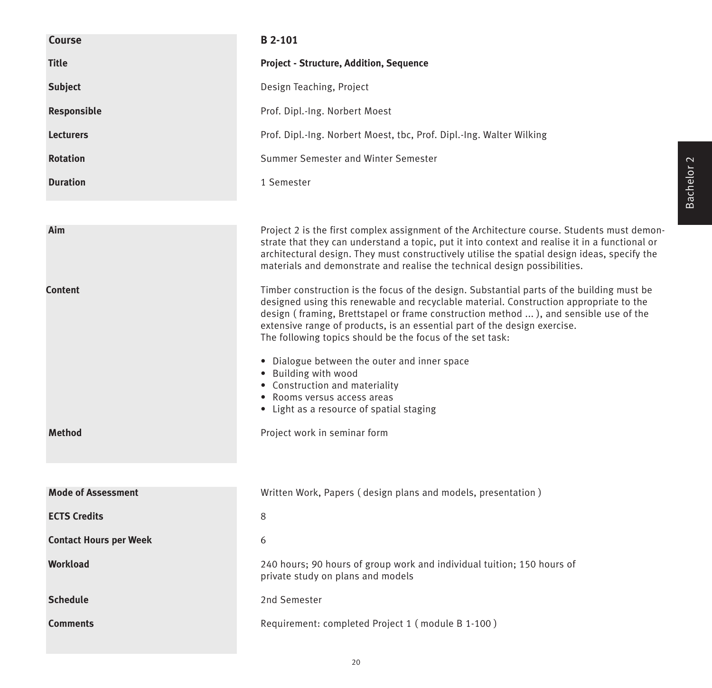| Course                        | <b>B</b> 2-101                                                                                                                                                                                                                                                                                                                                                                                                                                                                                                                                                                                             |
|-------------------------------|------------------------------------------------------------------------------------------------------------------------------------------------------------------------------------------------------------------------------------------------------------------------------------------------------------------------------------------------------------------------------------------------------------------------------------------------------------------------------------------------------------------------------------------------------------------------------------------------------------|
| <b>Title</b>                  | <b>Project - Structure, Addition, Sequence</b>                                                                                                                                                                                                                                                                                                                                                                                                                                                                                                                                                             |
| <b>Subject</b>                | Design Teaching, Project                                                                                                                                                                                                                                                                                                                                                                                                                                                                                                                                                                                   |
| Responsible                   | Prof. Dipl.-Ing. Norbert Moest                                                                                                                                                                                                                                                                                                                                                                                                                                                                                                                                                                             |
| <b>Lecturers</b>              | Prof. Dipl.-Ing. Norbert Moest, tbc, Prof. Dipl.-Ing. Walter Wilking                                                                                                                                                                                                                                                                                                                                                                                                                                                                                                                                       |
| <b>Rotation</b>               | Summer Semester and Winter Semester                                                                                                                                                                                                                                                                                                                                                                                                                                                                                                                                                                        |
| <b>Duration</b>               | 1 Semester                                                                                                                                                                                                                                                                                                                                                                                                                                                                                                                                                                                                 |
|                               |                                                                                                                                                                                                                                                                                                                                                                                                                                                                                                                                                                                                            |
| Aim                           | Project 2 is the first complex assignment of the Architecture course. Students must demon-<br>strate that they can understand a topic, put it into context and realise it in a functional or<br>architectural design. They must constructively utilise the spatial design ideas, specify the<br>materials and demonstrate and realise the technical design possibilities.                                                                                                                                                                                                                                  |
| <b>Content</b>                | Timber construction is the focus of the design. Substantial parts of the building must be<br>designed using this renewable and recyclable material. Construction appropriate to the<br>design (framing, Brettstapel or frame construction method ), and sensible use of the<br>extensive range of products, is an essential part of the design exercise.<br>The following topics should be the focus of the set task:<br>• Dialogue between the outer and inner space<br>• Building with wood<br>• Construction and materiality<br>• Rooms versus access areas<br>• Light as a resource of spatial staging |
| <b>Method</b>                 | Project work in seminar form                                                                                                                                                                                                                                                                                                                                                                                                                                                                                                                                                                               |
|                               |                                                                                                                                                                                                                                                                                                                                                                                                                                                                                                                                                                                                            |
| <b>Mode of Assessment</b>     | Written Work, Papers (design plans and models, presentation)                                                                                                                                                                                                                                                                                                                                                                                                                                                                                                                                               |
| <b>ECTS Credits</b>           | 8                                                                                                                                                                                                                                                                                                                                                                                                                                                                                                                                                                                                          |
| <b>Contact Hours per Week</b> | 6                                                                                                                                                                                                                                                                                                                                                                                                                                                                                                                                                                                                          |
| Workload                      | 240 hours; 90 hours of group work and individual tuition; 150 hours of<br>private study on plans and models                                                                                                                                                                                                                                                                                                                                                                                                                                                                                                |
| <b>Schedule</b>               | 2nd Semester                                                                                                                                                                                                                                                                                                                                                                                                                                                                                                                                                                                               |
| <b>Comments</b>               | Requirement: completed Project 1 (module B 1-100)                                                                                                                                                                                                                                                                                                                                                                                                                                                                                                                                                          |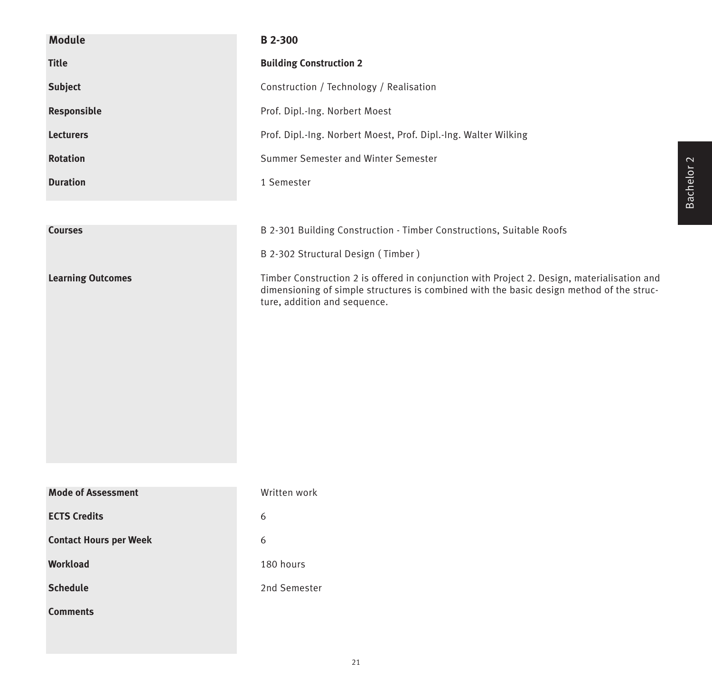| <b>Module</b>                 | B 2-300                                                                                                                                                                                                                 |
|-------------------------------|-------------------------------------------------------------------------------------------------------------------------------------------------------------------------------------------------------------------------|
| <b>Title</b>                  | <b>Building Construction 2</b>                                                                                                                                                                                          |
| Subject                       | Construction / Technology / Realisation                                                                                                                                                                                 |
| Responsible                   | Prof. Dipl.-Ing. Norbert Moest                                                                                                                                                                                          |
| <b>Lecturers</b>              | Prof. Dipl.-Ing. Norbert Moest, Prof. Dipl.-Ing. Walter Wilking                                                                                                                                                         |
| <b>Rotation</b>               | Summer Semester and Winter Semester                                                                                                                                                                                     |
| <b>Duration</b>               | 1 Semester                                                                                                                                                                                                              |
|                               |                                                                                                                                                                                                                         |
| <b>Courses</b>                | B 2-301 Building Construction - Timber Constructions, Suitable Roofs                                                                                                                                                    |
|                               | B 2-302 Structural Design (Timber)                                                                                                                                                                                      |
| <b>Learning Outcomes</b>      | Timber Construction 2 is offered in conjunction with Project 2. Design, materialisation and<br>dimensioning of simple structures is combined with the basic design method of the struc-<br>ture, addition and sequence. |
| <b>Mode of Assessment</b>     | Written work                                                                                                                                                                                                            |
| <b>ECTS Credits</b>           | 6                                                                                                                                                                                                                       |
| <b>Contact Hours per Week</b> | 6                                                                                                                                                                                                                       |
| Workload                      | 180 hours                                                                                                                                                                                                               |
|                               |                                                                                                                                                                                                                         |
| <b>Schedule</b>               | 2nd Semester                                                                                                                                                                                                            |
| <b>Comments</b>               |                                                                                                                                                                                                                         |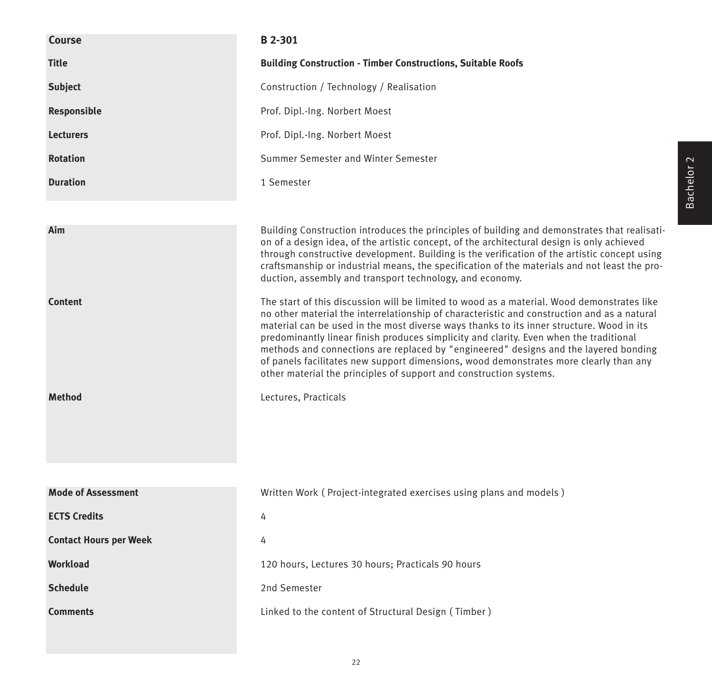| <b>Course</b>                          | B 2-301                                                                                                                                                                                                                                                                                                                                                                                                                                                                                                                                                                                                                                                                                                                                                                                                                                                                                                                                                                                                                                                                                                                  |
|----------------------------------------|--------------------------------------------------------------------------------------------------------------------------------------------------------------------------------------------------------------------------------------------------------------------------------------------------------------------------------------------------------------------------------------------------------------------------------------------------------------------------------------------------------------------------------------------------------------------------------------------------------------------------------------------------------------------------------------------------------------------------------------------------------------------------------------------------------------------------------------------------------------------------------------------------------------------------------------------------------------------------------------------------------------------------------------------------------------------------------------------------------------------------|
| <b>Title</b>                           | <b>Building Construction - Timber Constructions, Suitable Roofs</b>                                                                                                                                                                                                                                                                                                                                                                                                                                                                                                                                                                                                                                                                                                                                                                                                                                                                                                                                                                                                                                                      |
| <b>Subject</b>                         | Construction / Technology / Realisation                                                                                                                                                                                                                                                                                                                                                                                                                                                                                                                                                                                                                                                                                                                                                                                                                                                                                                                                                                                                                                                                                  |
| Responsible                            | Prof. Dipl.-Ing. Norbert Moest                                                                                                                                                                                                                                                                                                                                                                                                                                                                                                                                                                                                                                                                                                                                                                                                                                                                                                                                                                                                                                                                                           |
| <b>Lecturers</b>                       | Prof. Dipl.-Ing. Norbert Moest                                                                                                                                                                                                                                                                                                                                                                                                                                                                                                                                                                                                                                                                                                                                                                                                                                                                                                                                                                                                                                                                                           |
| <b>Rotation</b>                        | Summer Semester and Winter Semester                                                                                                                                                                                                                                                                                                                                                                                                                                                                                                                                                                                                                                                                                                                                                                                                                                                                                                                                                                                                                                                                                      |
| <b>Duration</b>                        | 1 Semester                                                                                                                                                                                                                                                                                                                                                                                                                                                                                                                                                                                                                                                                                                                                                                                                                                                                                                                                                                                                                                                                                                               |
| Aim<br><b>Content</b><br><b>Method</b> | Building Construction introduces the principles of building and demonstrates that realisati-<br>on of a design idea, of the artistic concept, of the architectural design is only achieved<br>through constructive development. Building is the verification of the artistic concept using<br>craftsmanship or industrial means, the specification of the materials and not least the pro-<br>duction, assembly and transport technology, and economy.<br>The start of this discussion will be limited to wood as a material. Wood demonstrates like<br>no other material the interrelationship of characteristic and construction and as a natural<br>material can be used in the most diverse ways thanks to its inner structure. Wood in its<br>predominantly linear finish produces simplicity and clarity. Even when the traditional<br>methods and connections are replaced by "engineered" designs and the layered bonding<br>of panels facilitates new support dimensions, wood demonstrates more clearly than any<br>other material the principles of support and construction systems.<br>Lectures, Practicals |
| <b>Mode of Assessment</b>              | Written Work (Project-integrated exercises using plans and models)                                                                                                                                                                                                                                                                                                                                                                                                                                                                                                                                                                                                                                                                                                                                                                                                                                                                                                                                                                                                                                                       |
| <b>ECTS Credits</b>                    | 4                                                                                                                                                                                                                                                                                                                                                                                                                                                                                                                                                                                                                                                                                                                                                                                                                                                                                                                                                                                                                                                                                                                        |
| <b>Contact Hours per Week</b>          |                                                                                                                                                                                                                                                                                                                                                                                                                                                                                                                                                                                                                                                                                                                                                                                                                                                                                                                                                                                                                                                                                                                          |
| <b>Workload</b>                        | 4                                                                                                                                                                                                                                                                                                                                                                                                                                                                                                                                                                                                                                                                                                                                                                                                                                                                                                                                                                                                                                                                                                                        |
|                                        | 120 hours, Lectures 30 hours; Practicals 90 hours                                                                                                                                                                                                                                                                                                                                                                                                                                                                                                                                                                                                                                                                                                                                                                                                                                                                                                                                                                                                                                                                        |
| <b>Schedule</b>                        | 2nd Semester                                                                                                                                                                                                                                                                                                                                                                                                                                                                                                                                                                                                                                                                                                                                                                                                                                                                                                                                                                                                                                                                                                             |
| <b>Comments</b>                        | Linked to the content of Structural Design (Timber)                                                                                                                                                                                                                                                                                                                                                                                                                                                                                                                                                                                                                                                                                                                                                                                                                                                                                                                                                                                                                                                                      |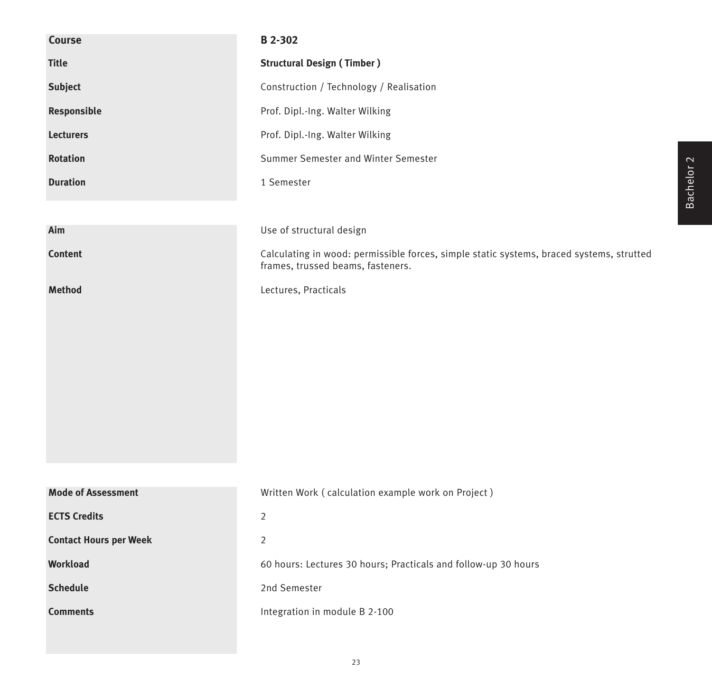| Course                        | B 2-302                                                                                                                       |
|-------------------------------|-------------------------------------------------------------------------------------------------------------------------------|
| <b>Title</b>                  | <b>Structural Design (Timber)</b>                                                                                             |
| <b>Subject</b>                | Construction / Technology / Realisation                                                                                       |
| Responsible                   | Prof. Dipl.-Ing. Walter Wilking                                                                                               |
| <b>Lecturers</b>              | Prof. Dipl.-Ing. Walter Wilking                                                                                               |
| <b>Rotation</b>               | Summer Semester and Winter Semester                                                                                           |
| <b>Duration</b>               | 1 Semester                                                                                                                    |
|                               |                                                                                                                               |
| Aim                           | Use of structural design                                                                                                      |
| <b>Content</b>                | Calculating in wood: permissible forces, simple static systems, braced systems, strutted<br>frames, trussed beams, fasteners. |
| Method                        | Lectures, Practicals                                                                                                          |
|                               |                                                                                                                               |
|                               |                                                                                                                               |
|                               |                                                                                                                               |
|                               |                                                                                                                               |
|                               |                                                                                                                               |
|                               |                                                                                                                               |
|                               |                                                                                                                               |
|                               |                                                                                                                               |
| <b>Mode of Assessment</b>     | Written Work (calculation example work on Project)                                                                            |
| <b>ECTS Credits</b>           | $\overline{2}$                                                                                                                |
| <b>Contact Hours per Week</b> | $\overline{2}$                                                                                                                |
| Workload                      | 60 hours: Lectures 30 hours; Practicals and follow-up 30 hours                                                                |
| <b>Schedule</b>               | 2nd Semester                                                                                                                  |
| <b>Comments</b>               | Integration in module B 2-100                                                                                                 |
|                               |                                                                                                                               |

Bachelor 2

23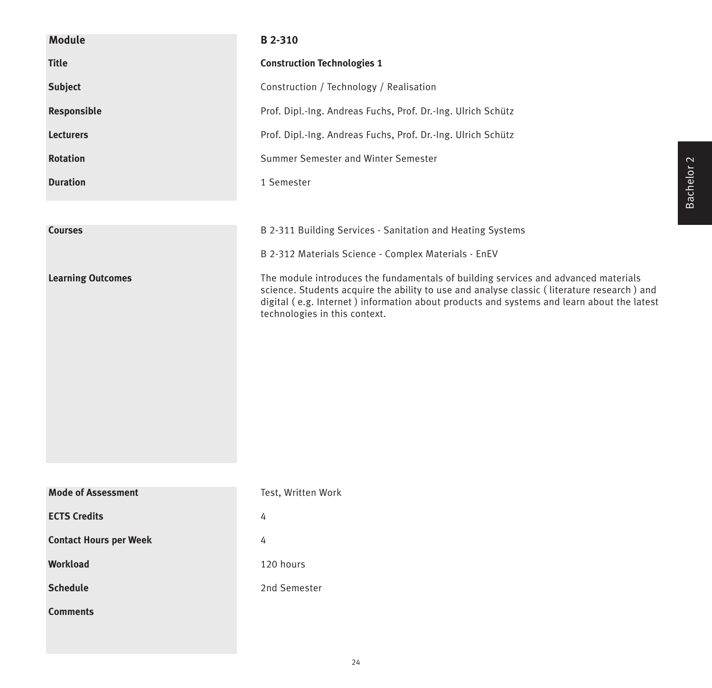| <b>Module</b>                 | B 2-310                                                                                                                                                                                                                                                                                                        |
|-------------------------------|----------------------------------------------------------------------------------------------------------------------------------------------------------------------------------------------------------------------------------------------------------------------------------------------------------------|
| <b>Title</b>                  | <b>Construction Technologies 1</b>                                                                                                                                                                                                                                                                             |
| <b>Subject</b>                | Construction / Technology / Realisation                                                                                                                                                                                                                                                                        |
| Responsible                   | Prof. Dipl.-Ing. Andreas Fuchs, Prof. Dr.-Ing. Ulrich Schütz                                                                                                                                                                                                                                                   |
| <b>Lecturers</b>              | Prof. Dipl.-Ing. Andreas Fuchs, Prof. Dr.-Ing. Ulrich Schütz                                                                                                                                                                                                                                                   |
| <b>Rotation</b>               | Summer Semester and Winter Semester                                                                                                                                                                                                                                                                            |
| <b>Duration</b>               | 1 Semester                                                                                                                                                                                                                                                                                                     |
|                               |                                                                                                                                                                                                                                                                                                                |
| <b>Courses</b>                | B 2-311 Building Services - Sanitation and Heating Systems                                                                                                                                                                                                                                                     |
|                               | B 2-312 Materials Science - Complex Materials - EnEV                                                                                                                                                                                                                                                           |
| <b>Learning Outcomes</b>      | The module introduces the fundamentals of building services and advanced materials<br>science. Students acquire the ability to use and analyse classic (literature research) and<br>digital (e.g. Internet) information about products and systems and learn about the latest<br>technologies in this context. |
| <b>Mode of Assessment</b>     | Test, Written Work                                                                                                                                                                                                                                                                                             |
| <b>ECTS Credits</b>           | 4                                                                                                                                                                                                                                                                                                              |
| <b>Contact Hours per Week</b> | 4                                                                                                                                                                                                                                                                                                              |
| <b>Workload</b>               | 120 hours                                                                                                                                                                                                                                                                                                      |
| <b>Schedule</b>               | 2nd Semester                                                                                                                                                                                                                                                                                                   |
| <b>Comments</b>               |                                                                                                                                                                                                                                                                                                                |
|                               |                                                                                                                                                                                                                                                                                                                |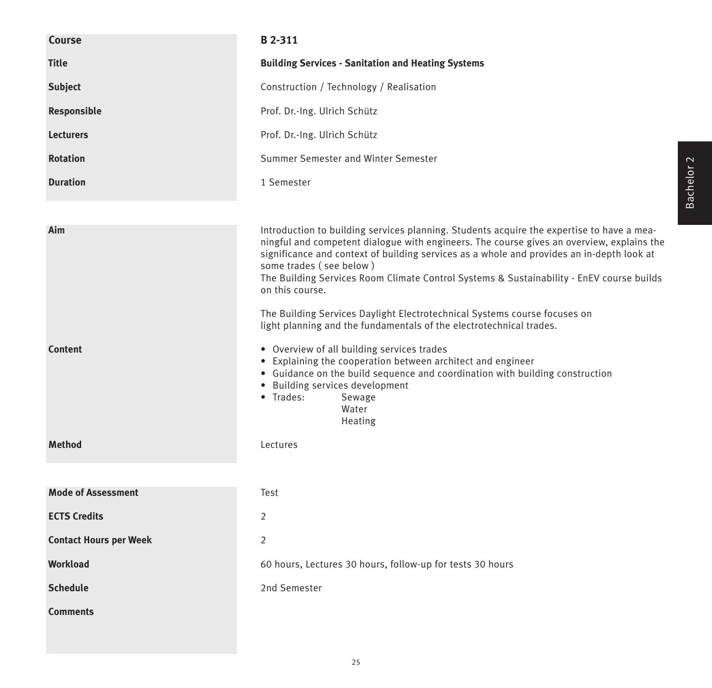| Introduction to building services planning. Students acquire the expertise to have a mea-<br>ningful and competent dialogue with engineers. The course gives an overview, explains the<br>significance and context of building services as a whole and provides an in-depth look at<br>The Building Services Room Climate Control Systems & Sustainability - EnEV course builds |
|---------------------------------------------------------------------------------------------------------------------------------------------------------------------------------------------------------------------------------------------------------------------------------------------------------------------------------------------------------------------------------|
|                                                                                                                                                                                                                                                                                                                                                                                 |
|                                                                                                                                                                                                                                                                                                                                                                                 |
|                                                                                                                                                                                                                                                                                                                                                                                 |
|                                                                                                                                                                                                                                                                                                                                                                                 |
|                                                                                                                                                                                                                                                                                                                                                                                 |
|                                                                                                                                                                                                                                                                                                                                                                                 |
|                                                                                                                                                                                                                                                                                                                                                                                 |
|                                                                                                                                                                                                                                                                                                                                                                                 |
|                                                                                                                                                                                                                                                                                                                                                                                 |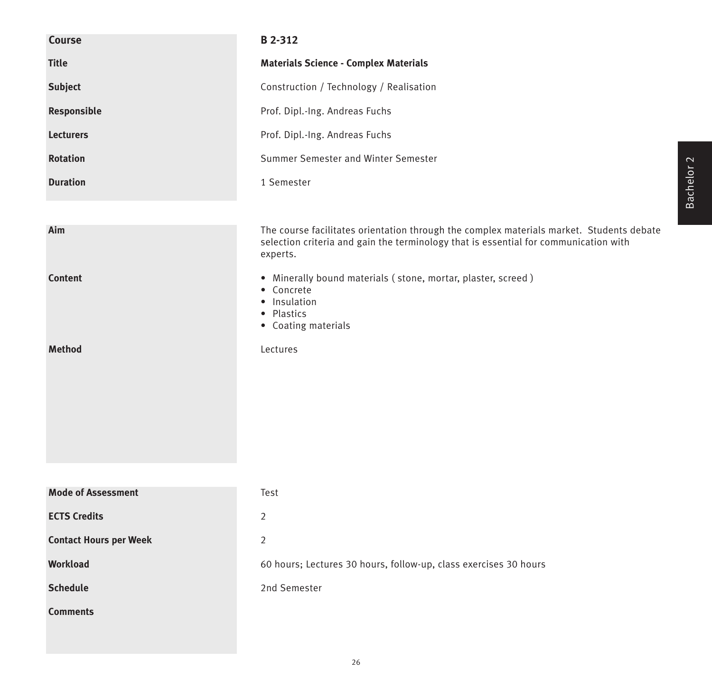| Course                        | B 2-312                                                                                                                                                                                      |
|-------------------------------|----------------------------------------------------------------------------------------------------------------------------------------------------------------------------------------------|
| <b>Title</b>                  | <b>Materials Science - Complex Materials</b>                                                                                                                                                 |
| Subject                       | Construction / Technology / Realisation                                                                                                                                                      |
| Responsible                   | Prof. Dipl.-Ing. Andreas Fuchs                                                                                                                                                               |
| <b>Lecturers</b>              | Prof. Dipl.-Ing. Andreas Fuchs                                                                                                                                                               |
| <b>Rotation</b>               | Summer Semester and Winter Semester                                                                                                                                                          |
| <b>Duration</b>               | 1 Semester                                                                                                                                                                                   |
|                               |                                                                                                                                                                                              |
| Aim                           | The course facilitates orientation through the complex materials market. Students debate<br>selection criteria and gain the terminology that is essential for communication with<br>experts. |
| <b>Content</b>                | • Minerally bound materials (stone, mortar, plaster, screed)<br>• Concrete<br>• Insulation<br>• Plastics<br>• Coating materials                                                              |
| <b>Method</b>                 | Lectures                                                                                                                                                                                     |
|                               |                                                                                                                                                                                              |
| <b>Mode of Assessment</b>     | Test                                                                                                                                                                                         |
| <b>ECTS Credits</b>           | $\overline{2}$                                                                                                                                                                               |
| <b>Contact Hours per Week</b> | $\overline{2}$                                                                                                                                                                               |
| Workload                      | 60 hours; Lectures 30 hours, follow-up, class exercises 30 hours                                                                                                                             |
| <b>Schedule</b>               | 2nd Semester                                                                                                                                                                                 |
| <b>Comments</b>               |                                                                                                                                                                                              |

Bachelor 2 Bachelor 2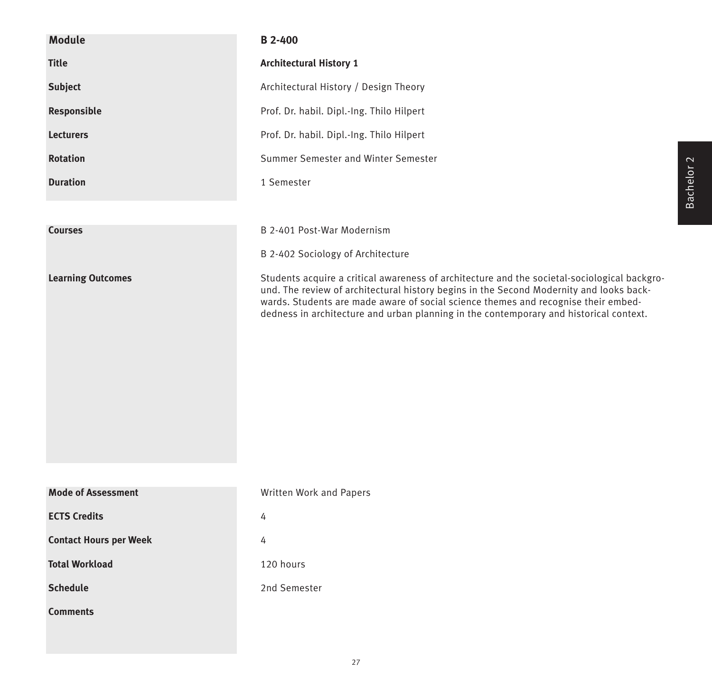| <b>Module</b>                 | <b>B</b> 2-400                                                                                                                                                                                                                                                                                                                                                          |
|-------------------------------|-------------------------------------------------------------------------------------------------------------------------------------------------------------------------------------------------------------------------------------------------------------------------------------------------------------------------------------------------------------------------|
| <b>Title</b>                  | <b>Architectural History 1</b>                                                                                                                                                                                                                                                                                                                                          |
| <b>Subject</b>                | Architectural History / Design Theory                                                                                                                                                                                                                                                                                                                                   |
| Responsible                   | Prof. Dr. habil. Dipl.-Ing. Thilo Hilpert                                                                                                                                                                                                                                                                                                                               |
| <b>Lecturers</b>              | Prof. Dr. habil. Dipl.-Ing. Thilo Hilpert                                                                                                                                                                                                                                                                                                                               |
| <b>Rotation</b>               | Summer Semester and Winter Semester                                                                                                                                                                                                                                                                                                                                     |
| <b>Duration</b>               | 1 Semester                                                                                                                                                                                                                                                                                                                                                              |
|                               |                                                                                                                                                                                                                                                                                                                                                                         |
| <b>Courses</b>                | B 2-401 Post-War Modernism                                                                                                                                                                                                                                                                                                                                              |
|                               | B 2-402 Sociology of Architecture                                                                                                                                                                                                                                                                                                                                       |
| <b>Learning Outcomes</b>      | Students acquire a critical awareness of architecture and the societal-sociological backgro-<br>und. The review of architectural history begins in the Second Modernity and looks back-<br>wards. Students are made aware of social science themes and recognise their embed-<br>dedness in architecture and urban planning in the contemporary and historical context. |
| <b>Mode of Assessment</b>     | Written Work and Papers                                                                                                                                                                                                                                                                                                                                                 |
| <b>ECTS Credits</b>           | 4                                                                                                                                                                                                                                                                                                                                                                       |
| <b>Contact Hours per Week</b> | 4                                                                                                                                                                                                                                                                                                                                                                       |
| <b>Total Workload</b>         | 120 hours                                                                                                                                                                                                                                                                                                                                                               |
| <b>Schedule</b>               | 2nd Semester                                                                                                                                                                                                                                                                                                                                                            |
| <b>Comments</b>               |                                                                                                                                                                                                                                                                                                                                                                         |
|                               |                                                                                                                                                                                                                                                                                                                                                                         |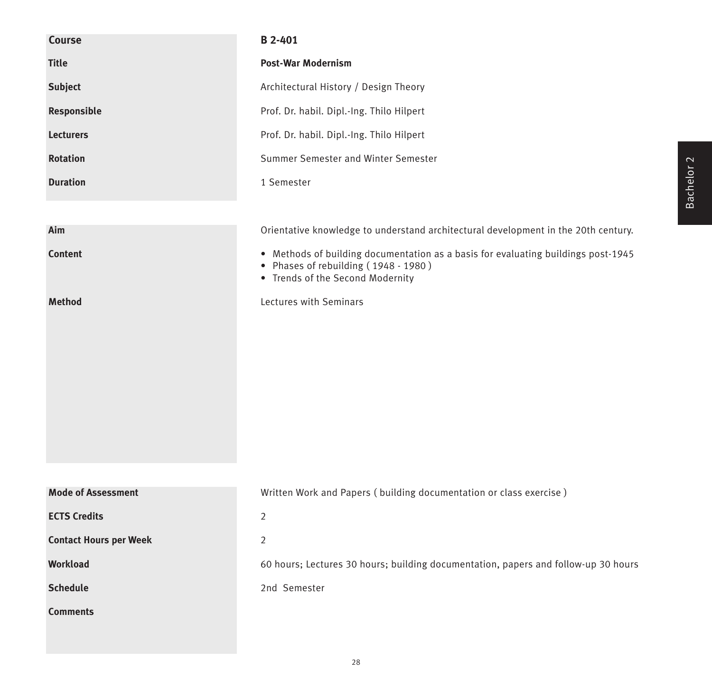| Course                        | B 2-401                                                                                                                                                       |
|-------------------------------|---------------------------------------------------------------------------------------------------------------------------------------------------------------|
| <b>Title</b>                  | <b>Post-War Modernism</b>                                                                                                                                     |
| <b>Subject</b>                | Architectural History / Design Theory                                                                                                                         |
| Responsible                   | Prof. Dr. habil. Dipl.-Ing. Thilo Hilpert                                                                                                                     |
| <b>Lecturers</b>              | Prof. Dr. habil. Dipl.-Ing. Thilo Hilpert                                                                                                                     |
| <b>Rotation</b>               | Summer Semester and Winter Semester                                                                                                                           |
| <b>Duration</b>               | 1 Semester                                                                                                                                                    |
|                               |                                                                                                                                                               |
| Aim                           | Orientative knowledge to understand architectural development in the 20th century.                                                                            |
| <b>Content</b>                | • Methods of building documentation as a basis for evaluating buildings post-1945<br>• Phases of rebuilding (1948 - 1980)<br>• Trends of the Second Modernity |
| <b>Method</b>                 | Lectures with Seminars                                                                                                                                        |
| <b>Mode of Assessment</b>     | Written Work and Papers (building documentation or class exercise)                                                                                            |
| <b>ECTS Credits</b>           | $\overline{2}$                                                                                                                                                |
| <b>Contact Hours per Week</b> | 2                                                                                                                                                             |
| Workload                      | 60 hours; Lectures 30 hours; building documentation, papers and follow-up 30 hours                                                                            |
| <b>Schedule</b>               | 2nd Semester                                                                                                                                                  |
| <b>Comments</b>               |                                                                                                                                                               |

Bachelor 2 Bachelor 2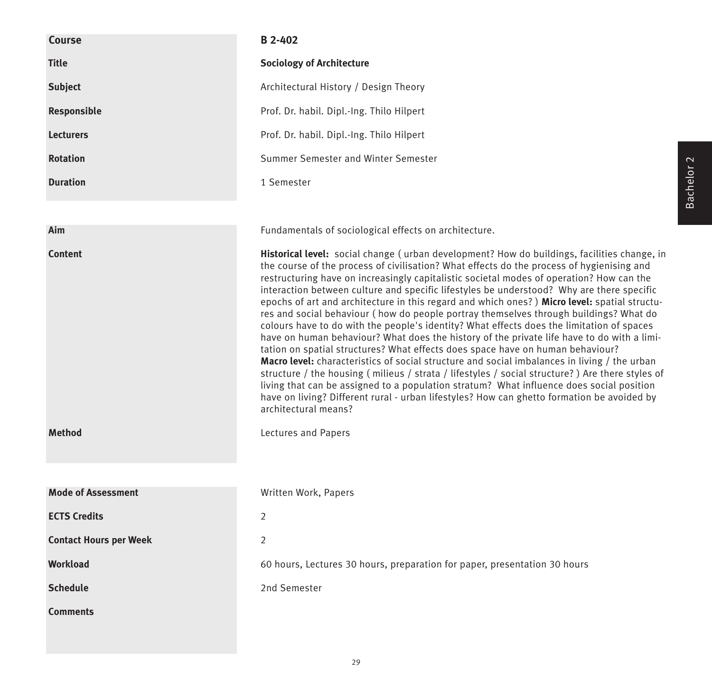| <b>Course</b>                 | <b>B</b> 2-402                                                                                                                                                                                                                                                                                                                                                                                                                                                                                                                                                                                                                                                                                                                                                                                                                                                                                                                                                                                                                                                                                                                                                                                                                                                               |
|-------------------------------|------------------------------------------------------------------------------------------------------------------------------------------------------------------------------------------------------------------------------------------------------------------------------------------------------------------------------------------------------------------------------------------------------------------------------------------------------------------------------------------------------------------------------------------------------------------------------------------------------------------------------------------------------------------------------------------------------------------------------------------------------------------------------------------------------------------------------------------------------------------------------------------------------------------------------------------------------------------------------------------------------------------------------------------------------------------------------------------------------------------------------------------------------------------------------------------------------------------------------------------------------------------------------|
| <b>Title</b>                  | <b>Sociology of Architecture</b>                                                                                                                                                                                                                                                                                                                                                                                                                                                                                                                                                                                                                                                                                                                                                                                                                                                                                                                                                                                                                                                                                                                                                                                                                                             |
| <b>Subject</b>                | Architectural History / Design Theory                                                                                                                                                                                                                                                                                                                                                                                                                                                                                                                                                                                                                                                                                                                                                                                                                                                                                                                                                                                                                                                                                                                                                                                                                                        |
| <b>Responsible</b>            | Prof. Dr. habil. Dipl.-Ing. Thilo Hilpert                                                                                                                                                                                                                                                                                                                                                                                                                                                                                                                                                                                                                                                                                                                                                                                                                                                                                                                                                                                                                                                                                                                                                                                                                                    |
| <b>Lecturers</b>              | Prof. Dr. habil. Dipl.-Ing. Thilo Hilpert                                                                                                                                                                                                                                                                                                                                                                                                                                                                                                                                                                                                                                                                                                                                                                                                                                                                                                                                                                                                                                                                                                                                                                                                                                    |
| <b>Rotation</b>               | Summer Semester and Winter Semester                                                                                                                                                                                                                                                                                                                                                                                                                                                                                                                                                                                                                                                                                                                                                                                                                                                                                                                                                                                                                                                                                                                                                                                                                                          |
| <b>Duration</b>               | 1 Semester                                                                                                                                                                                                                                                                                                                                                                                                                                                                                                                                                                                                                                                                                                                                                                                                                                                                                                                                                                                                                                                                                                                                                                                                                                                                   |
| Aim                           | Fundamentals of sociological effects on architecture.                                                                                                                                                                                                                                                                                                                                                                                                                                                                                                                                                                                                                                                                                                                                                                                                                                                                                                                                                                                                                                                                                                                                                                                                                        |
|                               |                                                                                                                                                                                                                                                                                                                                                                                                                                                                                                                                                                                                                                                                                                                                                                                                                                                                                                                                                                                                                                                                                                                                                                                                                                                                              |
| <b>Content</b>                | Historical level: social change (urban development? How do buildings, facilities change, in<br>the course of the process of civilisation? What effects do the process of hygienising and<br>restructuring have on increasingly capitalistic societal modes of operation? How can the<br>interaction between culture and specific lifestyles be understood? Why are there specific<br>epochs of art and architecture in this regard and which ones?) Micro level: spatial structu-<br>res and social behaviour (how do people portray themselves through buildings? What do<br>colours have to do with the people's identity? What effects does the limitation of spaces<br>have on human behaviour? What does the history of the private life have to do with a limi-<br>tation on spatial structures? What effects does space have on human behaviour?<br>Macro level: characteristics of social structure and social imbalances in living / the urban<br>structure / the housing (milieus / strata / lifestyles / social structure?) Are there styles of<br>living that can be assigned to a population stratum? What influence does social position<br>have on living? Different rural - urban lifestyles? How can ghetto formation be avoided by<br>architectural means? |
| <b>Method</b>                 | Lectures and Papers                                                                                                                                                                                                                                                                                                                                                                                                                                                                                                                                                                                                                                                                                                                                                                                                                                                                                                                                                                                                                                                                                                                                                                                                                                                          |
|                               |                                                                                                                                                                                                                                                                                                                                                                                                                                                                                                                                                                                                                                                                                                                                                                                                                                                                                                                                                                                                                                                                                                                                                                                                                                                                              |
| <b>Mode of Assessment</b>     | Written Work, Papers                                                                                                                                                                                                                                                                                                                                                                                                                                                                                                                                                                                                                                                                                                                                                                                                                                                                                                                                                                                                                                                                                                                                                                                                                                                         |
| <b>ECTS Credits</b>           | 2                                                                                                                                                                                                                                                                                                                                                                                                                                                                                                                                                                                                                                                                                                                                                                                                                                                                                                                                                                                                                                                                                                                                                                                                                                                                            |
| <b>Contact Hours per Week</b> | 2                                                                                                                                                                                                                                                                                                                                                                                                                                                                                                                                                                                                                                                                                                                                                                                                                                                                                                                                                                                                                                                                                                                                                                                                                                                                            |
| <b>Workload</b>               | 60 hours, Lectures 30 hours, preparation for paper, presentation 30 hours                                                                                                                                                                                                                                                                                                                                                                                                                                                                                                                                                                                                                                                                                                                                                                                                                                                                                                                                                                                                                                                                                                                                                                                                    |
| <b>Schedule</b>               | 2nd Semester                                                                                                                                                                                                                                                                                                                                                                                                                                                                                                                                                                                                                                                                                                                                                                                                                                                                                                                                                                                                                                                                                                                                                                                                                                                                 |
| <b>Comments</b>               |                                                                                                                                                                                                                                                                                                                                                                                                                                                                                                                                                                                                                                                                                                                                                                                                                                                                                                                                                                                                                                                                                                                                                                                                                                                                              |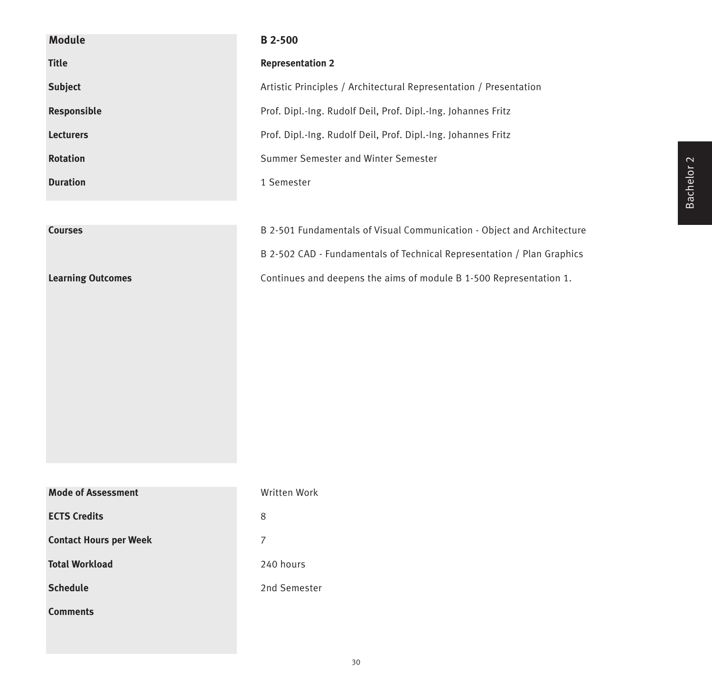| <b>Module</b>                 | B 2-500                                                                |
|-------------------------------|------------------------------------------------------------------------|
| <b>Title</b>                  | <b>Representation 2</b>                                                |
| <b>Subject</b>                | Artistic Principles / Architectural Representation / Presentation      |
| Responsible                   | Prof. Dipl.-Ing. Rudolf Deil, Prof. Dipl.-Ing. Johannes Fritz          |
| <b>Lecturers</b>              | Prof. Dipl.-Ing. Rudolf Deil, Prof. Dipl.-Ing. Johannes Fritz          |
| <b>Rotation</b>               | Summer Semester and Winter Semester                                    |
| <b>Duration</b>               | 1 Semester                                                             |
|                               |                                                                        |
| <b>Courses</b>                | B 2-501 Fundamentals of Visual Communication - Object and Architecture |
|                               | B 2-502 CAD - Fundamentals of Technical Representation / Plan Graphics |
| <b>Learning Outcomes</b>      | Continues and deepens the aims of module B 1-500 Representation 1.     |
|                               |                                                                        |
|                               |                                                                        |
|                               |                                                                        |
|                               |                                                                        |
|                               |                                                                        |
|                               |                                                                        |
|                               |                                                                        |
|                               |                                                                        |
| <b>Mode of Assessment</b>     | Written Work                                                           |
| <b>ECTS Credits</b>           | $\,8\,$                                                                |
| <b>Contact Hours per Week</b> | $\overline{7}$                                                         |
| <b>Total Workload</b>         | 240 hours                                                              |
| <b>Schedule</b>               | 2nd Semester                                                           |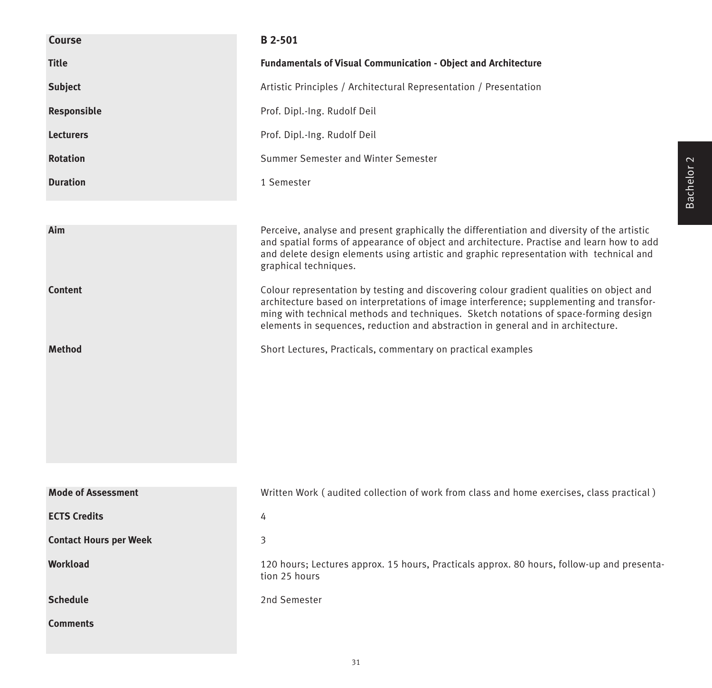| <b>Course</b>                 | B 2-501                                                                                                                                                                                                                                                                                                                                                          |
|-------------------------------|------------------------------------------------------------------------------------------------------------------------------------------------------------------------------------------------------------------------------------------------------------------------------------------------------------------------------------------------------------------|
| <b>Title</b>                  | <b>Fundamentals of Visual Communication - Object and Architecture</b>                                                                                                                                                                                                                                                                                            |
| <b>Subject</b>                | Artistic Principles / Architectural Representation / Presentation                                                                                                                                                                                                                                                                                                |
| Responsible                   | Prof. Dipl.-Ing. Rudolf Deil                                                                                                                                                                                                                                                                                                                                     |
| <b>Lecturers</b>              | Prof. Dipl.-Ing. Rudolf Deil                                                                                                                                                                                                                                                                                                                                     |
| <b>Rotation</b>               | Summer Semester and Winter Semester                                                                                                                                                                                                                                                                                                                              |
| <b>Duration</b>               | 1 Semester                                                                                                                                                                                                                                                                                                                                                       |
|                               |                                                                                                                                                                                                                                                                                                                                                                  |
| Aim                           | Perceive, analyse and present graphically the differentiation and diversity of the artistic<br>and spatial forms of appearance of object and architecture. Practise and learn how to add<br>and delete design elements using artistic and graphic representation with technical and<br>graphical techniques.                                                     |
| <b>Content</b>                | Colour representation by testing and discovering colour gradient qualities on object and<br>architecture based on interpretations of image interference; supplementing and transfor-<br>ming with technical methods and techniques. Sketch notations of space-forming design<br>elements in sequences, reduction and abstraction in general and in architecture. |
| <b>Method</b>                 | Short Lectures, Practicals, commentary on practical examples                                                                                                                                                                                                                                                                                                     |
|                               |                                                                                                                                                                                                                                                                                                                                                                  |
|                               |                                                                                                                                                                                                                                                                                                                                                                  |
|                               |                                                                                                                                                                                                                                                                                                                                                                  |
|                               |                                                                                                                                                                                                                                                                                                                                                                  |
|                               |                                                                                                                                                                                                                                                                                                                                                                  |
| <b>Mode of Assessment</b>     | Written Work (audited collection of work from class and home exercises, class practical)                                                                                                                                                                                                                                                                         |
| <b>ECTS Credits</b>           | 4                                                                                                                                                                                                                                                                                                                                                                |
| <b>Contact Hours per Week</b> | 3                                                                                                                                                                                                                                                                                                                                                                |
| <b>Workload</b>               | 120 hours; Lectures approx. 15 hours, Practicals approx. 80 hours, follow-up and presenta-<br>tion 25 hours                                                                                                                                                                                                                                                      |
| <b>Schedule</b>               | 2nd Semester                                                                                                                                                                                                                                                                                                                                                     |
| <b>Comments</b>               |                                                                                                                                                                                                                                                                                                                                                                  |

Bachelor 2 Bachelor 2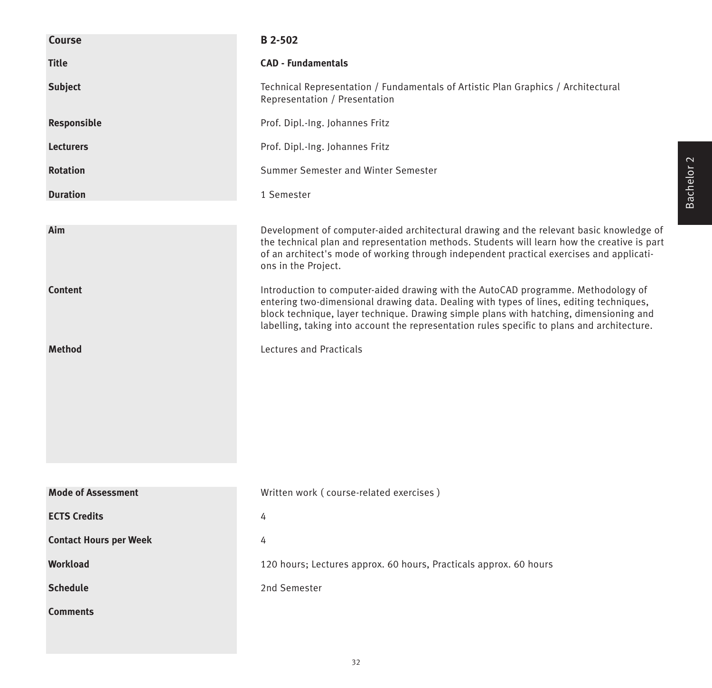| <b>Course</b>                 | <b>B</b> 2-502                                                                                                                                                                                                                                                                                                                                                        |
|-------------------------------|-----------------------------------------------------------------------------------------------------------------------------------------------------------------------------------------------------------------------------------------------------------------------------------------------------------------------------------------------------------------------|
| <b>Title</b>                  | <b>CAD - Fundamentals</b>                                                                                                                                                                                                                                                                                                                                             |
| <b>Subject</b>                | Technical Representation / Fundamentals of Artistic Plan Graphics / Architectural<br>Representation / Presentation                                                                                                                                                                                                                                                    |
| Responsible                   | Prof. Dipl.-Ing. Johannes Fritz                                                                                                                                                                                                                                                                                                                                       |
| <b>Lecturers</b>              | Prof. Dipl.-Ing. Johannes Fritz                                                                                                                                                                                                                                                                                                                                       |
| <b>Rotation</b>               | Summer Semester and Winter Semester                                                                                                                                                                                                                                                                                                                                   |
| <b>Duration</b>               | 1 Semester                                                                                                                                                                                                                                                                                                                                                            |
| Aim                           | Development of computer-aided architectural drawing and the relevant basic knowledge of<br>the technical plan and representation methods. Students will learn how the creative is part<br>of an architect's mode of working through independent practical exercises and applicati-<br>ons in the Project.                                                             |
| <b>Content</b>                | Introduction to computer-aided drawing with the AutoCAD programme. Methodology of<br>entering two-dimensional drawing data. Dealing with types of lines, editing techniques,<br>block technique, layer technique. Drawing simple plans with hatching, dimensioning and<br>labelling, taking into account the representation rules specific to plans and architecture. |
| <b>Method</b>                 | Lectures and Practicals                                                                                                                                                                                                                                                                                                                                               |
|                               |                                                                                                                                                                                                                                                                                                                                                                       |
| <b>Mode of Assessment</b>     | Written work (course-related exercises)                                                                                                                                                                                                                                                                                                                               |
| <b>ECTS Credits</b>           |                                                                                                                                                                                                                                                                                                                                                                       |
| <b>Contact Hours per Week</b> | 4                                                                                                                                                                                                                                                                                                                                                                     |
|                               | 4                                                                                                                                                                                                                                                                                                                                                                     |
| Workload                      | 120 hours; Lectures approx. 60 hours, Practicals approx. 60 hours                                                                                                                                                                                                                                                                                                     |
| <b>Schedule</b>               | 2nd Semester                                                                                                                                                                                                                                                                                                                                                          |
| <b>Comments</b>               |                                                                                                                                                                                                                                                                                                                                                                       |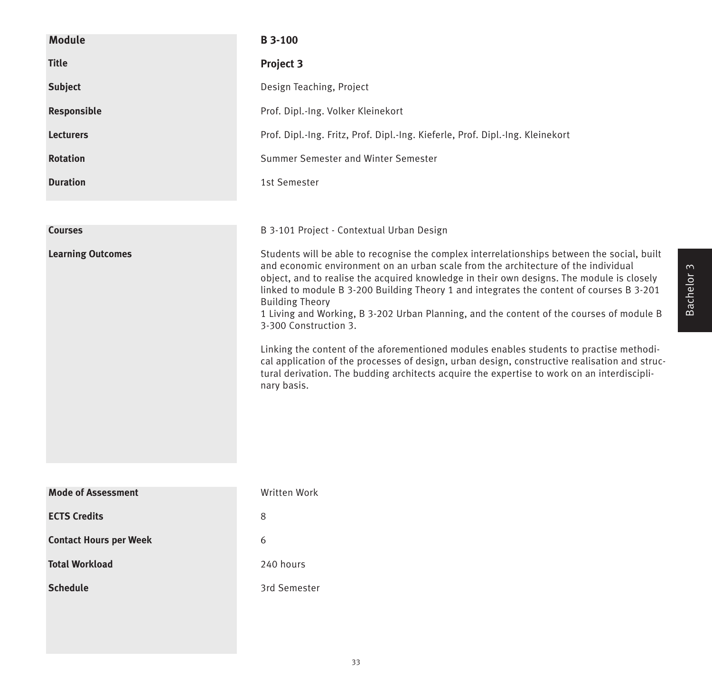| <b>Module</b>                 | <b>B3-100</b>                                                                                                                                                                                                                                                                                                                                                                                                                                                                                                                                                                                                                                                                                                                                                                                                                       |
|-------------------------------|-------------------------------------------------------------------------------------------------------------------------------------------------------------------------------------------------------------------------------------------------------------------------------------------------------------------------------------------------------------------------------------------------------------------------------------------------------------------------------------------------------------------------------------------------------------------------------------------------------------------------------------------------------------------------------------------------------------------------------------------------------------------------------------------------------------------------------------|
| <b>Title</b>                  | <b>Project 3</b>                                                                                                                                                                                                                                                                                                                                                                                                                                                                                                                                                                                                                                                                                                                                                                                                                    |
| <b>Subject</b>                | Design Teaching, Project                                                                                                                                                                                                                                                                                                                                                                                                                                                                                                                                                                                                                                                                                                                                                                                                            |
| Responsible                   | Prof. Dipl.-Ing. Volker Kleinekort                                                                                                                                                                                                                                                                                                                                                                                                                                                                                                                                                                                                                                                                                                                                                                                                  |
| <b>Lecturers</b>              | Prof. Dipl.-Ing. Fritz, Prof. Dipl.-Ing. Kieferle, Prof. Dipl.-Ing. Kleinekort                                                                                                                                                                                                                                                                                                                                                                                                                                                                                                                                                                                                                                                                                                                                                      |
| <b>Rotation</b>               | Summer Semester and Winter Semester                                                                                                                                                                                                                                                                                                                                                                                                                                                                                                                                                                                                                                                                                                                                                                                                 |
| <b>Duration</b>               | 1st Semester                                                                                                                                                                                                                                                                                                                                                                                                                                                                                                                                                                                                                                                                                                                                                                                                                        |
|                               |                                                                                                                                                                                                                                                                                                                                                                                                                                                                                                                                                                                                                                                                                                                                                                                                                                     |
| <b>Courses</b>                | B 3-101 Project - Contextual Urban Design                                                                                                                                                                                                                                                                                                                                                                                                                                                                                                                                                                                                                                                                                                                                                                                           |
| <b>Learning Outcomes</b>      | Students will be able to recognise the complex interrelationships between the social, built<br>and economic environment on an urban scale from the architecture of the individual<br>object, and to realise the acquired knowledge in their own designs. The module is closely<br>linked to module B 3-200 Building Theory 1 and integrates the content of courses B 3-201<br><b>Building Theory</b><br>1 Living and Working, B 3-202 Urban Planning, and the content of the courses of module B<br>3-300 Construction 3.<br>Linking the content of the aforementioned modules enables students to practise methodi-<br>cal application of the processes of design, urban design, constructive realisation and struc-<br>tural derivation. The budding architects acquire the expertise to work on an interdiscipli-<br>nary basis. |
| <b>Mode of Assessment</b>     | Written Work                                                                                                                                                                                                                                                                                                                                                                                                                                                                                                                                                                                                                                                                                                                                                                                                                        |
| <b>ECTS Credits</b>           | 8                                                                                                                                                                                                                                                                                                                                                                                                                                                                                                                                                                                                                                                                                                                                                                                                                                   |
| <b>Contact Hours per Week</b> | 6                                                                                                                                                                                                                                                                                                                                                                                                                                                                                                                                                                                                                                                                                                                                                                                                                                   |
| <b>Total Workload</b>         | 240 hours                                                                                                                                                                                                                                                                                                                                                                                                                                                                                                                                                                                                                                                                                                                                                                                                                           |
| <b>Schedule</b>               | 3rd Semester                                                                                                                                                                                                                                                                                                                                                                                                                                                                                                                                                                                                                                                                                                                                                                                                                        |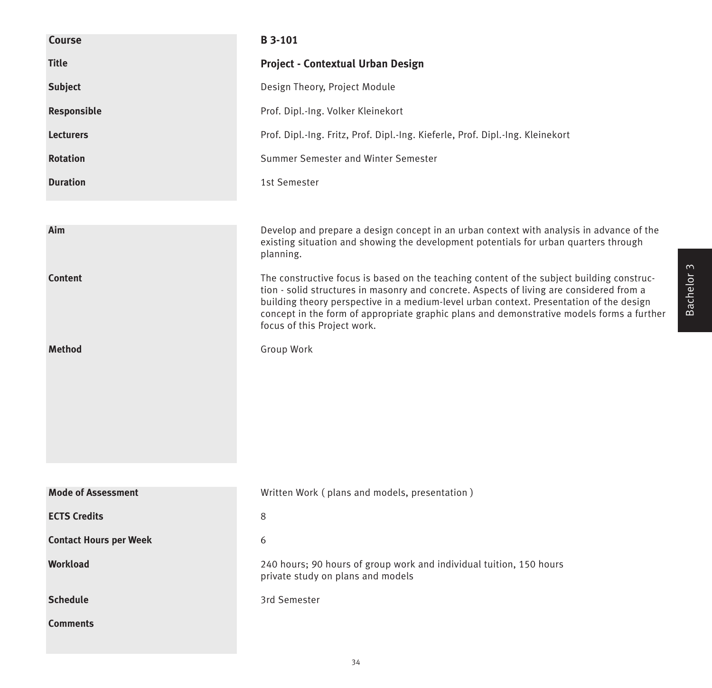| Course                        | <b>B3-101</b>                                                                                                                                                                                                                                                                                                                                                                                                |
|-------------------------------|--------------------------------------------------------------------------------------------------------------------------------------------------------------------------------------------------------------------------------------------------------------------------------------------------------------------------------------------------------------------------------------------------------------|
| <b>Title</b>                  | <b>Project - Contextual Urban Design</b>                                                                                                                                                                                                                                                                                                                                                                     |
| <b>Subject</b>                | Design Theory, Project Module                                                                                                                                                                                                                                                                                                                                                                                |
| Responsible                   | Prof. Dipl.-Ing. Volker Kleinekort                                                                                                                                                                                                                                                                                                                                                                           |
| <b>Lecturers</b>              | Prof. Dipl.-Ing. Fritz, Prof. Dipl.-Ing. Kieferle, Prof. Dipl.-Ing. Kleinekort                                                                                                                                                                                                                                                                                                                               |
| <b>Rotation</b>               | Summer Semester and Winter Semester                                                                                                                                                                                                                                                                                                                                                                          |
| <b>Duration</b>               | 1st Semester                                                                                                                                                                                                                                                                                                                                                                                                 |
|                               |                                                                                                                                                                                                                                                                                                                                                                                                              |
| Aim                           | Develop and prepare a design concept in an urban context with analysis in advance of the<br>existing situation and showing the development potentials for urban quarters through<br>planning.                                                                                                                                                                                                                |
| <b>Content</b>                | The constructive focus is based on the teaching content of the subject building construc-<br>tion - solid structures in masonry and concrete. Aspects of living are considered from a<br>building theory perspective in a medium-level urban context. Presentation of the design<br>concept in the form of appropriate graphic plans and demonstrative models forms a further<br>focus of this Project work. |
| <b>Method</b>                 | Group Work                                                                                                                                                                                                                                                                                                                                                                                                   |
| <b>Mode of Assessment</b>     | Written Work (plans and models, presentation)                                                                                                                                                                                                                                                                                                                                                                |
| <b>ECTS Credits</b>           | 8                                                                                                                                                                                                                                                                                                                                                                                                            |
| <b>Contact Hours per Week</b> | 6                                                                                                                                                                                                                                                                                                                                                                                                            |
| <b>Workload</b>               | 240 hours; 90 hours of group work and individual tuition, 150 hours<br>private study on plans and models                                                                                                                                                                                                                                                                                                     |
| <b>Schedule</b>               | 3rd Semester                                                                                                                                                                                                                                                                                                                                                                                                 |
| <b>Comments</b>               |                                                                                                                                                                                                                                                                                                                                                                                                              |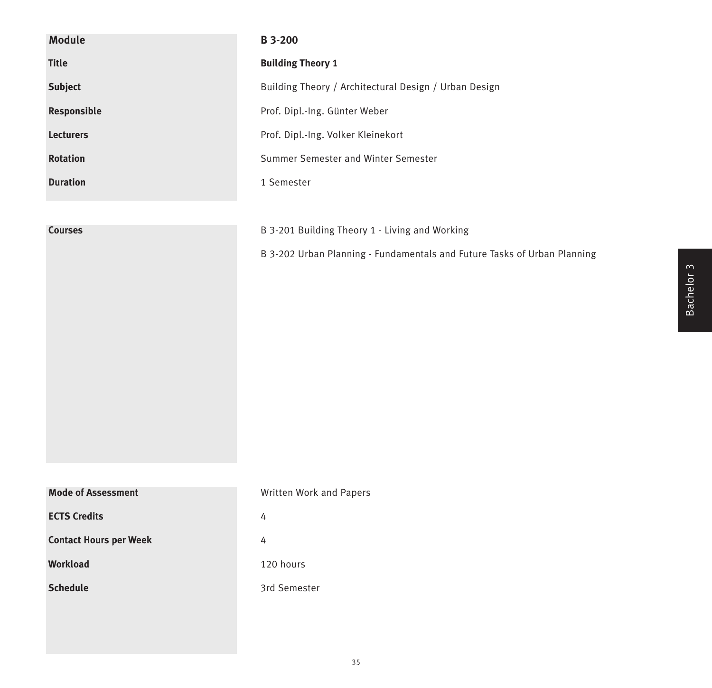| <b>Module</b>                 | <b>B3--200</b>                                                           |
|-------------------------------|--------------------------------------------------------------------------|
| <b>Title</b>                  | <b>Building Theory 1</b>                                                 |
| <b>Subject</b>                | Building Theory / Architectural Design / Urban Design                    |
| Responsible                   | Prof. Dipl.-Ing. Günter Weber                                            |
| Lecturers                     | Prof. Dipl.-Ing. Volker Kleinekort                                       |
| <b>Rotation</b>               | Summer Semester and Winter Semester                                      |
| <b>Duration</b>               | 1 Semester                                                               |
|                               |                                                                          |
| <b>Courses</b>                | B 3-201 Building Theory 1 - Living and Working                           |
|                               | B 3-202 Urban Planning - Fundamentals and Future Tasks of Urban Planning |
|                               |                                                                          |
|                               |                                                                          |
|                               |                                                                          |
|                               |                                                                          |
|                               |                                                                          |
|                               |                                                                          |
|                               |                                                                          |
|                               |                                                                          |
|                               |                                                                          |
| <b>Mode of Assessment</b>     | Written Work and Papers                                                  |
| <b>ECTS Credits</b>           | 4                                                                        |
| <b>Contact Hours per Week</b> | 4                                                                        |
| Workload                      | 120 hours                                                                |
| <b>Schedule</b>               | 3rd Semester                                                             |
|                               |                                                                          |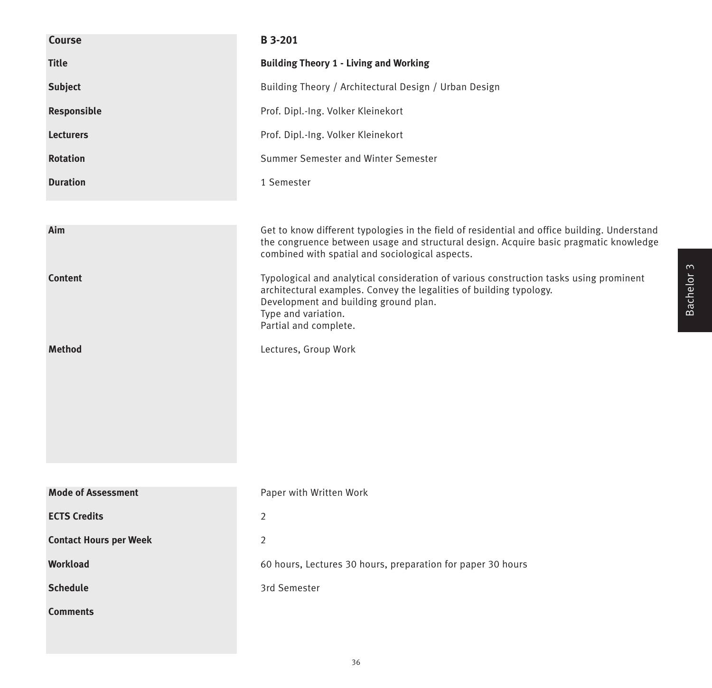| <b>Course</b>                 | <b>B</b> 3-201                                                                                                                                                                                                                                         |
|-------------------------------|--------------------------------------------------------------------------------------------------------------------------------------------------------------------------------------------------------------------------------------------------------|
| <b>Title</b>                  | <b>Building Theory 1 - Living and Working</b>                                                                                                                                                                                                          |
| <b>Subject</b>                | Building Theory / Architectural Design / Urban Design                                                                                                                                                                                                  |
| Responsible                   | Prof. Dipl.-Ing. Volker Kleinekort                                                                                                                                                                                                                     |
| <b>Lecturers</b>              | Prof. Dipl.-Ing. Volker Kleinekort                                                                                                                                                                                                                     |
| <b>Rotation</b>               | Summer Semester and Winter Semester                                                                                                                                                                                                                    |
| <b>Duration</b>               | 1 Semester                                                                                                                                                                                                                                             |
|                               |                                                                                                                                                                                                                                                        |
| Aim                           | Get to know different typologies in the field of residential and office building. Understand<br>the congruence between usage and structural design. Acquire basic pragmatic knowledge<br>combined with spatial and sociological aspects.               |
| <b>Content</b>                | Typological and analytical consideration of various construction tasks using prominent<br>architectural examples. Convey the legalities of building typology.<br>Development and building ground plan.<br>Type and variation.<br>Partial and complete. |
| <b>Method</b>                 | Lectures, Group Work                                                                                                                                                                                                                                   |
|                               |                                                                                                                                                                                                                                                        |
|                               |                                                                                                                                                                                                                                                        |
| <b>Mode of Assessment</b>     | Paper with Written Work                                                                                                                                                                                                                                |
| <b>ECTS Credits</b>           | 2                                                                                                                                                                                                                                                      |
| <b>Contact Hours per Week</b> | $\overline{2}$                                                                                                                                                                                                                                         |
| Workload                      | 60 hours, Lectures 30 hours, preparation for paper 30 hours                                                                                                                                                                                            |
| <b>Schedule</b>               | 3rd Semester                                                                                                                                                                                                                                           |
| <b>Comments</b>               |                                                                                                                                                                                                                                                        |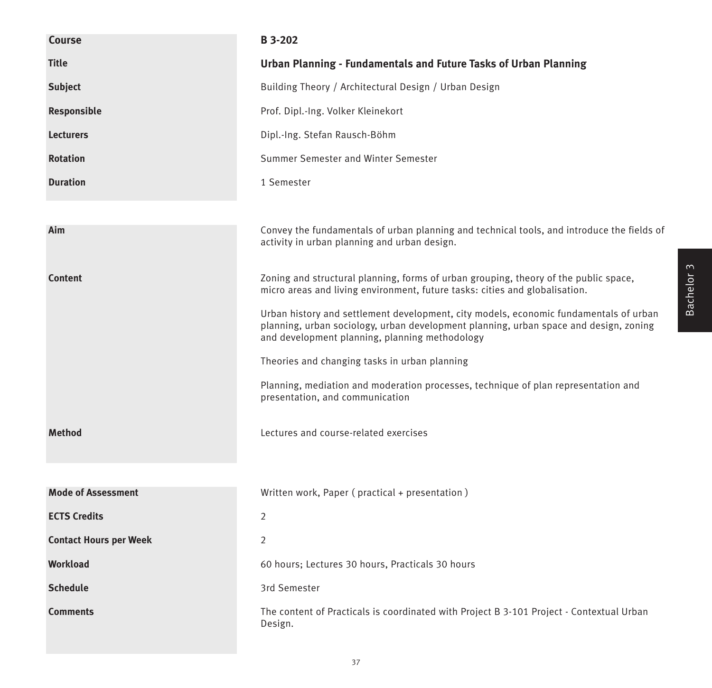| Course                        | B 3-202                                                                                                                                                                                                                          |
|-------------------------------|----------------------------------------------------------------------------------------------------------------------------------------------------------------------------------------------------------------------------------|
| <b>Title</b>                  | Urban Planning - Fundamentals and Future Tasks of Urban Planning                                                                                                                                                                 |
| <b>Subject</b>                | Building Theory / Architectural Design / Urban Design                                                                                                                                                                            |
| Responsible                   | Prof. Dipl.-Ing. Volker Kleinekort                                                                                                                                                                                               |
| <b>Lecturers</b>              | Dipl.-Ing. Stefan Rausch-Böhm                                                                                                                                                                                                    |
| <b>Rotation</b>               | Summer Semester and Winter Semester                                                                                                                                                                                              |
| <b>Duration</b>               | 1 Semester                                                                                                                                                                                                                       |
|                               |                                                                                                                                                                                                                                  |
| Aim                           | Convey the fundamentals of urban planning and technical tools, and introduce the fields of<br>activity in urban planning and urban design.                                                                                       |
| <b>Content</b>                | Zoning and structural planning, forms of urban grouping, theory of the public space,<br>micro areas and living environment, future tasks: cities and globalisation.                                                              |
|                               | Urban history and settlement development, city models, economic fundamentals of urban<br>planning, urban sociology, urban development planning, urban space and design, zoning<br>and development planning, planning methodology |
|                               | Theories and changing tasks in urban planning                                                                                                                                                                                    |
|                               | Planning, mediation and moderation processes, technique of plan representation and<br>presentation, and communication                                                                                                            |
| <b>Method</b>                 | Lectures and course-related exercises                                                                                                                                                                                            |
|                               |                                                                                                                                                                                                                                  |
| <b>Mode of Assessment</b>     | Written work, Paper (practical + presentation)                                                                                                                                                                                   |
| <b>ECTS Credits</b>           | $\overline{2}$                                                                                                                                                                                                                   |
| <b>Contact Hours per Week</b> | $\overline{2}$                                                                                                                                                                                                                   |
| Workload                      | 60 hours; Lectures 30 hours, Practicals 30 hours                                                                                                                                                                                 |
| <b>Schedule</b>               | 3rd Semester                                                                                                                                                                                                                     |
| <b>Comments</b>               | The content of Practicals is coordinated with Project B 3-101 Project - Contextual Urban<br>Design.                                                                                                                              |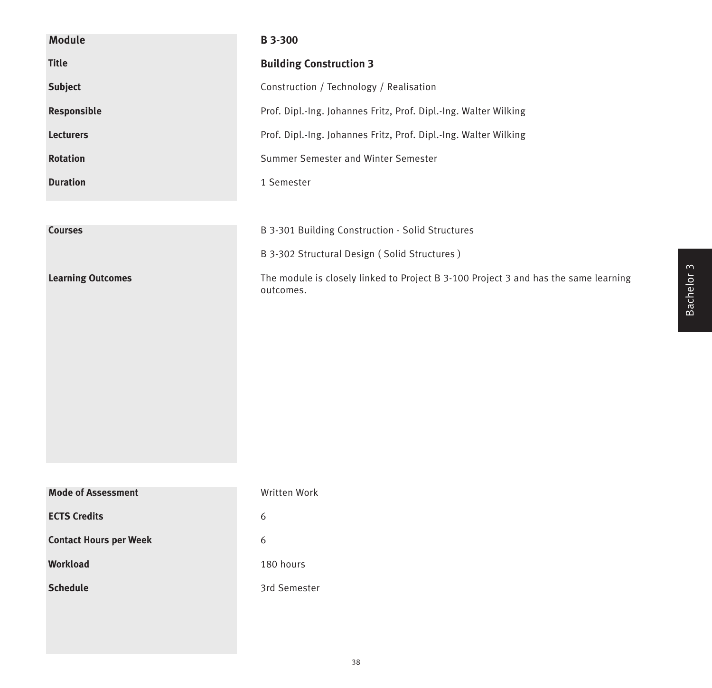| <b>Module</b>                 | B 3-300                                                                                          |
|-------------------------------|--------------------------------------------------------------------------------------------------|
| <b>Title</b>                  | <b>Building Construction 3</b>                                                                   |
| <b>Subject</b>                | Construction / Technology / Realisation                                                          |
| Responsible                   | Prof. Dipl.-Ing. Johannes Fritz, Prof. Dipl.-Ing. Walter Wilking                                 |
| <b>Lecturers</b>              | Prof. Dipl.-Ing. Johannes Fritz, Prof. Dipl.-Ing. Walter Wilking                                 |
| <b>Rotation</b>               | Summer Semester and Winter Semester                                                              |
| <b>Duration</b>               | 1 Semester                                                                                       |
|                               |                                                                                                  |
| <b>Courses</b>                | B 3-301 Building Construction - Solid Structures                                                 |
|                               | B 3-302 Structural Design (Solid Structures)                                                     |
| <b>Learning Outcomes</b>      | The module is closely linked to Project B 3-100 Project 3 and has the same learning<br>outcomes. |
| <b>Mode of Assessment</b>     | Written Work                                                                                     |
| <b>ECTS Credits</b>           | 6                                                                                                |
| <b>Contact Hours per Week</b> | 6                                                                                                |
| Workload                      | 180 hours                                                                                        |
| <b>Schedule</b>               | 3rd Semester                                                                                     |
|                               |                                                                                                  |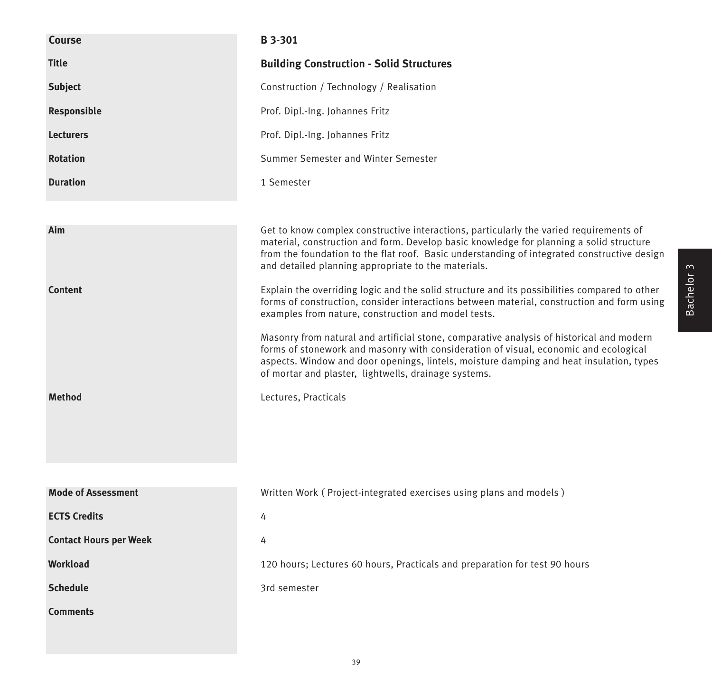| <b>Course</b>                 | B 3-301                                                                                                                                                                                                                                                                                                                                       |
|-------------------------------|-----------------------------------------------------------------------------------------------------------------------------------------------------------------------------------------------------------------------------------------------------------------------------------------------------------------------------------------------|
| <b>Title</b>                  | <b>Building Construction - Solid Structures</b>                                                                                                                                                                                                                                                                                               |
| <b>Subject</b>                | Construction / Technology / Realisation                                                                                                                                                                                                                                                                                                       |
| Responsible                   | Prof. Dipl.-Ing. Johannes Fritz                                                                                                                                                                                                                                                                                                               |
| <b>Lecturers</b>              | Prof. Dipl.-Ing. Johannes Fritz                                                                                                                                                                                                                                                                                                               |
| <b>Rotation</b>               | Summer Semester and Winter Semester                                                                                                                                                                                                                                                                                                           |
| <b>Duration</b>               | 1 Semester                                                                                                                                                                                                                                                                                                                                    |
|                               |                                                                                                                                                                                                                                                                                                                                               |
| Aim                           | Get to know complex constructive interactions, particularly the varied requirements of<br>material, construction and form. Develop basic knowledge for planning a solid structure<br>from the foundation to the flat roof. Basic understanding of integrated constructive design<br>and detailed planning appropriate to the materials.       |
| <b>Content</b>                | Explain the overriding logic and the solid structure and its possibilities compared to other<br>forms of construction, consider interactions between material, construction and form using<br>examples from nature, construction and model tests.<br>Masonry from natural and artificial stone, comparative analysis of historical and modern |
|                               | forms of stonework and masonry with consideration of visual, economic and ecological<br>aspects. Window and door openings, lintels, moisture damping and heat insulation, types<br>of mortar and plaster, lightwells, drainage systems.                                                                                                       |
| <b>Method</b>                 | Lectures, Practicals                                                                                                                                                                                                                                                                                                                          |
|                               |                                                                                                                                                                                                                                                                                                                                               |
| <b>Mode of Assessment</b>     | Written Work (Project-integrated exercises using plans and models)                                                                                                                                                                                                                                                                            |
| <b>ECTS Credits</b>           | 4                                                                                                                                                                                                                                                                                                                                             |
| <b>Contact Hours per Week</b> | 4                                                                                                                                                                                                                                                                                                                                             |
| <b>Workload</b>               | 120 hours; Lectures 60 hours, Practicals and preparation for test 90 hours                                                                                                                                                                                                                                                                    |
| <b>Schedule</b>               | 3rd semester                                                                                                                                                                                                                                                                                                                                  |
| <b>Comments</b>               |                                                                                                                                                                                                                                                                                                                                               |
|                               |                                                                                                                                                                                                                                                                                                                                               |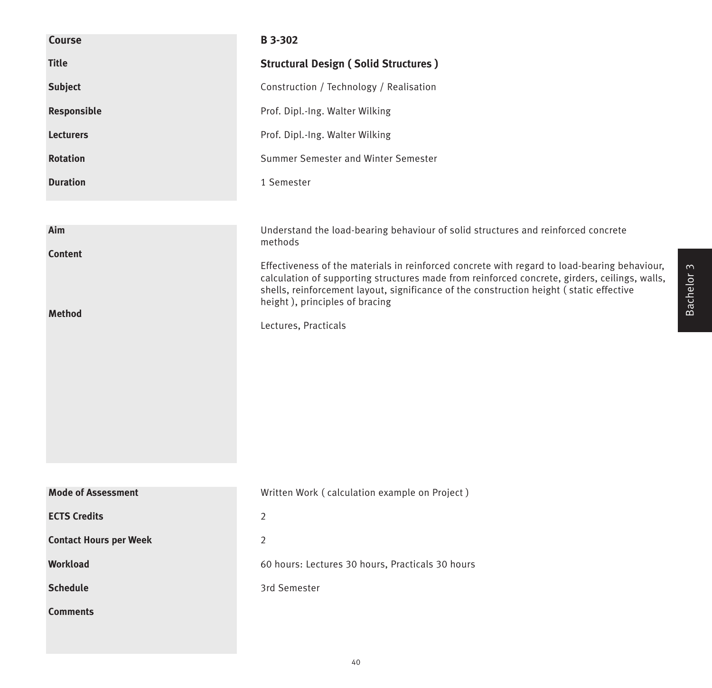| Course                        | B 3-302                                                                                                                                                                                                                                                                                                                    |
|-------------------------------|----------------------------------------------------------------------------------------------------------------------------------------------------------------------------------------------------------------------------------------------------------------------------------------------------------------------------|
| <b>Title</b>                  | <b>Structural Design (Solid Structures)</b>                                                                                                                                                                                                                                                                                |
| Subject                       | Construction / Technology / Realisation                                                                                                                                                                                                                                                                                    |
| Responsible                   | Prof. Dipl.-Ing. Walter Wilking                                                                                                                                                                                                                                                                                            |
| <b>Lecturers</b>              | Prof. Dipl.-Ing. Walter Wilking                                                                                                                                                                                                                                                                                            |
| <b>Rotation</b>               | Summer Semester and Winter Semester                                                                                                                                                                                                                                                                                        |
| <b>Duration</b>               | 1 Semester                                                                                                                                                                                                                                                                                                                 |
|                               |                                                                                                                                                                                                                                                                                                                            |
| Aim                           | Understand the load-bearing behaviour of solid structures and reinforced concrete<br>methods                                                                                                                                                                                                                               |
| <b>Content</b>                |                                                                                                                                                                                                                                                                                                                            |
|                               | Effectiveness of the materials in reinforced concrete with regard to load-bearing behaviour,<br>calculation of supporting structures made from reinforced concrete, girders, ceilings, walls,<br>shells, reinforcement layout, significance of the construction height (static effective<br>height), principles of bracing |
| <b>Method</b>                 | Lectures, Practicals                                                                                                                                                                                                                                                                                                       |
|                               |                                                                                                                                                                                                                                                                                                                            |
|                               |                                                                                                                                                                                                                                                                                                                            |
|                               |                                                                                                                                                                                                                                                                                                                            |
|                               |                                                                                                                                                                                                                                                                                                                            |
|                               |                                                                                                                                                                                                                                                                                                                            |
|                               |                                                                                                                                                                                                                                                                                                                            |
| <b>Mode of Assessment</b>     | Written Work (calculation example on Project)                                                                                                                                                                                                                                                                              |
| <b>ECTS Credits</b>           | $\overline{2}$                                                                                                                                                                                                                                                                                                             |
| <b>Contact Hours per Week</b> | $\overline{2}$                                                                                                                                                                                                                                                                                                             |
| Workload                      | 60 hours: Lectures 30 hours, Practicals 30 hours                                                                                                                                                                                                                                                                           |
| <b>Schedule</b>               | 3rd Semester                                                                                                                                                                                                                                                                                                               |
| <b>Comments</b>               |                                                                                                                                                                                                                                                                                                                            |
|                               |                                                                                                                                                                                                                                                                                                                            |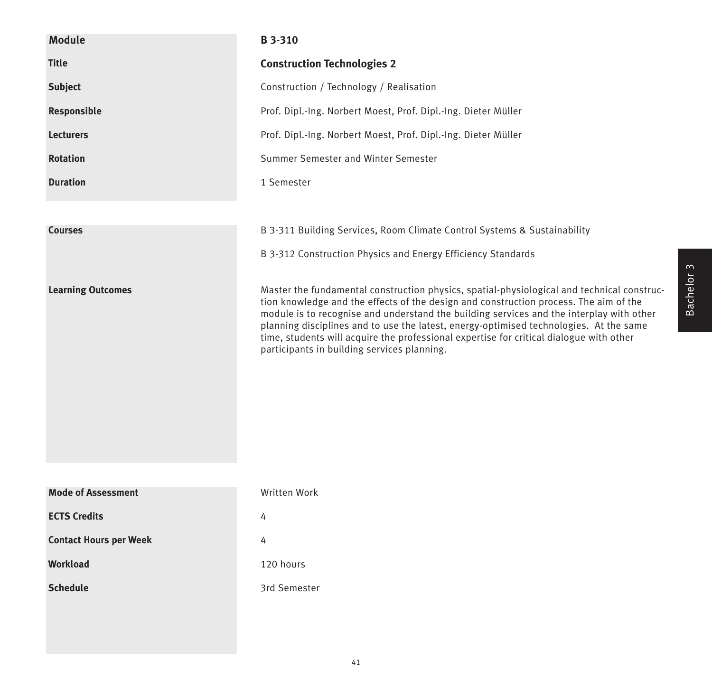| <b>Module</b>                 | <b>B</b> 3-310                                                                                                                                                                                                                                                                                                                                                                                                                                                                                                      |
|-------------------------------|---------------------------------------------------------------------------------------------------------------------------------------------------------------------------------------------------------------------------------------------------------------------------------------------------------------------------------------------------------------------------------------------------------------------------------------------------------------------------------------------------------------------|
| <b>Title</b>                  | <b>Construction Technologies 2</b>                                                                                                                                                                                                                                                                                                                                                                                                                                                                                  |
| <b>Subject</b>                | Construction / Technology / Realisation                                                                                                                                                                                                                                                                                                                                                                                                                                                                             |
| Responsible                   | Prof. Dipl.-Ing. Norbert Moest, Prof. Dipl.-Ing. Dieter Müller                                                                                                                                                                                                                                                                                                                                                                                                                                                      |
| <b>Lecturers</b>              | Prof. Dipl.-Ing. Norbert Moest, Prof. Dipl.-Ing. Dieter Müller                                                                                                                                                                                                                                                                                                                                                                                                                                                      |
| <b>Rotation</b>               | Summer Semester and Winter Semester                                                                                                                                                                                                                                                                                                                                                                                                                                                                                 |
| <b>Duration</b>               | 1 Semester                                                                                                                                                                                                                                                                                                                                                                                                                                                                                                          |
|                               |                                                                                                                                                                                                                                                                                                                                                                                                                                                                                                                     |
| <b>Courses</b>                | B 3-311 Building Services, Room Climate Control Systems & Sustainability                                                                                                                                                                                                                                                                                                                                                                                                                                            |
|                               | B 3-312 Construction Physics and Energy Efficiency Standards                                                                                                                                                                                                                                                                                                                                                                                                                                                        |
| <b>Learning Outcomes</b>      | Master the fundamental construction physics, spatial-physiological and technical construc-<br>tion knowledge and the effects of the design and construction process. The aim of the<br>module is to recognise and understand the building services and the interplay with other<br>planning disciplines and to use the latest, energy-optimised technologies. At the same<br>time, students will acquire the professional expertise for critical dialogue with other<br>participants in building services planning. |
| <b>Mode of Assessment</b>     | Written Work                                                                                                                                                                                                                                                                                                                                                                                                                                                                                                        |
| <b>ECTS Credits</b>           | 4                                                                                                                                                                                                                                                                                                                                                                                                                                                                                                                   |
| <b>Contact Hours per Week</b> | 4                                                                                                                                                                                                                                                                                                                                                                                                                                                                                                                   |
| <b>Workload</b>               | 120 hours                                                                                                                                                                                                                                                                                                                                                                                                                                                                                                           |
| <b>Schedule</b>               | 3rd Semester                                                                                                                                                                                                                                                                                                                                                                                                                                                                                                        |
|                               |                                                                                                                                                                                                                                                                                                                                                                                                                                                                                                                     |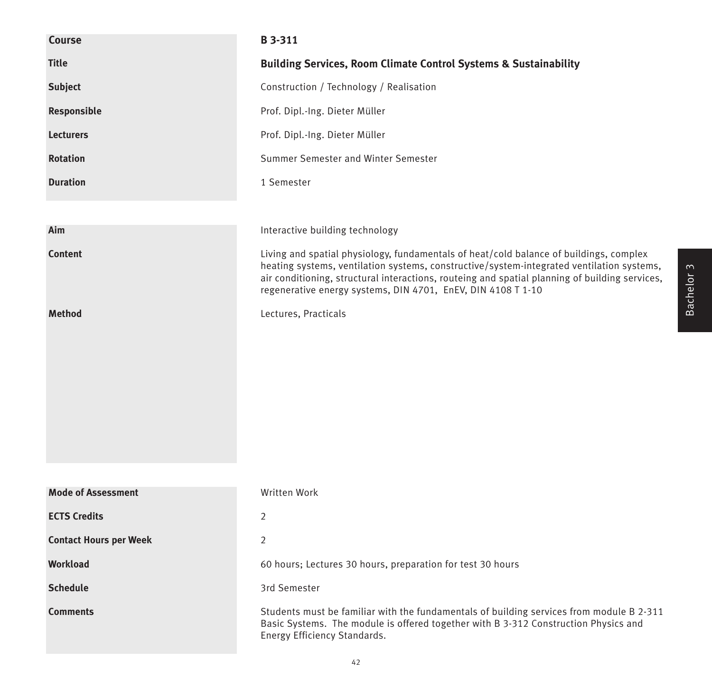| <b>Course</b>                 | <b>B</b> 3-311                                                                                                                                                                                                                                                                                                                                        |
|-------------------------------|-------------------------------------------------------------------------------------------------------------------------------------------------------------------------------------------------------------------------------------------------------------------------------------------------------------------------------------------------------|
| <b>Title</b>                  | <b>Building Services, Room Climate Control Systems &amp; Sustainability</b>                                                                                                                                                                                                                                                                           |
| <b>Subject</b>                | Construction / Technology / Realisation                                                                                                                                                                                                                                                                                                               |
| Responsible                   | Prof. Dipl.-Ing. Dieter Müller                                                                                                                                                                                                                                                                                                                        |
| <b>Lecturers</b>              | Prof. Dipl.-Ing. Dieter Müller                                                                                                                                                                                                                                                                                                                        |
| <b>Rotation</b>               | Summer Semester and Winter Semester                                                                                                                                                                                                                                                                                                                   |
| <b>Duration</b>               | 1 Semester                                                                                                                                                                                                                                                                                                                                            |
|                               |                                                                                                                                                                                                                                                                                                                                                       |
| Aim                           | Interactive building technology                                                                                                                                                                                                                                                                                                                       |
| <b>Content</b>                | Living and spatial physiology, fundamentals of heat/cold balance of buildings, complex<br>heating systems, ventilation systems, constructive/system-integrated ventilation systems,<br>air conditioning, structural interactions, routeing and spatial planning of building services,<br>regenerative energy systems, DIN 4701, EnEV, DIN 4108 T 1-10 |
| <b>Method</b>                 | Lectures, Practicals                                                                                                                                                                                                                                                                                                                                  |
| <b>Mode of Assessment</b>     | Written Work                                                                                                                                                                                                                                                                                                                                          |
| <b>ECTS Credits</b>           | $\overline{2}$                                                                                                                                                                                                                                                                                                                                        |
| <b>Contact Hours per Week</b> | 2                                                                                                                                                                                                                                                                                                                                                     |
| Workload                      | 60 hours; Lectures 30 hours, preparation for test 30 hours                                                                                                                                                                                                                                                                                            |
| <b>Schedule</b>               | 3rd Semester                                                                                                                                                                                                                                                                                                                                          |
| <b>Comments</b>               | Students must be familiar with the fundamentals of building services from module B 2-311<br>Basic Systems. The module is offered together with B 3-312 Construction Physics and<br>Energy Efficiency Standards.                                                                                                                                       |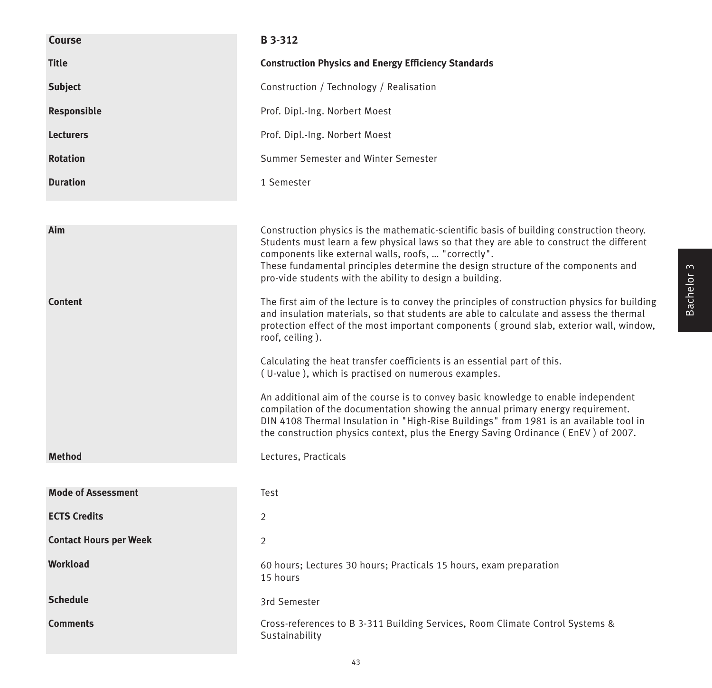| Course                        | <b>B</b> 3-312                                                                                                                                                                                                                                                                                                                                                                                |
|-------------------------------|-----------------------------------------------------------------------------------------------------------------------------------------------------------------------------------------------------------------------------------------------------------------------------------------------------------------------------------------------------------------------------------------------|
| <b>Title</b>                  | <b>Construction Physics and Energy Efficiency Standards</b>                                                                                                                                                                                                                                                                                                                                   |
| <b>Subject</b>                | Construction / Technology / Realisation                                                                                                                                                                                                                                                                                                                                                       |
| Responsible                   | Prof. Dipl.-Ing. Norbert Moest                                                                                                                                                                                                                                                                                                                                                                |
| <b>Lecturers</b>              | Prof. Dipl.-Ing. Norbert Moest                                                                                                                                                                                                                                                                                                                                                                |
| <b>Rotation</b>               | Summer Semester and Winter Semester                                                                                                                                                                                                                                                                                                                                                           |
| <b>Duration</b>               | 1 Semester                                                                                                                                                                                                                                                                                                                                                                                    |
|                               |                                                                                                                                                                                                                                                                                                                                                                                               |
| Aim                           | Construction physics is the mathematic-scientific basis of building construction theory.<br>Students must learn a few physical laws so that they are able to construct the different<br>components like external walls, roofs,  "correctly".<br>These fundamental principles determine the design structure of the components and<br>pro-vide students with the ability to design a building. |
| <b>Content</b>                | The first aim of the lecture is to convey the principles of construction physics for building<br>and insulation materials, so that students are able to calculate and assess the thermal<br>protection effect of the most important components (ground slab, exterior wall, window,<br>roof, ceiling).                                                                                        |
|                               | Calculating the heat transfer coefficients is an essential part of this.<br>(U-value), which is practised on numerous examples.                                                                                                                                                                                                                                                               |
|                               | An additional aim of the course is to convey basic knowledge to enable independent<br>compilation of the documentation showing the annual primary energy requirement.<br>DIN 4108 Thermal Insulation in "High-Rise Buildings" from 1981 is an available tool in<br>the construction physics context, plus the Energy Saving Ordinance (EnEV) of 2007.                                         |
| <b>Method</b>                 | Lectures, Practicals                                                                                                                                                                                                                                                                                                                                                                          |
|                               |                                                                                                                                                                                                                                                                                                                                                                                               |
| <b>Mode of Assessment</b>     | Test                                                                                                                                                                                                                                                                                                                                                                                          |
| <b>ECTS Credits</b>           | 2                                                                                                                                                                                                                                                                                                                                                                                             |
| <b>Contact Hours per Week</b> | 2                                                                                                                                                                                                                                                                                                                                                                                             |
| <b>Workload</b>               | 60 hours; Lectures 30 hours; Practicals 15 hours, exam preparation<br>15 hours                                                                                                                                                                                                                                                                                                                |
| <b>Schedule</b>               | 3rd Semester                                                                                                                                                                                                                                                                                                                                                                                  |
| <b>Comments</b>               | Cross-references to B 3-311 Building Services, Room Climate Control Systems &<br>Sustainability                                                                                                                                                                                                                                                                                               |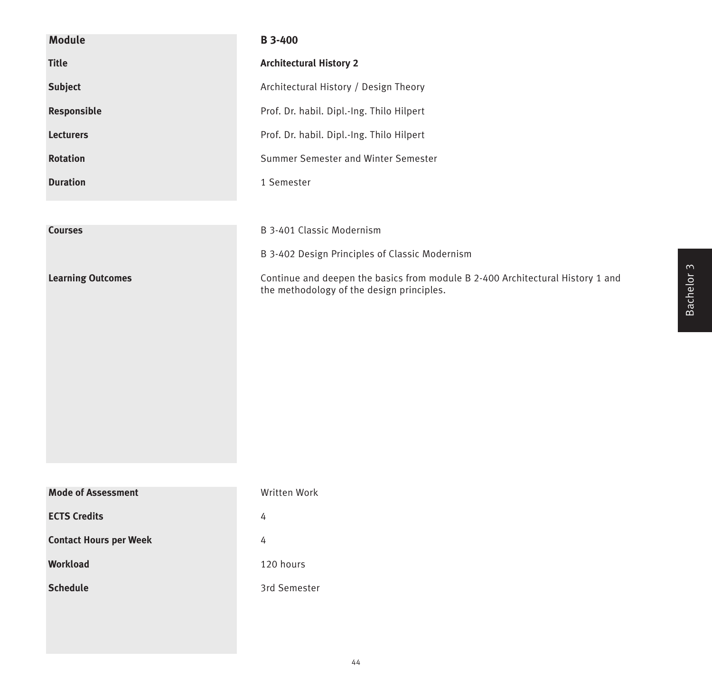| <b>Module</b>                 | <b>B3-400</b>                                                                                                               |
|-------------------------------|-----------------------------------------------------------------------------------------------------------------------------|
| <b>Title</b>                  | <b>Architectural History 2</b>                                                                                              |
| <b>Subject</b>                | Architectural History / Design Theory                                                                                       |
| Responsible                   | Prof. Dr. habil. Dipl.-Ing. Thilo Hilpert                                                                                   |
| <b>Lecturers</b>              | Prof. Dr. habil. Dipl.-Ing. Thilo Hilpert                                                                                   |
| <b>Rotation</b>               | Summer Semester and Winter Semester                                                                                         |
| <b>Duration</b>               | 1 Semester                                                                                                                  |
|                               |                                                                                                                             |
| <b>Courses</b>                | B 3-401 Classic Modernism                                                                                                   |
|                               | B 3-402 Design Principles of Classic Modernism                                                                              |
| <b>Learning Outcomes</b>      | Continue and deepen the basics from module B 2-400 Architectural History 1 and<br>the methodology of the design principles. |
|                               |                                                                                                                             |
|                               |                                                                                                                             |
|                               |                                                                                                                             |
|                               |                                                                                                                             |
|                               |                                                                                                                             |
|                               |                                                                                                                             |
|                               |                                                                                                                             |
|                               |                                                                                                                             |
| <b>Mode of Assessment</b>     | Written Work                                                                                                                |
| <b>ECTS Credits</b>           | 4                                                                                                                           |
| <b>Contact Hours per Week</b> | 4                                                                                                                           |
| Workload                      | 120 hours                                                                                                                   |
| <b>Schedule</b>               | 3rd Semester                                                                                                                |
|                               |                                                                                                                             |
|                               |                                                                                                                             |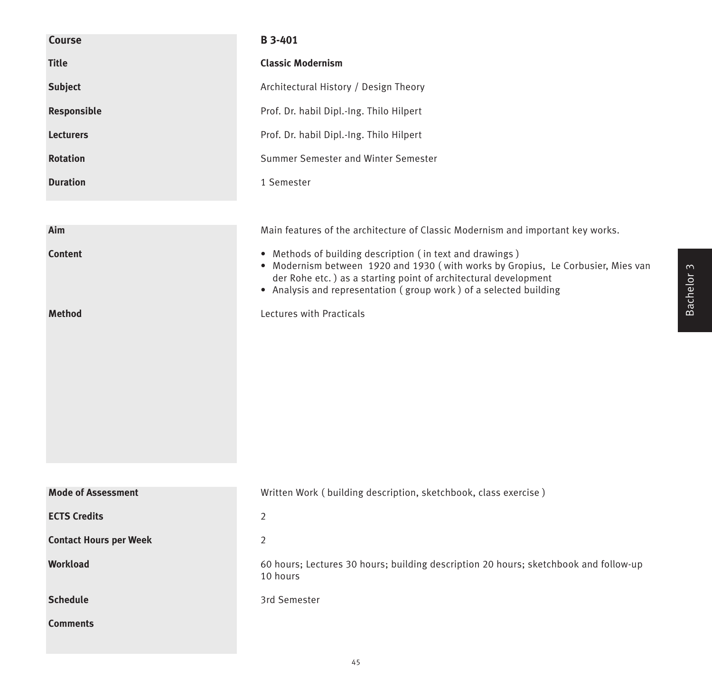| Course                        | B 3-401                                                                                                                                                                                                                                                                              |
|-------------------------------|--------------------------------------------------------------------------------------------------------------------------------------------------------------------------------------------------------------------------------------------------------------------------------------|
| <b>Title</b>                  | <b>Classic Modernism</b>                                                                                                                                                                                                                                                             |
| <b>Subject</b>                | Architectural History / Design Theory                                                                                                                                                                                                                                                |
| Responsible                   | Prof. Dr. habil Dipl.-Ing. Thilo Hilpert                                                                                                                                                                                                                                             |
| <b>Lecturers</b>              | Prof. Dr. habil Dipl.-Ing. Thilo Hilpert                                                                                                                                                                                                                                             |
| <b>Rotation</b>               | Summer Semester and Winter Semester                                                                                                                                                                                                                                                  |
| <b>Duration</b>               | 1 Semester                                                                                                                                                                                                                                                                           |
|                               |                                                                                                                                                                                                                                                                                      |
| Aim                           | Main features of the architecture of Classic Modernism and important key works.                                                                                                                                                                                                      |
| <b>Content</b>                | • Methods of building description (in text and drawings)<br>• Modernism between 1920 and 1930 (with works by Gropius, Le Corbusier, Mies van<br>der Rohe etc.) as a starting point of architectural development<br>• Analysis and representation (group work) of a selected building |
| <b>Method</b>                 | Lectures with Practicals                                                                                                                                                                                                                                                             |
| <b>Mode of Assessment</b>     | Written Work (building description, sketchbook, class exercise)                                                                                                                                                                                                                      |
| <b>ECTS Credits</b>           | $\overline{2}$                                                                                                                                                                                                                                                                       |
| <b>Contact Hours per Week</b> | $\overline{2}$                                                                                                                                                                                                                                                                       |
| <b>Workload</b>               | 60 hours; Lectures 30 hours; building description 20 hours; sketchbook and follow-up<br>10 hours                                                                                                                                                                                     |
| <b>Schedule</b>               | 3rd Semester                                                                                                                                                                                                                                                                         |
| <b>Comments</b>               |                                                                                                                                                                                                                                                                                      |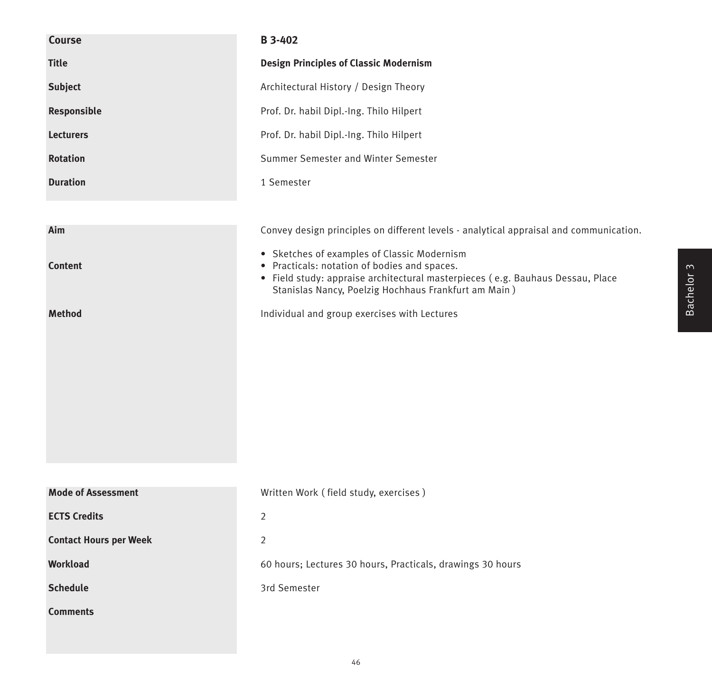| <b>Course</b>                 | <b>B</b> 3-402                                                                                                                                                                                                                        |
|-------------------------------|---------------------------------------------------------------------------------------------------------------------------------------------------------------------------------------------------------------------------------------|
| <b>Title</b>                  | <b>Design Principles of Classic Modernism</b>                                                                                                                                                                                         |
| <b>Subject</b>                | Architectural History / Design Theory                                                                                                                                                                                                 |
| Responsible                   | Prof. Dr. habil Dipl.-Ing. Thilo Hilpert                                                                                                                                                                                              |
| <b>Lecturers</b>              | Prof. Dr. habil Dipl.-Ing. Thilo Hilpert                                                                                                                                                                                              |
| <b>Rotation</b>               | Summer Semester and Winter Semester                                                                                                                                                                                                   |
| <b>Duration</b>               | 1 Semester                                                                                                                                                                                                                            |
|                               |                                                                                                                                                                                                                                       |
| Aim                           | Convey design principles on different levels - analytical appraisal and communication.                                                                                                                                                |
| Content                       | • Sketches of examples of Classic Modernism<br>• Practicals: notation of bodies and spaces.<br>· Field study: appraise architectural masterpieces (e.g. Bauhaus Dessau, Place<br>Stanislas Nancy, Poelzig Hochhaus Frankfurt am Main) |
| <b>Method</b>                 | Individual and group exercises with Lectures                                                                                                                                                                                          |
|                               |                                                                                                                                                                                                                                       |
| <b>Mode of Assessment</b>     | Written Work (field study, exercises)                                                                                                                                                                                                 |
| <b>ECTS Credits</b>           | $\overline{2}$                                                                                                                                                                                                                        |
| <b>Contact Hours per Week</b> |                                                                                                                                                                                                                                       |
| Workload                      | 2                                                                                                                                                                                                                                     |
|                               | 60 hours; Lectures 30 hours, Practicals, drawings 30 hours                                                                                                                                                                            |
| <b>Schedule</b>               | 3rd Semester                                                                                                                                                                                                                          |
| <b>Comments</b>               |                                                                                                                                                                                                                                       |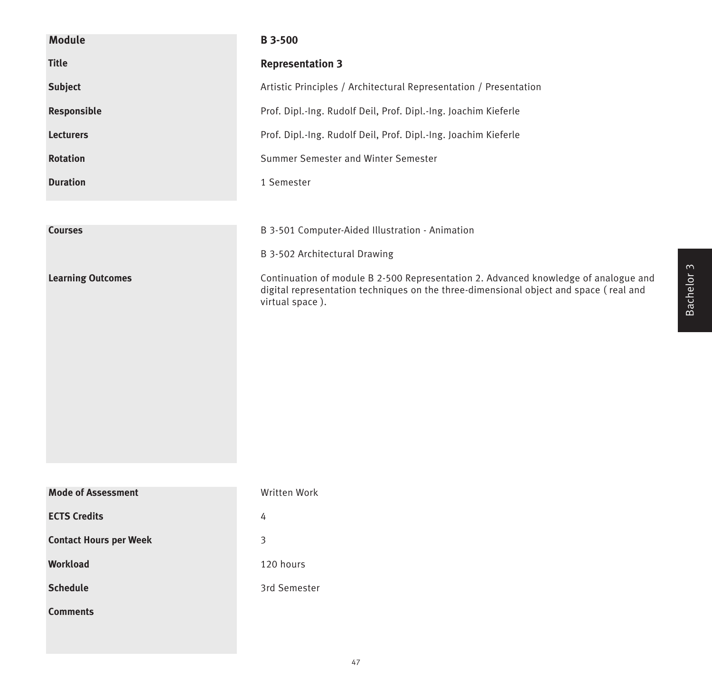| <b>Module</b>                 | B 3-500                                                                                                                                                                                         |
|-------------------------------|-------------------------------------------------------------------------------------------------------------------------------------------------------------------------------------------------|
| <b>Title</b>                  | <b>Representation 3</b>                                                                                                                                                                         |
| Subject                       | Artistic Principles / Architectural Representation / Presentation                                                                                                                               |
| Responsible                   | Prof. Dipl.-Ing. Rudolf Deil, Prof. Dipl.-Ing. Joachim Kieferle                                                                                                                                 |
| <b>Lecturers</b>              | Prof. Dipl.-Ing. Rudolf Deil, Prof. Dipl.-Ing. Joachim Kieferle                                                                                                                                 |
| <b>Rotation</b>               | Summer Semester and Winter Semester                                                                                                                                                             |
| <b>Duration</b>               | 1 Semester                                                                                                                                                                                      |
|                               |                                                                                                                                                                                                 |
| <b>Courses</b>                | B 3-501 Computer-Aided Illustration - Animation                                                                                                                                                 |
|                               | B 3-502 Architectural Drawing                                                                                                                                                                   |
| <b>Learning Outcomes</b>      | Continuation of module B 2-500 Representation 2. Advanced knowledge of analogue and<br>digital representation techniques on the three-dimensional object and space (real and<br>virtual space). |
| <b>Mode of Assessment</b>     | Written Work                                                                                                                                                                                    |
| <b>ECTS Credits</b>           | 4                                                                                                                                                                                               |
| <b>Contact Hours per Week</b> | 3                                                                                                                                                                                               |
| Workload                      | 120 hours                                                                                                                                                                                       |
| <b>Schedule</b>               | 3rd Semester                                                                                                                                                                                    |
| <b>Comments</b>               |                                                                                                                                                                                                 |
|                               |                                                                                                                                                                                                 |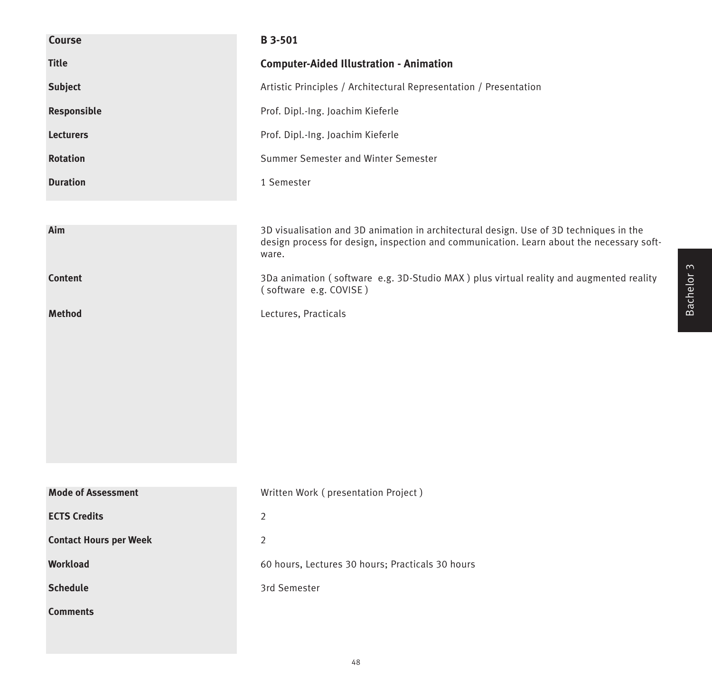| <b>Course</b>                 | <b>B</b> 3-501                                                                                                                                                                              |
|-------------------------------|---------------------------------------------------------------------------------------------------------------------------------------------------------------------------------------------|
| <b>Title</b>                  | <b>Computer-Aided Illustration - Animation</b>                                                                                                                                              |
| <b>Subject</b>                | Artistic Principles / Architectural Representation / Presentation                                                                                                                           |
| Responsible                   | Prof. Dipl.-Ing. Joachim Kieferle                                                                                                                                                           |
| <b>Lecturers</b>              | Prof. Dipl.-Ing. Joachim Kieferle                                                                                                                                                           |
| <b>Rotation</b>               | Summer Semester and Winter Semester                                                                                                                                                         |
| <b>Duration</b>               | 1 Semester                                                                                                                                                                                  |
|                               |                                                                                                                                                                                             |
| Aim                           | 3D visualisation and 3D animation in architectural design. Use of 3D techniques in the<br>design process for design, inspection and communication. Learn about the necessary soft-<br>ware. |
| <b>Content</b>                | 3Da animation (software e.g. 3D-Studio MAX) plus virtual reality and augmented reality<br>(software e.g. COVISE)                                                                            |
| <b>Method</b>                 | Lectures, Practicals                                                                                                                                                                        |
|                               |                                                                                                                                                                                             |
|                               |                                                                                                                                                                                             |
|                               |                                                                                                                                                                                             |
|                               |                                                                                                                                                                                             |
|                               |                                                                                                                                                                                             |
|                               |                                                                                                                                                                                             |
| <b>Mode of Assessment</b>     | Written Work (presentation Project)                                                                                                                                                         |
| <b>ECTS Credits</b>           | $\overline{2}$                                                                                                                                                                              |
| <b>Contact Hours per Week</b> | $\overline{2}$                                                                                                                                                                              |
| Workload                      | 60 hours, Lectures 30 hours; Practicals 30 hours                                                                                                                                            |
|                               |                                                                                                                                                                                             |
| <b>Schedule</b>               | 3rd Semester                                                                                                                                                                                |
| <b>Comments</b>               |                                                                                                                                                                                             |
|                               |                                                                                                                                                                                             |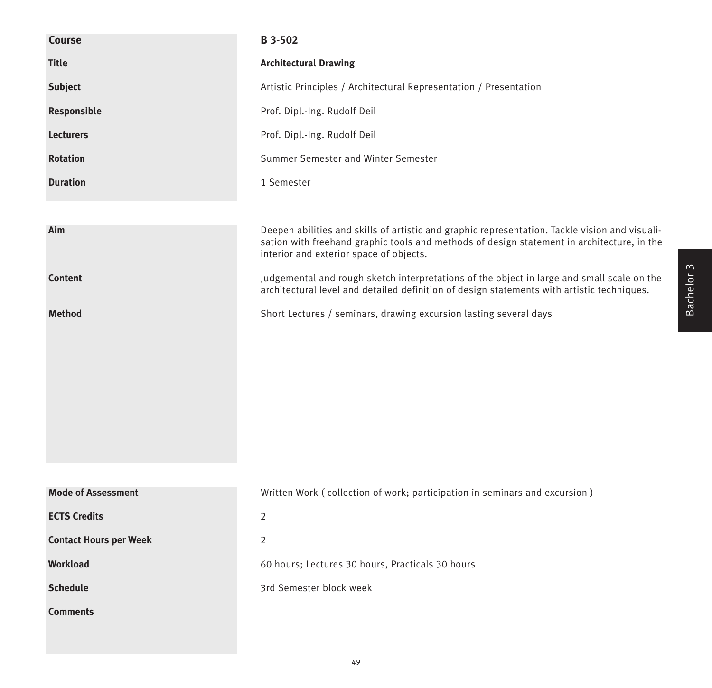| Course                        | <b>B</b> 3-502                                                                                                                                                                                                                          |
|-------------------------------|-----------------------------------------------------------------------------------------------------------------------------------------------------------------------------------------------------------------------------------------|
| <b>Title</b>                  | <b>Architectural Drawing</b>                                                                                                                                                                                                            |
| <b>Subject</b>                | Artistic Principles / Architectural Representation / Presentation                                                                                                                                                                       |
| Responsible                   | Prof. Dipl.-Ing. Rudolf Deil                                                                                                                                                                                                            |
| <b>Lecturers</b>              | Prof. Dipl.-Ing. Rudolf Deil                                                                                                                                                                                                            |
| <b>Rotation</b>               | Summer Semester and Winter Semester                                                                                                                                                                                                     |
| <b>Duration</b>               | 1 Semester                                                                                                                                                                                                                              |
|                               |                                                                                                                                                                                                                                         |
| Aim                           | Deepen abilities and skills of artistic and graphic representation. Tackle vision and visuali-<br>sation with freehand graphic tools and methods of design statement in architecture, in the<br>interior and exterior space of objects. |
| <b>Content</b>                | Judgemental and rough sketch interpretations of the object in large and small scale on the<br>architectural level and detailed definition of design statements with artistic techniques.                                                |
| <b>Method</b>                 | Short Lectures / seminars, drawing excursion lasting several days                                                                                                                                                                       |
|                               |                                                                                                                                                                                                                                         |
|                               |                                                                                                                                                                                                                                         |
|                               |                                                                                                                                                                                                                                         |
|                               |                                                                                                                                                                                                                                         |
|                               |                                                                                                                                                                                                                                         |
|                               |                                                                                                                                                                                                                                         |
|                               |                                                                                                                                                                                                                                         |
| <b>Mode of Assessment</b>     | Written Work (collection of work; participation in seminars and excursion)                                                                                                                                                              |
| <b>ECTS Credits</b>           | $\overline{2}$                                                                                                                                                                                                                          |
| <b>Contact Hours per Week</b> | $\overline{2}$                                                                                                                                                                                                                          |
| <b>Workload</b>               | 60 hours; Lectures 30 hours, Practicals 30 hours                                                                                                                                                                                        |
| <b>Schedule</b>               | 3rd Semester block week                                                                                                                                                                                                                 |
| <b>Comments</b>               |                                                                                                                                                                                                                                         |
|                               |                                                                                                                                                                                                                                         |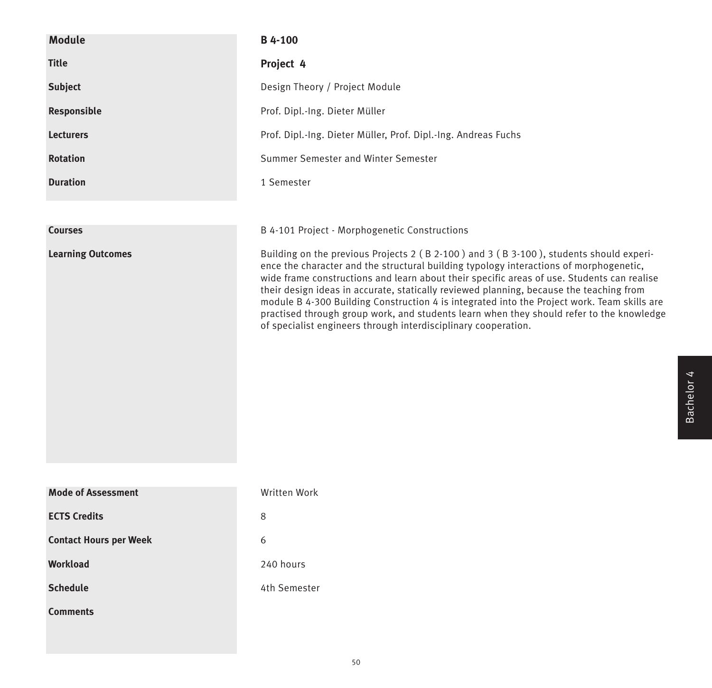| <b>Module</b>                 | B 4-100                                                                                                                                                                                                                                                                                                                                                                                                                                                                                                                                                                                                                                |
|-------------------------------|----------------------------------------------------------------------------------------------------------------------------------------------------------------------------------------------------------------------------------------------------------------------------------------------------------------------------------------------------------------------------------------------------------------------------------------------------------------------------------------------------------------------------------------------------------------------------------------------------------------------------------------|
| <b>Title</b>                  | Project 4                                                                                                                                                                                                                                                                                                                                                                                                                                                                                                                                                                                                                              |
| <b>Subject</b>                | Design Theory / Project Module                                                                                                                                                                                                                                                                                                                                                                                                                                                                                                                                                                                                         |
| Responsible                   | Prof. Dipl.-Ing. Dieter Müller                                                                                                                                                                                                                                                                                                                                                                                                                                                                                                                                                                                                         |
| <b>Lecturers</b>              | Prof. Dipl.-Ing. Dieter Müller, Prof. Dipl.-Ing. Andreas Fuchs                                                                                                                                                                                                                                                                                                                                                                                                                                                                                                                                                                         |
| <b>Rotation</b>               | Summer Semester and Winter Semester                                                                                                                                                                                                                                                                                                                                                                                                                                                                                                                                                                                                    |
| <b>Duration</b>               | 1 Semester                                                                                                                                                                                                                                                                                                                                                                                                                                                                                                                                                                                                                             |
|                               |                                                                                                                                                                                                                                                                                                                                                                                                                                                                                                                                                                                                                                        |
| <b>Courses</b>                | B 4-101 Project - Morphogenetic Constructions                                                                                                                                                                                                                                                                                                                                                                                                                                                                                                                                                                                          |
| <b>Learning Outcomes</b>      | Building on the previous Projects 2 (B 2-100) and 3 (B 3-100), students should experi-<br>ence the character and the structural building typology interactions of morphogenetic,<br>wide frame constructions and learn about their specific areas of use. Students can realise<br>their design ideas in accurate, statically reviewed planning, because the teaching from<br>module B 4-300 Building Construction 4 is integrated into the Project work. Team skills are<br>practised through group work, and students learn when they should refer to the knowledge<br>of specialist engineers through interdisciplinary cooperation. |
| <b>Mode of Assessment</b>     | Written Work                                                                                                                                                                                                                                                                                                                                                                                                                                                                                                                                                                                                                           |
| <b>ECTS Credits</b>           | 8                                                                                                                                                                                                                                                                                                                                                                                                                                                                                                                                                                                                                                      |
| <b>Contact Hours per Week</b> | 6                                                                                                                                                                                                                                                                                                                                                                                                                                                                                                                                                                                                                                      |
|                               |                                                                                                                                                                                                                                                                                                                                                                                                                                                                                                                                                                                                                                        |
| Workload                      | 240 hours                                                                                                                                                                                                                                                                                                                                                                                                                                                                                                                                                                                                                              |
| <b>Schedule</b>               | 4th Semester                                                                                                                                                                                                                                                                                                                                                                                                                                                                                                                                                                                                                           |
| <b>Comments</b>               |                                                                                                                                                                                                                                                                                                                                                                                                                                                                                                                                                                                                                                        |

Bachelor 4

Bachelor 4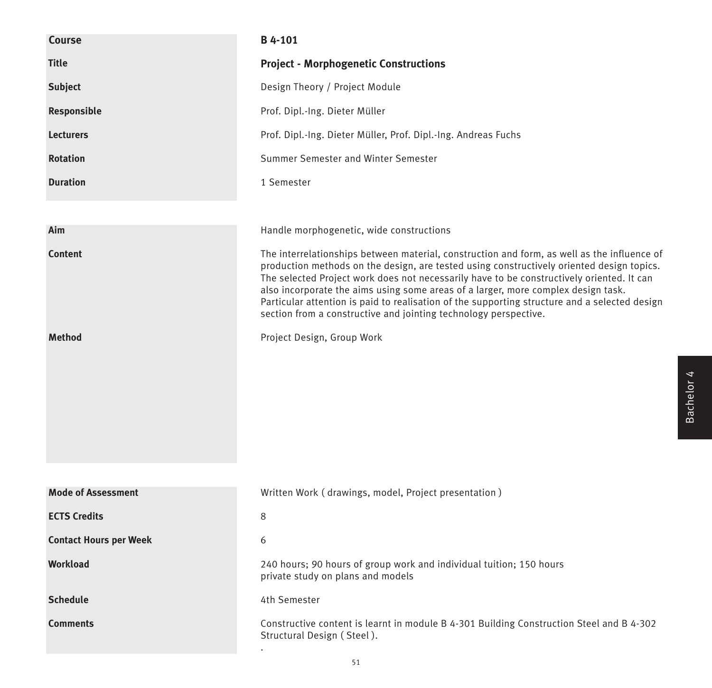| Course                        | B 4-101                                                                                                                                                                                                                                                                                                                                                                                                                                                                                                                                         |
|-------------------------------|-------------------------------------------------------------------------------------------------------------------------------------------------------------------------------------------------------------------------------------------------------------------------------------------------------------------------------------------------------------------------------------------------------------------------------------------------------------------------------------------------------------------------------------------------|
| <b>Title</b>                  | <b>Project - Morphogenetic Constructions</b>                                                                                                                                                                                                                                                                                                                                                                                                                                                                                                    |
| <b>Subject</b>                | Design Theory / Project Module                                                                                                                                                                                                                                                                                                                                                                                                                                                                                                                  |
| Responsible                   | Prof. Dipl.-Ing. Dieter Müller                                                                                                                                                                                                                                                                                                                                                                                                                                                                                                                  |
| <b>Lecturers</b>              | Prof. Dipl.-Ing. Dieter Müller, Prof. Dipl.-Ing. Andreas Fuchs                                                                                                                                                                                                                                                                                                                                                                                                                                                                                  |
| <b>Rotation</b>               | Summer Semester and Winter Semester                                                                                                                                                                                                                                                                                                                                                                                                                                                                                                             |
| <b>Duration</b>               | 1 Semester                                                                                                                                                                                                                                                                                                                                                                                                                                                                                                                                      |
|                               |                                                                                                                                                                                                                                                                                                                                                                                                                                                                                                                                                 |
| Aim                           | Handle morphogenetic, wide constructions                                                                                                                                                                                                                                                                                                                                                                                                                                                                                                        |
| <b>Content</b>                | The interrelationships between material, construction and form, as well as the influence of<br>production methods on the design, are tested using constructively oriented design topics.<br>The selected Project work does not necessarily have to be constructively oriented. It can<br>also incorporate the aims using some areas of a larger, more complex design task.<br>Particular attention is paid to realisation of the supporting structure and a selected design<br>section from a constructive and jointing technology perspective. |
| <b>Method</b>                 | Project Design, Group Work                                                                                                                                                                                                                                                                                                                                                                                                                                                                                                                      |
| <b>Mode of Assessment</b>     | Written Work (drawings, model, Project presentation)                                                                                                                                                                                                                                                                                                                                                                                                                                                                                            |
| <b>ECTS Credits</b>           |                                                                                                                                                                                                                                                                                                                                                                                                                                                                                                                                                 |
|                               | 8                                                                                                                                                                                                                                                                                                                                                                                                                                                                                                                                               |
| <b>Contact Hours per Week</b> | 6                                                                                                                                                                                                                                                                                                                                                                                                                                                                                                                                               |
| Workload                      | 240 hours; 90 hours of group work and individual tuition; 150 hours<br>private study on plans and models                                                                                                                                                                                                                                                                                                                                                                                                                                        |
| <b>Schedule</b>               | 4th Semester                                                                                                                                                                                                                                                                                                                                                                                                                                                                                                                                    |
| <b>Comments</b>               | Constructive content is learnt in module B 4-301 Building Construction Steel and B 4-302<br>Structural Design (Steel).                                                                                                                                                                                                                                                                                                                                                                                                                          |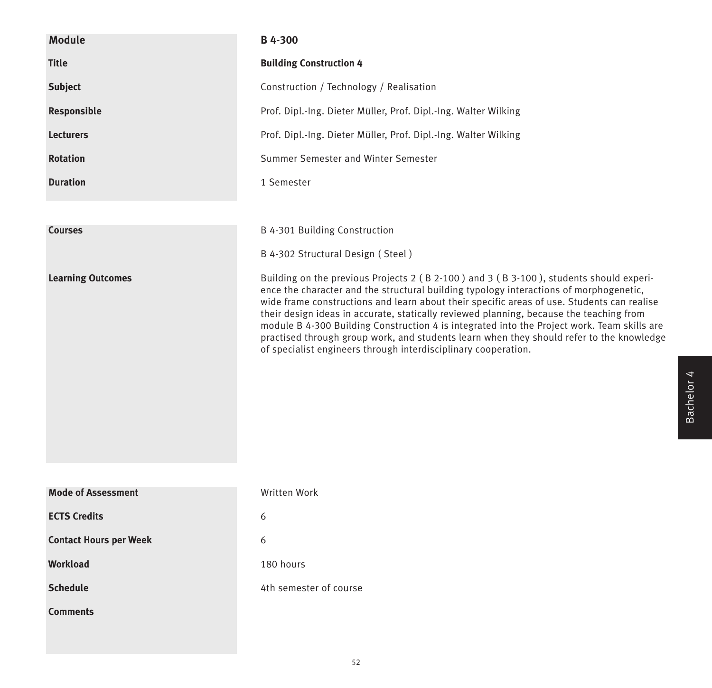| <b>Module</b>                 | B 4-300                                                                                                                                                                                                                                                                                                                                                                                                                                                                                                                                                                                                                                |
|-------------------------------|----------------------------------------------------------------------------------------------------------------------------------------------------------------------------------------------------------------------------------------------------------------------------------------------------------------------------------------------------------------------------------------------------------------------------------------------------------------------------------------------------------------------------------------------------------------------------------------------------------------------------------------|
| <b>Title</b>                  | <b>Building Construction 4</b>                                                                                                                                                                                                                                                                                                                                                                                                                                                                                                                                                                                                         |
| <b>Subject</b>                | Construction / Technology / Realisation                                                                                                                                                                                                                                                                                                                                                                                                                                                                                                                                                                                                |
| Responsible                   | Prof. Dipl.-Ing. Dieter Müller, Prof. Dipl.-Ing. Walter Wilking                                                                                                                                                                                                                                                                                                                                                                                                                                                                                                                                                                        |
| <b>Lecturers</b>              | Prof. Dipl.-Ing. Dieter Müller, Prof. Dipl.-Ing. Walter Wilking                                                                                                                                                                                                                                                                                                                                                                                                                                                                                                                                                                        |
| <b>Rotation</b>               | Summer Semester and Winter Semester                                                                                                                                                                                                                                                                                                                                                                                                                                                                                                                                                                                                    |
| <b>Duration</b>               | 1 Semester                                                                                                                                                                                                                                                                                                                                                                                                                                                                                                                                                                                                                             |
|                               |                                                                                                                                                                                                                                                                                                                                                                                                                                                                                                                                                                                                                                        |
| <b>Courses</b>                | B 4-301 Building Construction                                                                                                                                                                                                                                                                                                                                                                                                                                                                                                                                                                                                          |
|                               | B 4-302 Structural Design (Steel)                                                                                                                                                                                                                                                                                                                                                                                                                                                                                                                                                                                                      |
| <b>Learning Outcomes</b>      | Building on the previous Projects 2 (B 2-100) and 3 (B 3-100), students should experi-<br>ence the character and the structural building typology interactions of morphogenetic,<br>wide frame constructions and learn about their specific areas of use. Students can realise<br>their design ideas in accurate, statically reviewed planning, because the teaching from<br>module B 4-300 Building Construction 4 is integrated into the Project work. Team skills are<br>practised through group work, and students learn when they should refer to the knowledge<br>of specialist engineers through interdisciplinary cooperation. |
| <b>Mode of Assessment</b>     | Written Work                                                                                                                                                                                                                                                                                                                                                                                                                                                                                                                                                                                                                           |
| <b>ECTS Credits</b>           | 6                                                                                                                                                                                                                                                                                                                                                                                                                                                                                                                                                                                                                                      |
| <b>Contact Hours per Week</b> | 6                                                                                                                                                                                                                                                                                                                                                                                                                                                                                                                                                                                                                                      |
| <b>Workload</b>               | 180 hours                                                                                                                                                                                                                                                                                                                                                                                                                                                                                                                                                                                                                              |
| <b>Schedule</b>               | 4th semester of course                                                                                                                                                                                                                                                                                                                                                                                                                                                                                                                                                                                                                 |
| <b>Comments</b>               |                                                                                                                                                                                                                                                                                                                                                                                                                                                                                                                                                                                                                                        |

Bachelor 4

Bachelor 4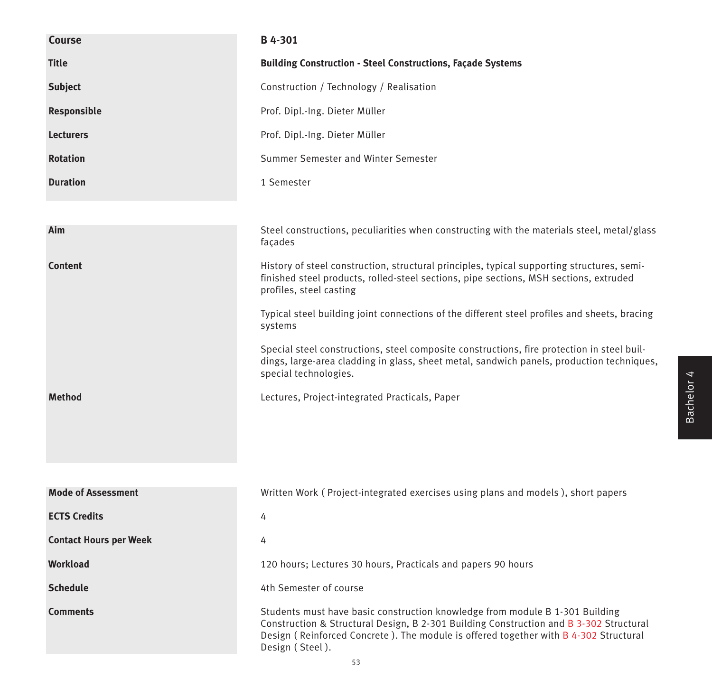| Course                        | B 4-301                                                                                                                                                                                                                                                                           |
|-------------------------------|-----------------------------------------------------------------------------------------------------------------------------------------------------------------------------------------------------------------------------------------------------------------------------------|
| <b>Title</b>                  | <b>Building Construction - Steel Constructions, Façade Systems</b>                                                                                                                                                                                                                |
| <b>Subject</b>                | Construction / Technology / Realisation                                                                                                                                                                                                                                           |
| Responsible                   | Prof. Dipl.-Ing. Dieter Müller                                                                                                                                                                                                                                                    |
| <b>Lecturers</b>              | Prof. Dipl.-Ing. Dieter Müller                                                                                                                                                                                                                                                    |
| <b>Rotation</b>               | Summer Semester and Winter Semester                                                                                                                                                                                                                                               |
| <b>Duration</b>               | 1 Semester                                                                                                                                                                                                                                                                        |
|                               |                                                                                                                                                                                                                                                                                   |
| Aim                           | Steel constructions, peculiarities when constructing with the materials steel, metal/glass<br>façades                                                                                                                                                                             |
| <b>Content</b>                | History of steel construction, structural principles, typical supporting structures, semi-<br>finished steel products, rolled-steel sections, pipe sections, MSH sections, extruded<br>profiles, steel casting                                                                    |
|                               | Typical steel building joint connections of the different steel profiles and sheets, bracing<br>systems                                                                                                                                                                           |
|                               | Special steel constructions, steel composite constructions, fire protection in steel buil-<br>dings, large-area cladding in glass, sheet metal, sandwich panels, production techniques,<br>special technologies.                                                                  |
| <b>Method</b>                 | Lectures, Project-integrated Practicals, Paper                                                                                                                                                                                                                                    |
|                               |                                                                                                                                                                                                                                                                                   |
|                               |                                                                                                                                                                                                                                                                                   |
| <b>Mode of Assessment</b>     | Written Work (Project-integrated exercises using plans and models), short papers                                                                                                                                                                                                  |
| <b>ECTS Credits</b>           | 4                                                                                                                                                                                                                                                                                 |
| <b>Contact Hours per Week</b> | 4                                                                                                                                                                                                                                                                                 |
| Workload                      | 120 hours; Lectures 30 hours, Practicals and papers 90 hours                                                                                                                                                                                                                      |
| <b>Schedule</b>               | 4th Semester of course                                                                                                                                                                                                                                                            |
| <b>Comments</b>               | Students must have basic construction knowledge from module B 1-301 Building<br>Construction & Structural Design, B 2-301 Building Construction and B 3-302 Structural<br>Design (Reinforced Concrete). The module is offered together with B 4-302 Structural<br>Design (Steel). |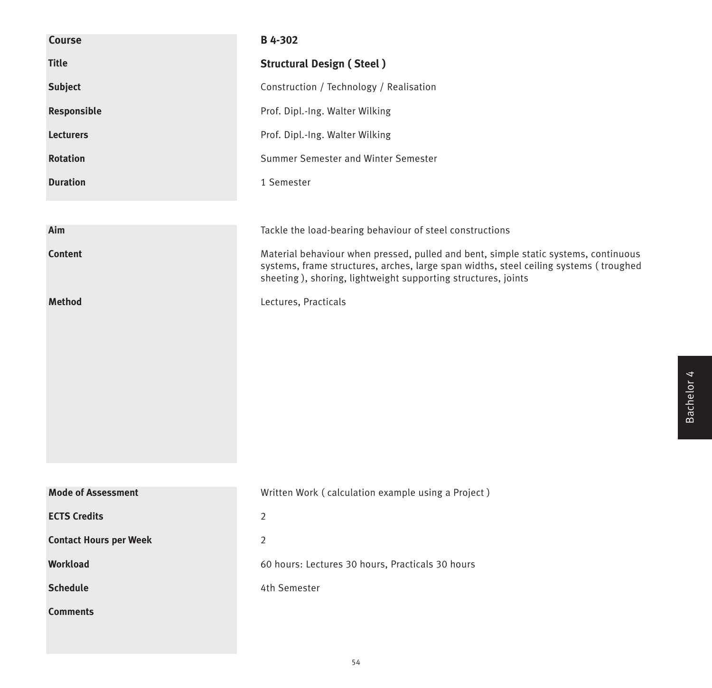| Course                        | B 4-302                                                                                                                                                                                                                                       |
|-------------------------------|-----------------------------------------------------------------------------------------------------------------------------------------------------------------------------------------------------------------------------------------------|
| <b>Title</b>                  | <b>Structural Design (Steel)</b>                                                                                                                                                                                                              |
| <b>Subject</b>                | Construction / Technology / Realisation                                                                                                                                                                                                       |
| Responsible                   | Prof. Dipl.-Ing. Walter Wilking                                                                                                                                                                                                               |
| <b>Lecturers</b>              | Prof. Dipl.-Ing. Walter Wilking                                                                                                                                                                                                               |
| <b>Rotation</b>               | Summer Semester and Winter Semester                                                                                                                                                                                                           |
| <b>Duration</b>               | 1 Semester                                                                                                                                                                                                                                    |
|                               |                                                                                                                                                                                                                                               |
| Aim                           | Tackle the load-bearing behaviour of steel constructions                                                                                                                                                                                      |
| <b>Content</b>                | Material behaviour when pressed, pulled and bent, simple static systems, continuous<br>systems, frame structures, arches, large span widths, steel ceiling systems (troughed<br>sheeting), shoring, lightweight supporting structures, joints |
| <b>Method</b>                 | Lectures, Practicals                                                                                                                                                                                                                          |
| <b>Mode of Assessment</b>     | Written Work (calculation example using a Project)                                                                                                                                                                                            |
| <b>ECTS Credits</b>           | $\overline{2}$                                                                                                                                                                                                                                |
| <b>Contact Hours per Week</b> | $\overline{2}$                                                                                                                                                                                                                                |
| Workload                      | 60 hours: Lectures 30 hours, Practicals 30 hours                                                                                                                                                                                              |
| <b>Schedule</b>               | 4th Semester                                                                                                                                                                                                                                  |
| <b>Comments</b>               |                                                                                                                                                                                                                                               |
|                               |                                                                                                                                                                                                                                               |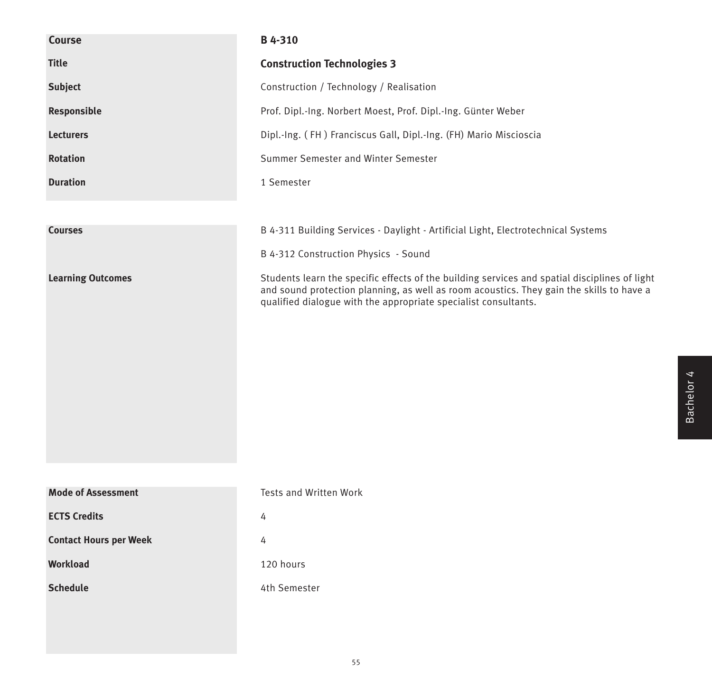| <b>Course</b>                 | B 4-310                                                                                                                                                                                                                                                      |
|-------------------------------|--------------------------------------------------------------------------------------------------------------------------------------------------------------------------------------------------------------------------------------------------------------|
| <b>Title</b>                  | <b>Construction Technologies 3</b>                                                                                                                                                                                                                           |
| <b>Subject</b>                | Construction / Technology / Realisation                                                                                                                                                                                                                      |
| Responsible                   | Prof. Dipl.-Ing. Norbert Moest, Prof. Dipl.-Ing. Günter Weber                                                                                                                                                                                                |
| <b>Lecturers</b>              | Dipl.-Ing. (FH) Franciscus Gall, Dipl.-Ing. (FH) Mario Miscioscia                                                                                                                                                                                            |
| <b>Rotation</b>               | Summer Semester and Winter Semester                                                                                                                                                                                                                          |
| <b>Duration</b>               | 1 Semester                                                                                                                                                                                                                                                   |
|                               |                                                                                                                                                                                                                                                              |
| <b>Courses</b>                | B 4-311 Building Services - Daylight - Artificial Light, Electrotechnical Systems                                                                                                                                                                            |
|                               | B 4-312 Construction Physics - Sound                                                                                                                                                                                                                         |
| <b>Learning Outcomes</b>      | Students learn the specific effects of the building services and spatial disciplines of light<br>and sound protection planning, as well as room acoustics. They gain the skills to have a<br>qualified dialogue with the appropriate specialist consultants. |
| <b>Mode of Assessment</b>     | Tests and Written Work                                                                                                                                                                                                                                       |
| <b>ECTS Credits</b>           | 4                                                                                                                                                                                                                                                            |
| <b>Contact Hours per Week</b> | 4                                                                                                                                                                                                                                                            |
| Workload                      | 120 hours                                                                                                                                                                                                                                                    |
| <b>Schedule</b>               | 4th Semester                                                                                                                                                                                                                                                 |
|                               |                                                                                                                                                                                                                                                              |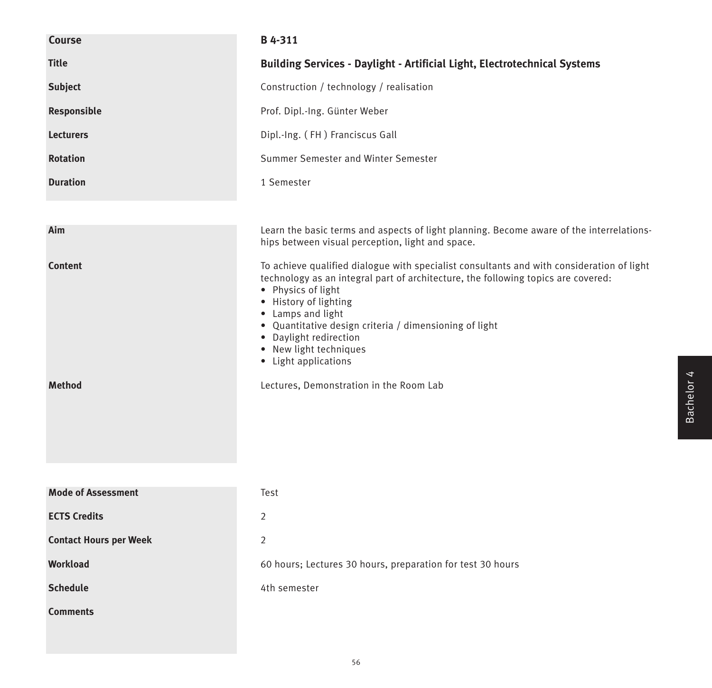| Course                          | B 4-311                                                                                                                                                                                                                                                                                                                                                                                                                             |
|---------------------------------|-------------------------------------------------------------------------------------------------------------------------------------------------------------------------------------------------------------------------------------------------------------------------------------------------------------------------------------------------------------------------------------------------------------------------------------|
| <b>Title</b>                    | <b>Building Services - Daylight - Artificial Light, Electrotechnical Systems</b>                                                                                                                                                                                                                                                                                                                                                    |
| <b>Subject</b>                  | Construction / technology / realisation                                                                                                                                                                                                                                                                                                                                                                                             |
| Responsible                     | Prof. Dipl.-Ing. Günter Weber                                                                                                                                                                                                                                                                                                                                                                                                       |
| <b>Lecturers</b>                | Dipl.-Ing. (FH) Franciscus Gall                                                                                                                                                                                                                                                                                                                                                                                                     |
| <b>Rotation</b>                 | Summer Semester and Winter Semester                                                                                                                                                                                                                                                                                                                                                                                                 |
| <b>Duration</b>                 | 1 Semester                                                                                                                                                                                                                                                                                                                                                                                                                          |
|                                 |                                                                                                                                                                                                                                                                                                                                                                                                                                     |
| Aim                             | Learn the basic terms and aspects of light planning. Become aware of the interrelations-<br>hips between visual perception, light and space.                                                                                                                                                                                                                                                                                        |
| <b>Content</b><br><b>Method</b> | To achieve qualified dialogue with specialist consultants and with consideration of light<br>technology as an integral part of architecture, the following topics are covered:<br>• Physics of light<br>• History of lighting<br>• Lamps and light<br>• Quantitative design criteria / dimensioning of light<br>• Daylight redirection<br>• New light techniques<br>• Light applications<br>Lectures, Demonstration in the Room Lab |
| <b>Mode of Assessment</b>       | Test                                                                                                                                                                                                                                                                                                                                                                                                                                |
| <b>ECTS Credits</b>             | 2                                                                                                                                                                                                                                                                                                                                                                                                                                   |
| <b>Contact Hours per Week</b>   | $\overline{2}$                                                                                                                                                                                                                                                                                                                                                                                                                      |
| <b>Workload</b>                 | 60 hours; Lectures 30 hours, preparation for test 30 hours                                                                                                                                                                                                                                                                                                                                                                          |
| <b>Schedule</b>                 | 4th semester                                                                                                                                                                                                                                                                                                                                                                                                                        |
| <b>Comments</b>                 |                                                                                                                                                                                                                                                                                                                                                                                                                                     |
|                                 |                                                                                                                                                                                                                                                                                                                                                                                                                                     |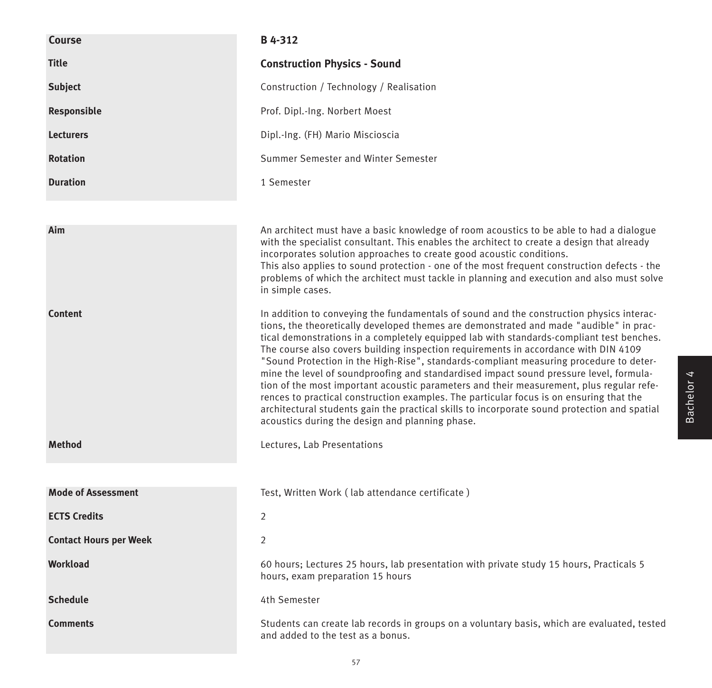| <b>Course</b>                 | B 4-312                                                                                                                                                                                                                                                                                                                                                                                                                                                                                                                                                                                                                                                                                                                                                                                                                                                                                             |
|-------------------------------|-----------------------------------------------------------------------------------------------------------------------------------------------------------------------------------------------------------------------------------------------------------------------------------------------------------------------------------------------------------------------------------------------------------------------------------------------------------------------------------------------------------------------------------------------------------------------------------------------------------------------------------------------------------------------------------------------------------------------------------------------------------------------------------------------------------------------------------------------------------------------------------------------------|
| <b>Title</b>                  | <b>Construction Physics - Sound</b>                                                                                                                                                                                                                                                                                                                                                                                                                                                                                                                                                                                                                                                                                                                                                                                                                                                                 |
| <b>Subject</b>                | Construction / Technology / Realisation                                                                                                                                                                                                                                                                                                                                                                                                                                                                                                                                                                                                                                                                                                                                                                                                                                                             |
| Responsible                   | Prof. Dipl.-Ing. Norbert Moest                                                                                                                                                                                                                                                                                                                                                                                                                                                                                                                                                                                                                                                                                                                                                                                                                                                                      |
| <b>Lecturers</b>              | Dipl.-Ing. (FH) Mario Miscioscia                                                                                                                                                                                                                                                                                                                                                                                                                                                                                                                                                                                                                                                                                                                                                                                                                                                                    |
| <b>Rotation</b>               | Summer Semester and Winter Semester                                                                                                                                                                                                                                                                                                                                                                                                                                                                                                                                                                                                                                                                                                                                                                                                                                                                 |
| <b>Duration</b>               | 1 Semester                                                                                                                                                                                                                                                                                                                                                                                                                                                                                                                                                                                                                                                                                                                                                                                                                                                                                          |
|                               |                                                                                                                                                                                                                                                                                                                                                                                                                                                                                                                                                                                                                                                                                                                                                                                                                                                                                                     |
| Aim                           | An architect must have a basic knowledge of room acoustics to be able to had a dialogue<br>with the specialist consultant. This enables the architect to create a design that already<br>incorporates solution approaches to create good acoustic conditions.<br>This also applies to sound protection - one of the most frequent construction defects - the<br>problems of which the architect must tackle in planning and execution and also must solve<br>in simple cases.                                                                                                                                                                                                                                                                                                                                                                                                                       |
| <b>Content</b>                | In addition to conveying the fundamentals of sound and the construction physics interac-<br>tions, the theoretically developed themes are demonstrated and made "audible" in prac-<br>tical demonstrations in a completely equipped lab with standards-compliant test benches.<br>The course also covers building inspection requirements in accordance with DIN 4109<br>"Sound Protection in the High-Rise", standards-compliant measuring procedure to deter-<br>mine the level of soundproofing and standardised impact sound pressure level, formula-<br>tion of the most important acoustic parameters and their measurement, plus regular refe-<br>rences to practical construction examples. The particular focus is on ensuring that the<br>architectural students gain the practical skills to incorporate sound protection and spatial<br>acoustics during the design and planning phase. |
| <b>Method</b>                 | Lectures, Lab Presentations                                                                                                                                                                                                                                                                                                                                                                                                                                                                                                                                                                                                                                                                                                                                                                                                                                                                         |
|                               |                                                                                                                                                                                                                                                                                                                                                                                                                                                                                                                                                                                                                                                                                                                                                                                                                                                                                                     |
| <b>Mode of Assessment</b>     | Test, Written Work (lab attendance certificate)                                                                                                                                                                                                                                                                                                                                                                                                                                                                                                                                                                                                                                                                                                                                                                                                                                                     |
| <b>ECTS Credits</b>           | $\overline{2}$                                                                                                                                                                                                                                                                                                                                                                                                                                                                                                                                                                                                                                                                                                                                                                                                                                                                                      |
| <b>Contact Hours per Week</b> | 2                                                                                                                                                                                                                                                                                                                                                                                                                                                                                                                                                                                                                                                                                                                                                                                                                                                                                                   |
| <b>Workload</b>               | 60 hours; Lectures 25 hours, lab presentation with private study 15 hours, Practicals 5<br>hours, exam preparation 15 hours                                                                                                                                                                                                                                                                                                                                                                                                                                                                                                                                                                                                                                                                                                                                                                         |
| <b>Schedule</b>               | 4th Semester                                                                                                                                                                                                                                                                                                                                                                                                                                                                                                                                                                                                                                                                                                                                                                                                                                                                                        |
| <b>Comments</b>               | Students can create lab records in groups on a voluntary basis, which are evaluated, tested<br>and added to the test as a bonus.                                                                                                                                                                                                                                                                                                                                                                                                                                                                                                                                                                                                                                                                                                                                                                    |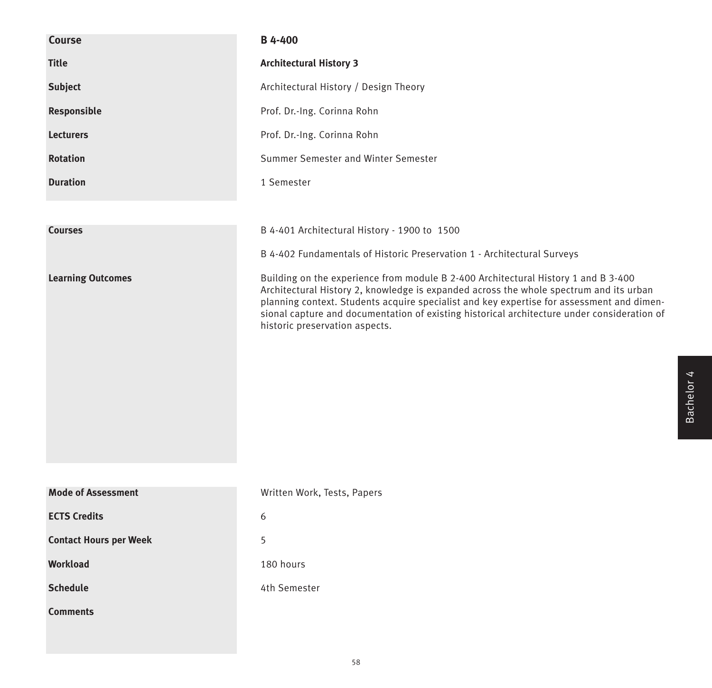| Course                        | <b>B</b> 4-400                                                                                                                                                                                                                                                                                                                                                                                             |
|-------------------------------|------------------------------------------------------------------------------------------------------------------------------------------------------------------------------------------------------------------------------------------------------------------------------------------------------------------------------------------------------------------------------------------------------------|
| <b>Title</b>                  | <b>Architectural History 3</b>                                                                                                                                                                                                                                                                                                                                                                             |
| <b>Subject</b>                | Architectural History / Design Theory                                                                                                                                                                                                                                                                                                                                                                      |
| Responsible                   | Prof. Dr.-Ing. Corinna Rohn                                                                                                                                                                                                                                                                                                                                                                                |
| <b>Lecturers</b>              | Prof. Dr.-Ing. Corinna Rohn                                                                                                                                                                                                                                                                                                                                                                                |
| <b>Rotation</b>               | Summer Semester and Winter Semester                                                                                                                                                                                                                                                                                                                                                                        |
| <b>Duration</b>               | 1 Semester                                                                                                                                                                                                                                                                                                                                                                                                 |
|                               |                                                                                                                                                                                                                                                                                                                                                                                                            |
| <b>Courses</b>                | B 4-401 Architectural History - 1900 to 1500                                                                                                                                                                                                                                                                                                                                                               |
|                               | B 4-402 Fundamentals of Historic Preservation 1 - Architectural Surveys                                                                                                                                                                                                                                                                                                                                    |
| <b>Learning Outcomes</b>      | Building on the experience from module B 2-400 Architectural History 1 and B 3-400<br>Architectural History 2, knowledge is expanded across the whole spectrum and its urban<br>planning context. Students acquire specialist and key expertise for assessment and dimen-<br>sional capture and documentation of existing historical architecture under consideration of<br>historic preservation aspects. |
| <b>Mode of Assessment</b>     | Written Work, Tests, Papers                                                                                                                                                                                                                                                                                                                                                                                |
| <b>ECTS Credits</b>           | 6                                                                                                                                                                                                                                                                                                                                                                                                          |
| <b>Contact Hours per Week</b> | 5                                                                                                                                                                                                                                                                                                                                                                                                          |
| <b>Workload</b>               | 180 hours                                                                                                                                                                                                                                                                                                                                                                                                  |
| <b>Schedule</b>               | 4th Semester                                                                                                                                                                                                                                                                                                                                                                                               |
| <b>Comments</b>               |                                                                                                                                                                                                                                                                                                                                                                                                            |
|                               |                                                                                                                                                                                                                                                                                                                                                                                                            |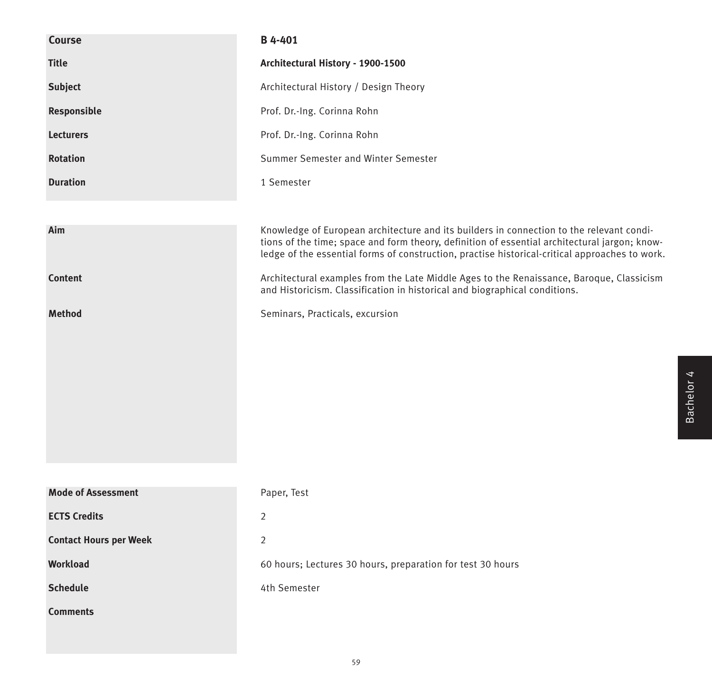| <b>Course</b>                 | B 4-401                                                                                                                                                                                                                                                                                     |
|-------------------------------|---------------------------------------------------------------------------------------------------------------------------------------------------------------------------------------------------------------------------------------------------------------------------------------------|
| <b>Title</b>                  | Architectural History - 1900-1500                                                                                                                                                                                                                                                           |
| <b>Subject</b>                | Architectural History / Design Theory                                                                                                                                                                                                                                                       |
| Responsible                   | Prof. Dr.-Ing. Corinna Rohn                                                                                                                                                                                                                                                                 |
| <b>Lecturers</b>              | Prof. Dr.-Ing. Corinna Rohn                                                                                                                                                                                                                                                                 |
| <b>Rotation</b>               | Summer Semester and Winter Semester                                                                                                                                                                                                                                                         |
| <b>Duration</b>               | 1 Semester                                                                                                                                                                                                                                                                                  |
|                               |                                                                                                                                                                                                                                                                                             |
| Aim                           | Knowledge of European architecture and its builders in connection to the relevant condi-<br>tions of the time; space and form theory, definition of essential architectural jargon; know-<br>ledge of the essential forms of construction, practise historical-critical approaches to work. |
| <b>Content</b>                | Architectural examples from the Late Middle Ages to the Renaissance, Baroque, Classicism<br>and Historicism. Classification in historical and biographical conditions.                                                                                                                      |
| <b>Method</b>                 | Seminars, Practicals, excursion                                                                                                                                                                                                                                                             |
|                               |                                                                                                                                                                                                                                                                                             |
|                               |                                                                                                                                                                                                                                                                                             |
|                               |                                                                                                                                                                                                                                                                                             |
|                               |                                                                                                                                                                                                                                                                                             |
|                               |                                                                                                                                                                                                                                                                                             |
|                               |                                                                                                                                                                                                                                                                                             |
|                               |                                                                                                                                                                                                                                                                                             |
| <b>Mode of Assessment</b>     | Paper, Test                                                                                                                                                                                                                                                                                 |
| <b>ECTS Credits</b>           | $\overline{2}$                                                                                                                                                                                                                                                                              |
| <b>Contact Hours per Week</b> | $\overline{2}$                                                                                                                                                                                                                                                                              |
| Workload                      | 60 hours; Lectures 30 hours, preparation for test 30 hours                                                                                                                                                                                                                                  |
| <b>Schedule</b>               | 4th Semester                                                                                                                                                                                                                                                                                |
| <b>Comments</b>               |                                                                                                                                                                                                                                                                                             |
|                               |                                                                                                                                                                                                                                                                                             |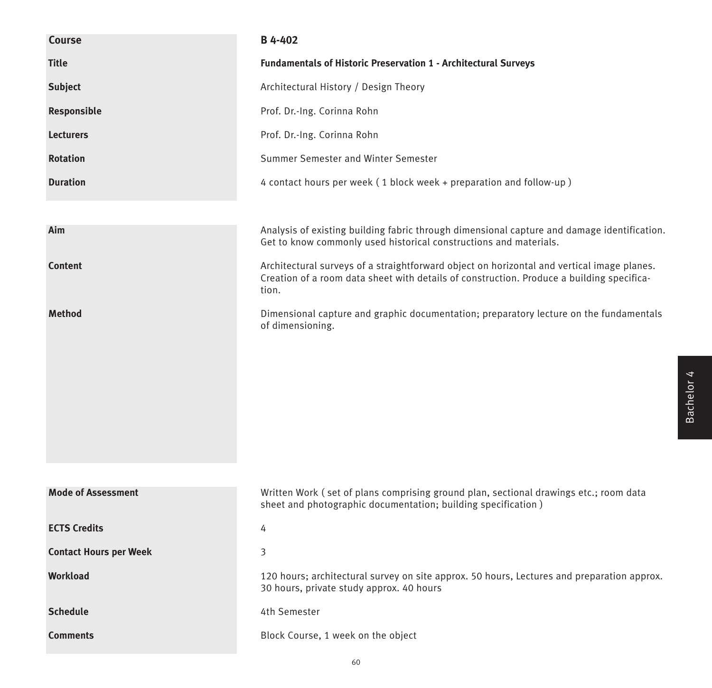| Course                        | <b>B</b> 4-402                                                                                                                                                                                   |
|-------------------------------|--------------------------------------------------------------------------------------------------------------------------------------------------------------------------------------------------|
| <b>Title</b>                  | <b>Fundamentals of Historic Preservation 1 - Architectural Surveys</b>                                                                                                                           |
| <b>Subject</b>                | Architectural History / Design Theory                                                                                                                                                            |
| Responsible                   | Prof. Dr.-Ing. Corinna Rohn                                                                                                                                                                      |
| <b>Lecturers</b>              | Prof. Dr.-Ing. Corinna Rohn                                                                                                                                                                      |
| <b>Rotation</b>               | Summer Semester and Winter Semester                                                                                                                                                              |
| <b>Duration</b>               | 4 contact hours per week (1 block week + preparation and follow-up)                                                                                                                              |
|                               |                                                                                                                                                                                                  |
| Aim                           | Analysis of existing building fabric through dimensional capture and damage identification.<br>Get to know commonly used historical constructions and materials.                                 |
| <b>Content</b>                | Architectural surveys of a straightforward object on horizontal and vertical image planes.<br>Creation of a room data sheet with details of construction. Produce a building specifica-<br>tion. |
| <b>Method</b>                 | Dimensional capture and graphic documentation; preparatory lecture on the fundamentals<br>of dimensioning.                                                                                       |
|                               |                                                                                                                                                                                                  |
|                               |                                                                                                                                                                                                  |
|                               |                                                                                                                                                                                                  |
|                               |                                                                                                                                                                                                  |
|                               |                                                                                                                                                                                                  |
| <b>Mode of Assessment</b>     | Written Work (set of plans comprising ground plan, sectional drawings etc.; room data<br>sheet and photographic documentation; building specification)                                           |
| <b>ECTS Credits</b>           | 4                                                                                                                                                                                                |
| <b>Contact Hours per Week</b> | 3                                                                                                                                                                                                |
| Workload                      | 120 hours; architectural survey on site approx. 50 hours, Lectures and preparation approx.<br>30 hours, private study approx. 40 hours                                                           |
| <b>Schedule</b>               | 4th Semester                                                                                                                                                                                     |
| <b>Comments</b>               | Block Course, 1 week on the object                                                                                                                                                               |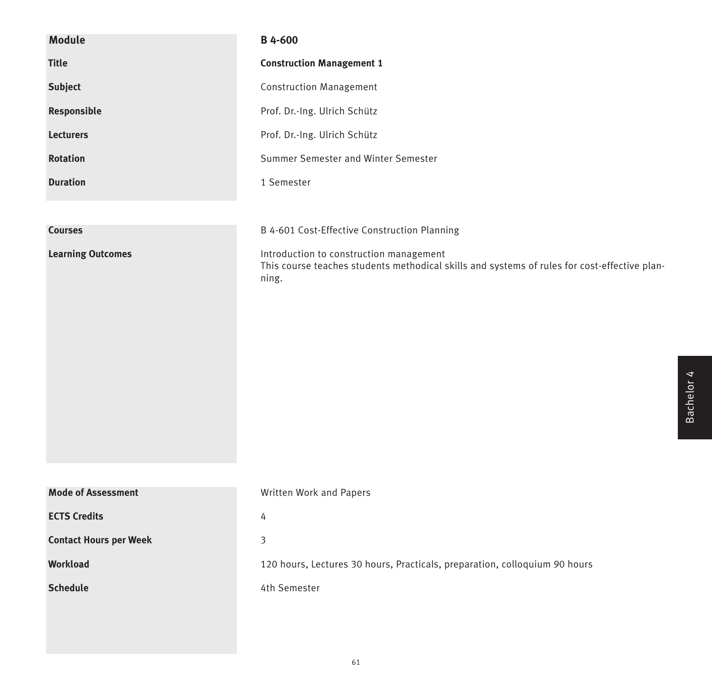| <b>Module</b>                 | B 4-600                                                                                                                                          |
|-------------------------------|--------------------------------------------------------------------------------------------------------------------------------------------------|
| <b>Title</b>                  | <b>Construction Management 1</b>                                                                                                                 |
| <b>Subject</b>                | <b>Construction Management</b>                                                                                                                   |
| Responsible                   | Prof. Dr.-Ing. Ulrich Schütz                                                                                                                     |
| <b>Lecturers</b>              | Prof. Dr.-Ing. Ulrich Schütz                                                                                                                     |
| <b>Rotation</b>               | Summer Semester and Winter Semester                                                                                                              |
| <b>Duration</b>               | 1 Semester                                                                                                                                       |
|                               |                                                                                                                                                  |
| <b>Courses</b>                | B 4-601 Cost-Effective Construction Planning                                                                                                     |
| <b>Learning Outcomes</b>      | Introduction to construction management<br>This course teaches students methodical skills and systems of rules for cost-effective plan-<br>ning. |
| <b>Mode of Assessment</b>     | Written Work and Papers                                                                                                                          |
| <b>ECTS Credits</b>           | 4                                                                                                                                                |
| <b>Contact Hours per Week</b> | $\mathfrak{Z}$                                                                                                                                   |
| Workload                      | 120 hours, Lectures 30 hours, Practicals, preparation, colloquium 90 hours                                                                       |
| <b>Schedule</b>               | 4th Semester                                                                                                                                     |
|                               |                                                                                                                                                  |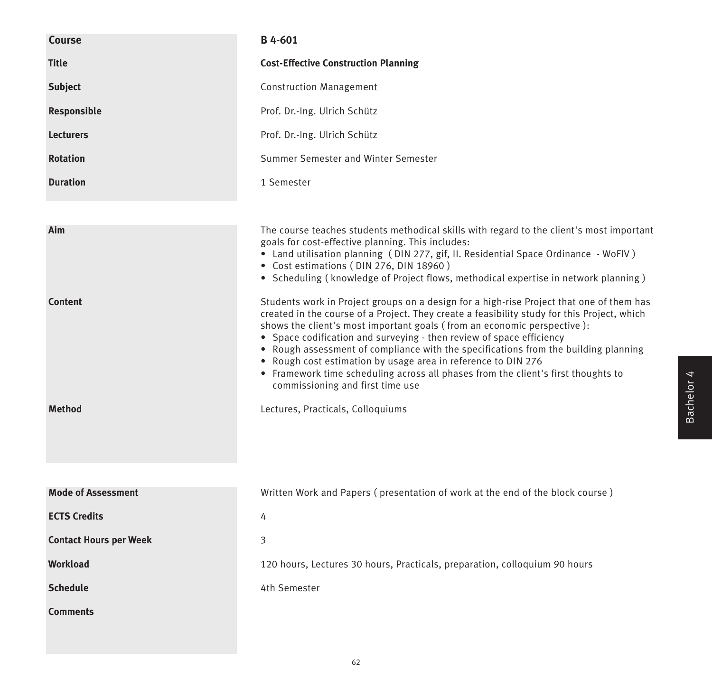| <b>Course</b>                 | B 4-601                                                                                                                                                                                                                                                                                                                                                                                                                                                                                                                         |
|-------------------------------|---------------------------------------------------------------------------------------------------------------------------------------------------------------------------------------------------------------------------------------------------------------------------------------------------------------------------------------------------------------------------------------------------------------------------------------------------------------------------------------------------------------------------------|
| <b>Title</b>                  | <b>Cost-Effective Construction Planning</b>                                                                                                                                                                                                                                                                                                                                                                                                                                                                                     |
| <b>Subject</b>                | <b>Construction Management</b>                                                                                                                                                                                                                                                                                                                                                                                                                                                                                                  |
| Responsible                   | Prof. Dr.-Ing. Ulrich Schütz                                                                                                                                                                                                                                                                                                                                                                                                                                                                                                    |
| <b>Lecturers</b>              | Prof. Dr.-Ing. Ulrich Schütz                                                                                                                                                                                                                                                                                                                                                                                                                                                                                                    |
| <b>Rotation</b>               | Summer Semester and Winter Semester                                                                                                                                                                                                                                                                                                                                                                                                                                                                                             |
| <b>Duration</b>               | 1 Semester                                                                                                                                                                                                                                                                                                                                                                                                                                                                                                                      |
|                               |                                                                                                                                                                                                                                                                                                                                                                                                                                                                                                                                 |
| Aim<br><b>Content</b>         | The course teaches students methodical skills with regard to the client's most important<br>goals for cost-effective planning. This includes:<br>• Land utilisation planning (DIN 277, gif, II. Residential Space Ordinance - WoFlV)<br>• Cost estimations (DIN 276, DIN 18960)<br>• Scheduling (knowledge of Project flows, methodical expertise in network planning)<br>Students work in Project groups on a design for a high-rise Project that one of them has                                                              |
|                               | created in the course of a Project. They create a feasibility study for this Project, which<br>shows the client's most important goals (from an economic perspective):<br>• Space codification and surveying - then review of space efficiency<br>• Rough assessment of compliance with the specifications from the building planning<br>• Rough cost estimation by usage area in reference to DIN 276<br>• Framework time scheduling across all phases from the client's first thoughts to<br>commissioning and first time use |
| <b>Method</b>                 | Lectures, Practicals, Colloquiums                                                                                                                                                                                                                                                                                                                                                                                                                                                                                               |
| <b>Mode of Assessment</b>     | Written Work and Papers (presentation of work at the end of the block course)                                                                                                                                                                                                                                                                                                                                                                                                                                                   |
| <b>ECTS Credits</b>           | 4                                                                                                                                                                                                                                                                                                                                                                                                                                                                                                                               |
| <b>Contact Hours per Week</b> | 3                                                                                                                                                                                                                                                                                                                                                                                                                                                                                                                               |
| Workload                      | 120 hours, Lectures 30 hours, Practicals, preparation, colloquium 90 hours                                                                                                                                                                                                                                                                                                                                                                                                                                                      |
| <b>Schedule</b>               | 4th Semester                                                                                                                                                                                                                                                                                                                                                                                                                                                                                                                    |
| <b>Comments</b>               |                                                                                                                                                                                                                                                                                                                                                                                                                                                                                                                                 |
|                               |                                                                                                                                                                                                                                                                                                                                                                                                                                                                                                                                 |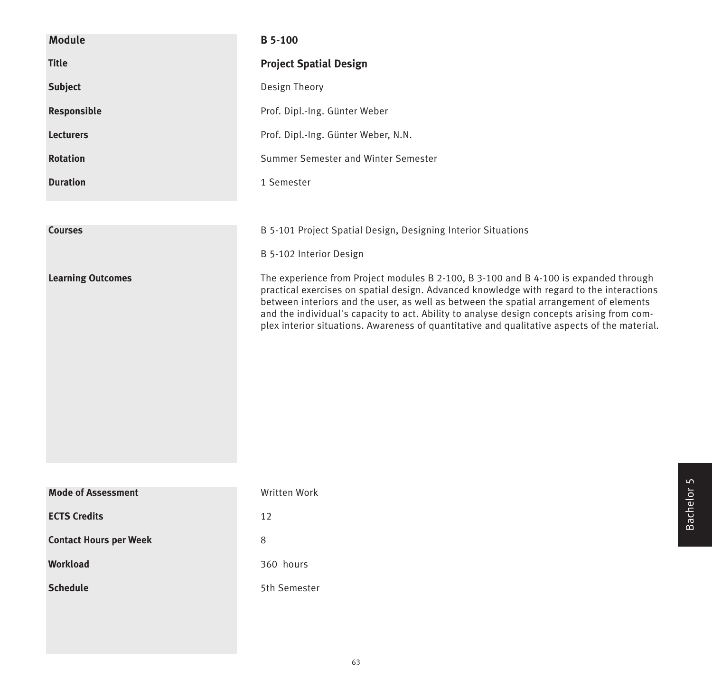| <b>Module</b>                 | <b>B</b> 5-100                                                                                                                                                                                                                                                                                                                                                                                                                                                            |
|-------------------------------|---------------------------------------------------------------------------------------------------------------------------------------------------------------------------------------------------------------------------------------------------------------------------------------------------------------------------------------------------------------------------------------------------------------------------------------------------------------------------|
| <b>Title</b>                  | <b>Project Spatial Design</b>                                                                                                                                                                                                                                                                                                                                                                                                                                             |
| <b>Subject</b>                | Design Theory                                                                                                                                                                                                                                                                                                                                                                                                                                                             |
| Responsible                   | Prof. Dipl.-Ing. Günter Weber                                                                                                                                                                                                                                                                                                                                                                                                                                             |
| <b>Lecturers</b>              | Prof. Dipl.-Ing. Günter Weber, N.N.                                                                                                                                                                                                                                                                                                                                                                                                                                       |
| <b>Rotation</b>               | Summer Semester and Winter Semester                                                                                                                                                                                                                                                                                                                                                                                                                                       |
| <b>Duration</b>               | 1 Semester                                                                                                                                                                                                                                                                                                                                                                                                                                                                |
|                               |                                                                                                                                                                                                                                                                                                                                                                                                                                                                           |
| <b>Courses</b>                | B 5-101 Project Spatial Design, Designing Interior Situations                                                                                                                                                                                                                                                                                                                                                                                                             |
|                               | B 5-102 Interior Design                                                                                                                                                                                                                                                                                                                                                                                                                                                   |
| <b>Learning Outcomes</b>      | The experience from Project modules B 2-100, B 3-100 and B 4-100 is expanded through<br>practical exercises on spatial design. Advanced knowledge with regard to the interactions<br>between interiors and the user, as well as between the spatial arrangement of elements<br>and the individual's capacity to act. Ability to analyse design concepts arising from com-<br>plex interior situations. Awareness of quantitative and qualitative aspects of the material. |
| <b>Mode of Assessment</b>     | Written Work                                                                                                                                                                                                                                                                                                                                                                                                                                                              |
| <b>ECTS Credits</b>           | 12                                                                                                                                                                                                                                                                                                                                                                                                                                                                        |
| <b>Contact Hours per Week</b> | 8                                                                                                                                                                                                                                                                                                                                                                                                                                                                         |
| <b>Workload</b>               | 360 hours                                                                                                                                                                                                                                                                                                                                                                                                                                                                 |
| <b>Schedule</b>               | 5th Semester                                                                                                                                                                                                                                                                                                                                                                                                                                                              |
|                               |                                                                                                                                                                                                                                                                                                                                                                                                                                                                           |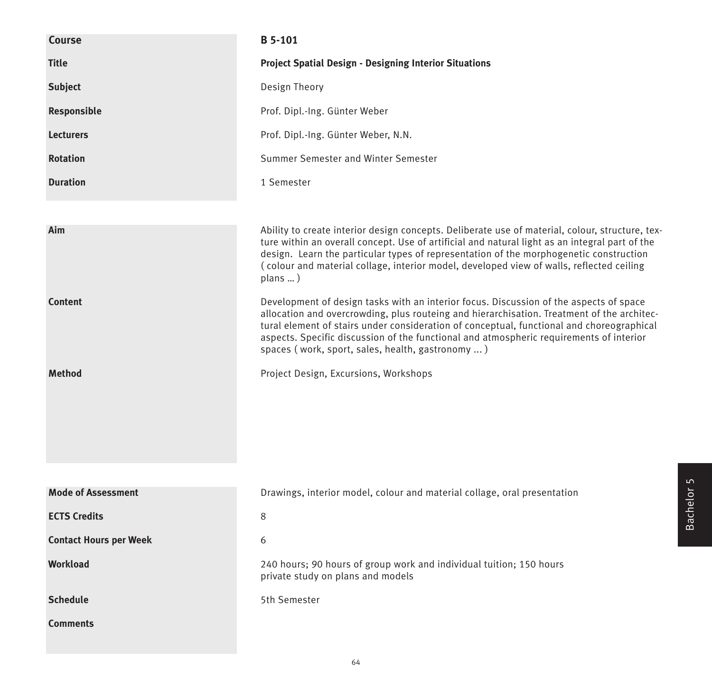| Course                        | B 5-101                                                                                                                                                                                                                                                                                                                                                                                                                          |
|-------------------------------|----------------------------------------------------------------------------------------------------------------------------------------------------------------------------------------------------------------------------------------------------------------------------------------------------------------------------------------------------------------------------------------------------------------------------------|
| <b>Title</b>                  | <b>Project Spatial Design - Designing Interior Situations</b>                                                                                                                                                                                                                                                                                                                                                                    |
| <b>Subject</b>                | Design Theory                                                                                                                                                                                                                                                                                                                                                                                                                    |
| Responsible                   | Prof. Dipl.-Ing. Günter Weber                                                                                                                                                                                                                                                                                                                                                                                                    |
| <b>Lecturers</b>              | Prof. Dipl.-Ing. Günter Weber, N.N.                                                                                                                                                                                                                                                                                                                                                                                              |
| <b>Rotation</b>               | Summer Semester and Winter Semester                                                                                                                                                                                                                                                                                                                                                                                              |
| <b>Duration</b>               | 1 Semester                                                                                                                                                                                                                                                                                                                                                                                                                       |
|                               |                                                                                                                                                                                                                                                                                                                                                                                                                                  |
| Aim                           | Ability to create interior design concepts. Deliberate use of material, colour, structure, tex-<br>ture within an overall concept. Use of artificial and natural light as an integral part of the<br>design. Learn the particular types of representation of the morphogenetic construction<br>(colour and material collage, interior model, developed view of walls, reflected ceiling<br>plans )                               |
| <b>Content</b>                | Development of design tasks with an interior focus. Discussion of the aspects of space<br>allocation and overcrowding, plus routeing and hierarchisation. Treatment of the architec-<br>tural element of stairs under consideration of conceptual, functional and choreographical<br>aspects. Specific discussion of the functional and atmospheric requirements of interior<br>spaces (work, sport, sales, health, gastronomy ) |
| <b>Method</b>                 | Project Design, Excursions, Workshops                                                                                                                                                                                                                                                                                                                                                                                            |
|                               |                                                                                                                                                                                                                                                                                                                                                                                                                                  |
| <b>Mode of Assessment</b>     | Drawings, interior model, colour and material collage, oral presentation                                                                                                                                                                                                                                                                                                                                                         |
| <b>ECTS Credits</b>           | 8                                                                                                                                                                                                                                                                                                                                                                                                                                |
| <b>Contact Hours per Week</b> | 6                                                                                                                                                                                                                                                                                                                                                                                                                                |
| Workload                      | 240 hours; 90 hours of group work and individual tuition; 150 hours<br>private study on plans and models                                                                                                                                                                                                                                                                                                                         |
| <b>Schedule</b>               | 5th Semester                                                                                                                                                                                                                                                                                                                                                                                                                     |
| <b>Comments</b>               |                                                                                                                                                                                                                                                                                                                                                                                                                                  |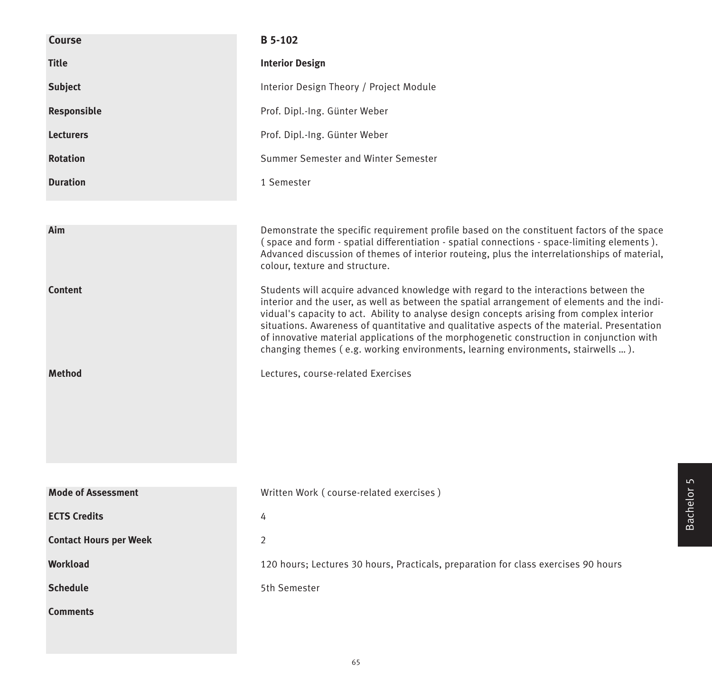| <b>Course</b>                 | B 5-102                                                                                                                                                                                                                                                                                                                                                                                                                                                                                                                                                           |
|-------------------------------|-------------------------------------------------------------------------------------------------------------------------------------------------------------------------------------------------------------------------------------------------------------------------------------------------------------------------------------------------------------------------------------------------------------------------------------------------------------------------------------------------------------------------------------------------------------------|
| <b>Title</b>                  | <b>Interior Design</b>                                                                                                                                                                                                                                                                                                                                                                                                                                                                                                                                            |
| <b>Subject</b>                | Interior Design Theory / Project Module                                                                                                                                                                                                                                                                                                                                                                                                                                                                                                                           |
| Responsible                   | Prof. Dipl.-Ing. Günter Weber                                                                                                                                                                                                                                                                                                                                                                                                                                                                                                                                     |
| <b>Lecturers</b>              | Prof. Dipl.-Ing. Günter Weber                                                                                                                                                                                                                                                                                                                                                                                                                                                                                                                                     |
| <b>Rotation</b>               | Summer Semester and Winter Semester                                                                                                                                                                                                                                                                                                                                                                                                                                                                                                                               |
| <b>Duration</b>               | 1 Semester                                                                                                                                                                                                                                                                                                                                                                                                                                                                                                                                                        |
|                               |                                                                                                                                                                                                                                                                                                                                                                                                                                                                                                                                                                   |
| Aim                           | Demonstrate the specific requirement profile based on the constituent factors of the space<br>(space and form - spatial differentiation - spatial connections - space-limiting elements).<br>Advanced discussion of themes of interior routeing, plus the interrelationships of material,<br>colour, texture and structure.                                                                                                                                                                                                                                       |
| <b>Content</b>                | Students will acquire advanced knowledge with regard to the interactions between the<br>interior and the user, as well as between the spatial arrangement of elements and the indi-<br>vidual's capacity to act. Ability to analyse design concepts arising from complex interior<br>situations. Awareness of quantitative and qualitative aspects of the material. Presentation<br>of innovative material applications of the morphogenetic construction in conjunction with<br>changing themes (e.g. working environments, learning environments, stairwells ). |
| <b>Method</b>                 | Lectures, course-related Exercises                                                                                                                                                                                                                                                                                                                                                                                                                                                                                                                                |
|                               |                                                                                                                                                                                                                                                                                                                                                                                                                                                                                                                                                                   |
| <b>Mode of Assessment</b>     | Written Work (course-related exercises)                                                                                                                                                                                                                                                                                                                                                                                                                                                                                                                           |
| <b>ECTS Credits</b>           | 4                                                                                                                                                                                                                                                                                                                                                                                                                                                                                                                                                                 |
| <b>Contact Hours per Week</b> | $\overline{2}$                                                                                                                                                                                                                                                                                                                                                                                                                                                                                                                                                    |
| <b>Workload</b>               | 120 hours; Lectures 30 hours, Practicals, preparation for class exercises 90 hours                                                                                                                                                                                                                                                                                                                                                                                                                                                                                |
| <b>Schedule</b>               | 5th Semester                                                                                                                                                                                                                                                                                                                                                                                                                                                                                                                                                      |
| <b>Comments</b>               |                                                                                                                                                                                                                                                                                                                                                                                                                                                                                                                                                                   |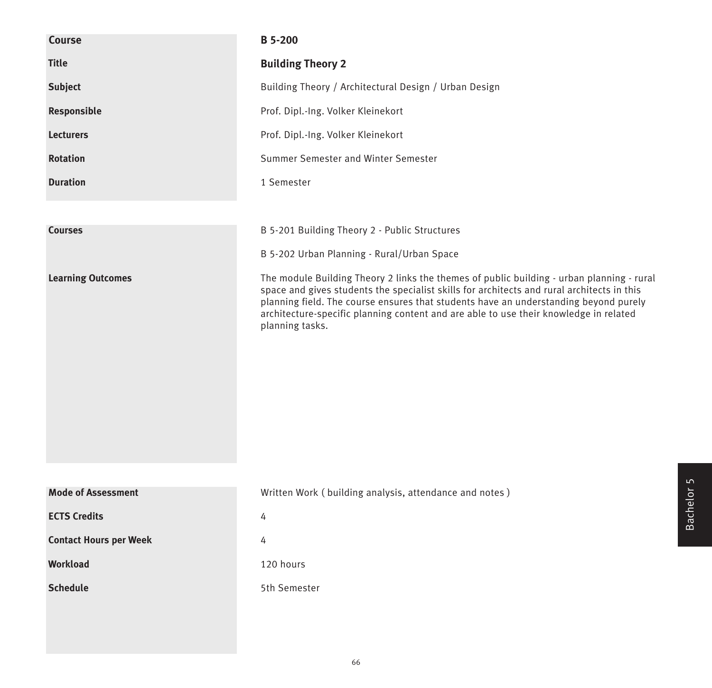| Course                        | <b>B</b> 5-200                                                                                                                                                                                                                                                                                                                                                                              |
|-------------------------------|---------------------------------------------------------------------------------------------------------------------------------------------------------------------------------------------------------------------------------------------------------------------------------------------------------------------------------------------------------------------------------------------|
| <b>Title</b>                  | <b>Building Theory 2</b>                                                                                                                                                                                                                                                                                                                                                                    |
| <b>Subject</b>                | Building Theory / Architectural Design / Urban Design                                                                                                                                                                                                                                                                                                                                       |
| Responsible                   | Prof. Dipl.-Ing. Volker Kleinekort                                                                                                                                                                                                                                                                                                                                                          |
| <b>Lecturers</b>              | Prof. Dipl.-Ing. Volker Kleinekort                                                                                                                                                                                                                                                                                                                                                          |
| <b>Rotation</b>               | Summer Semester and Winter Semester                                                                                                                                                                                                                                                                                                                                                         |
| <b>Duration</b>               | 1 Semester                                                                                                                                                                                                                                                                                                                                                                                  |
|                               |                                                                                                                                                                                                                                                                                                                                                                                             |
| <b>Courses</b>                | B 5-201 Building Theory 2 - Public Structures                                                                                                                                                                                                                                                                                                                                               |
|                               | B 5-202 Urban Planning - Rural/Urban Space                                                                                                                                                                                                                                                                                                                                                  |
| <b>Learning Outcomes</b>      | The module Building Theory 2 links the themes of public building - urban planning - rural<br>space and gives students the specialist skills for architects and rural architects in this<br>planning field. The course ensures that students have an understanding beyond purely<br>architecture-specific planning content and are able to use their knowledge in related<br>planning tasks. |
| <b>Mode of Assessment</b>     | Written Work (building analysis, attendance and notes)                                                                                                                                                                                                                                                                                                                                      |
| <b>ECTS Credits</b>           | 4                                                                                                                                                                                                                                                                                                                                                                                           |
| <b>Contact Hours per Week</b> | 4                                                                                                                                                                                                                                                                                                                                                                                           |
| Workload                      | 120 hours                                                                                                                                                                                                                                                                                                                                                                                   |
| <b>Schedule</b>               | 5th Semester                                                                                                                                                                                                                                                                                                                                                                                |
|                               |                                                                                                                                                                                                                                                                                                                                                                                             |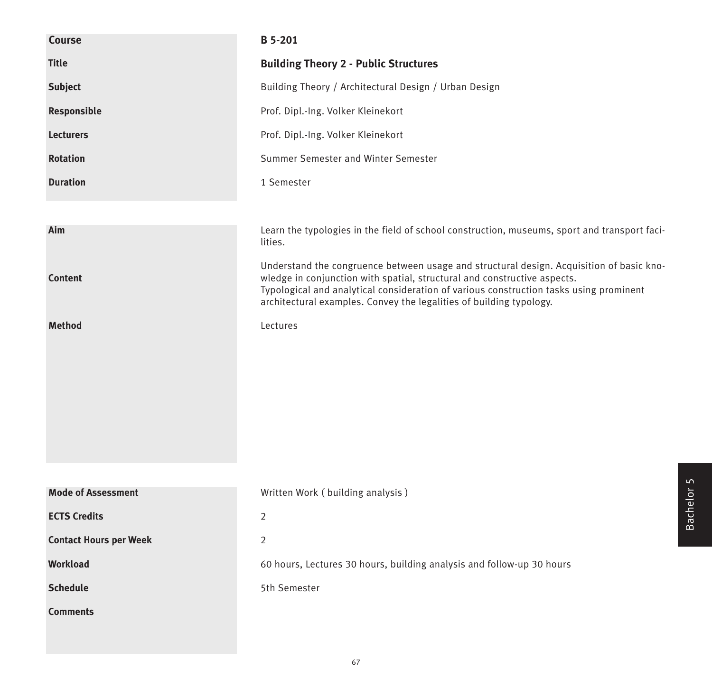| <b>Course</b>                 | <b>B</b> 5-201                                                                                                                                                                                                                                                                                                                        |
|-------------------------------|---------------------------------------------------------------------------------------------------------------------------------------------------------------------------------------------------------------------------------------------------------------------------------------------------------------------------------------|
| <b>Title</b>                  | <b>Building Theory 2 - Public Structures</b>                                                                                                                                                                                                                                                                                          |
| <b>Subject</b>                | Building Theory / Architectural Design / Urban Design                                                                                                                                                                                                                                                                                 |
| Responsible                   | Prof. Dipl.-Ing. Volker Kleinekort                                                                                                                                                                                                                                                                                                    |
| <b>Lecturers</b>              | Prof. Dipl.-Ing. Volker Kleinekort                                                                                                                                                                                                                                                                                                    |
| <b>Rotation</b>               | Summer Semester and Winter Semester                                                                                                                                                                                                                                                                                                   |
| <b>Duration</b>               | 1 Semester                                                                                                                                                                                                                                                                                                                            |
|                               |                                                                                                                                                                                                                                                                                                                                       |
| Aim                           | Learn the typologies in the field of school construction, museums, sport and transport faci-<br>lities.                                                                                                                                                                                                                               |
| <b>Content</b>                | Understand the congruence between usage and structural design. Acquisition of basic kno-<br>wledge in conjunction with spatial, structural and constructive aspects.<br>Typological and analytical consideration of various construction tasks using prominent<br>architectural examples. Convey the legalities of building typology. |
| <b>Method</b>                 | Lectures                                                                                                                                                                                                                                                                                                                              |
|                               |                                                                                                                                                                                                                                                                                                                                       |
|                               |                                                                                                                                                                                                                                                                                                                                       |
|                               |                                                                                                                                                                                                                                                                                                                                       |
|                               |                                                                                                                                                                                                                                                                                                                                       |
|                               |                                                                                                                                                                                                                                                                                                                                       |
|                               |                                                                                                                                                                                                                                                                                                                                       |
| <b>Mode of Assessment</b>     | Written Work (building analysis)                                                                                                                                                                                                                                                                                                      |
| <b>ECTS Credits</b>           | $\overline{2}$                                                                                                                                                                                                                                                                                                                        |
| <b>Contact Hours per Week</b> | $\overline{2}$                                                                                                                                                                                                                                                                                                                        |
| <b>Workload</b>               | 60 hours, Lectures 30 hours, building analysis and follow-up 30 hours                                                                                                                                                                                                                                                                 |
| <b>Schedule</b>               | 5th Semester                                                                                                                                                                                                                                                                                                                          |
| <b>Comments</b>               |                                                                                                                                                                                                                                                                                                                                       |
|                               |                                                                                                                                                                                                                                                                                                                                       |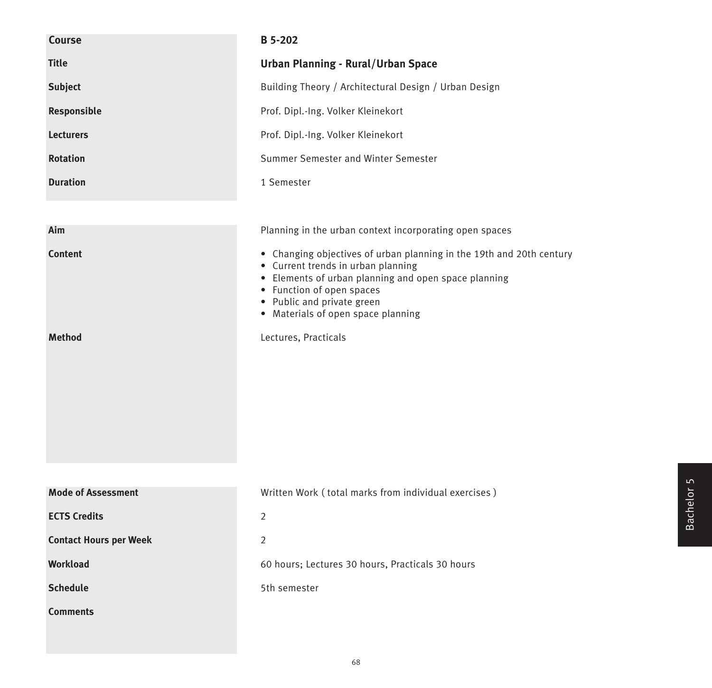| <b>Course</b>                   | <b>B</b> 5-202                                                                                                                                                                                                                                                                              |
|---------------------------------|---------------------------------------------------------------------------------------------------------------------------------------------------------------------------------------------------------------------------------------------------------------------------------------------|
| <b>Title</b>                    | <b>Urban Planning - Rural/Urban Space</b>                                                                                                                                                                                                                                                   |
| <b>Subject</b>                  | Building Theory / Architectural Design / Urban Design                                                                                                                                                                                                                                       |
| Responsible                     | Prof. Dipl.-Ing. Volker Kleinekort                                                                                                                                                                                                                                                          |
| <b>Lecturers</b>                | Prof. Dipl.-Ing. Volker Kleinekort                                                                                                                                                                                                                                                          |
| <b>Rotation</b>                 | Summer Semester and Winter Semester                                                                                                                                                                                                                                                         |
| <b>Duration</b>                 | 1 Semester                                                                                                                                                                                                                                                                                  |
|                                 |                                                                                                                                                                                                                                                                                             |
| Aim                             | Planning in the urban context incorporating open spaces                                                                                                                                                                                                                                     |
| <b>Content</b><br><b>Method</b> | • Changing objectives of urban planning in the 19th and 20th century<br>• Current trends in urban planning<br>• Elements of urban planning and open space planning<br>• Function of open spaces<br>• Public and private green<br>• Materials of open space planning<br>Lectures, Practicals |
|                                 |                                                                                                                                                                                                                                                                                             |
| <b>Mode of Assessment</b>       | Written Work (total marks from individual exercises)                                                                                                                                                                                                                                        |
| <b>ECTS Credits</b>             | $\overline{2}$                                                                                                                                                                                                                                                                              |
| <b>Contact Hours per Week</b>   | 2                                                                                                                                                                                                                                                                                           |
| <b>Workload</b>                 | 60 hours; Lectures 30 hours, Practicals 30 hours                                                                                                                                                                                                                                            |
| <b>Schedule</b>                 | 5th semester                                                                                                                                                                                                                                                                                |
| <b>Comments</b>                 |                                                                                                                                                                                                                                                                                             |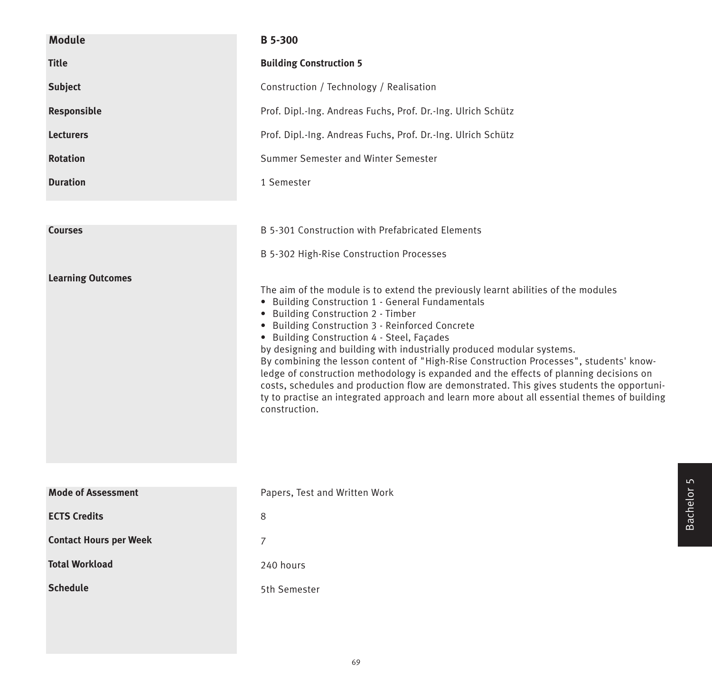| <b>Module</b>            | <b>B</b> 5-300                                                                                                                                                                                                                                                                                                                                                                                                                                                                                                                                                                                                                                                                                                                                         |
|--------------------------|--------------------------------------------------------------------------------------------------------------------------------------------------------------------------------------------------------------------------------------------------------------------------------------------------------------------------------------------------------------------------------------------------------------------------------------------------------------------------------------------------------------------------------------------------------------------------------------------------------------------------------------------------------------------------------------------------------------------------------------------------------|
| <b>Title</b>             | <b>Building Construction 5</b>                                                                                                                                                                                                                                                                                                                                                                                                                                                                                                                                                                                                                                                                                                                         |
| <b>Subject</b>           | Construction / Technology / Realisation                                                                                                                                                                                                                                                                                                                                                                                                                                                                                                                                                                                                                                                                                                                |
| Responsible              | Prof. Dipl.-Ing. Andreas Fuchs, Prof. Dr.-Ing. Ulrich Schütz                                                                                                                                                                                                                                                                                                                                                                                                                                                                                                                                                                                                                                                                                           |
| <b>Lecturers</b>         | Prof. Dipl.-Ing. Andreas Fuchs, Prof. Dr.-Ing. Ulrich Schütz                                                                                                                                                                                                                                                                                                                                                                                                                                                                                                                                                                                                                                                                                           |
| <b>Rotation</b>          | Summer Semester and Winter Semester                                                                                                                                                                                                                                                                                                                                                                                                                                                                                                                                                                                                                                                                                                                    |
| <b>Duration</b>          | 1 Semester                                                                                                                                                                                                                                                                                                                                                                                                                                                                                                                                                                                                                                                                                                                                             |
|                          |                                                                                                                                                                                                                                                                                                                                                                                                                                                                                                                                                                                                                                                                                                                                                        |
| <b>Courses</b>           | B 5-301 Construction with Prefabricated Elements                                                                                                                                                                                                                                                                                                                                                                                                                                                                                                                                                                                                                                                                                                       |
|                          | B 5-302 High-Rise Construction Processes                                                                                                                                                                                                                                                                                                                                                                                                                                                                                                                                                                                                                                                                                                               |
| <b>Learning Outcomes</b> | The aim of the module is to extend the previously learnt abilities of the modules<br>• Building Construction 1 - General Fundamentals<br>• Building Construction 2 - Timber<br>• Building Construction 3 - Reinforced Concrete<br>• Building Construction 4 - Steel, Façades<br>by designing and building with industrially produced modular systems.<br>By combining the lesson content of "High-Rise Construction Processes", students' know-<br>ledge of construction methodology is expanded and the effects of planning decisions on<br>costs, schedules and production flow are demonstrated. This gives students the opportuni-<br>ty to practise an integrated approach and learn more about all essential themes of building<br>construction. |

| <b>Mode of Assessment</b>     | Papers, Test and Written Work |
|-------------------------------|-------------------------------|
| <b>ECTS Credits</b>           | 8                             |
| <b>Contact Hours per Week</b> | 7                             |
| <b>Total Workload</b>         | 240 hours                     |
| <b>Schedule</b>               | 5th Semester                  |
|                               |                               |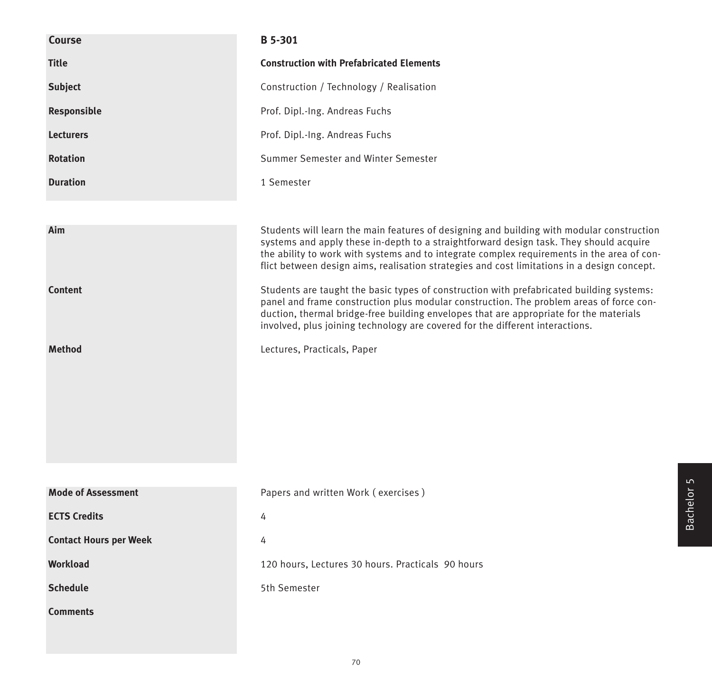| <b>Course</b>                 | <b>B</b> 5-301                                                                                                                                                                                                                                                                                                                                                                   |
|-------------------------------|----------------------------------------------------------------------------------------------------------------------------------------------------------------------------------------------------------------------------------------------------------------------------------------------------------------------------------------------------------------------------------|
| <b>Title</b>                  | <b>Construction with Prefabricated Elements</b>                                                                                                                                                                                                                                                                                                                                  |
| <b>Subject</b>                | Construction / Technology / Realisation                                                                                                                                                                                                                                                                                                                                          |
| Responsible                   | Prof. Dipl.-Ing. Andreas Fuchs                                                                                                                                                                                                                                                                                                                                                   |
| <b>Lecturers</b>              | Prof. Dipl.-Ing. Andreas Fuchs                                                                                                                                                                                                                                                                                                                                                   |
| <b>Rotation</b>               | Summer Semester and Winter Semester                                                                                                                                                                                                                                                                                                                                              |
| <b>Duration</b>               | 1 Semester                                                                                                                                                                                                                                                                                                                                                                       |
|                               |                                                                                                                                                                                                                                                                                                                                                                                  |
| Aim                           | Students will learn the main features of designing and building with modular construction<br>systems and apply these in-depth to a straightforward design task. They should acquire<br>the ability to work with systems and to integrate complex requirements in the area of con-<br>flict between design aims, realisation strategies and cost limitations in a design concept. |
| <b>Content</b>                | Students are taught the basic types of construction with prefabricated building systems:<br>panel and frame construction plus modular construction. The problem areas of force con-<br>duction, thermal bridge-free building envelopes that are appropriate for the materials<br>involved, plus joining technology are covered for the different interactions.                   |
| <b>Method</b>                 | Lectures, Practicals, Paper                                                                                                                                                                                                                                                                                                                                                      |
|                               |                                                                                                                                                                                                                                                                                                                                                                                  |
|                               |                                                                                                                                                                                                                                                                                                                                                                                  |
|                               |                                                                                                                                                                                                                                                                                                                                                                                  |
|                               |                                                                                                                                                                                                                                                                                                                                                                                  |
|                               |                                                                                                                                                                                                                                                                                                                                                                                  |
| <b>Mode of Assessment</b>     | Papers and written Work (exercises)                                                                                                                                                                                                                                                                                                                                              |
| <b>ECTS Credits</b>           | 4                                                                                                                                                                                                                                                                                                                                                                                |
| <b>Contact Hours per Week</b> | 4                                                                                                                                                                                                                                                                                                                                                                                |
| <b>Workload</b>               | 120 hours, Lectures 30 hours. Practicals 90 hours                                                                                                                                                                                                                                                                                                                                |
| <b>Schedule</b>               | 5th Semester                                                                                                                                                                                                                                                                                                                                                                     |
| <b>Comments</b>               |                                                                                                                                                                                                                                                                                                                                                                                  |
|                               |                                                                                                                                                                                                                                                                                                                                                                                  |

Bachelor 5

Bachelor 5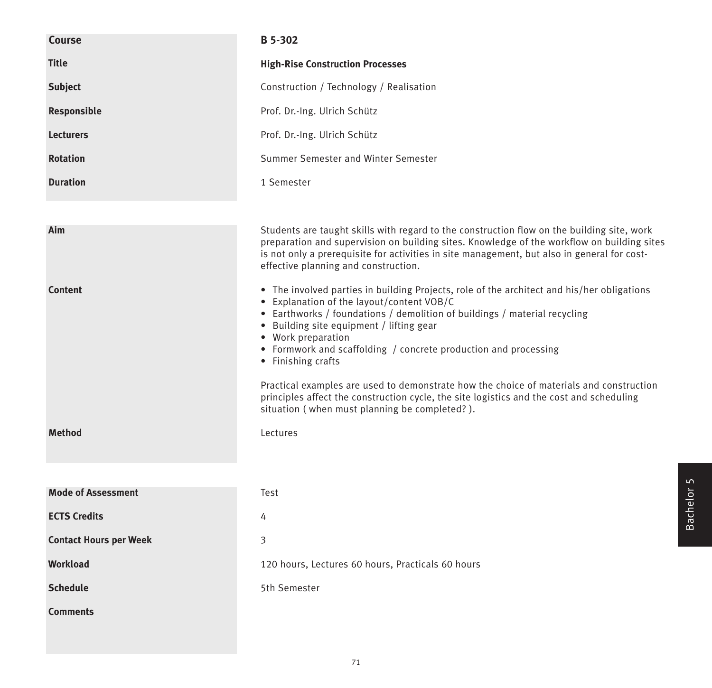| Course                        | <b>B</b> 5-302                                                                                                                                                                                                                                                                                                                                                                                                                                                                                                                                                                                                          |
|-------------------------------|-------------------------------------------------------------------------------------------------------------------------------------------------------------------------------------------------------------------------------------------------------------------------------------------------------------------------------------------------------------------------------------------------------------------------------------------------------------------------------------------------------------------------------------------------------------------------------------------------------------------------|
| <b>Title</b>                  | <b>High-Rise Construction Processes</b>                                                                                                                                                                                                                                                                                                                                                                                                                                                                                                                                                                                 |
| <b>Subject</b>                | Construction / Technology / Realisation                                                                                                                                                                                                                                                                                                                                                                                                                                                                                                                                                                                 |
| Responsible                   | Prof. Dr.-Ing. Ulrich Schütz                                                                                                                                                                                                                                                                                                                                                                                                                                                                                                                                                                                            |
| <b>Lecturers</b>              | Prof. Dr.-Ing. Ulrich Schütz                                                                                                                                                                                                                                                                                                                                                                                                                                                                                                                                                                                            |
| <b>Rotation</b>               | Summer Semester and Winter Semester                                                                                                                                                                                                                                                                                                                                                                                                                                                                                                                                                                                     |
| <b>Duration</b>               | 1 Semester                                                                                                                                                                                                                                                                                                                                                                                                                                                                                                                                                                                                              |
|                               |                                                                                                                                                                                                                                                                                                                                                                                                                                                                                                                                                                                                                         |
| Aim                           | Students are taught skills with regard to the construction flow on the building site, work<br>preparation and supervision on building sites. Knowledge of the workflow on building sites<br>is not only a prerequisite for activities in site management, but also in general for cost-<br>effective planning and construction.                                                                                                                                                                                                                                                                                         |
| <b>Content</b>                | • The involved parties in building Projects, role of the architect and his/her obligations<br>• Explanation of the layout/content VOB/C<br>• Earthworks / foundations / demolition of buildings / material recycling<br>• Building site equipment / lifting gear<br>• Work preparation<br>• Formwork and scaffolding / concrete production and processing<br>• Finishing crafts<br>Practical examples are used to demonstrate how the choice of materials and construction<br>principles affect the construction cycle, the site logistics and the cost and scheduling<br>situation (when must planning be completed?). |
| <b>Method</b>                 | Lectures                                                                                                                                                                                                                                                                                                                                                                                                                                                                                                                                                                                                                |
|                               |                                                                                                                                                                                                                                                                                                                                                                                                                                                                                                                                                                                                                         |
| <b>Mode of Assessment</b>     | Test                                                                                                                                                                                                                                                                                                                                                                                                                                                                                                                                                                                                                    |
| <b>ECTS Credits</b>           | 4                                                                                                                                                                                                                                                                                                                                                                                                                                                                                                                                                                                                                       |
| <b>Contact Hours per Week</b> | 3                                                                                                                                                                                                                                                                                                                                                                                                                                                                                                                                                                                                                       |
| <b>Workload</b>               | 120 hours, Lectures 60 hours, Practicals 60 hours                                                                                                                                                                                                                                                                                                                                                                                                                                                                                                                                                                       |
| <b>Schedule</b>               | 5th Semester                                                                                                                                                                                                                                                                                                                                                                                                                                                                                                                                                                                                            |
| <b>Comments</b>               |                                                                                                                                                                                                                                                                                                                                                                                                                                                                                                                                                                                                                         |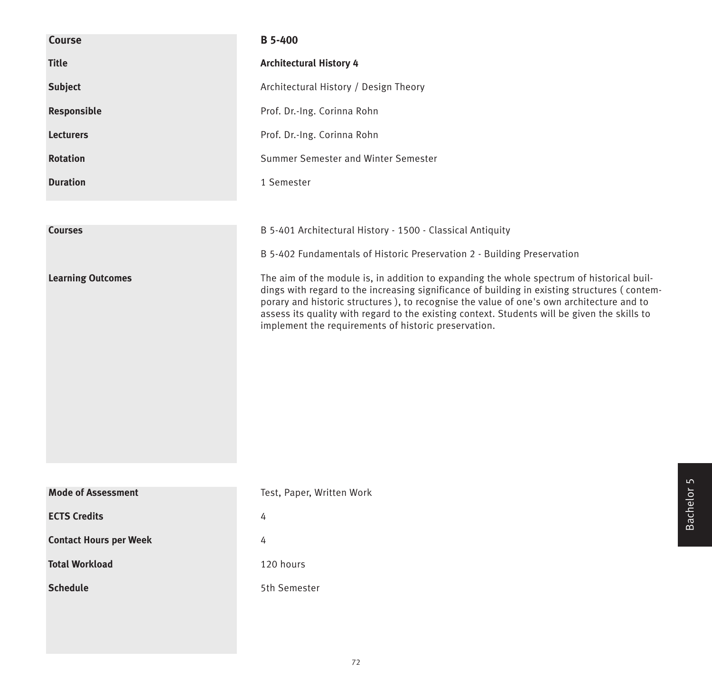| Course                        | <b>B</b> 5-400                                                                                                                                                                                                                                                                                                                                                                                                                                |
|-------------------------------|-----------------------------------------------------------------------------------------------------------------------------------------------------------------------------------------------------------------------------------------------------------------------------------------------------------------------------------------------------------------------------------------------------------------------------------------------|
| <b>Title</b>                  | <b>Architectural History 4</b>                                                                                                                                                                                                                                                                                                                                                                                                                |
| <b>Subject</b>                | Architectural History / Design Theory                                                                                                                                                                                                                                                                                                                                                                                                         |
| Responsible                   | Prof. Dr.-Ing. Corinna Rohn                                                                                                                                                                                                                                                                                                                                                                                                                   |
| <b>Lecturers</b>              | Prof. Dr.-Ing. Corinna Rohn                                                                                                                                                                                                                                                                                                                                                                                                                   |
| <b>Rotation</b>               | Summer Semester and Winter Semester                                                                                                                                                                                                                                                                                                                                                                                                           |
| <b>Duration</b>               | 1 Semester                                                                                                                                                                                                                                                                                                                                                                                                                                    |
|                               |                                                                                                                                                                                                                                                                                                                                                                                                                                               |
| <b>Courses</b>                | B 5-401 Architectural History - 1500 - Classical Antiquity                                                                                                                                                                                                                                                                                                                                                                                    |
|                               | B 5-402 Fundamentals of Historic Preservation 2 - Building Preservation                                                                                                                                                                                                                                                                                                                                                                       |
| <b>Learning Outcomes</b>      | The aim of the module is, in addition to expanding the whole spectrum of historical buil-<br>dings with regard to the increasing significance of building in existing structures (contem-<br>porary and historic structures), to recognise the value of one's own architecture and to<br>assess its quality with regard to the existing context. Students will be given the skills to<br>implement the requirements of historic preservation. |
| <b>Mode of Assessment</b>     | Test, Paper, Written Work                                                                                                                                                                                                                                                                                                                                                                                                                     |
| <b>ECTS Credits</b>           | 4                                                                                                                                                                                                                                                                                                                                                                                                                                             |
| <b>Contact Hours per Week</b> | 4                                                                                                                                                                                                                                                                                                                                                                                                                                             |
| <b>Total Workload</b>         | 120 hours                                                                                                                                                                                                                                                                                                                                                                                                                                     |
| <b>Schedule</b>               | 5th Semester                                                                                                                                                                                                                                                                                                                                                                                                                                  |
|                               |                                                                                                                                                                                                                                                                                                                                                                                                                                               |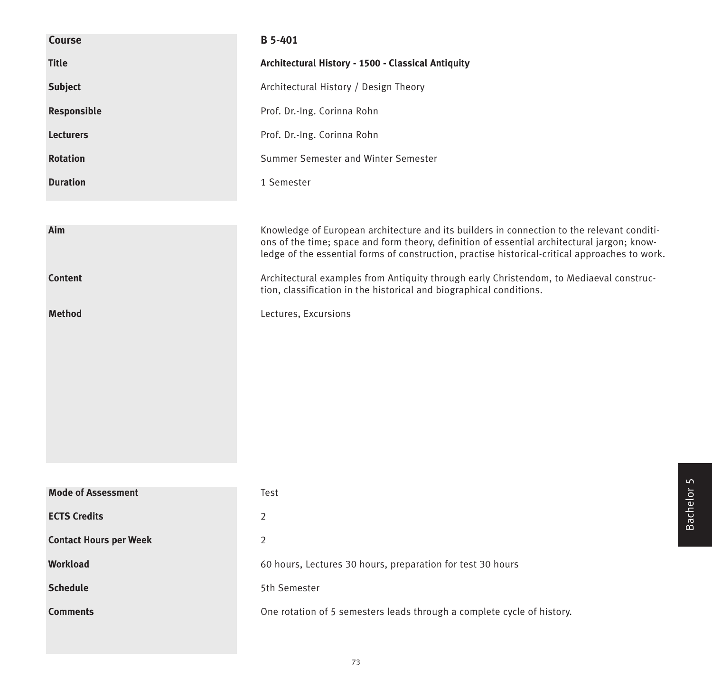| Course                        | B 5-401                                                                                                                                                                                                                                                                                     |  |  |  |  |  |  |  |
|-------------------------------|---------------------------------------------------------------------------------------------------------------------------------------------------------------------------------------------------------------------------------------------------------------------------------------------|--|--|--|--|--|--|--|
| <b>Title</b>                  | Architectural History - 1500 - Classical Antiquity                                                                                                                                                                                                                                          |  |  |  |  |  |  |  |
| <b>Subject</b>                | Architectural History / Design Theory                                                                                                                                                                                                                                                       |  |  |  |  |  |  |  |
| Responsible                   | Prof. Dr.-Ing. Corinna Rohn                                                                                                                                                                                                                                                                 |  |  |  |  |  |  |  |
| <b>Lecturers</b>              | Prof. Dr.-Ing. Corinna Rohn                                                                                                                                                                                                                                                                 |  |  |  |  |  |  |  |
| <b>Rotation</b>               | Summer Semester and Winter Semester                                                                                                                                                                                                                                                         |  |  |  |  |  |  |  |
| <b>Duration</b>               | 1 Semester                                                                                                                                                                                                                                                                                  |  |  |  |  |  |  |  |
|                               |                                                                                                                                                                                                                                                                                             |  |  |  |  |  |  |  |
| Aim                           | Knowledge of European architecture and its builders in connection to the relevant conditi-<br>ons of the time; space and form theory, definition of essential architectural jargon; know-<br>ledge of the essential forms of construction, practise historical-critical approaches to work. |  |  |  |  |  |  |  |
| <b>Content</b>                | Architectural examples from Antiquity through early Christendom, to Mediaeval construc-<br>tion, classification in the historical and biographical conditions.                                                                                                                              |  |  |  |  |  |  |  |
| <b>Method</b>                 | Lectures, Excursions                                                                                                                                                                                                                                                                        |  |  |  |  |  |  |  |
|                               |                                                                                                                                                                                                                                                                                             |  |  |  |  |  |  |  |
|                               |                                                                                                                                                                                                                                                                                             |  |  |  |  |  |  |  |
|                               |                                                                                                                                                                                                                                                                                             |  |  |  |  |  |  |  |
|                               |                                                                                                                                                                                                                                                                                             |  |  |  |  |  |  |  |
|                               |                                                                                                                                                                                                                                                                                             |  |  |  |  |  |  |  |
|                               |                                                                                                                                                                                                                                                                                             |  |  |  |  |  |  |  |
|                               |                                                                                                                                                                                                                                                                                             |  |  |  |  |  |  |  |
| <b>Mode of Assessment</b>     | Test                                                                                                                                                                                                                                                                                        |  |  |  |  |  |  |  |
| <b>ECTS Credits</b>           | 2                                                                                                                                                                                                                                                                                           |  |  |  |  |  |  |  |
| <b>Contact Hours per Week</b> | $\overline{2}$                                                                                                                                                                                                                                                                              |  |  |  |  |  |  |  |
| Workload                      | 60 hours, Lectures 30 hours, preparation for test 30 hours                                                                                                                                                                                                                                  |  |  |  |  |  |  |  |
| <b>Schedule</b>               | 5th Semester                                                                                                                                                                                                                                                                                |  |  |  |  |  |  |  |
| <b>Comments</b>               | One rotation of 5 semesters leads through a complete cycle of history.                                                                                                                                                                                                                      |  |  |  |  |  |  |  |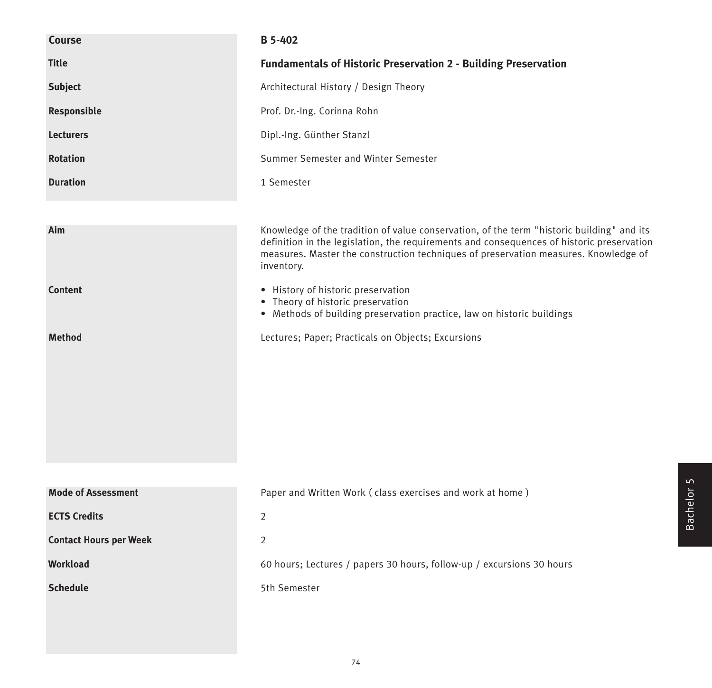| <b>Course</b>                 | <b>B</b> 5-402                                                                                                                                                                                                                                                                              |  |  |  |  |  |  |  |
|-------------------------------|---------------------------------------------------------------------------------------------------------------------------------------------------------------------------------------------------------------------------------------------------------------------------------------------|--|--|--|--|--|--|--|
| <b>Title</b>                  | <b>Fundamentals of Historic Preservation 2 - Building Preservation</b>                                                                                                                                                                                                                      |  |  |  |  |  |  |  |
| <b>Subject</b>                | Architectural History / Design Theory                                                                                                                                                                                                                                                       |  |  |  |  |  |  |  |
| Responsible                   | Prof. Dr.-Ing. Corinna Rohn                                                                                                                                                                                                                                                                 |  |  |  |  |  |  |  |
| <b>Lecturers</b>              | Dipl.-Ing. Günther Stanzl                                                                                                                                                                                                                                                                   |  |  |  |  |  |  |  |
| <b>Rotation</b>               | Summer Semester and Winter Semester                                                                                                                                                                                                                                                         |  |  |  |  |  |  |  |
| <b>Duration</b>               | 1 Semester                                                                                                                                                                                                                                                                                  |  |  |  |  |  |  |  |
|                               |                                                                                                                                                                                                                                                                                             |  |  |  |  |  |  |  |
| Aim                           | Knowledge of the tradition of value conservation, of the term "historic building" and its<br>definition in the legislation, the requirements and consequences of historic preservation<br>measures. Master the construction techniques of preservation measures. Knowledge of<br>inventory. |  |  |  |  |  |  |  |
| <b>Content</b>                | • History of historic preservation<br>• Theory of historic preservation<br>• Methods of building preservation practice, law on historic buildings                                                                                                                                           |  |  |  |  |  |  |  |
| <b>Method</b>                 | Lectures; Paper; Practicals on Objects; Excursions                                                                                                                                                                                                                                          |  |  |  |  |  |  |  |
|                               |                                                                                                                                                                                                                                                                                             |  |  |  |  |  |  |  |
| <b>Mode of Assessment</b>     | Paper and Written Work (class exercises and work at home)                                                                                                                                                                                                                                   |  |  |  |  |  |  |  |
| <b>ECTS Credits</b>           | $\overline{2}$                                                                                                                                                                                                                                                                              |  |  |  |  |  |  |  |
| <b>Contact Hours per Week</b> | $\overline{2}$                                                                                                                                                                                                                                                                              |  |  |  |  |  |  |  |
| <b>Workload</b>               | 60 hours; Lectures / papers 30 hours, follow-up / excursions 30 hours                                                                                                                                                                                                                       |  |  |  |  |  |  |  |
| <b>Schedule</b>               | 5th Semester                                                                                                                                                                                                                                                                                |  |  |  |  |  |  |  |
|                               |                                                                                                                                                                                                                                                                                             |  |  |  |  |  |  |  |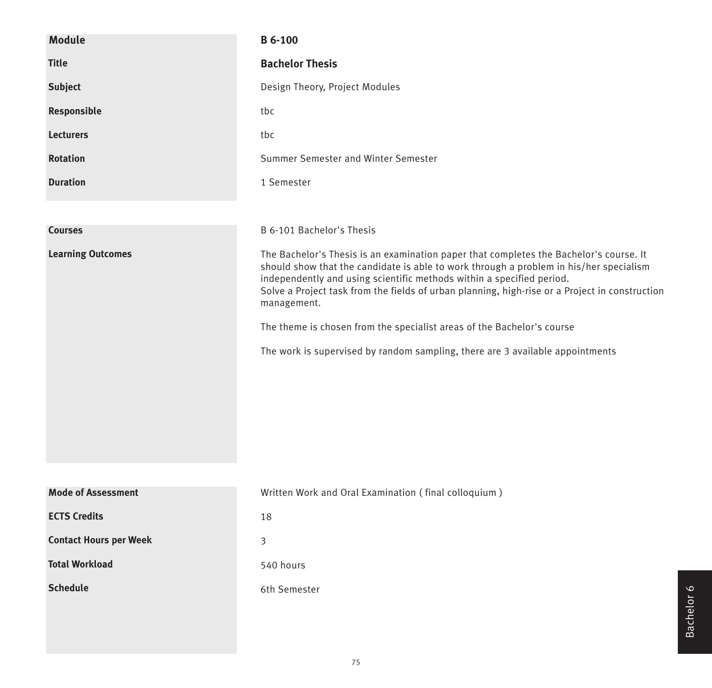| <b>Module</b>                 | <b>B</b> 6-100                                                                                                                                                                                                                                                                                                                                                                                                                                                                                                                        |  |  |  |  |  |  |
|-------------------------------|---------------------------------------------------------------------------------------------------------------------------------------------------------------------------------------------------------------------------------------------------------------------------------------------------------------------------------------------------------------------------------------------------------------------------------------------------------------------------------------------------------------------------------------|--|--|--|--|--|--|
| <b>Title</b>                  | <b>Bachelor Thesis</b>                                                                                                                                                                                                                                                                                                                                                                                                                                                                                                                |  |  |  |  |  |  |
| <b>Subject</b>                | Design Theory, Project Modules                                                                                                                                                                                                                                                                                                                                                                                                                                                                                                        |  |  |  |  |  |  |
| Responsible                   | tbc                                                                                                                                                                                                                                                                                                                                                                                                                                                                                                                                   |  |  |  |  |  |  |
| <b>Lecturers</b>              | tbc                                                                                                                                                                                                                                                                                                                                                                                                                                                                                                                                   |  |  |  |  |  |  |
| <b>Rotation</b>               | Summer Semester and Winter Semester                                                                                                                                                                                                                                                                                                                                                                                                                                                                                                   |  |  |  |  |  |  |
| <b>Duration</b>               | 1 Semester                                                                                                                                                                                                                                                                                                                                                                                                                                                                                                                            |  |  |  |  |  |  |
|                               |                                                                                                                                                                                                                                                                                                                                                                                                                                                                                                                                       |  |  |  |  |  |  |
| <b>Courses</b>                | B 6-101 Bachelor's Thesis                                                                                                                                                                                                                                                                                                                                                                                                                                                                                                             |  |  |  |  |  |  |
| <b>Learning Outcomes</b>      | The Bachelor's Thesis is an examination paper that completes the Bachelor's course. It<br>should show that the candidate is able to work through a problem in his/her specialism<br>independently and using scientific methods within a specified period.<br>Solve a Project task from the fields of urban planning, high-rise or a Project in construction<br>management.<br>The theme is chosen from the specialist areas of the Bachelor's course<br>The work is supervised by random sampling, there are 3 available appointments |  |  |  |  |  |  |
| <b>Mode of Assessment</b>     | Written Work and Oral Examination (final colloquium)                                                                                                                                                                                                                                                                                                                                                                                                                                                                                  |  |  |  |  |  |  |
| <b>ECTS Credits</b>           | 18                                                                                                                                                                                                                                                                                                                                                                                                                                                                                                                                    |  |  |  |  |  |  |
| <b>Contact Hours per Week</b> | 3                                                                                                                                                                                                                                                                                                                                                                                                                                                                                                                                     |  |  |  |  |  |  |
| <b>Total Workload</b>         | 540 hours                                                                                                                                                                                                                                                                                                                                                                                                                                                                                                                             |  |  |  |  |  |  |
| <b>Schedule</b>               | 6th Semester                                                                                                                                                                                                                                                                                                                                                                                                                                                                                                                          |  |  |  |  |  |  |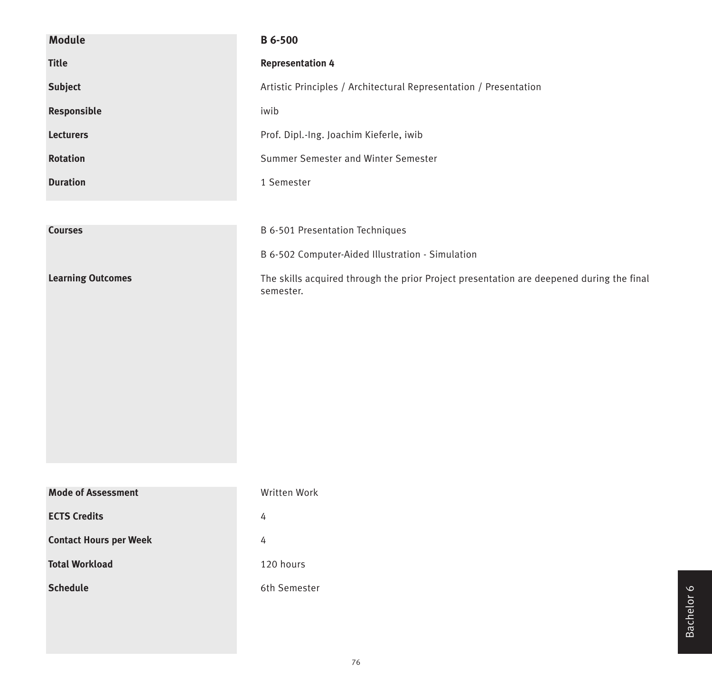| <b>Module</b>                 | <b>B</b> 6-500                                                                                        |  |  |  |  |  |  |
|-------------------------------|-------------------------------------------------------------------------------------------------------|--|--|--|--|--|--|
| <b>Title</b>                  | <b>Representation 4</b>                                                                               |  |  |  |  |  |  |
| <b>Subject</b>                | Artistic Principles / Architectural Representation / Presentation                                     |  |  |  |  |  |  |
| Responsible                   | iwib                                                                                                  |  |  |  |  |  |  |
| <b>Lecturers</b>              | Prof. Dipl.-Ing. Joachim Kieferle, iwib                                                               |  |  |  |  |  |  |
| <b>Rotation</b>               | Summer Semester and Winter Semester                                                                   |  |  |  |  |  |  |
| <b>Duration</b>               | 1 Semester                                                                                            |  |  |  |  |  |  |
|                               |                                                                                                       |  |  |  |  |  |  |
| <b>Courses</b>                | B 6-501 Presentation Techniques                                                                       |  |  |  |  |  |  |
|                               | B 6-502 Computer-Aided Illustration - Simulation                                                      |  |  |  |  |  |  |
| <b>Learning Outcomes</b>      | The skills acquired through the prior Project presentation are deepened during the final<br>semester. |  |  |  |  |  |  |
|                               |                                                                                                       |  |  |  |  |  |  |
|                               |                                                                                                       |  |  |  |  |  |  |
|                               |                                                                                                       |  |  |  |  |  |  |
|                               |                                                                                                       |  |  |  |  |  |  |
|                               |                                                                                                       |  |  |  |  |  |  |
|                               |                                                                                                       |  |  |  |  |  |  |
|                               |                                                                                                       |  |  |  |  |  |  |
| <b>Mode of Assessment</b>     | Written Work                                                                                          |  |  |  |  |  |  |
| <b>ECTS Credits</b>           | 4                                                                                                     |  |  |  |  |  |  |
| <b>Contact Hours per Week</b> | $\overline{4}$                                                                                        |  |  |  |  |  |  |
| <b>Total Workload</b>         | 120 hours                                                                                             |  |  |  |  |  |  |
| <b>Schedule</b>               | 6th Semester                                                                                          |  |  |  |  |  |  |
|                               |                                                                                                       |  |  |  |  |  |  |
|                               |                                                                                                       |  |  |  |  |  |  |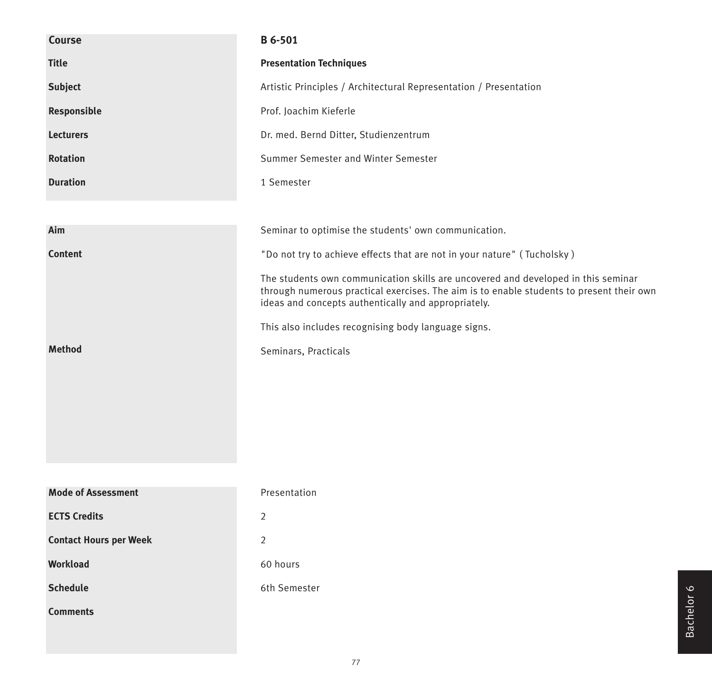| Course                        | B 6-501                                                                                                                                                                                                                              |  |  |  |  |  |  |
|-------------------------------|--------------------------------------------------------------------------------------------------------------------------------------------------------------------------------------------------------------------------------------|--|--|--|--|--|--|
| <b>Title</b>                  | <b>Presentation Techniques</b>                                                                                                                                                                                                       |  |  |  |  |  |  |
| Subject                       | Artistic Principles / Architectural Representation / Presentation                                                                                                                                                                    |  |  |  |  |  |  |
| Responsible                   | Prof. Joachim Kieferle                                                                                                                                                                                                               |  |  |  |  |  |  |
| <b>Lecturers</b>              | Dr. med. Bernd Ditter, Studienzentrum                                                                                                                                                                                                |  |  |  |  |  |  |
| <b>Rotation</b>               | Summer Semester and Winter Semester                                                                                                                                                                                                  |  |  |  |  |  |  |
| <b>Duration</b>               | 1 Semester                                                                                                                                                                                                                           |  |  |  |  |  |  |
|                               |                                                                                                                                                                                                                                      |  |  |  |  |  |  |
| Aim                           | Seminar to optimise the students' own communication.                                                                                                                                                                                 |  |  |  |  |  |  |
| <b>Content</b>                | "Do not try to achieve effects that are not in your nature" (Tucholsky)                                                                                                                                                              |  |  |  |  |  |  |
|                               | The students own communication skills are uncovered and developed in this seminar<br>through numerous practical exercises. The aim is to enable students to present their own<br>ideas and concepts authentically and appropriately. |  |  |  |  |  |  |
|                               | This also includes recognising body language signs.                                                                                                                                                                                  |  |  |  |  |  |  |
| <b>Method</b>                 | Seminars, Practicals                                                                                                                                                                                                                 |  |  |  |  |  |  |
|                               |                                                                                                                                                                                                                                      |  |  |  |  |  |  |
|                               |                                                                                                                                                                                                                                      |  |  |  |  |  |  |
|                               |                                                                                                                                                                                                                                      |  |  |  |  |  |  |
|                               |                                                                                                                                                                                                                                      |  |  |  |  |  |  |
|                               |                                                                                                                                                                                                                                      |  |  |  |  |  |  |
| <b>Mode of Assessment</b>     | Presentation                                                                                                                                                                                                                         |  |  |  |  |  |  |
| <b>ECTS Credits</b>           | $\overline{2}$                                                                                                                                                                                                                       |  |  |  |  |  |  |
| <b>Contact Hours per Week</b> | $\overline{2}$                                                                                                                                                                                                                       |  |  |  |  |  |  |
| Workload                      | 60 hours                                                                                                                                                                                                                             |  |  |  |  |  |  |
| <b>Schedule</b>               | 6th Semester                                                                                                                                                                                                                         |  |  |  |  |  |  |
| <b>Comments</b>               |                                                                                                                                                                                                                                      |  |  |  |  |  |  |
|                               |                                                                                                                                                                                                                                      |  |  |  |  |  |  |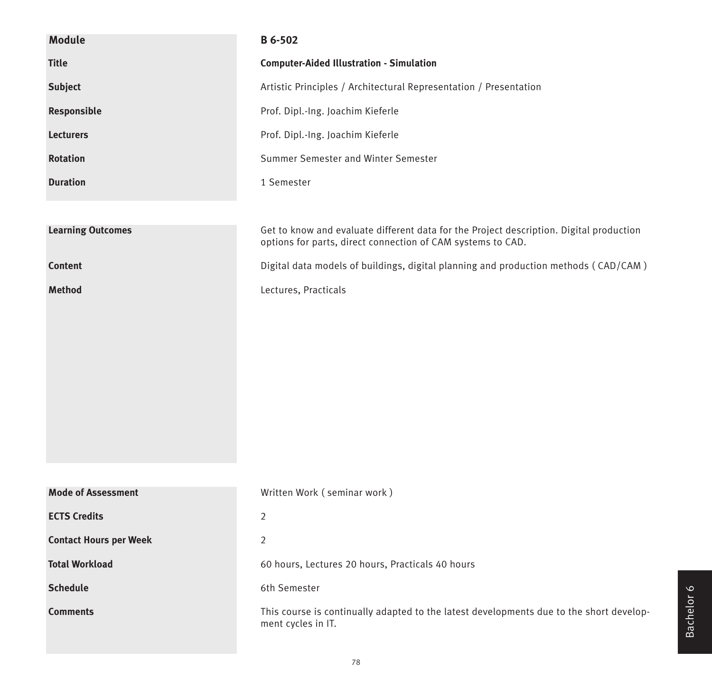| <b>Module</b>                 | B 6-502                                                                                                                                                |
|-------------------------------|--------------------------------------------------------------------------------------------------------------------------------------------------------|
| <b>Title</b>                  | <b>Computer-Aided Illustration - Simulation</b>                                                                                                        |
| <b>Subject</b>                | Artistic Principles / Architectural Representation / Presentation                                                                                      |
| Responsible                   | Prof. Dipl.-Ing. Joachim Kieferle                                                                                                                      |
| <b>Lecturers</b>              | Prof. Dipl.-Ing. Joachim Kieferle                                                                                                                      |
| <b>Rotation</b>               | Summer Semester and Winter Semester                                                                                                                    |
| <b>Duration</b>               | 1 Semester                                                                                                                                             |
|                               |                                                                                                                                                        |
| <b>Learning Outcomes</b>      | Get to know and evaluate different data for the Project description. Digital production<br>options for parts, direct connection of CAM systems to CAD. |
| Content                       | Digital data models of buildings, digital planning and production methods (CAD/CAM)                                                                    |
| <b>Method</b>                 | Lectures, Practicals                                                                                                                                   |
|                               |                                                                                                                                                        |
|                               |                                                                                                                                                        |
|                               |                                                                                                                                                        |
|                               |                                                                                                                                                        |
|                               |                                                                                                                                                        |
|                               |                                                                                                                                                        |
|                               |                                                                                                                                                        |
| <b>Mode of Assessment</b>     | Written Work (seminar work)                                                                                                                            |
| <b>ECTS Credits</b>           | 2                                                                                                                                                      |
| <b>Contact Hours per Week</b> |                                                                                                                                                        |
|                               | 2                                                                                                                                                      |
| <b>Total Workload</b>         | 60 hours, Lectures 20 hours, Practicals 40 hours                                                                                                       |
| <b>Schedule</b>               | 6th Semester                                                                                                                                           |
| <b>Comments</b>               | This course is continually adapted to the latest developments due to the short develop-<br>ment cycles in IT.                                          |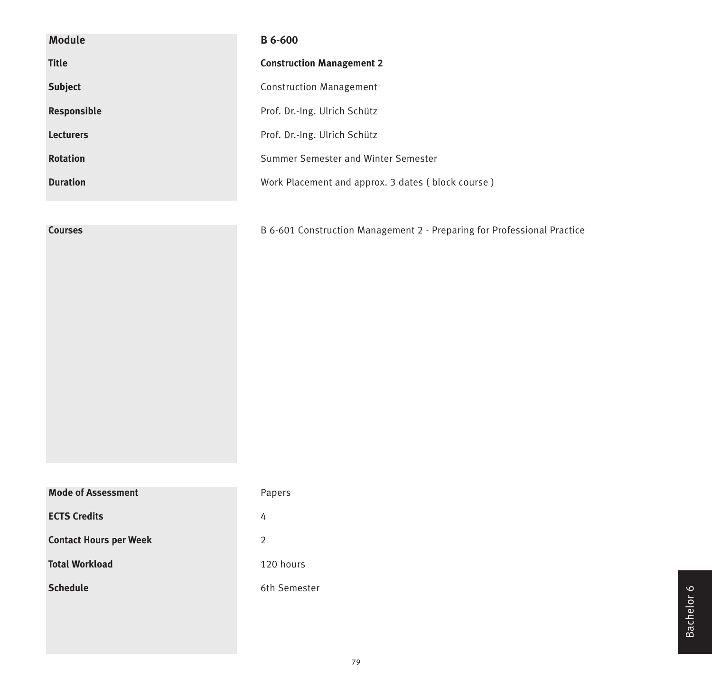| <b>Module</b>                 | <b>B</b> 6-600                                                          |
|-------------------------------|-------------------------------------------------------------------------|
| <b>Title</b>                  | <b>Construction Management 2</b>                                        |
| <b>Subject</b>                | <b>Construction Management</b>                                          |
| Responsible                   | Prof. Dr.-Ing. Ulrich Schütz                                            |
| <b>Lecturers</b>              | Prof. Dr.-Ing. Ulrich Schütz                                            |
| <b>Rotation</b>               | Summer Semester and Winter Semester                                     |
| <b>Duration</b>               | Work Placement and approx. 3 dates (block course)                       |
|                               |                                                                         |
| <b>Courses</b>                | B 6-601 Construction Management 2 - Preparing for Professional Practice |
|                               |                                                                         |
|                               |                                                                         |
|                               |                                                                         |
|                               |                                                                         |
|                               |                                                                         |
|                               |                                                                         |
|                               |                                                                         |
|                               |                                                                         |
|                               |                                                                         |
|                               |                                                                         |
| <b>Mode of Assessment</b>     | Papers                                                                  |
| <b>ECTS Credits</b>           | 4                                                                       |
| <b>Contact Hours per Week</b> | $\overline{2}$                                                          |
| <b>Total Workload</b>         | 120 hours                                                               |
| <b>Schedule</b>               | 6th Semester                                                            |
|                               |                                                                         |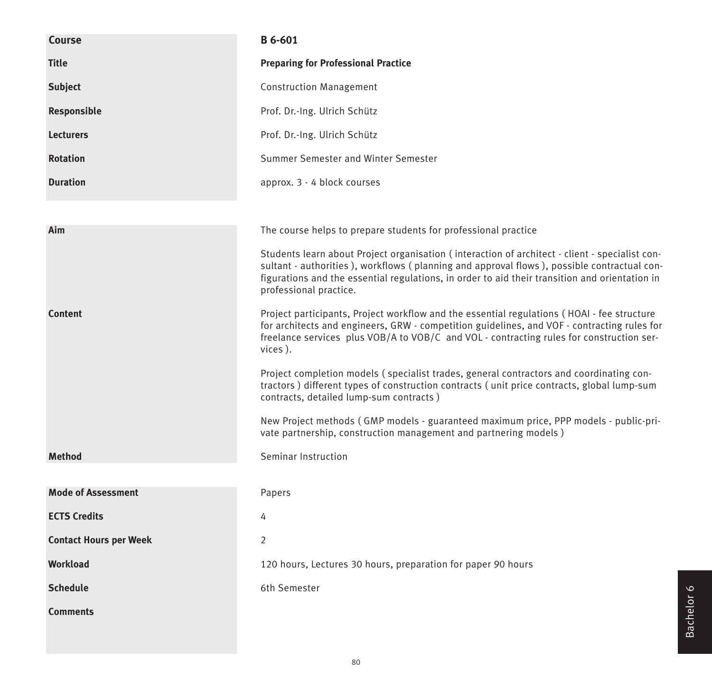| <b>Course</b>                 | B 6-601                                                                                                                                                                                                                                                                                                                  |  |  |  |  |  |  |
|-------------------------------|--------------------------------------------------------------------------------------------------------------------------------------------------------------------------------------------------------------------------------------------------------------------------------------------------------------------------|--|--|--|--|--|--|
| <b>Title</b>                  | <b>Preparing for Professional Practice</b>                                                                                                                                                                                                                                                                               |  |  |  |  |  |  |
| <b>Subject</b>                | <b>Construction Management</b>                                                                                                                                                                                                                                                                                           |  |  |  |  |  |  |
| Responsible                   | Prof. Dr.-Ing. Ulrich Schütz                                                                                                                                                                                                                                                                                             |  |  |  |  |  |  |
| <b>Lecturers</b>              | Prof. Dr.-Ing. Ulrich Schütz                                                                                                                                                                                                                                                                                             |  |  |  |  |  |  |
| <b>Rotation</b>               | Summer Semester and Winter Semester                                                                                                                                                                                                                                                                                      |  |  |  |  |  |  |
| <b>Duration</b>               | approx. 3 - 4 block courses                                                                                                                                                                                                                                                                                              |  |  |  |  |  |  |
|                               |                                                                                                                                                                                                                                                                                                                          |  |  |  |  |  |  |
| Aim                           | The course helps to prepare students for professional practice                                                                                                                                                                                                                                                           |  |  |  |  |  |  |
|                               | Students learn about Project organisation (interaction of architect - client - specialist con-<br>sultant - authorities), workflows (planning and approval flows), possible contractual con-<br>figurations and the essential regulations, in order to aid their transition and orientation in<br>professional practice. |  |  |  |  |  |  |
| <b>Content</b>                | Project participants, Project workflow and the essential regulations (HOAI - fee structure<br>for architects and engineers, GRW - competition guidelines, and VOF - contracting rules for<br>freelance services plus VOB/A to VOB/C and VOL - contracting rules for construction ser-<br>vices).                         |  |  |  |  |  |  |
|                               | Project completion models (specialist trades, general contractors and coordinating con-<br>tractors) different types of construction contracts (unit price contracts, global lump-sum<br>contracts, detailed lump-sum contracts)                                                                                         |  |  |  |  |  |  |
|                               | New Project methods (GMP models - guaranteed maximum price, PPP models - public-pri-<br>vate partnership, construction management and partnering models)                                                                                                                                                                 |  |  |  |  |  |  |
| <b>Method</b>                 | Seminar Instruction                                                                                                                                                                                                                                                                                                      |  |  |  |  |  |  |
|                               |                                                                                                                                                                                                                                                                                                                          |  |  |  |  |  |  |
| <b>Mode of Assessment</b>     | Papers                                                                                                                                                                                                                                                                                                                   |  |  |  |  |  |  |
| <b>ECTS Credits</b>           | 4                                                                                                                                                                                                                                                                                                                        |  |  |  |  |  |  |
| <b>Contact Hours per Week</b> | 2                                                                                                                                                                                                                                                                                                                        |  |  |  |  |  |  |
| <b>Workload</b>               | 120 hours, Lectures 30 hours, preparation for paper 90 hours                                                                                                                                                                                                                                                             |  |  |  |  |  |  |
| <b>Schedule</b>               | 6th Semester                                                                                                                                                                                                                                                                                                             |  |  |  |  |  |  |
| <b>Comments</b>               |                                                                                                                                                                                                                                                                                                                          |  |  |  |  |  |  |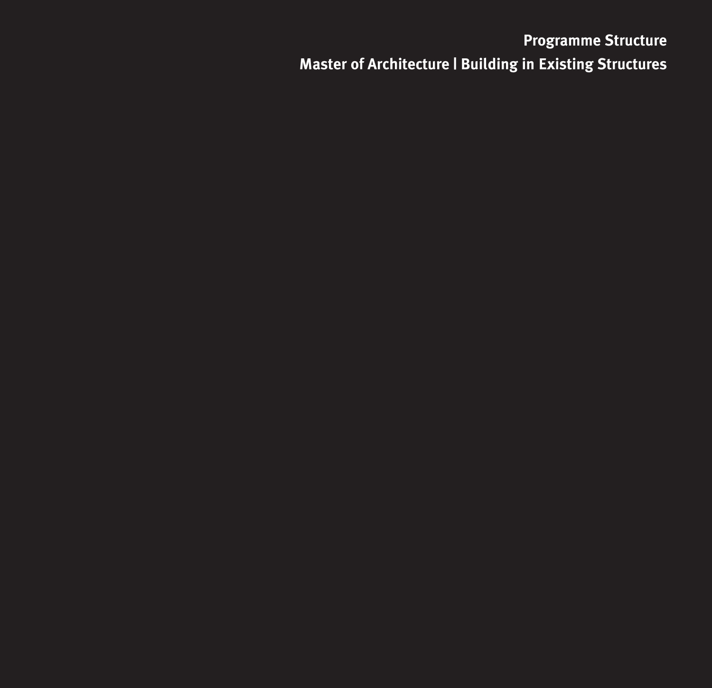# **Programme Structure Master of Architecture | Building in Existing Structures**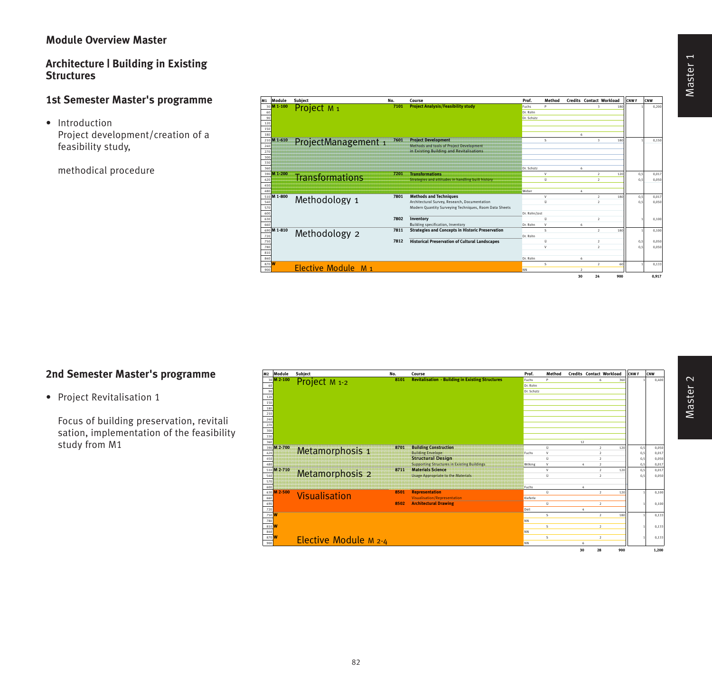## **Module Overview Master**

## **Architecture | Building in Existing Structures**

## **1st Semester Master's programme**

• Introduction Project development/creation of a feasibility study,

methodical procedure



## **2nd Semester Master's programme**

• Project Revitalisation 1

Focus of building preservation, revitali sation, implementation of the feasibility study from M1

| M <sub>2</sub> Module | <b>Subject</b>           | No.  | Course                                                  | Prof.      | Method              |           | <b>Credits Contact Workload</b> |     | <b>CNWF</b> | CNW            |
|-----------------------|--------------------------|------|---------------------------------------------------------|------------|---------------------|-----------|---------------------------------|-----|-------------|----------------|
| 30 M 2-100            | Project M <sub>1-2</sub> | 8101 | <b>Revitalisation - Building in Existing Structures</b> | Fuchs      | Þ                   |           | ı.                              | 361 |             | 0.400          |
| 60                    |                          |      |                                                         | Dr. Rohn   |                     |           |                                 |     |             |                |
| 90                    |                          |      |                                                         | Dr. Schütz |                     |           |                                 |     |             |                |
| 120                   |                          |      |                                                         |            |                     |           |                                 |     |             |                |
| 150                   |                          |      |                                                         |            |                     |           |                                 |     |             |                |
| 180                   |                          |      |                                                         |            |                     |           |                                 |     |             |                |
| 210                   |                          |      |                                                         |            |                     |           |                                 |     |             |                |
| 240                   |                          |      |                                                         |            |                     |           |                                 |     |             |                |
| 270                   |                          |      |                                                         |            |                     |           |                                 |     |             |                |
| 300                   |                          |      |                                                         |            |                     |           |                                 |     |             |                |
| 330                   |                          |      |                                                         |            |                     |           |                                 |     |             |                |
| 360                   |                          |      |                                                         |            |                     | 12        |                                 |     |             |                |
| 390 M 2-700<br>420    | Metamorphosis 1          | 8701 | <b>Building Construction</b>                            |            | $\Omega$<br>$\vee$  |           | $\lambda$<br>$\mathcal{L}$      | 120 | 0.5         | 0.050          |
| 450                   |                          |      | <b>Building Envelope</b><br><b>Structural Design</b>    | Fuchs      | $\ddot{\mathbf{0}}$ |           | $\overline{ }$                  |     | 0,5<br>0,5  | 0,017<br>0.050 |
| 480                   |                          |      | <b>Supporting Structures in Existing Buildings:</b>     | Wilking    | v                   | $\Lambda$ | $\overline{2}$                  |     | 0.5         | 0.017          |
| 510 M 2-710           |                          | 8711 | <b>Materials Science</b>                                |            | $\vee$              |           | $\rightarrow$                   | 120 | 0,5         | 0.017          |
| 540                   | Metamorphosis 2          |      | <b>Usage Appropriate to the Materials</b>               |            | Ü                   |           | $\mathcal{L}$                   |     | 0.5         | 0.050          |
| 570                   |                          |      |                                                         |            |                     |           |                                 |     |             |                |
| 600                   |                          |      |                                                         | Fuchs      |                     | $\Lambda$ |                                 |     |             |                |
| M 2-500<br>630        |                          | 8501 | <b>Representation</b>                                   |            | Ü                   |           | $\overline{2}$                  | 120 |             | 0.100          |
| 660                   | Visualisation            |      | <b>Visualisation/Representation</b>                     | Kieferle   |                     |           |                                 |     |             |                |
| 690                   |                          | 8502 | <b>Architectural Drawing</b>                            |            | Ü                   |           | $\overline{2}$                  |     |             | 0,100          |
| 720                   |                          |      |                                                         | Deil       |                     |           |                                 |     |             |                |
| 750 W                 |                          |      |                                                         |            | s                   |           | $\overline{2}$                  | 180 |             | 0,133          |
| $\frac{780}{810}$ W   |                          |      |                                                         | <b>NN</b>  |                     |           |                                 |     |             |                |
|                       |                          |      |                                                         |            | s                   |           | $\overline{2}$                  |     |             | 0,133          |
| 840                   |                          |      |                                                         | <b>NN</b>  |                     |           |                                 |     |             |                |
| 870 W                 | Elective Module M 2-4    |      |                                                         |            | s                   |           | $\overline{2}$                  |     |             | 0,133          |
| 900                   |                          |      |                                                         | <b>NN</b>  |                     | b.        |                                 |     |             |                |
|                       |                          |      |                                                         |            |                     | 30        | 28                              | 900 |             | 1,200          |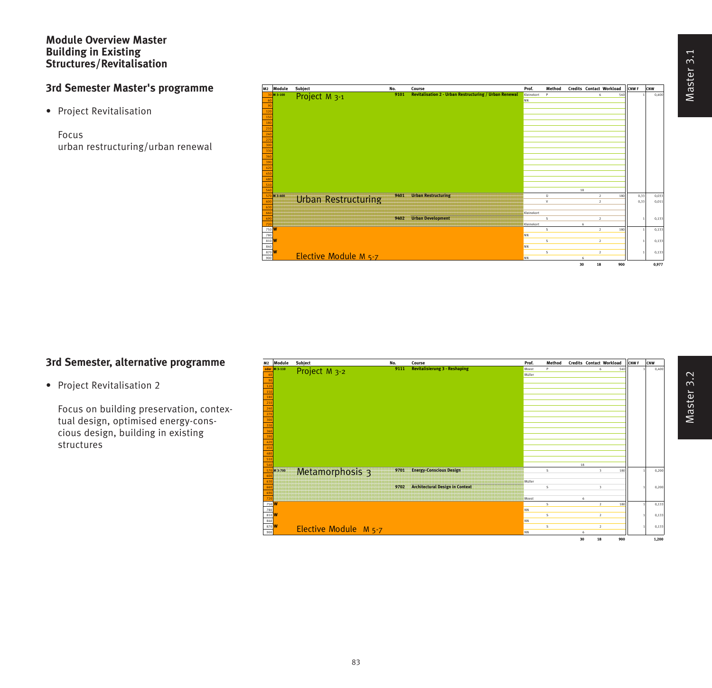#### **Module Overview Master Building in Existing Structures/Revitalisation**

# **3rd Semester Master's programme**

• Project Revitalisation

Focus urban restructuring/urban renewal

| M2 |                     | Module      | Subject                    | No.  | Course                                                        | Prof.      | Method   |    |                | <b>Credits Contact Workload</b> | <b>LONWF</b> | CNW    |
|----|---------------------|-------------|----------------------------|------|---------------------------------------------------------------|------------|----------|----|----------------|---------------------------------|--------------|--------|
|    |                     | 30 M 3-100  | Project M <sub>3-1</sub>   | 9101 | <b>Revitalisation 2 - Urban Restructuring / Urban Renewal</b> | Kleinekort | Þ        |    | 6              |                                 | 540          | 0,400  |
|    |                     |             |                            |      |                                                               | NN         |          |    |                |                                 |              |        |
|    | $\alpha$            |             |                            |      |                                                               |            |          |    |                |                                 |              |        |
|    | 120                 |             |                            |      |                                                               |            |          |    |                |                                 |              |        |
|    | 150                 |             |                            |      |                                                               |            |          |    |                |                                 |              |        |
|    | 180                 |             |                            |      |                                                               |            |          |    |                |                                 |              |        |
|    | 210                 |             |                            |      |                                                               |            |          |    |                |                                 |              |        |
|    | 240<br>270          |             |                            |      |                                                               |            |          |    |                |                                 |              |        |
|    | 300                 |             |                            |      |                                                               |            |          |    |                |                                 |              |        |
|    | 330                 |             |                            |      |                                                               |            |          |    |                |                                 |              |        |
|    | 360                 |             |                            |      |                                                               |            |          |    |                |                                 |              |        |
|    | 390                 |             |                            |      |                                                               |            |          |    |                |                                 |              |        |
|    | 420                 |             |                            |      |                                                               |            |          |    |                |                                 |              |        |
|    | 450                 |             |                            |      |                                                               |            |          |    |                |                                 |              |        |
|    | 480                 |             |                            |      |                                                               |            |          |    |                |                                 |              |        |
|    | 510                 |             |                            |      |                                                               |            |          |    |                |                                 |              |        |
|    | 540                 |             |                            |      |                                                               |            |          | 18 |                |                                 |              |        |
|    |                     | 570 M 3-400 | <b>Urban Restructuring</b> | 9401 | <b>Urban Restructuring</b>                                    |            | $\bf{0}$ |    | $\overline{2}$ |                                 | 0,33<br>180  | 0,033  |
|    | 600                 |             |                            |      |                                                               |            | v        |    | $\overline{2}$ |                                 | 0.33         | 0,011  |
|    | 631                 |             |                            |      |                                                               |            |          |    |                |                                 |              |        |
|    | 660                 |             |                            |      |                                                               | Kleinekort |          |    |                |                                 |              |        |
|    | 690<br>720          |             |                            | 9402 | <b>Urban Development</b>                                      | Kleinekort | s        | 6  | $\overline{2}$ |                                 |              | 0,133  |
|    | 750 M               |             |                            |      |                                                               |            | s        |    | $\overline{2}$ |                                 | 180          | 0,133  |
|    | 780                 |             |                            |      |                                                               | <b>NN</b>  |          |    |                |                                 |              |        |
|    | 810 M               |             |                            |      |                                                               |            | s        |    | $\overline{2}$ |                                 |              | 0, 133 |
|    |                     |             |                            |      |                                                               | <b>NN</b>  |          |    |                |                                 |              |        |
|    | $\frac{840}{870}$ W |             |                            |      |                                                               |            | s        |    | $\overline{2}$ |                                 |              | 0,133  |
|    | 900                 |             | Elective Module M 5-7      |      |                                                               | <b>NN</b>  |          | 6  |                |                                 |              |        |
|    |                     |             |                            |      |                                                               |            |          | 30 | 18             |                                 | 900          | 0,977  |
|    |                     |             |                            |      |                                                               |            |          |    |                |                                 |              |        |

## **3rd Semester, alternative programme**

• Project Revitalisation 2

Focus on building preservation, contextual design, optimised energy-conscious design, building in existing structures

| M2                 | Module       | Subject               | No.  | Course                                 | Prof.     | Method |    |                         | Credits Contact Workload | CNW <sub>F</sub> | CNW   |
|--------------------|--------------|-----------------------|------|----------------------------------------|-----------|--------|----|-------------------------|--------------------------|------------------|-------|
|                    | oder M 3-110 | Project M 3-2         | 9111 | <b>Revitalisierung 3 - Reshaping</b>   | Moest     | Þ      |    | 6                       | 540                      |                  | 0,400 |
| 60                 |              |                       |      |                                        | Müller    |        |    |                         |                          |                  |       |
| 90                 |              |                       |      |                                        |           |        |    |                         |                          |                  |       |
| 120                |              |                       |      |                                        |           |        |    |                         |                          |                  |       |
| 150<br>180         |              |                       |      |                                        |           |        |    |                         |                          |                  |       |
| 210                |              |                       |      |                                        |           |        |    |                         |                          |                  |       |
| 240                |              |                       |      |                                        |           |        |    |                         |                          |                  |       |
| 270                |              |                       |      |                                        |           |        |    |                         |                          |                  |       |
| 300                |              |                       |      |                                        |           |        |    |                         |                          |                  |       |
| 330                |              |                       |      |                                        |           |        |    |                         |                          |                  |       |
| 360                |              |                       |      |                                        |           |        |    |                         |                          |                  |       |
| 390                |              |                       |      |                                        |           |        |    |                         |                          |                  |       |
| 420                |              |                       |      |                                        |           |        |    |                         |                          |                  |       |
| 450<br>480         |              |                       |      |                                        |           |        |    |                         |                          |                  |       |
| 510                |              |                       |      |                                        |           |        |    |                         |                          |                  |       |
| 540                |              |                       |      |                                        |           |        | 18 |                         |                          |                  |       |
|                    | 570 M 3-700  | Metamorphosis 3       | 9701 | <b>Energy-Conscious Design</b>         |           | s      |    | $\overline{\mathbf{3}}$ | 180                      |                  | 0,200 |
| 600<br>630         |              |                       |      |                                        | Müller    |        |    |                         |                          |                  |       |
| 660                |              |                       | 9702 | <b>Architectural Design in Context</b> |           | s      |    | 3                       |                          |                  | 0,200 |
| 690                |              |                       |      |                                        |           |        |    |                         |                          |                  |       |
|                    |              |                       |      |                                        | Moest     |        | h  |                         |                          |                  |       |
| 750 <mark>W</mark> |              |                       |      |                                        |           | s      |    | $\overline{2}$          | 180                      |                  | 0,133 |
| 780                |              |                       |      |                                        | <b>NN</b> |        |    |                         |                          |                  |       |
| 810 W<br>840       |              |                       |      |                                        | <b>NN</b> | s      |    | $\,$ 2 $\,$             |                          |                  | 0,133 |
| 870 <mark>W</mark> |              |                       |      |                                        |           | s      |    | $\,2\,$                 |                          |                  | 0,133 |
| 900                |              | Elective Module M 5-7 |      |                                        | <b>NN</b> |        | ŕ. |                         |                          |                  |       |
|                    |              |                       |      |                                        |           |        | 30 | 18                      | 900                      |                  | 1,200 |
|                    |              |                       |      |                                        |           |        |    |                         |                          |                  |       |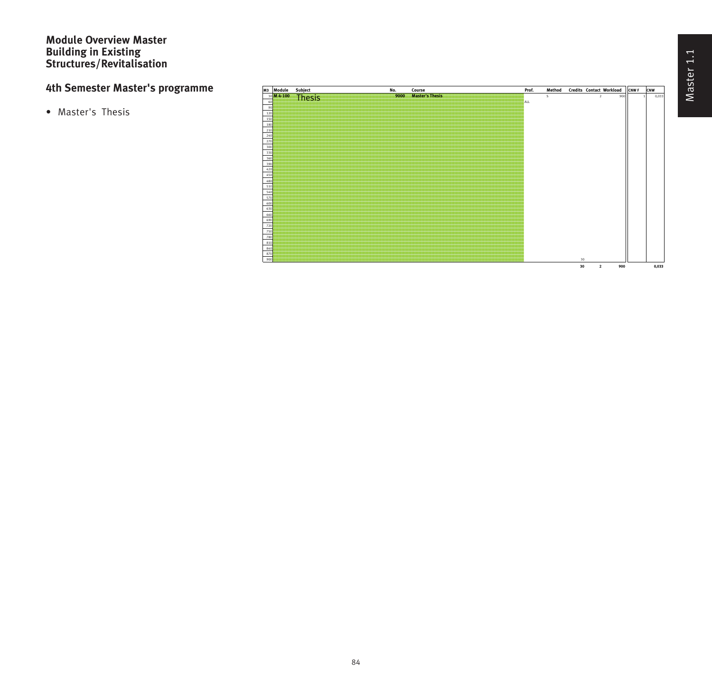### **Module Overview Master Building in Existing Structures/Revitalisation**

# **4th Semester Master's programme**

• Master's Thesis

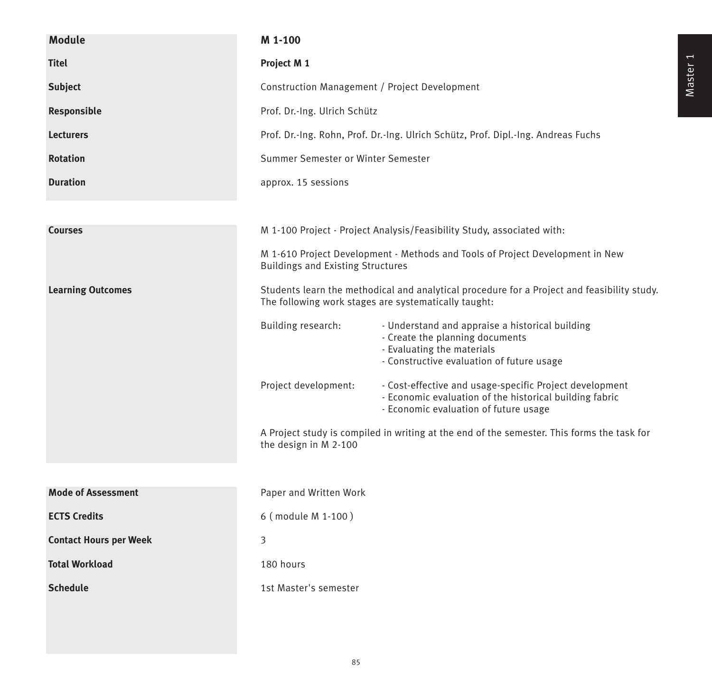| <b>Module</b>                 | M 1-100                                                                                                                                             |                                                                                                                                                               |  |  |  |  |  |  |  |
|-------------------------------|-----------------------------------------------------------------------------------------------------------------------------------------------------|---------------------------------------------------------------------------------------------------------------------------------------------------------------|--|--|--|--|--|--|--|
| <b>Titel</b>                  | Project M 1                                                                                                                                         |                                                                                                                                                               |  |  |  |  |  |  |  |
| <b>Subject</b>                | Construction Management / Project Development                                                                                                       |                                                                                                                                                               |  |  |  |  |  |  |  |
| <b>Responsible</b>            | Prof. Dr.-Ing. Ulrich Schütz                                                                                                                        |                                                                                                                                                               |  |  |  |  |  |  |  |
| <b>Lecturers</b>              | Prof. Dr.-Ing. Rohn, Prof. Dr.-Ing. Ulrich Schütz, Prof. Dipl.-Ing. Andreas Fuchs                                                                   |                                                                                                                                                               |  |  |  |  |  |  |  |
| <b>Rotation</b>               |                                                                                                                                                     | Summer Semester or Winter Semester                                                                                                                            |  |  |  |  |  |  |  |
| <b>Duration</b>               | approx. 15 sessions                                                                                                                                 |                                                                                                                                                               |  |  |  |  |  |  |  |
|                               |                                                                                                                                                     |                                                                                                                                                               |  |  |  |  |  |  |  |
| <b>Courses</b>                |                                                                                                                                                     | M 1-100 Project - Project Analysis/Feasibility Study, associated with:                                                                                        |  |  |  |  |  |  |  |
|                               | M 1-610 Project Development - Methods and Tools of Project Development in New<br><b>Buildings and Existing Structures</b>                           |                                                                                                                                                               |  |  |  |  |  |  |  |
| <b>Learning Outcomes</b>      | Students learn the methodical and analytical procedure for a Project and feasibility study.<br>The following work stages are systematically taught: |                                                                                                                                                               |  |  |  |  |  |  |  |
|                               | Building research:                                                                                                                                  | - Understand and appraise a historical building<br>- Create the planning documents<br>- Evaluating the materials<br>- Constructive evaluation of future usage |  |  |  |  |  |  |  |
|                               | Project development:                                                                                                                                | - Cost-effective and usage-specific Project development<br>- Economic evaluation of the historical building fabric<br>- Economic evaluation of future usage   |  |  |  |  |  |  |  |
|                               | the design in M 2-100                                                                                                                               | A Project study is compiled in writing at the end of the semester. This forms the task for                                                                    |  |  |  |  |  |  |  |
|                               |                                                                                                                                                     |                                                                                                                                                               |  |  |  |  |  |  |  |
| <b>Mode of Assessment</b>     | Paper and Written Work                                                                                                                              |                                                                                                                                                               |  |  |  |  |  |  |  |
| <b>ECTS Credits</b>           | 6 (module M 1-100)                                                                                                                                  |                                                                                                                                                               |  |  |  |  |  |  |  |
| <b>Contact Hours per Week</b> | 3                                                                                                                                                   |                                                                                                                                                               |  |  |  |  |  |  |  |
| <b>Total Workload</b>         | 180 hours                                                                                                                                           |                                                                                                                                                               |  |  |  |  |  |  |  |
| <b>Schedule</b>               | 1st Master's semester                                                                                                                               |                                                                                                                                                               |  |  |  |  |  |  |  |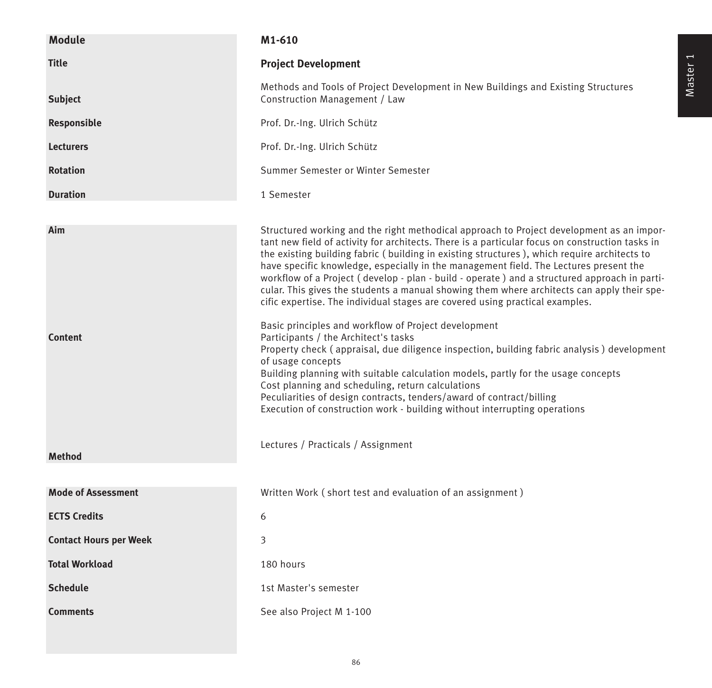| <b>Module</b>                 | M1-610                                                                                                                                                                                                                                                                                                                                                                                                                                                                                                                                                                                                                                                                                                                                                                                                                                                                                                                                                                                                                                                                                                                                                                               |
|-------------------------------|--------------------------------------------------------------------------------------------------------------------------------------------------------------------------------------------------------------------------------------------------------------------------------------------------------------------------------------------------------------------------------------------------------------------------------------------------------------------------------------------------------------------------------------------------------------------------------------------------------------------------------------------------------------------------------------------------------------------------------------------------------------------------------------------------------------------------------------------------------------------------------------------------------------------------------------------------------------------------------------------------------------------------------------------------------------------------------------------------------------------------------------------------------------------------------------|
| <b>Title</b>                  | <b>Project Development</b>                                                                                                                                                                                                                                                                                                                                                                                                                                                                                                                                                                                                                                                                                                                                                                                                                                                                                                                                                                                                                                                                                                                                                           |
| <b>Subject</b>                | Methods and Tools of Project Development in New Buildings and Existing Structures<br>Construction Management / Law                                                                                                                                                                                                                                                                                                                                                                                                                                                                                                                                                                                                                                                                                                                                                                                                                                                                                                                                                                                                                                                                   |
| Responsible                   | Prof. Dr.-Ing. Ulrich Schütz                                                                                                                                                                                                                                                                                                                                                                                                                                                                                                                                                                                                                                                                                                                                                                                                                                                                                                                                                                                                                                                                                                                                                         |
| <b>Lecturers</b>              | Prof. Dr.-Ing. Ulrich Schütz                                                                                                                                                                                                                                                                                                                                                                                                                                                                                                                                                                                                                                                                                                                                                                                                                                                                                                                                                                                                                                                                                                                                                         |
| <b>Rotation</b>               | Summer Semester or Winter Semester                                                                                                                                                                                                                                                                                                                                                                                                                                                                                                                                                                                                                                                                                                                                                                                                                                                                                                                                                                                                                                                                                                                                                   |
| <b>Duration</b>               | 1 Semester                                                                                                                                                                                                                                                                                                                                                                                                                                                                                                                                                                                                                                                                                                                                                                                                                                                                                                                                                                                                                                                                                                                                                                           |
| Aim<br><b>Content</b>         | Structured working and the right methodical approach to Project development as an impor-<br>tant new field of activity for architects. There is a particular focus on construction tasks in<br>the existing building fabric (building in existing structures), which require architects to<br>have specific knowledge, especially in the management field. The Lectures present the<br>workflow of a Project (develop - plan - build - operate ) and a structured approach in parti-<br>cular. This gives the students a manual showing them where architects can apply their spe-<br>cific expertise. The individual stages are covered using practical examples.<br>Basic principles and workflow of Project development<br>Participants / the Architect's tasks<br>Property check (appraisal, due diligence inspection, building fabric analysis) development<br>of usage concepts<br>Building planning with suitable calculation models, partly for the usage concepts<br>Cost planning and scheduling, return calculations<br>Peculiarities of design contracts, tenders/award of contract/billing<br>Execution of construction work - building without interrupting operations |
| <b>Method</b>                 | Lectures / Practicals / Assignment                                                                                                                                                                                                                                                                                                                                                                                                                                                                                                                                                                                                                                                                                                                                                                                                                                                                                                                                                                                                                                                                                                                                                   |
|                               |                                                                                                                                                                                                                                                                                                                                                                                                                                                                                                                                                                                                                                                                                                                                                                                                                                                                                                                                                                                                                                                                                                                                                                                      |
| <b>Mode of Assessment</b>     | Written Work (short test and evaluation of an assignment)                                                                                                                                                                                                                                                                                                                                                                                                                                                                                                                                                                                                                                                                                                                                                                                                                                                                                                                                                                                                                                                                                                                            |
| <b>ECTS Credits</b>           | 6                                                                                                                                                                                                                                                                                                                                                                                                                                                                                                                                                                                                                                                                                                                                                                                                                                                                                                                                                                                                                                                                                                                                                                                    |
| <b>Contact Hours per Week</b> | 3                                                                                                                                                                                                                                                                                                                                                                                                                                                                                                                                                                                                                                                                                                                                                                                                                                                                                                                                                                                                                                                                                                                                                                                    |
| <b>Total Workload</b>         | 180 hours                                                                                                                                                                                                                                                                                                                                                                                                                                                                                                                                                                                                                                                                                                                                                                                                                                                                                                                                                                                                                                                                                                                                                                            |
| <b>Schedule</b>               | 1st Master's semester                                                                                                                                                                                                                                                                                                                                                                                                                                                                                                                                                                                                                                                                                                                                                                                                                                                                                                                                                                                                                                                                                                                                                                |
| <b>Comments</b>               | See also Project M 1-100                                                                                                                                                                                                                                                                                                                                                                                                                                                                                                                                                                                                                                                                                                                                                                                                                                                                                                                                                                                                                                                                                                                                                             |

86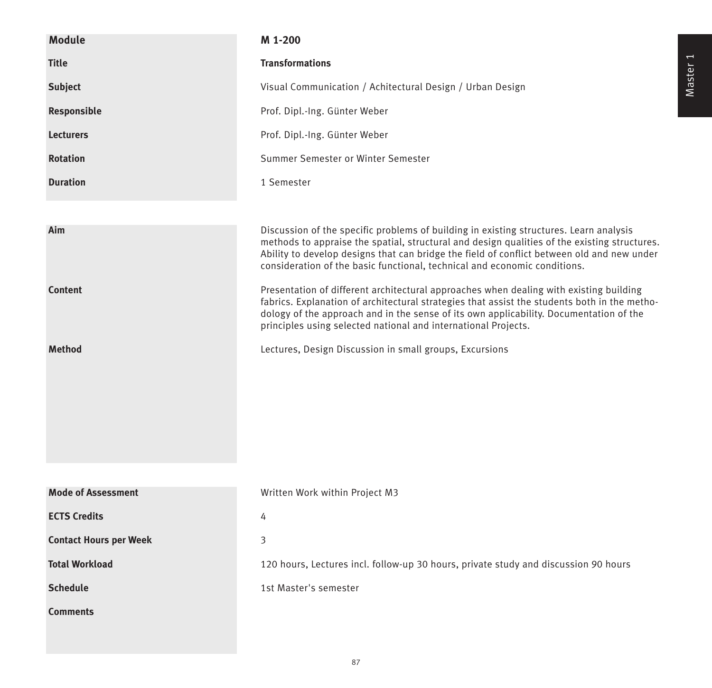| <b>Module</b>                 | M 1-200                                                                                                                                                                                                                                                                                                                                                           |
|-------------------------------|-------------------------------------------------------------------------------------------------------------------------------------------------------------------------------------------------------------------------------------------------------------------------------------------------------------------------------------------------------------------|
| <b>Title</b>                  | <b>Transformations</b>                                                                                                                                                                                                                                                                                                                                            |
| <b>Subject</b>                | Visual Communication / Achitectural Design / Urban Design                                                                                                                                                                                                                                                                                                         |
| Responsible                   | Prof. Dipl.-Ing. Günter Weber                                                                                                                                                                                                                                                                                                                                     |
| <b>Lecturers</b>              | Prof. Dipl.-Ing. Günter Weber                                                                                                                                                                                                                                                                                                                                     |
| <b>Rotation</b>               | Summer Semester or Winter Semester                                                                                                                                                                                                                                                                                                                                |
| <b>Duration</b>               | 1 Semester                                                                                                                                                                                                                                                                                                                                                        |
|                               |                                                                                                                                                                                                                                                                                                                                                                   |
| Aim                           | Discussion of the specific problems of building in existing structures. Learn analysis<br>methods to appraise the spatial, structural and design qualities of the existing structures.<br>Ability to develop designs that can bridge the field of conflict between old and new under<br>consideration of the basic functional, technical and economic conditions. |
| <b>Content</b>                | Presentation of different architectural approaches when dealing with existing building<br>fabrics. Explanation of architectural strategies that assist the students both in the metho-<br>dology of the approach and in the sense of its own applicability. Documentation of the<br>principles using selected national and international Projects.                |
| <b>Method</b>                 | Lectures, Design Discussion in small groups, Excursions                                                                                                                                                                                                                                                                                                           |
|                               |                                                                                                                                                                                                                                                                                                                                                                   |
|                               |                                                                                                                                                                                                                                                                                                                                                                   |
|                               |                                                                                                                                                                                                                                                                                                                                                                   |
|                               |                                                                                                                                                                                                                                                                                                                                                                   |
|                               |                                                                                                                                                                                                                                                                                                                                                                   |
| <b>Mode of Assessment</b>     | Written Work within Project M3                                                                                                                                                                                                                                                                                                                                    |
| <b>ECTS Credits</b>           | 4                                                                                                                                                                                                                                                                                                                                                                 |
| <b>Contact Hours per Week</b> | 3                                                                                                                                                                                                                                                                                                                                                                 |
| <b>Total Workload</b>         | 120 hours, Lectures incl. follow-up 30 hours, private study and discussion 90 hours                                                                                                                                                                                                                                                                               |
| <b>Schedule</b>               | 1st Master's semester                                                                                                                                                                                                                                                                                                                                             |
| <b>Comments</b>               |                                                                                                                                                                                                                                                                                                                                                                   |
|                               |                                                                                                                                                                                                                                                                                                                                                                   |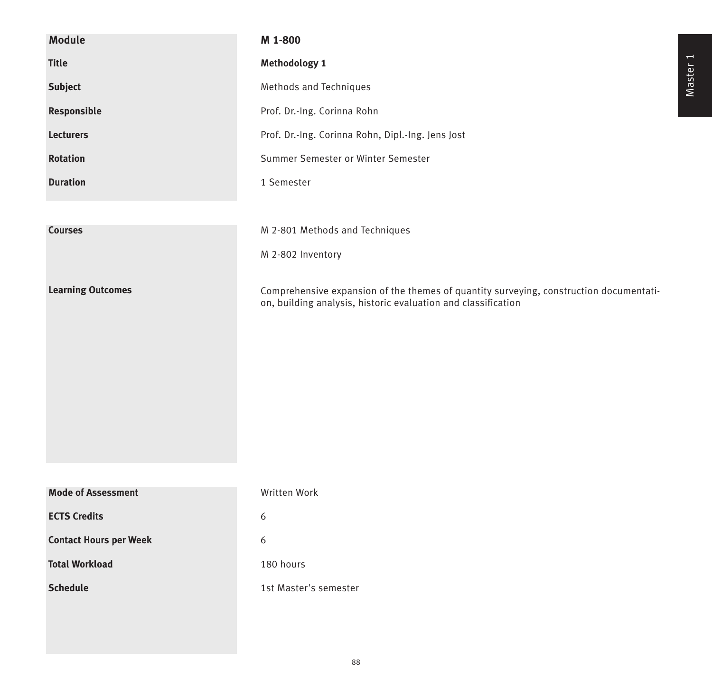| <b>Module</b>                 | M 1-800                                                                                                                                                 |
|-------------------------------|---------------------------------------------------------------------------------------------------------------------------------------------------------|
| <b>Title</b>                  | Methodology 1                                                                                                                                           |
| Subject                       | Methods and Techniques                                                                                                                                  |
| Responsible                   | Prof. Dr.-Ing. Corinna Rohn                                                                                                                             |
| <b>Lecturers</b>              | Prof. Dr.-Ing. Corinna Rohn, Dipl.-Ing. Jens Jost                                                                                                       |
| <b>Rotation</b>               | Summer Semester or Winter Semester                                                                                                                      |
| <b>Duration</b>               | 1 Semester                                                                                                                                              |
|                               |                                                                                                                                                         |
| <b>Courses</b>                | M 2-801 Methods and Techniques                                                                                                                          |
|                               | M 2-802 Inventory                                                                                                                                       |
|                               |                                                                                                                                                         |
| <b>Learning Outcomes</b>      | Comprehensive expansion of the themes of quantity surveying, construction documentati-<br>on, building analysis, historic evaluation and classification |
|                               |                                                                                                                                                         |
|                               |                                                                                                                                                         |
|                               |                                                                                                                                                         |
|                               |                                                                                                                                                         |
|                               |                                                                                                                                                         |
|                               |                                                                                                                                                         |
|                               |                                                                                                                                                         |
| <b>Mode of Assessment</b>     | Written Work                                                                                                                                            |
| <b>ECTS Credits</b>           | 6                                                                                                                                                       |
| <b>Contact Hours per Week</b> | 6                                                                                                                                                       |
| <b>Total Workload</b>         | 180 hours                                                                                                                                               |
| <b>Schedule</b>               | 1st Master's semester                                                                                                                                   |
|                               |                                                                                                                                                         |
|                               |                                                                                                                                                         |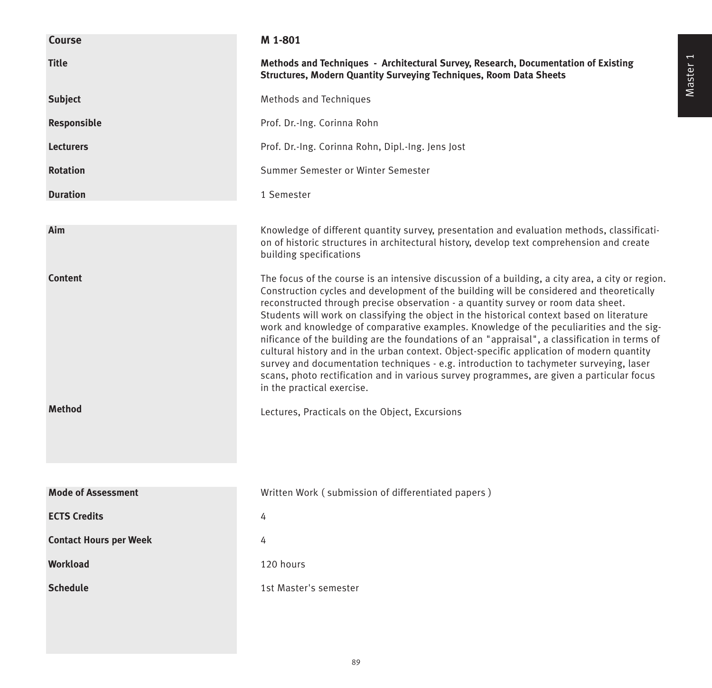| <b>Course</b>                 | M 1-801                                                                                                                                                                                                                                                                                                                                                                                                                                                                                                                                                                                                                                                                                                                                                                                                                                                                                       |
|-------------------------------|-----------------------------------------------------------------------------------------------------------------------------------------------------------------------------------------------------------------------------------------------------------------------------------------------------------------------------------------------------------------------------------------------------------------------------------------------------------------------------------------------------------------------------------------------------------------------------------------------------------------------------------------------------------------------------------------------------------------------------------------------------------------------------------------------------------------------------------------------------------------------------------------------|
| <b>Title</b>                  | Methods and Techniques - Architectural Survey, Research, Documentation of Existing<br><b>Structures, Modern Quantity Surveying Techniques, Room Data Sheets</b>                                                                                                                                                                                                                                                                                                                                                                                                                                                                                                                                                                                                                                                                                                                               |
| <b>Subject</b>                | Methods and Techniques                                                                                                                                                                                                                                                                                                                                                                                                                                                                                                                                                                                                                                                                                                                                                                                                                                                                        |
| Responsible                   | Prof. Dr.-Ing. Corinna Rohn                                                                                                                                                                                                                                                                                                                                                                                                                                                                                                                                                                                                                                                                                                                                                                                                                                                                   |
| <b>Lecturers</b>              | Prof. Dr.-Ing. Corinna Rohn, Dipl.-Ing. Jens Jost                                                                                                                                                                                                                                                                                                                                                                                                                                                                                                                                                                                                                                                                                                                                                                                                                                             |
| <b>Rotation</b>               | Summer Semester or Winter Semester                                                                                                                                                                                                                                                                                                                                                                                                                                                                                                                                                                                                                                                                                                                                                                                                                                                            |
| <b>Duration</b>               | 1 Semester                                                                                                                                                                                                                                                                                                                                                                                                                                                                                                                                                                                                                                                                                                                                                                                                                                                                                    |
| Aim                           | Knowledge of different quantity survey, presentation and evaluation methods, classificati-<br>on of historic structures in architectural history, develop text comprehension and create<br>building specifications                                                                                                                                                                                                                                                                                                                                                                                                                                                                                                                                                                                                                                                                            |
| <b>Content</b>                | The focus of the course is an intensive discussion of a building, a city area, a city or region.<br>Construction cycles and development of the building will be considered and theoretically<br>reconstructed through precise observation - a quantity survey or room data sheet.<br>Students will work on classifying the object in the historical context based on literature<br>work and knowledge of comparative examples. Knowledge of the peculiarities and the sig-<br>nificance of the building are the foundations of an "appraisal", a classification in terms of<br>cultural history and in the urban context. Object-specific application of modern quantity<br>survey and documentation techniques - e.g. introduction to tachymeter surveying, laser<br>scans, photo rectification and in various survey programmes, are given a particular focus<br>in the practical exercise. |
| <b>Method</b>                 | Lectures, Practicals on the Object, Excursions                                                                                                                                                                                                                                                                                                                                                                                                                                                                                                                                                                                                                                                                                                                                                                                                                                                |
| <b>Mode of Assessment</b>     | Written Work (submission of differentiated papers)                                                                                                                                                                                                                                                                                                                                                                                                                                                                                                                                                                                                                                                                                                                                                                                                                                            |
| <b>ECTS Credits</b>           | 4                                                                                                                                                                                                                                                                                                                                                                                                                                                                                                                                                                                                                                                                                                                                                                                                                                                                                             |
| <b>Contact Hours per Week</b> | 4                                                                                                                                                                                                                                                                                                                                                                                                                                                                                                                                                                                                                                                                                                                                                                                                                                                                                             |
| <b>Workload</b>               | 120 hours                                                                                                                                                                                                                                                                                                                                                                                                                                                                                                                                                                                                                                                                                                                                                                                                                                                                                     |
| <b>Schedule</b>               | 1st Master's semester                                                                                                                                                                                                                                                                                                                                                                                                                                                                                                                                                                                                                                                                                                                                                                                                                                                                         |
|                               |                                                                                                                                                                                                                                                                                                                                                                                                                                                                                                                                                                                                                                                                                                                                                                                                                                                                                               |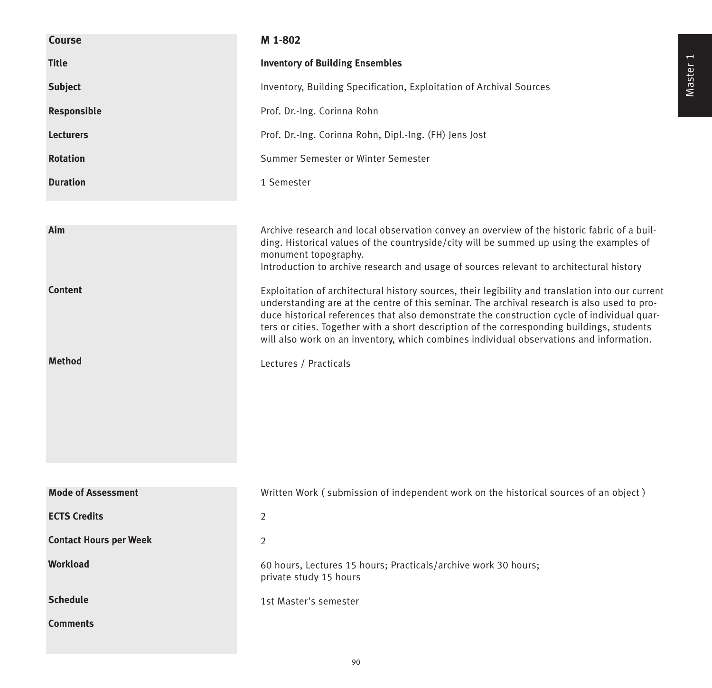| <b>Course</b>                 | M 1-802                                                                                                                                                                                                                                                                                                                                                                                                                                                                                 |
|-------------------------------|-----------------------------------------------------------------------------------------------------------------------------------------------------------------------------------------------------------------------------------------------------------------------------------------------------------------------------------------------------------------------------------------------------------------------------------------------------------------------------------------|
| <b>Title</b>                  | <b>Inventory of Building Ensembles</b>                                                                                                                                                                                                                                                                                                                                                                                                                                                  |
| <b>Subject</b>                | Inventory, Building Specification, Exploitation of Archival Sources                                                                                                                                                                                                                                                                                                                                                                                                                     |
| Responsible                   | Prof. Dr.-Ing. Corinna Rohn                                                                                                                                                                                                                                                                                                                                                                                                                                                             |
| <b>Lecturers</b>              | Prof. Dr.-Ing. Corinna Rohn, Dipl.-Ing. (FH) Jens Jost                                                                                                                                                                                                                                                                                                                                                                                                                                  |
| <b>Rotation</b>               | Summer Semester or Winter Semester                                                                                                                                                                                                                                                                                                                                                                                                                                                      |
| <b>Duration</b>               | 1 Semester                                                                                                                                                                                                                                                                                                                                                                                                                                                                              |
|                               |                                                                                                                                                                                                                                                                                                                                                                                                                                                                                         |
| Aim                           | Archive research and local observation convey an overview of the historic fabric of a buil-<br>ding. Historical values of the countryside/city will be summed up using the examples of<br>monument topography.<br>Introduction to archive research and usage of sources relevant to architectural history                                                                                                                                                                               |
| <b>Content</b>                | Exploitation of architectural history sources, their legibility and translation into our current<br>understanding are at the centre of this seminar. The archival research is also used to pro-<br>duce historical references that also demonstrate the construction cycle of individual quar-<br>ters or cities. Together with a short description of the corresponding buildings, students<br>will also work on an inventory, which combines individual observations and information. |
| <b>Method</b>                 | Lectures / Practicals                                                                                                                                                                                                                                                                                                                                                                                                                                                                   |
|                               |                                                                                                                                                                                                                                                                                                                                                                                                                                                                                         |
| <b>Mode of Assessment</b>     | Written Work (submission of independent work on the historical sources of an object)                                                                                                                                                                                                                                                                                                                                                                                                    |
| <b>ECTS Credits</b>           | $\overline{2}$                                                                                                                                                                                                                                                                                                                                                                                                                                                                          |
| <b>Contact Hours per Week</b> | 2                                                                                                                                                                                                                                                                                                                                                                                                                                                                                       |
| Workload                      | 60 hours, Lectures 15 hours; Practicals/archive work 30 hours;<br>private study 15 hours                                                                                                                                                                                                                                                                                                                                                                                                |
| <b>Schedule</b>               | 1st Master's semester                                                                                                                                                                                                                                                                                                                                                                                                                                                                   |
| <b>Comments</b>               |                                                                                                                                                                                                                                                                                                                                                                                                                                                                                         |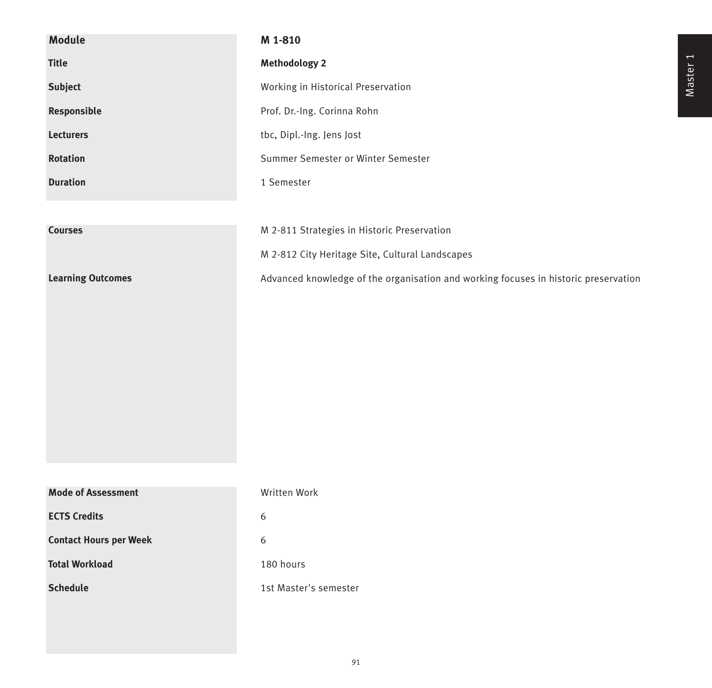| Module                        | M 1-810                                                                             |
|-------------------------------|-------------------------------------------------------------------------------------|
| <b>Title</b>                  | <b>Methodology 2</b>                                                                |
| Subject                       | Working in Historical Preservation                                                  |
| Responsible                   | Prof. Dr.-Ing. Corinna Rohn                                                         |
| <b>Lecturers</b>              | tbc, Dipl.-Ing. Jens Jost                                                           |
| <b>Rotation</b>               | Summer Semester or Winter Semester                                                  |
| <b>Duration</b>               | 1 Semester                                                                          |
|                               |                                                                                     |
| <b>Courses</b>                | M 2-811 Strategies in Historic Preservation                                         |
|                               | M 2-812 City Heritage Site, Cultural Landscapes                                     |
| <b>Learning Outcomes</b>      | Advanced knowledge of the organisation and working focuses in historic preservation |
|                               |                                                                                     |
|                               |                                                                                     |
|                               |                                                                                     |
|                               |                                                                                     |
|                               |                                                                                     |
|                               |                                                                                     |
|                               |                                                                                     |
|                               |                                                                                     |
| <b>Mode of Assessment</b>     | Written Work                                                                        |
| <b>ECTS Credits</b>           | 6                                                                                   |
| <b>Contact Hours per Week</b> | 6                                                                                   |
| <b>Total Workload</b>         | 180 hours                                                                           |
| <b>Schedule</b>               | 1st Master's semester                                                               |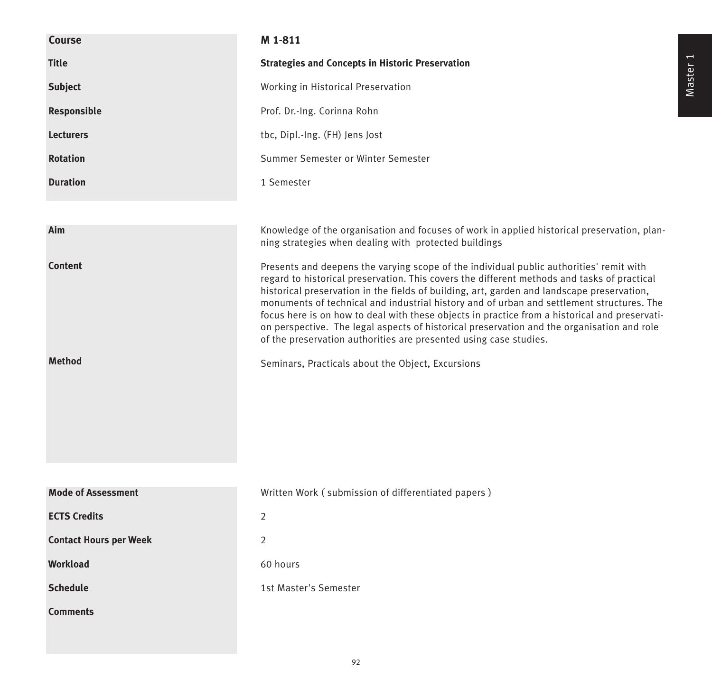| Course                          | M 1-811                                                                                                                                                                                                                                                                                                                                                                                                                                                                                                                                                                                                                                                                                                    |
|---------------------------------|------------------------------------------------------------------------------------------------------------------------------------------------------------------------------------------------------------------------------------------------------------------------------------------------------------------------------------------------------------------------------------------------------------------------------------------------------------------------------------------------------------------------------------------------------------------------------------------------------------------------------------------------------------------------------------------------------------|
| <b>Title</b>                    | <b>Strategies and Concepts in Historic Preservation</b>                                                                                                                                                                                                                                                                                                                                                                                                                                                                                                                                                                                                                                                    |
| <b>Subject</b>                  | Working in Historical Preservation                                                                                                                                                                                                                                                                                                                                                                                                                                                                                                                                                                                                                                                                         |
| Responsible                     | Prof. Dr.-Ing. Corinna Rohn                                                                                                                                                                                                                                                                                                                                                                                                                                                                                                                                                                                                                                                                                |
| <b>Lecturers</b>                | tbc, Dipl.-Ing. (FH) Jens Jost                                                                                                                                                                                                                                                                                                                                                                                                                                                                                                                                                                                                                                                                             |
| <b>Rotation</b>                 | Summer Semester or Winter Semester                                                                                                                                                                                                                                                                                                                                                                                                                                                                                                                                                                                                                                                                         |
| <b>Duration</b>                 | 1 Semester                                                                                                                                                                                                                                                                                                                                                                                                                                                                                                                                                                                                                                                                                                 |
|                                 |                                                                                                                                                                                                                                                                                                                                                                                                                                                                                                                                                                                                                                                                                                            |
| Aim                             | Knowledge of the organisation and focuses of work in applied historical preservation, plan-<br>ning strategies when dealing with protected buildings                                                                                                                                                                                                                                                                                                                                                                                                                                                                                                                                                       |
| <b>Content</b><br><b>Method</b> | Presents and deepens the varying scope of the individual public authorities' remit with<br>regard to historical preservation. This covers the different methods and tasks of practical<br>historical preservation in the fields of building, art, garden and landscape preservation,<br>monuments of technical and industrial history and of urban and settlement structures. The<br>focus here is on how to deal with these objects in practice from a historical and preservati-<br>on perspective. The legal aspects of historical preservation and the organisation and role<br>of the preservation authorities are presented using case studies.<br>Seminars, Practicals about the Object, Excursions |
|                                 |                                                                                                                                                                                                                                                                                                                                                                                                                                                                                                                                                                                                                                                                                                            |
| <b>Mode of Assessment</b>       | Written Work (submission of differentiated papers)                                                                                                                                                                                                                                                                                                                                                                                                                                                                                                                                                                                                                                                         |
| <b>ECTS Credits</b>             | 2                                                                                                                                                                                                                                                                                                                                                                                                                                                                                                                                                                                                                                                                                                          |
| <b>Contact Hours per Week</b>   | $\overline{2}$                                                                                                                                                                                                                                                                                                                                                                                                                                                                                                                                                                                                                                                                                             |
| Workload                        | 60 hours                                                                                                                                                                                                                                                                                                                                                                                                                                                                                                                                                                                                                                                                                                   |
| <b>Schedule</b>                 | 1st Master's Semester                                                                                                                                                                                                                                                                                                                                                                                                                                                                                                                                                                                                                                                                                      |
| <b>Comments</b>                 |                                                                                                                                                                                                                                                                                                                                                                                                                                                                                                                                                                                                                                                                                                            |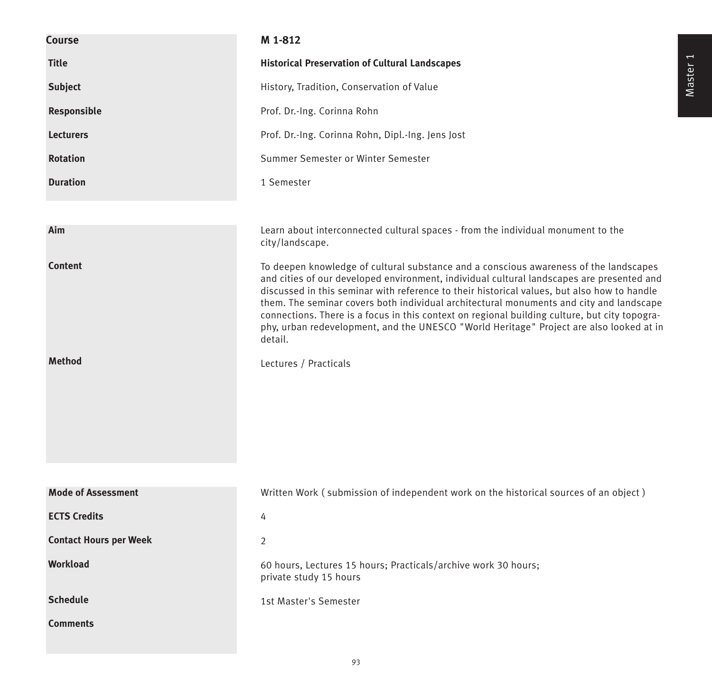| <b>Course</b>                 | M 1-812                                                                                                                                                                                                                                                                                                                                                                                                                                                                                                                                                                             |
|-------------------------------|-------------------------------------------------------------------------------------------------------------------------------------------------------------------------------------------------------------------------------------------------------------------------------------------------------------------------------------------------------------------------------------------------------------------------------------------------------------------------------------------------------------------------------------------------------------------------------------|
| <b>Title</b>                  | <b>Historical Preservation of Cultural Landscapes</b>                                                                                                                                                                                                                                                                                                                                                                                                                                                                                                                               |
| <b>Subject</b>                | History, Tradition, Conservation of Value                                                                                                                                                                                                                                                                                                                                                                                                                                                                                                                                           |
| Responsible                   | Prof. Dr.-Ing. Corinna Rohn                                                                                                                                                                                                                                                                                                                                                                                                                                                                                                                                                         |
| <b>Lecturers</b>              | Prof. Dr.-Ing. Corinna Rohn, Dipl.-Ing. Jens Jost                                                                                                                                                                                                                                                                                                                                                                                                                                                                                                                                   |
| <b>Rotation</b>               | Summer Semester or Winter Semester                                                                                                                                                                                                                                                                                                                                                                                                                                                                                                                                                  |
| <b>Duration</b>               | 1 Semester                                                                                                                                                                                                                                                                                                                                                                                                                                                                                                                                                                          |
|                               |                                                                                                                                                                                                                                                                                                                                                                                                                                                                                                                                                                                     |
| Aim                           | Learn about interconnected cultural spaces - from the individual monument to the<br>city/landscape.                                                                                                                                                                                                                                                                                                                                                                                                                                                                                 |
| <b>Content</b>                | To deepen knowledge of cultural substance and a conscious awareness of the landscapes<br>and cities of our developed environment, individual cultural landscapes are presented and<br>discussed in this seminar with reference to their historical values, but also how to handle<br>them. The seminar covers both individual architectural monuments and city and landscape<br>connections. There is a focus in this context on regional building culture, but city topogra-<br>phy, urban redevelopment, and the UNESCO "World Heritage" Project are also looked at in<br>detail. |
| <b>Method</b>                 | Lectures / Practicals                                                                                                                                                                                                                                                                                                                                                                                                                                                                                                                                                               |
| <b>Mode of Assessment</b>     | Written Work (submission of independent work on the historical sources of an object)                                                                                                                                                                                                                                                                                                                                                                                                                                                                                                |
| <b>ECTS Credits</b>           | 4                                                                                                                                                                                                                                                                                                                                                                                                                                                                                                                                                                                   |
| <b>Contact Hours per Week</b> | 2                                                                                                                                                                                                                                                                                                                                                                                                                                                                                                                                                                                   |
| Workload                      | 60 hours, Lectures 15 hours; Practicals/archive work 30 hours;<br>private study 15 hours                                                                                                                                                                                                                                                                                                                                                                                                                                                                                            |
| <b>Schedule</b>               | 1st Master's Semester                                                                                                                                                                                                                                                                                                                                                                                                                                                                                                                                                               |
| <b>Comments</b>               |                                                                                                                                                                                                                                                                                                                                                                                                                                                                                                                                                                                     |

93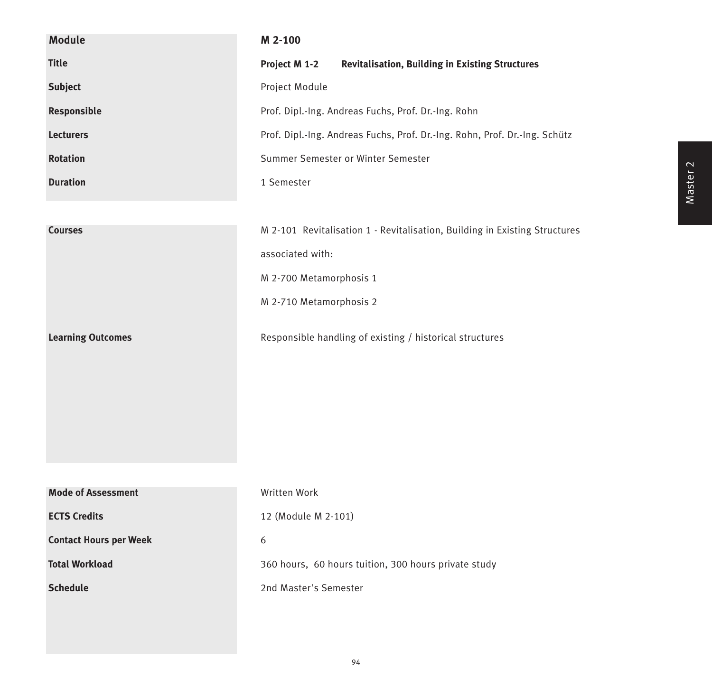| <b>Module</b>                 | M 2-100                                                                    |
|-------------------------------|----------------------------------------------------------------------------|
| <b>Title</b>                  | Project M 1-2<br><b>Revitalisation, Building in Existing Structures</b>    |
| <b>Subject</b>                | Project Module                                                             |
| Responsible                   | Prof. Dipl.-Ing. Andreas Fuchs, Prof. Dr.-Ing. Rohn                        |
| <b>Lecturers</b>              | Prof. Dipl.-Ing. Andreas Fuchs, Prof. Dr.-Ing. Rohn, Prof. Dr.-Ing. Schütz |
| <b>Rotation</b>               | Summer Semester or Winter Semester                                         |
| <b>Duration</b>               | 1 Semester                                                                 |
|                               |                                                                            |
| <b>Courses</b>                | M 2-101 Revitalisation 1 - Revitalisation, Building in Existing Structures |
|                               | associated with:                                                           |
|                               | M 2-700 Metamorphosis 1                                                    |
|                               | M 2-710 Metamorphosis 2                                                    |
| <b>Learning Outcomes</b>      | Responsible handling of existing / historical structures                   |
| <b>Mode of Assessment</b>     | Written Work                                                               |
| <b>ECTS Credits</b>           | 12 (Module M 2-101)                                                        |
| <b>Contact Hours per Week</b> | $\boldsymbol{6}$                                                           |
| <b>Total Workload</b>         | 360 hours, 60 hours tuition, 300 hours private study                       |
| <b>Schedule</b>               | 2nd Master's Semester                                                      |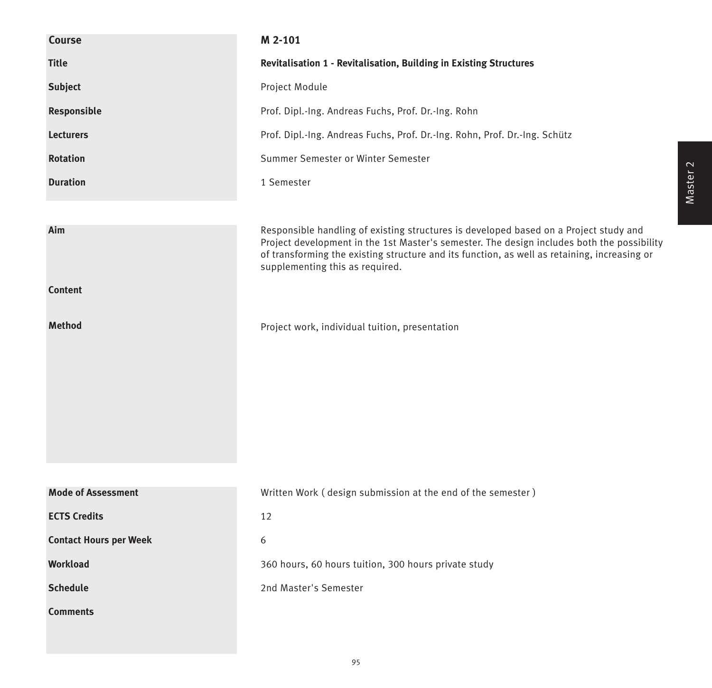| Course                        | M 2-101                                                                                                                                                                                                                                                                                                                |
|-------------------------------|------------------------------------------------------------------------------------------------------------------------------------------------------------------------------------------------------------------------------------------------------------------------------------------------------------------------|
| <b>Title</b>                  | Revitalisation 1 - Revitalisation, Building in Existing Structures                                                                                                                                                                                                                                                     |
| <b>Subject</b>                | Project Module                                                                                                                                                                                                                                                                                                         |
| Responsible                   | Prof. Dipl.-Ing. Andreas Fuchs, Prof. Dr.-Ing. Rohn                                                                                                                                                                                                                                                                    |
| <b>Lecturers</b>              | Prof. Dipl.-Ing. Andreas Fuchs, Prof. Dr.-Ing. Rohn, Prof. Dr.-Ing. Schütz                                                                                                                                                                                                                                             |
| <b>Rotation</b>               | Summer Semester or Winter Semester                                                                                                                                                                                                                                                                                     |
| <b>Duration</b>               | 1 Semester                                                                                                                                                                                                                                                                                                             |
|                               |                                                                                                                                                                                                                                                                                                                        |
| Aim                           | Responsible handling of existing structures is developed based on a Project study and<br>Project development in the 1st Master's semester. The design includes both the possibility<br>of transforming the existing structure and its function, as well as retaining, increasing or<br>supplementing this as required. |
| <b>Content</b>                |                                                                                                                                                                                                                                                                                                                        |
| <b>Method</b>                 | Project work, individual tuition, presentation                                                                                                                                                                                                                                                                         |
|                               |                                                                                                                                                                                                                                                                                                                        |
| <b>Mode of Assessment</b>     | Written Work (design submission at the end of the semester)                                                                                                                                                                                                                                                            |
| <b>ECTS Credits</b>           | 12                                                                                                                                                                                                                                                                                                                     |
| <b>Contact Hours per Week</b> | 6                                                                                                                                                                                                                                                                                                                      |
| Workload                      | 360 hours, 60 hours tuition, 300 hours private study                                                                                                                                                                                                                                                                   |
| <b>Schedule</b>               | 2nd Master's Semester                                                                                                                                                                                                                                                                                                  |
| <b>Comments</b>               |                                                                                                                                                                                                                                                                                                                        |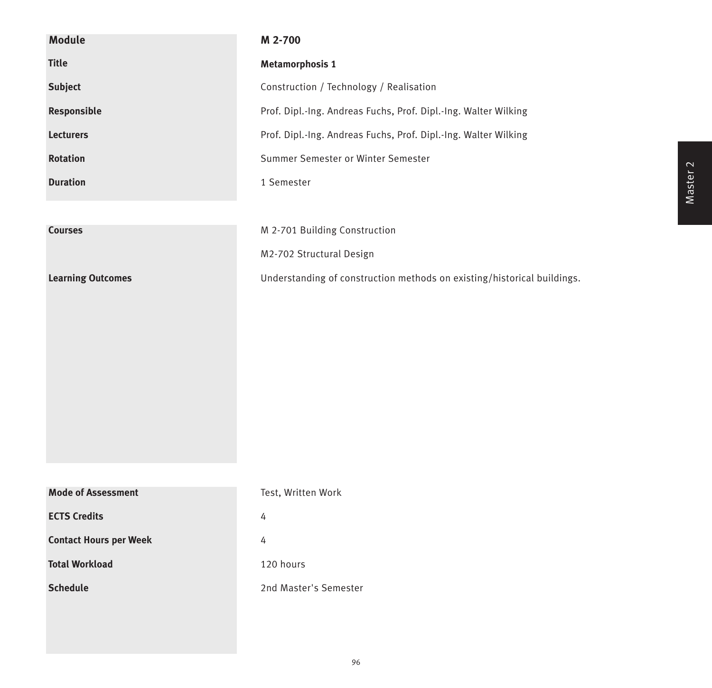| <b>Module</b>                 | M 2-700                                                                 |
|-------------------------------|-------------------------------------------------------------------------|
| <b>Title</b>                  | <b>Metamorphosis 1</b>                                                  |
| Subject                       | Construction / Technology / Realisation                                 |
| Responsible                   | Prof. Dipl.-Ing. Andreas Fuchs, Prof. Dipl.-Ing. Walter Wilking         |
| <b>Lecturers</b>              | Prof. Dipl.-Ing. Andreas Fuchs, Prof. Dipl.-Ing. Walter Wilking         |
| Rotation                      | Summer Semester or Winter Semester                                      |
| <b>Duration</b>               | 1 Semester                                                              |
|                               |                                                                         |
| <b>Courses</b>                | M 2-701 Building Construction                                           |
|                               | M2-702 Structural Design                                                |
| <b>Learning Outcomes</b>      | Understanding of construction methods on existing/historical buildings. |
|                               |                                                                         |
|                               |                                                                         |
|                               |                                                                         |
|                               |                                                                         |
|                               |                                                                         |
|                               |                                                                         |
|                               |                                                                         |
|                               |                                                                         |
| <b>Mode of Assessment</b>     | Test, Written Work                                                      |
| <b>ECTS Credits</b>           | 4                                                                       |
| <b>Contact Hours per Week</b> | 4                                                                       |
| <b>Total Workload</b>         | 120 hours                                                               |
| <b>Schedule</b>               | 2nd Master's Semester                                                   |
|                               |                                                                         |
|                               |                                                                         |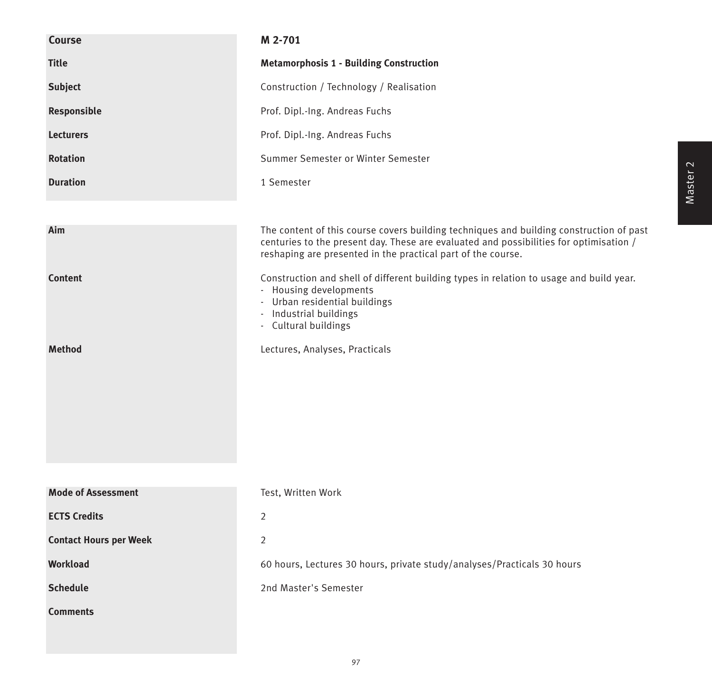| Course                        | M 2-701                                                                                                                                                                                                                                           |
|-------------------------------|---------------------------------------------------------------------------------------------------------------------------------------------------------------------------------------------------------------------------------------------------|
| <b>Title</b>                  | <b>Metamorphosis 1 - Building Construction</b>                                                                                                                                                                                                    |
| <b>Subject</b>                | Construction / Technology / Realisation                                                                                                                                                                                                           |
| Responsible                   | Prof. Dipl.-Ing. Andreas Fuchs                                                                                                                                                                                                                    |
| <b>Lecturers</b>              | Prof. Dipl.-Ing. Andreas Fuchs                                                                                                                                                                                                                    |
| <b>Rotation</b>               | Summer Semester or Winter Semester                                                                                                                                                                                                                |
| <b>Duration</b>               | 1 Semester                                                                                                                                                                                                                                        |
|                               |                                                                                                                                                                                                                                                   |
| Aim                           | The content of this course covers building techniques and building construction of past<br>centuries to the present day. These are evaluated and possibilities for optimisation /<br>reshaping are presented in the practical part of the course. |
| <b>Content</b>                | Construction and shell of different building types in relation to usage and build year.<br>- Housing developments<br>- Urban residential buildings<br>Industrial buildings<br>$\overline{\phantom{a}}$<br>- Cultural buildings                    |
| <b>Method</b>                 | Lectures, Analyses, Practicals                                                                                                                                                                                                                    |
|                               |                                                                                                                                                                                                                                                   |
|                               |                                                                                                                                                                                                                                                   |
|                               |                                                                                                                                                                                                                                                   |
|                               |                                                                                                                                                                                                                                                   |
| <b>Mode of Assessment</b>     | Test, Written Work                                                                                                                                                                                                                                |
| <b>ECTS Credits</b>           | $\overline{2}$                                                                                                                                                                                                                                    |
| <b>Contact Hours per Week</b> | 2                                                                                                                                                                                                                                                 |
| <b>Workload</b>               | 60 hours, Lectures 30 hours, private study/analyses/Practicals 30 hours                                                                                                                                                                           |
| <b>Schedule</b>               | 2nd Master's Semester                                                                                                                                                                                                                             |
| <b>Comments</b>               |                                                                                                                                                                                                                                                   |
|                               |                                                                                                                                                                                                                                                   |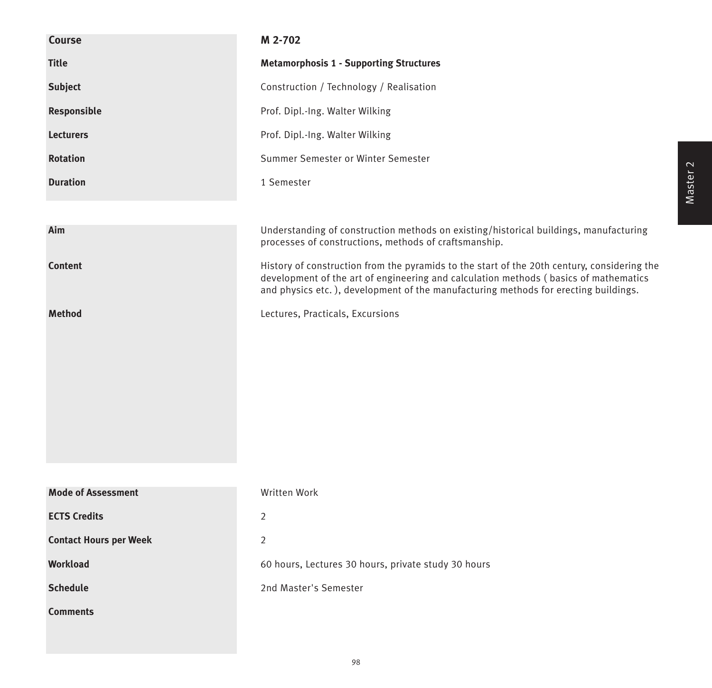| <b>Course</b>                 | M 2-702                                                                                                                                                                                                                                                                    |
|-------------------------------|----------------------------------------------------------------------------------------------------------------------------------------------------------------------------------------------------------------------------------------------------------------------------|
| <b>Title</b>                  | <b>Metamorphosis 1 - Supporting Structures</b>                                                                                                                                                                                                                             |
| Subject                       | Construction / Technology / Realisation                                                                                                                                                                                                                                    |
| Responsible                   | Prof. Dipl.-Ing. Walter Wilking                                                                                                                                                                                                                                            |
| <b>Lecturers</b>              | Prof. Dipl.-Ing. Walter Wilking                                                                                                                                                                                                                                            |
| <b>Rotation</b>               | Summer Semester or Winter Semester                                                                                                                                                                                                                                         |
| <b>Duration</b>               | 1 Semester                                                                                                                                                                                                                                                                 |
|                               |                                                                                                                                                                                                                                                                            |
| Aim                           | Understanding of construction methods on existing/historical buildings, manufacturing<br>processes of constructions, methods of craftsmanship.                                                                                                                             |
| <b>Content</b>                | History of construction from the pyramids to the start of the 20th century, considering the<br>development of the art of engineering and calculation methods (basics of mathematics<br>and physics etc.), development of the manufacturing methods for erecting buildings. |
| <b>Method</b>                 | Lectures, Practicals, Excursions                                                                                                                                                                                                                                           |
|                               |                                                                                                                                                                                                                                                                            |
| <b>Mode of Assessment</b>     | Written Work                                                                                                                                                                                                                                                               |
| <b>ECTS Credits</b>           | $\overline{2}$                                                                                                                                                                                                                                                             |
| <b>Contact Hours per Week</b> | $\overline{2}$                                                                                                                                                                                                                                                             |
| <b>Workload</b>               | 60 hours, Lectures 30 hours, private study 30 hours                                                                                                                                                                                                                        |
| <b>Schedule</b>               | 2nd Master's Semester                                                                                                                                                                                                                                                      |
| <b>Comments</b>               |                                                                                                                                                                                                                                                                            |
|                               |                                                                                                                                                                                                                                                                            |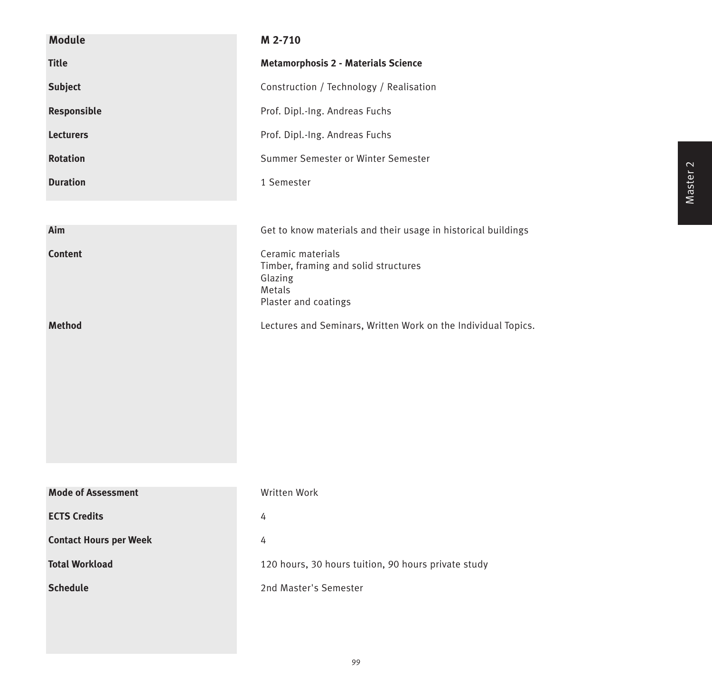| <b>Module</b>                 | M 2-710                                                                                                |
|-------------------------------|--------------------------------------------------------------------------------------------------------|
| <b>Title</b>                  | <b>Metamorphosis 2 - Materials Science</b>                                                             |
| <b>Subject</b>                | Construction / Technology / Realisation                                                                |
| Responsible                   | Prof. Dipl.-Ing. Andreas Fuchs                                                                         |
| <b>Lecturers</b>              | Prof. Dipl.-Ing. Andreas Fuchs                                                                         |
| <b>Rotation</b>               | Summer Semester or Winter Semester                                                                     |
| <b>Duration</b>               | 1 Semester                                                                                             |
|                               |                                                                                                        |
| Aim                           | Get to know materials and their usage in historical buildings                                          |
| <b>Content</b>                | Ceramic materials<br>Timber, framing and solid structures<br>Glazing<br>Metals<br>Plaster and coatings |
| <b>Method</b>                 | Lectures and Seminars, Written Work on the Individual Topics.                                          |
| <b>Mode of Assessment</b>     | Written Work                                                                                           |
| <b>ECTS Credits</b>           | 4                                                                                                      |
| <b>Contact Hours per Week</b> | 4                                                                                                      |
| <b>Total Workload</b>         | 120 hours, 30 hours tuition, 90 hours private study                                                    |
| <b>Schedule</b>               | 2nd Master's Semester                                                                                  |
|                               |                                                                                                        |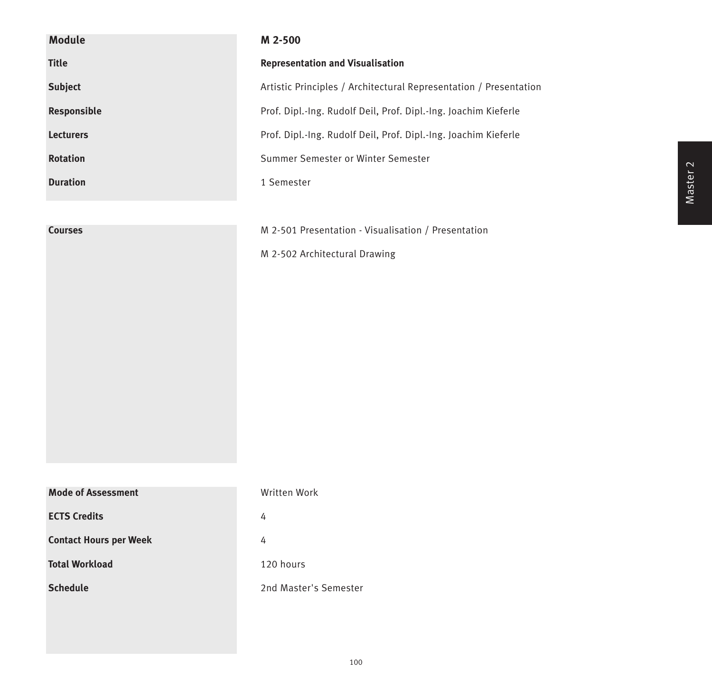| <b>Module</b>                 | M 2-500                                                           |
|-------------------------------|-------------------------------------------------------------------|
| <b>Title</b>                  | <b>Representation and Visualisation</b>                           |
| <b>Subject</b>                | Artistic Principles / Architectural Representation / Presentation |
| Responsible                   | Prof. Dipl.-Ing. Rudolf Deil, Prof. Dipl.-Ing. Joachim Kieferle   |
| <b>Lecturers</b>              | Prof. Dipl.-Ing. Rudolf Deil, Prof. Dipl.-Ing. Joachim Kieferle   |
| Rotation                      | Summer Semester or Winter Semester                                |
| <b>Duration</b>               | 1 Semester                                                        |
|                               |                                                                   |
| <b>Courses</b>                | M 2-501 Presentation - Visualisation / Presentation               |
|                               | M 2-502 Architectural Drawing                                     |
|                               |                                                                   |
|                               |                                                                   |
|                               |                                                                   |
|                               |                                                                   |
|                               |                                                                   |
|                               |                                                                   |
|                               |                                                                   |
|                               |                                                                   |
|                               |                                                                   |
| <b>Mode of Assessment</b>     | Written Work                                                      |
| <b>ECTS Credits</b>           | 4                                                                 |
| <b>Contact Hours per Week</b> | 4                                                                 |
| <b>Total Workload</b>         | 120 hours                                                         |
| <b>Schedule</b>               | 2nd Master's Semester                                             |
|                               |                                                                   |
|                               |                                                                   |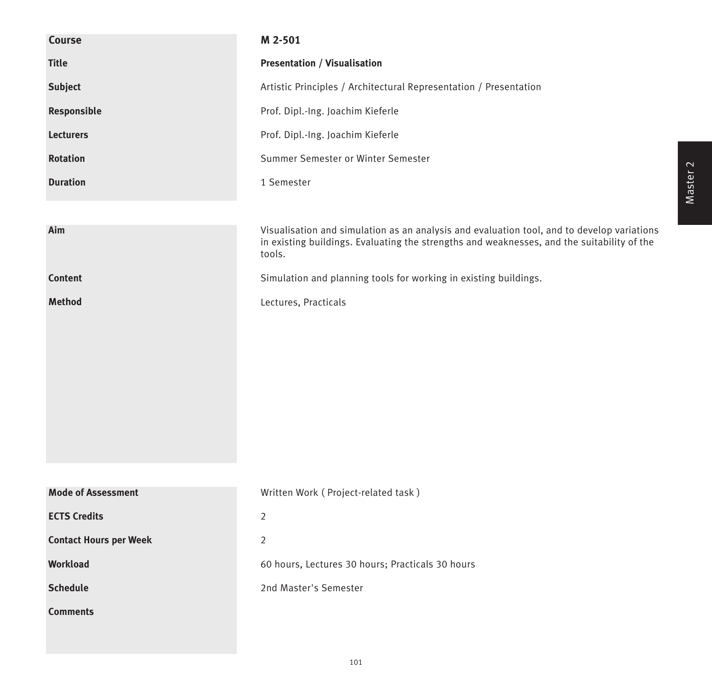| Course                        | M 2-501                                                                                                                                                                                            |
|-------------------------------|----------------------------------------------------------------------------------------------------------------------------------------------------------------------------------------------------|
| <b>Title</b>                  | <b>Presentation / Visualisation</b>                                                                                                                                                                |
| <b>Subject</b>                | Artistic Principles / Architectural Representation / Presentation                                                                                                                                  |
| Responsible                   | Prof. Dipl.-Ing. Joachim Kieferle                                                                                                                                                                  |
| <b>Lecturers</b>              | Prof. Dipl.-Ing. Joachim Kieferle                                                                                                                                                                  |
| <b>Rotation</b>               | Summer Semester or Winter Semester                                                                                                                                                                 |
| <b>Duration</b>               | 1 Semester                                                                                                                                                                                         |
|                               |                                                                                                                                                                                                    |
| Aim                           | Visualisation and simulation as an analysis and evaluation tool, and to develop variations<br>in existing buildings. Evaluating the strengths and weaknesses, and the suitability of the<br>tools. |
| <b>Content</b>                | Simulation and planning tools for working in existing buildings.                                                                                                                                   |
| <b>Method</b>                 | Lectures, Practicals                                                                                                                                                                               |
|                               |                                                                                                                                                                                                    |
|                               |                                                                                                                                                                                                    |
|                               |                                                                                                                                                                                                    |
|                               |                                                                                                                                                                                                    |
|                               |                                                                                                                                                                                                    |
|                               |                                                                                                                                                                                                    |
|                               |                                                                                                                                                                                                    |
| <b>Mode of Assessment</b>     | Written Work (Project-related task)                                                                                                                                                                |
| <b>ECTS Credits</b>           | $\overline{2}$                                                                                                                                                                                     |
| <b>Contact Hours per Week</b> | $\overline{2}$                                                                                                                                                                                     |
| <b>Workload</b>               | 60 hours, Lectures 30 hours; Practicals 30 hours                                                                                                                                                   |
| <b>Schedule</b>               | 2nd Master's Semester                                                                                                                                                                              |
| <b>Comments</b>               |                                                                                                                                                                                                    |
|                               |                                                                                                                                                                                                    |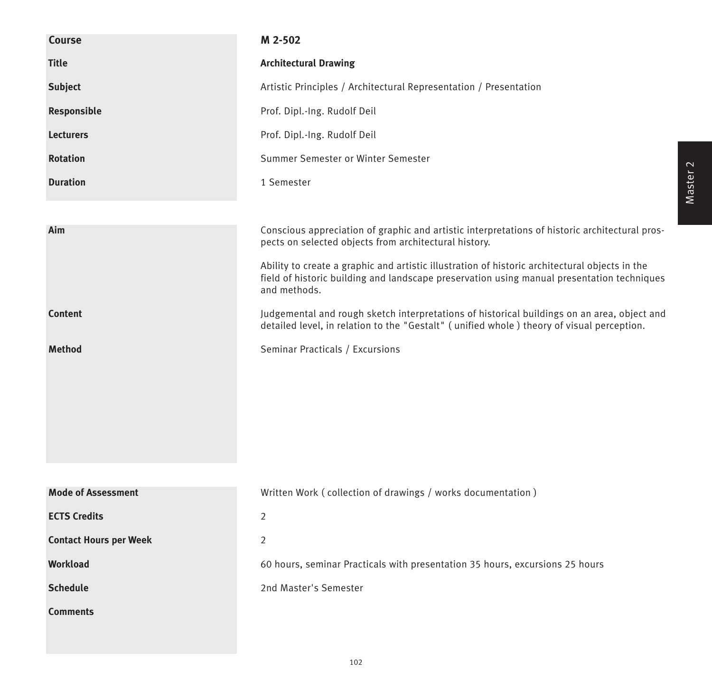| Course                        | M 2-502                                                                                                                                                                                                      |
|-------------------------------|--------------------------------------------------------------------------------------------------------------------------------------------------------------------------------------------------------------|
| <b>Title</b>                  | <b>Architectural Drawing</b>                                                                                                                                                                                 |
| <b>Subject</b>                | Artistic Principles / Architectural Representation / Presentation                                                                                                                                            |
| Responsible                   | Prof. Dipl.-Ing. Rudolf Deil                                                                                                                                                                                 |
| <b>Lecturers</b>              | Prof. Dipl.-Ing. Rudolf Deil                                                                                                                                                                                 |
| <b>Rotation</b>               | Summer Semester or Winter Semester                                                                                                                                                                           |
| <b>Duration</b>               | 1 Semester                                                                                                                                                                                                   |
|                               |                                                                                                                                                                                                              |
| Aim                           | Conscious appreciation of graphic and artistic interpretations of historic architectural pros-<br>pects on selected objects from architectural history.                                                      |
|                               | Ability to create a graphic and artistic illustration of historic architectural objects in the<br>field of historic building and landscape preservation using manual presentation techniques<br>and methods. |
| <b>Content</b>                | Judgemental and rough sketch interpretations of historical buildings on an area, object and<br>detailed level, in relation to the "Gestalt" (unified whole) theory of visual perception.                     |
| <b>Method</b>                 | Seminar Practicals / Excursions                                                                                                                                                                              |
|                               |                                                                                                                                                                                                              |
|                               |                                                                                                                                                                                                              |
|                               |                                                                                                                                                                                                              |
|                               |                                                                                                                                                                                                              |
|                               |                                                                                                                                                                                                              |
| <b>Mode of Assessment</b>     | Written Work (collection of drawings / works documentation)                                                                                                                                                  |
| <b>ECTS Credits</b>           | $\overline{2}$                                                                                                                                                                                               |
| <b>Contact Hours per Week</b> | $\overline{2}$                                                                                                                                                                                               |
| Workload                      | 60 hours, seminar Practicals with presentation 35 hours, excursions 25 hours                                                                                                                                 |
| <b>Schedule</b>               | 2nd Master's Semester                                                                                                                                                                                        |
| <b>Comments</b>               |                                                                                                                                                                                                              |
|                               |                                                                                                                                                                                                              |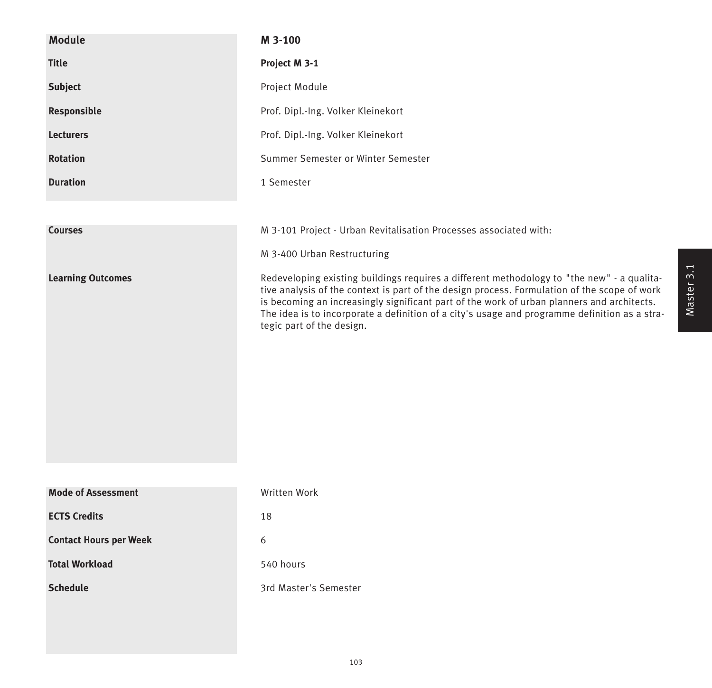| <b>Module</b>                 | M 3-100                                                                                                                                                                                                                                                                                                                                                                                                                |
|-------------------------------|------------------------------------------------------------------------------------------------------------------------------------------------------------------------------------------------------------------------------------------------------------------------------------------------------------------------------------------------------------------------------------------------------------------------|
| <b>Title</b>                  | Project M 3-1                                                                                                                                                                                                                                                                                                                                                                                                          |
| <b>Subject</b>                | Project Module                                                                                                                                                                                                                                                                                                                                                                                                         |
| Responsible                   | Prof. Dipl.-Ing. Volker Kleinekort                                                                                                                                                                                                                                                                                                                                                                                     |
| <b>Lecturers</b>              | Prof. Dipl.-Ing. Volker Kleinekort                                                                                                                                                                                                                                                                                                                                                                                     |
| <b>Rotation</b>               | Summer Semester or Winter Semester                                                                                                                                                                                                                                                                                                                                                                                     |
| <b>Duration</b>               | 1 Semester                                                                                                                                                                                                                                                                                                                                                                                                             |
|                               |                                                                                                                                                                                                                                                                                                                                                                                                                        |
| <b>Courses</b>                | M 3-101 Project - Urban Revitalisation Processes associated with:                                                                                                                                                                                                                                                                                                                                                      |
|                               | M 3-400 Urban Restructuring                                                                                                                                                                                                                                                                                                                                                                                            |
| <b>Learning Outcomes</b>      | Redeveloping existing buildings requires a different methodology to "the new" - a qualita-<br>tive analysis of the context is part of the design process. Formulation of the scope of work<br>is becoming an increasingly significant part of the work of urban planners and architects.<br>The idea is to incorporate a definition of a city's usage and programme definition as a stra-<br>tegic part of the design. |
| <b>Mode of Assessment</b>     | Written Work                                                                                                                                                                                                                                                                                                                                                                                                           |
| <b>ECTS Credits</b>           | 18                                                                                                                                                                                                                                                                                                                                                                                                                     |
| <b>Contact Hours per Week</b> | 6                                                                                                                                                                                                                                                                                                                                                                                                                      |
| <b>Total Workload</b>         | 540 hours                                                                                                                                                                                                                                                                                                                                                                                                              |
| <b>Schedule</b>               | 3rd Master's Semester                                                                                                                                                                                                                                                                                                                                                                                                  |
|                               |                                                                                                                                                                                                                                                                                                                                                                                                                        |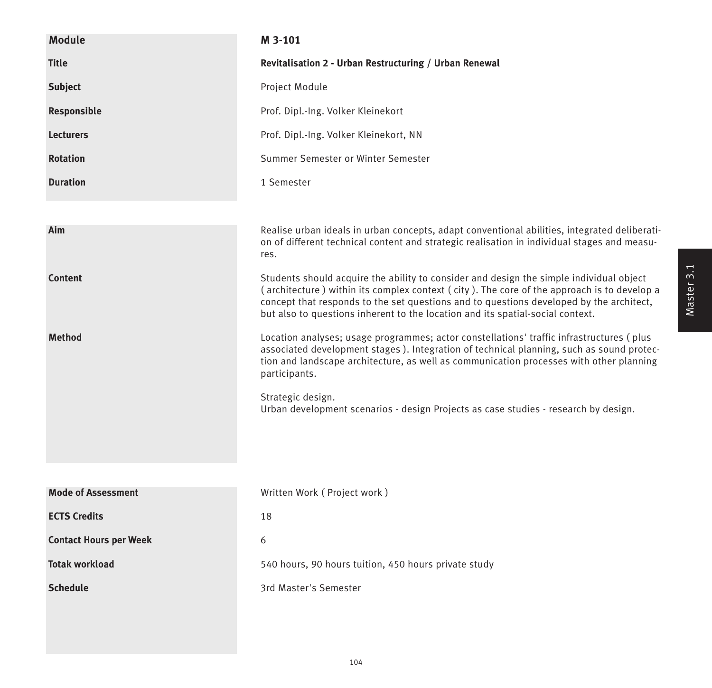| <b>Module</b>                 | M 3-101                                                                                                                                                                                                                                                                                                                                                            |
|-------------------------------|--------------------------------------------------------------------------------------------------------------------------------------------------------------------------------------------------------------------------------------------------------------------------------------------------------------------------------------------------------------------|
| <b>Title</b>                  | Revitalisation 2 - Urban Restructuring / Urban Renewal                                                                                                                                                                                                                                                                                                             |
| <b>Subject</b>                | Project Module                                                                                                                                                                                                                                                                                                                                                     |
| Responsible                   | Prof. Dipl.-Ing. Volker Kleinekort                                                                                                                                                                                                                                                                                                                                 |
| <b>Lecturers</b>              | Prof. Dipl.-Ing. Volker Kleinekort, NN                                                                                                                                                                                                                                                                                                                             |
| <b>Rotation</b>               | Summer Semester or Winter Semester                                                                                                                                                                                                                                                                                                                                 |
| <b>Duration</b>               | 1 Semester                                                                                                                                                                                                                                                                                                                                                         |
|                               |                                                                                                                                                                                                                                                                                                                                                                    |
| Aim                           | Realise urban ideals in urban concepts, adapt conventional abilities, integrated deliberati-<br>on of different technical content and strategic realisation in individual stages and measu-<br>res.                                                                                                                                                                |
| <b>Content</b>                | Students should acquire the ability to consider and design the simple individual object<br>(architecture) within its complex context (city). The core of the approach is to develop a<br>concept that responds to the set questions and to questions developed by the architect,<br>but also to questions inherent to the location and its spatial-social context. |
| <b>Method</b>                 | Location analyses; usage programmes; actor constellations' traffic infrastructures (plus<br>associated development stages). Integration of technical planning, such as sound protec-<br>tion and landscape architecture, as well as communication processes with other planning<br>participants.                                                                   |
|                               | Strategic design.<br>Urban development scenarios - design Projects as case studies - research by design.                                                                                                                                                                                                                                                           |
|                               |                                                                                                                                                                                                                                                                                                                                                                    |
| <b>Mode of Assessment</b>     | Written Work (Project work)                                                                                                                                                                                                                                                                                                                                        |
| <b>ECTS Credits</b>           | 18                                                                                                                                                                                                                                                                                                                                                                 |
| <b>Contact Hours per Week</b> | 6                                                                                                                                                                                                                                                                                                                                                                  |
| <b>Totak workload</b>         | 540 hours, 90 hours tuition, 450 hours private study                                                                                                                                                                                                                                                                                                               |
| <b>Schedule</b>               | 3rd Master's Semester                                                                                                                                                                                                                                                                                                                                              |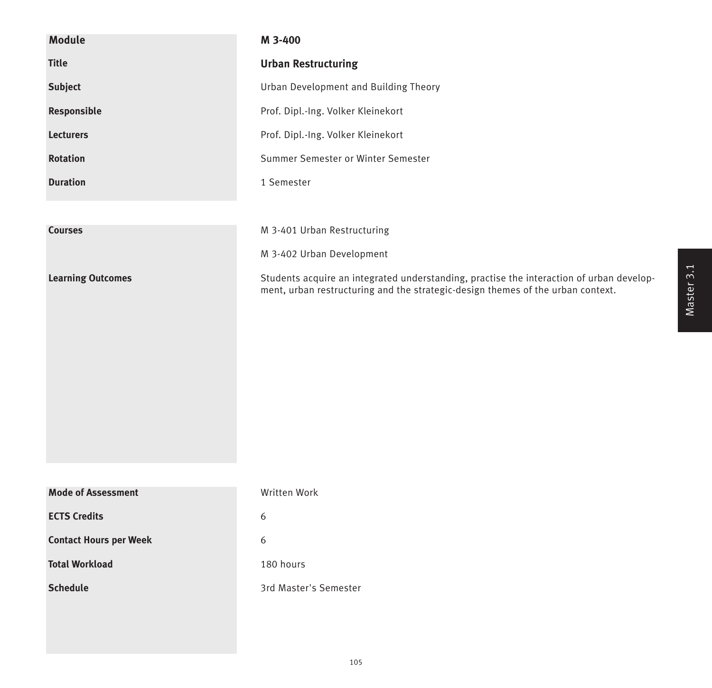| <b>Module</b>                 | M 3-400                                                                                                                                                                     |
|-------------------------------|-----------------------------------------------------------------------------------------------------------------------------------------------------------------------------|
| <b>Title</b>                  | <b>Urban Restructuring</b>                                                                                                                                                  |
| <b>Subject</b>                | Urban Development and Building Theory                                                                                                                                       |
| Responsible                   | Prof. Dipl.-Ing. Volker Kleinekort                                                                                                                                          |
| <b>Lecturers</b>              | Prof. Dipl.-Ing. Volker Kleinekort                                                                                                                                          |
| <b>Rotation</b>               | Summer Semester or Winter Semester                                                                                                                                          |
| <b>Duration</b>               | 1 Semester                                                                                                                                                                  |
|                               |                                                                                                                                                                             |
| <b>Courses</b>                | M 3-401 Urban Restructuring                                                                                                                                                 |
|                               | M 3-402 Urban Development                                                                                                                                                   |
| <b>Learning Outcomes</b>      | Students acquire an integrated understanding, practise the interaction of urban develop-<br>ment, urban restructuring and the strategic-design themes of the urban context. |
|                               |                                                                                                                                                                             |
|                               |                                                                                                                                                                             |
|                               |                                                                                                                                                                             |
|                               |                                                                                                                                                                             |
|                               |                                                                                                                                                                             |
|                               |                                                                                                                                                                             |
|                               |                                                                                                                                                                             |
| <b>Mode of Assessment</b>     | Written Work                                                                                                                                                                |
| <b>ECTS Credits</b>           | 6                                                                                                                                                                           |
| <b>Contact Hours per Week</b> | 6                                                                                                                                                                           |
| <b>Total Workload</b>         | 180 hours                                                                                                                                                                   |
| <b>Schedule</b>               | 3rd Master's Semester                                                                                                                                                       |
|                               |                                                                                                                                                                             |
|                               |                                                                                                                                                                             |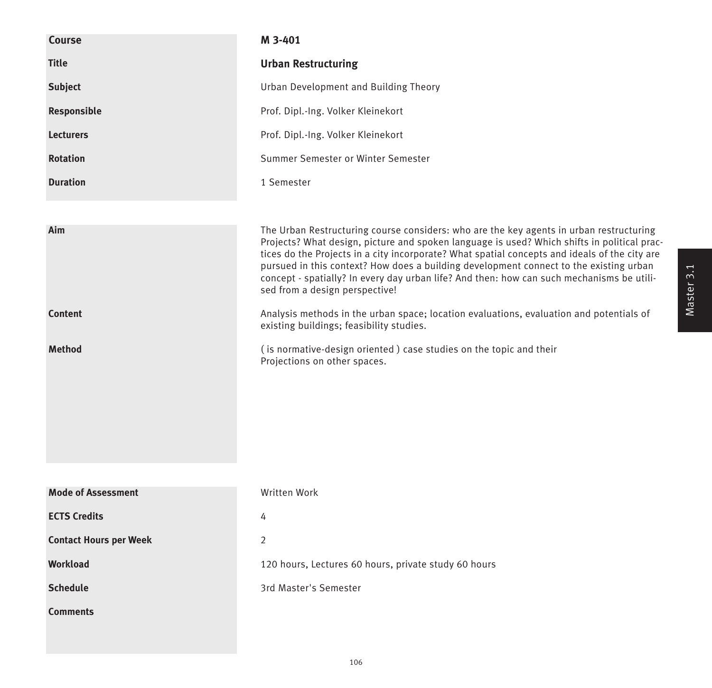| <b>Course</b>                 | M 3-401                                                                                                                                                                                                                                                                                                                                                                                                                                                                                                          |
|-------------------------------|------------------------------------------------------------------------------------------------------------------------------------------------------------------------------------------------------------------------------------------------------------------------------------------------------------------------------------------------------------------------------------------------------------------------------------------------------------------------------------------------------------------|
| <b>Title</b>                  | <b>Urban Restructuring</b>                                                                                                                                                                                                                                                                                                                                                                                                                                                                                       |
| <b>Subject</b>                | Urban Development and Building Theory                                                                                                                                                                                                                                                                                                                                                                                                                                                                            |
| Responsible                   | Prof. Dipl.-Ing. Volker Kleinekort                                                                                                                                                                                                                                                                                                                                                                                                                                                                               |
| <b>Lecturers</b>              | Prof. Dipl.-Ing. Volker Kleinekort                                                                                                                                                                                                                                                                                                                                                                                                                                                                               |
| <b>Rotation</b>               | Summer Semester or Winter Semester                                                                                                                                                                                                                                                                                                                                                                                                                                                                               |
| <b>Duration</b>               | 1 Semester                                                                                                                                                                                                                                                                                                                                                                                                                                                                                                       |
|                               |                                                                                                                                                                                                                                                                                                                                                                                                                                                                                                                  |
| Aim                           | The Urban Restructuring course considers: who are the key agents in urban restructuring<br>Projects? What design, picture and spoken language is used? Which shifts in political prac-<br>tices do the Projects in a city incorporate? What spatial concepts and ideals of the city are<br>pursued in this context? How does a building development connect to the existing urban<br>concept - spatially? In every day urban life? And then: how can such mechanisms be utili-<br>sed from a design perspective! |
| <b>Content</b>                | Analysis methods in the urban space; location evaluations, evaluation and potentials of<br>existing buildings; feasibility studies.                                                                                                                                                                                                                                                                                                                                                                              |
| <b>Method</b>                 | (is normative-design oriented) case studies on the topic and their<br>Projections on other spaces.                                                                                                                                                                                                                                                                                                                                                                                                               |
|                               |                                                                                                                                                                                                                                                                                                                                                                                                                                                                                                                  |
| <b>Mode of Assessment</b>     | <b>Written Work</b>                                                                                                                                                                                                                                                                                                                                                                                                                                                                                              |
| <b>ECTS Credits</b>           | 4                                                                                                                                                                                                                                                                                                                                                                                                                                                                                                                |
| <b>Contact Hours per Week</b> | $\overline{2}$                                                                                                                                                                                                                                                                                                                                                                                                                                                                                                   |
| <b>Workload</b>               | 120 hours, Lectures 60 hours, private study 60 hours                                                                                                                                                                                                                                                                                                                                                                                                                                                             |
| <b>Schedule</b>               | 3rd Master's Semester                                                                                                                                                                                                                                                                                                                                                                                                                                                                                            |
| <b>Comments</b>               |                                                                                                                                                                                                                                                                                                                                                                                                                                                                                                                  |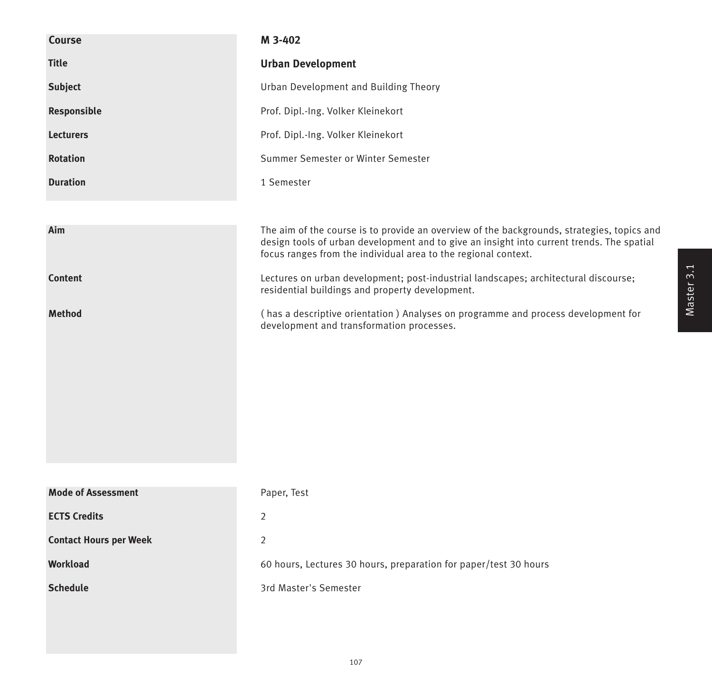| <b>Course</b>                 | M 3-402                                                                                                                                                                                                                                                   |
|-------------------------------|-----------------------------------------------------------------------------------------------------------------------------------------------------------------------------------------------------------------------------------------------------------|
| <b>Title</b>                  | <b>Urban Development</b>                                                                                                                                                                                                                                  |
| <b>Subject</b>                | Urban Development and Building Theory                                                                                                                                                                                                                     |
| Responsible                   | Prof. Dipl.-Ing. Volker Kleinekort                                                                                                                                                                                                                        |
| <b>Lecturers</b>              | Prof. Dipl.-Ing. Volker Kleinekort                                                                                                                                                                                                                        |
| <b>Rotation</b>               | Summer Semester or Winter Semester                                                                                                                                                                                                                        |
| <b>Duration</b>               | 1 Semester                                                                                                                                                                                                                                                |
|                               |                                                                                                                                                                                                                                                           |
| Aim                           | The aim of the course is to provide an overview of the backgrounds, strategies, topics and<br>design tools of urban development and to give an insight into current trends. The spatial<br>focus ranges from the individual area to the regional context. |
| <b>Content</b>                | Lectures on urban development; post-industrial landscapes; architectural discourse;<br>residential buildings and property development.                                                                                                                    |
| <b>Method</b>                 | (has a descriptive orientation) Analyses on programme and process development for<br>development and transformation processes.                                                                                                                            |
|                               |                                                                                                                                                                                                                                                           |
|                               |                                                                                                                                                                                                                                                           |
|                               |                                                                                                                                                                                                                                                           |
|                               |                                                                                                                                                                                                                                                           |
| <b>Mode of Assessment</b>     | Paper, Test                                                                                                                                                                                                                                               |
| <b>ECTS Credits</b>           | $\overline{2}$                                                                                                                                                                                                                                            |
| <b>Contact Hours per Week</b> | $\overline{2}$                                                                                                                                                                                                                                            |
| <b>Workload</b>               | 60 hours, Lectures 30 hours, preparation for paper/test 30 hours                                                                                                                                                                                          |
| <b>Schedule</b>               | 3rd Master's Semester                                                                                                                                                                                                                                     |
|                               |                                                                                                                                                                                                                                                           |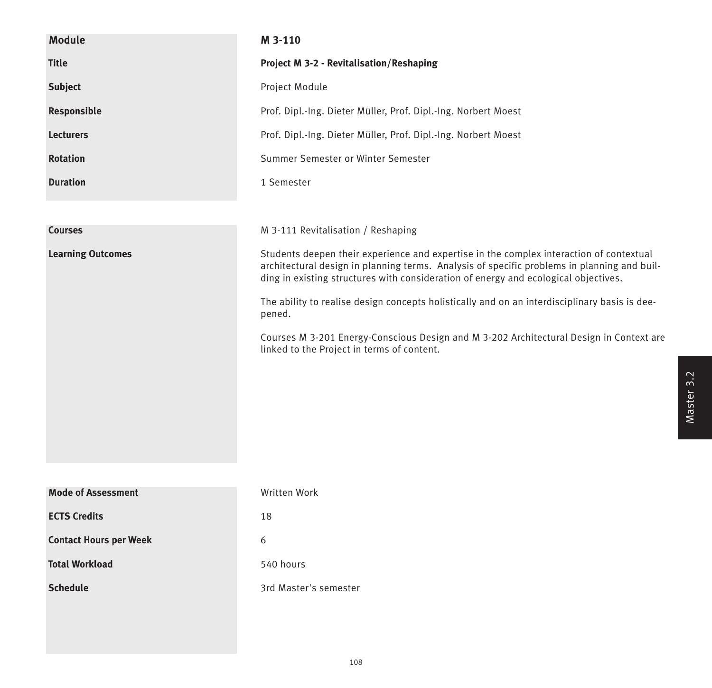| <b>Module</b>                 | M 3-110                                                                                                                                                                                                                                                                       |
|-------------------------------|-------------------------------------------------------------------------------------------------------------------------------------------------------------------------------------------------------------------------------------------------------------------------------|
| <b>Title</b>                  | <b>Project M 3-2 - Revitalisation/Reshaping</b>                                                                                                                                                                                                                               |
| <b>Subject</b>                | Project Module                                                                                                                                                                                                                                                                |
| Responsible                   | Prof. Dipl.-Ing. Dieter Müller, Prof. Dipl.-Ing. Norbert Moest                                                                                                                                                                                                                |
| <b>Lecturers</b>              | Prof. Dipl.-Ing. Dieter Müller, Prof. Dipl.-Ing. Norbert Moest                                                                                                                                                                                                                |
| <b>Rotation</b>               | Summer Semester or Winter Semester                                                                                                                                                                                                                                            |
| <b>Duration</b>               | 1 Semester                                                                                                                                                                                                                                                                    |
|                               |                                                                                                                                                                                                                                                                               |
| <b>Courses</b>                | M 3-111 Revitalisation / Reshaping                                                                                                                                                                                                                                            |
| <b>Learning Outcomes</b>      | Students deepen their experience and expertise in the complex interaction of contextual<br>architectural design in planning terms. Analysis of specific problems in planning and buil-<br>ding in existing structures with consideration of energy and ecological objectives. |
|                               | The ability to realise design concepts holistically and on an interdisciplinary basis is dee-<br>pened.                                                                                                                                                                       |
|                               | Courses M 3-201 Energy-Conscious Design and M 3-202 Architectural Design in Context are<br>linked to the Project in terms of content.                                                                                                                                         |
|                               |                                                                                                                                                                                                                                                                               |
|                               |                                                                                                                                                                                                                                                                               |
|                               |                                                                                                                                                                                                                                                                               |
|                               |                                                                                                                                                                                                                                                                               |
|                               |                                                                                                                                                                                                                                                                               |
| <b>Mode of Assessment</b>     | Written Work                                                                                                                                                                                                                                                                  |
| <b>ECTS Credits</b>           | 18                                                                                                                                                                                                                                                                            |
| <b>Contact Hours per Week</b> | 6                                                                                                                                                                                                                                                                             |
| <b>Total Workload</b>         | 540 hours                                                                                                                                                                                                                                                                     |
| <b>Schedule</b>               | 3rd Master's semester                                                                                                                                                                                                                                                         |
|                               |                                                                                                                                                                                                                                                                               |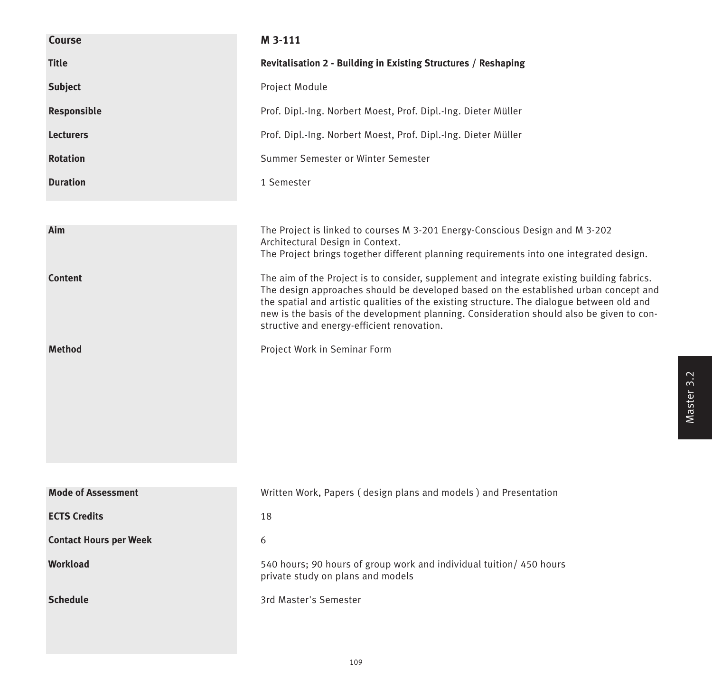| Course                        | M 3-111                                                                                                                                                                                                                                                                                                                      |
|-------------------------------|------------------------------------------------------------------------------------------------------------------------------------------------------------------------------------------------------------------------------------------------------------------------------------------------------------------------------|
| <b>Title</b>                  | Revitalisation 2 - Building in Existing Structures / Reshaping                                                                                                                                                                                                                                                               |
| <b>Subject</b>                | Project Module                                                                                                                                                                                                                                                                                                               |
| Responsible                   | Prof. Dipl.-Ing. Norbert Moest, Prof. Dipl.-Ing. Dieter Müller                                                                                                                                                                                                                                                               |
| <b>Lecturers</b>              | Prof. Dipl.-Ing. Norbert Moest, Prof. Dipl.-Ing. Dieter Müller                                                                                                                                                                                                                                                               |
| <b>Rotation</b>               | Summer Semester or Winter Semester                                                                                                                                                                                                                                                                                           |
| <b>Duration</b>               | 1 Semester                                                                                                                                                                                                                                                                                                                   |
| Aim<br><b>Content</b>         | The Project is linked to courses M 3-201 Energy-Conscious Design and M 3-202<br>Architectural Design in Context.<br>The Project brings together different planning requirements into one integrated design.<br>The aim of the Project is to consider, supplement and integrate existing building fabrics.                    |
|                               | The design approaches should be developed based on the established urban concept and<br>the spatial and artistic qualities of the existing structure. The dialogue between old and<br>new is the basis of the development planning. Consideration should also be given to con-<br>structive and energy-efficient renovation. |
| <b>Method</b>                 | Project Work in Seminar Form                                                                                                                                                                                                                                                                                                 |
| <b>Mode of Assessment</b>     | Written Work, Papers (design plans and models) and Presentation                                                                                                                                                                                                                                                              |
| <b>ECTS Credits</b>           | 18                                                                                                                                                                                                                                                                                                                           |
| <b>Contact Hours per Week</b> | 6                                                                                                                                                                                                                                                                                                                            |
| Workload                      | 540 hours; 90 hours of group work and individual tuition/ 450 hours<br>private study on plans and models                                                                                                                                                                                                                     |
| <b>Schedule</b>               | 3rd Master's Semester                                                                                                                                                                                                                                                                                                        |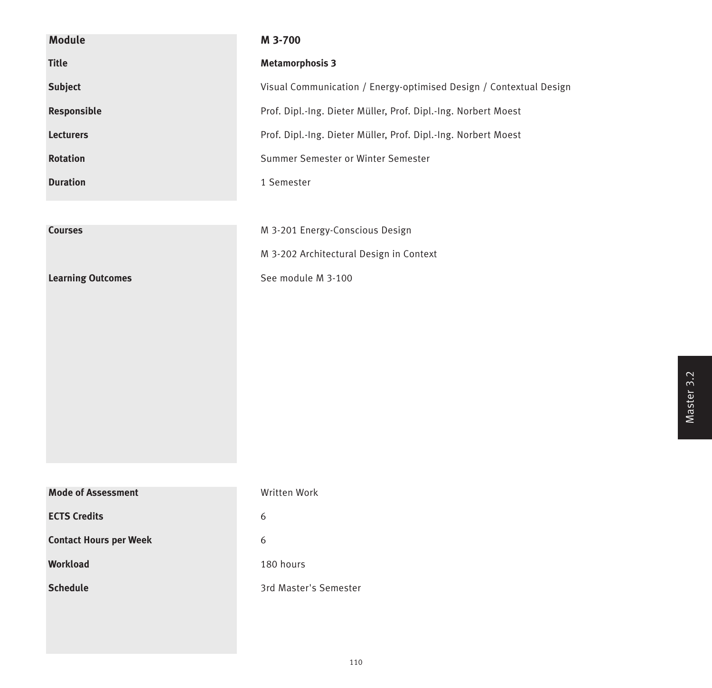| <b>Module</b>                 | M 3-700                                                            |
|-------------------------------|--------------------------------------------------------------------|
| <b>Title</b>                  | <b>Metamorphosis 3</b>                                             |
| <b>Subject</b>                | Visual Communication / Energy-optimised Design / Contextual Design |
| Responsible                   | Prof. Dipl.-Ing. Dieter Müller, Prof. Dipl.-Ing. Norbert Moest     |
| <b>Lecturers</b>              | Prof. Dipl.-Ing. Dieter Müller, Prof. Dipl.-Ing. Norbert Moest     |
| <b>Rotation</b>               | Summer Semester or Winter Semester                                 |
| <b>Duration</b>               | 1 Semester                                                         |
|                               |                                                                    |
| <b>Courses</b>                | M 3-201 Energy-Conscious Design                                    |
|                               | M 3-202 Architectural Design in Context                            |
| <b>Learning Outcomes</b>      | See module M 3-100                                                 |
|                               |                                                                    |
|                               |                                                                    |
|                               |                                                                    |
|                               |                                                                    |
|                               |                                                                    |
|                               |                                                                    |
|                               |                                                                    |
|                               |                                                                    |
| <b>Mode of Assessment</b>     | Written Work                                                       |
| <b>ECTS Credits</b>           | 6                                                                  |
| <b>Contact Hours per Week</b> | 6                                                                  |
| <b>Workload</b>               | 180 hours                                                          |
| <b>Schedule</b>               | 3rd Master's Semester                                              |
|                               |                                                                    |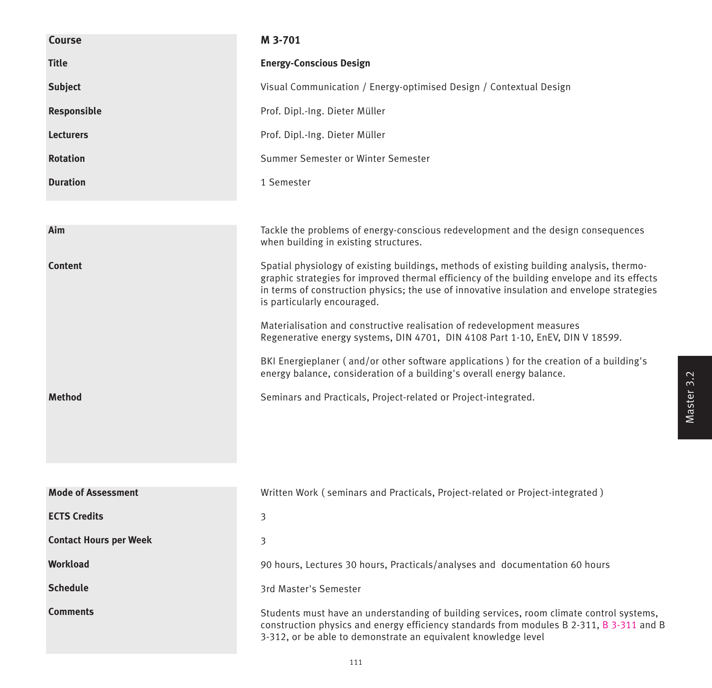| <b>Course</b>                 | M 3-701                                                                                                                                                                                                                                                                                                              |
|-------------------------------|----------------------------------------------------------------------------------------------------------------------------------------------------------------------------------------------------------------------------------------------------------------------------------------------------------------------|
| <b>Title</b>                  | <b>Energy-Conscious Design</b>                                                                                                                                                                                                                                                                                       |
| <b>Subject</b>                | Visual Communication / Energy-optimised Design / Contextual Design                                                                                                                                                                                                                                                   |
| Responsible                   | Prof. Dipl.-Ing. Dieter Müller                                                                                                                                                                                                                                                                                       |
| <b>Lecturers</b>              | Prof. Dipl.-Ing. Dieter Müller                                                                                                                                                                                                                                                                                       |
| <b>Rotation</b>               | Summer Semester or Winter Semester                                                                                                                                                                                                                                                                                   |
| <b>Duration</b>               | 1 Semester                                                                                                                                                                                                                                                                                                           |
| Aim                           | Tackle the problems of energy-conscious redevelopment and the design consequences                                                                                                                                                                                                                                    |
|                               | when building in existing structures.                                                                                                                                                                                                                                                                                |
| <b>Content</b>                | Spatial physiology of existing buildings, methods of existing building analysis, thermo-<br>graphic strategies for improved thermal efficiency of the building envelope and its effects<br>in terms of construction physics; the use of innovative insulation and envelope strategies<br>is particularly encouraged. |
|                               | Materialisation and constructive realisation of redevelopment measures<br>Regenerative energy systems, DIN 4701, DIN 4108 Part 1-10, EnEV, DIN V 18599.                                                                                                                                                              |
|                               | BKI Energieplaner (and/or other software applications) for the creation of a building's<br>energy balance, consideration of a building's overall energy balance.                                                                                                                                                     |
| <b>Method</b>                 | Seminars and Practicals, Project-related or Project-integrated.                                                                                                                                                                                                                                                      |
|                               |                                                                                                                                                                                                                                                                                                                      |
|                               |                                                                                                                                                                                                                                                                                                                      |
| <b>Mode of Assessment</b>     | Written Work (seminars and Practicals, Project-related or Project-integrated)                                                                                                                                                                                                                                        |
| <b>ECTS Credits</b>           | 3                                                                                                                                                                                                                                                                                                                    |
| <b>Contact Hours per Week</b> | 3                                                                                                                                                                                                                                                                                                                    |
| Workload                      | 90 hours, Lectures 30 hours, Practicals/analyses and documentation 60 hours                                                                                                                                                                                                                                          |
| <b>Schedule</b>               | 3rd Master's Semester                                                                                                                                                                                                                                                                                                |
| <b>Comments</b>               | Students must have an understanding of building services, room climate control systems,<br>construction physics and energy efficiency standards from modules B 2-311, B 3-311 and B<br>3-312, or be able to demonstrate an equivalent knowledge level                                                                |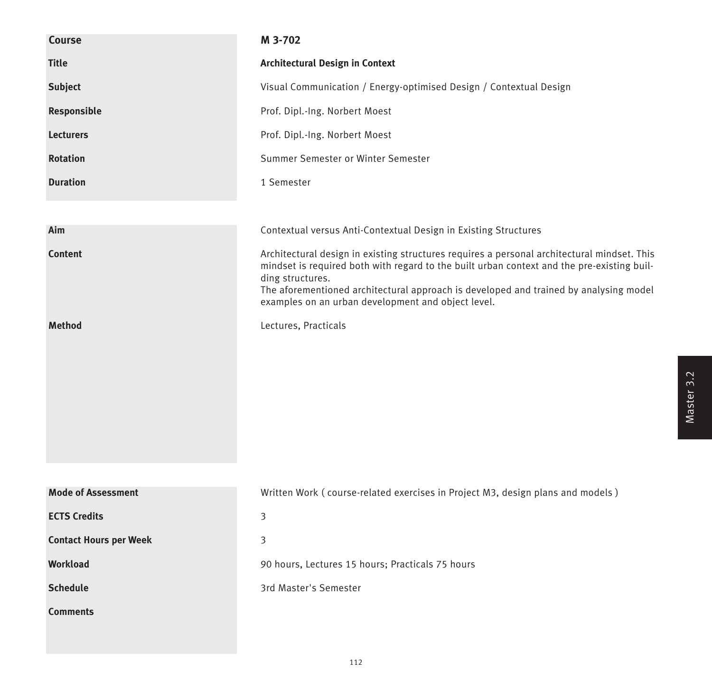| Course                        | M 3-702                                                                                                                                                                                                                                                                                                                                                      |
|-------------------------------|--------------------------------------------------------------------------------------------------------------------------------------------------------------------------------------------------------------------------------------------------------------------------------------------------------------------------------------------------------------|
| <b>Title</b>                  | <b>Architectural Design in Context</b>                                                                                                                                                                                                                                                                                                                       |
| <b>Subject</b>                | Visual Communication / Energy-optimised Design / Contextual Design                                                                                                                                                                                                                                                                                           |
| Responsible                   | Prof. Dipl.-Ing. Norbert Moest                                                                                                                                                                                                                                                                                                                               |
| <b>Lecturers</b>              | Prof. Dipl.-Ing. Norbert Moest                                                                                                                                                                                                                                                                                                                               |
| <b>Rotation</b>               | Summer Semester or Winter Semester                                                                                                                                                                                                                                                                                                                           |
| <b>Duration</b>               | 1 Semester                                                                                                                                                                                                                                                                                                                                                   |
|                               |                                                                                                                                                                                                                                                                                                                                                              |
| Aim                           | Contextual versus Anti-Contextual Design in Existing Structures                                                                                                                                                                                                                                                                                              |
| <b>Content</b>                | Architectural design in existing structures requires a personal architectural mindset. This<br>mindset is required both with regard to the built urban context and the pre-existing buil-<br>ding structures.<br>The aforementioned architectural approach is developed and trained by analysing model<br>examples on an urban development and object level. |
| <b>Method</b>                 | Lectures, Practicals                                                                                                                                                                                                                                                                                                                                         |
| <b>Mode of Assessment</b>     | Written Work (course-related exercises in Project M3, design plans and models)                                                                                                                                                                                                                                                                               |
| <b>ECTS Credits</b>           | 3                                                                                                                                                                                                                                                                                                                                                            |
| <b>Contact Hours per Week</b> | 3                                                                                                                                                                                                                                                                                                                                                            |
| Workload                      | 90 hours, Lectures 15 hours; Practicals 75 hours                                                                                                                                                                                                                                                                                                             |
| <b>Schedule</b>               | 3rd Master's Semester                                                                                                                                                                                                                                                                                                                                        |
| <b>Comments</b>               |                                                                                                                                                                                                                                                                                                                                                              |
|                               |                                                                                                                                                                                                                                                                                                                                                              |

Master 3.2 Master 3.2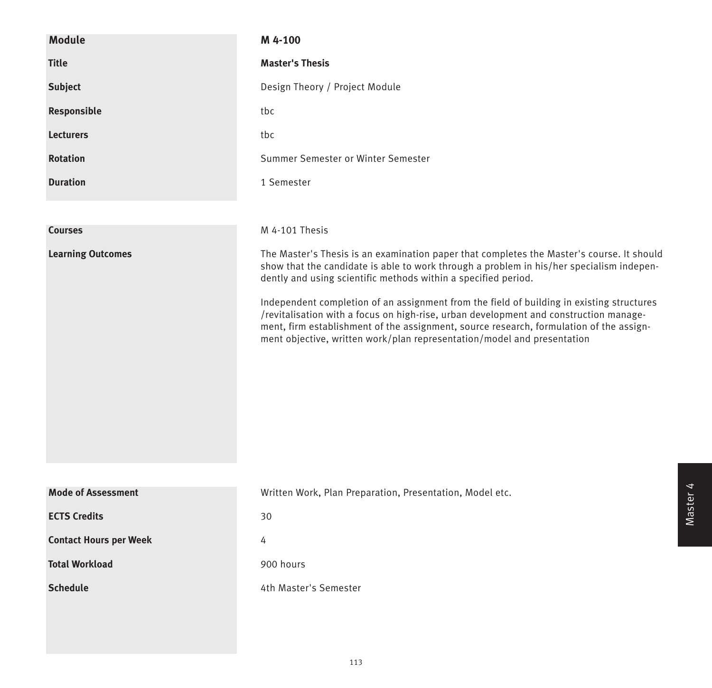| <b>Module</b>                 | M 4-100                                                                                                                                                                                                                                                                                                                                                                                                                                                                                                                                                                                                             |
|-------------------------------|---------------------------------------------------------------------------------------------------------------------------------------------------------------------------------------------------------------------------------------------------------------------------------------------------------------------------------------------------------------------------------------------------------------------------------------------------------------------------------------------------------------------------------------------------------------------------------------------------------------------|
| <b>Title</b>                  | <b>Master's Thesis</b>                                                                                                                                                                                                                                                                                                                                                                                                                                                                                                                                                                                              |
| <b>Subject</b>                | Design Theory / Project Module                                                                                                                                                                                                                                                                                                                                                                                                                                                                                                                                                                                      |
| Responsible                   | tbc                                                                                                                                                                                                                                                                                                                                                                                                                                                                                                                                                                                                                 |
| <b>Lecturers</b>              | tbc                                                                                                                                                                                                                                                                                                                                                                                                                                                                                                                                                                                                                 |
| <b>Rotation</b>               | Summer Semester or Winter Semester                                                                                                                                                                                                                                                                                                                                                                                                                                                                                                                                                                                  |
| <b>Duration</b>               | 1 Semester                                                                                                                                                                                                                                                                                                                                                                                                                                                                                                                                                                                                          |
|                               |                                                                                                                                                                                                                                                                                                                                                                                                                                                                                                                                                                                                                     |
| <b>Courses</b>                | M 4-101 Thesis                                                                                                                                                                                                                                                                                                                                                                                                                                                                                                                                                                                                      |
| <b>Learning Outcomes</b>      | The Master's Thesis is an examination paper that completes the Master's course. It should<br>show that the candidate is able to work through a problem in his/her specialism indepen-<br>dently and using scientific methods within a specified period.<br>Independent completion of an assignment from the field of building in existing structures<br>/revitalisation with a focus on high-rise, urban development and construction manage-<br>ment, firm establishment of the assignment, source research, formulation of the assign-<br>ment objective, written work/plan representation/model and presentation |
| <b>Mode of Assessment</b>     | Written Work, Plan Preparation, Presentation, Model etc.                                                                                                                                                                                                                                                                                                                                                                                                                                                                                                                                                            |
| <b>ECTS Credits</b>           | 30                                                                                                                                                                                                                                                                                                                                                                                                                                                                                                                                                                                                                  |
| <b>Contact Hours per Week</b> | 4                                                                                                                                                                                                                                                                                                                                                                                                                                                                                                                                                                                                                   |
| <b>Total Workload</b>         | 900 hours                                                                                                                                                                                                                                                                                                                                                                                                                                                                                                                                                                                                           |
| <b>Schedule</b>               | 4th Master's Semester                                                                                                                                                                                                                                                                                                                                                                                                                                                                                                                                                                                               |
|                               |                                                                                                                                                                                                                                                                                                                                                                                                                                                                                                                                                                                                                     |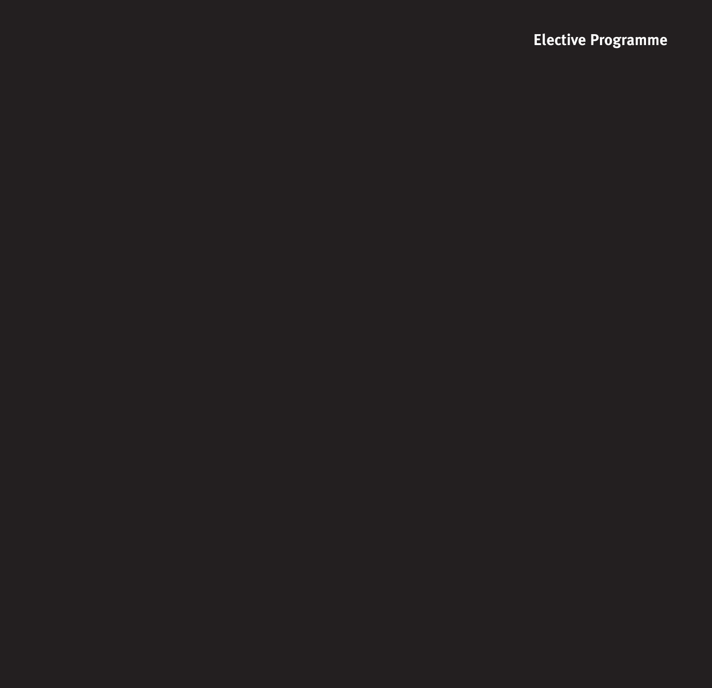## **Elective Programme**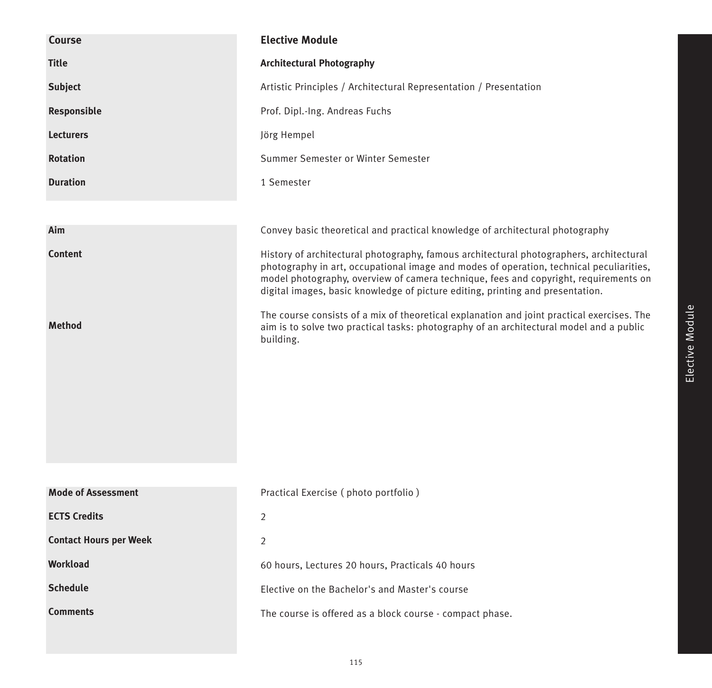| Course                        | <b>Elective Module</b>                                                                                                                                                                                                                                                                                                                                       |
|-------------------------------|--------------------------------------------------------------------------------------------------------------------------------------------------------------------------------------------------------------------------------------------------------------------------------------------------------------------------------------------------------------|
| <b>Title</b>                  | <b>Architectural Photography</b>                                                                                                                                                                                                                                                                                                                             |
| <b>Subject</b>                | Artistic Principles / Architectural Representation / Presentation                                                                                                                                                                                                                                                                                            |
| Responsible                   | Prof. Dipl.-Ing. Andreas Fuchs                                                                                                                                                                                                                                                                                                                               |
| <b>Lecturers</b>              | Jörg Hempel                                                                                                                                                                                                                                                                                                                                                  |
| <b>Rotation</b>               | Summer Semester or Winter Semester                                                                                                                                                                                                                                                                                                                           |
| <b>Duration</b>               | 1 Semester                                                                                                                                                                                                                                                                                                                                                   |
|                               |                                                                                                                                                                                                                                                                                                                                                              |
| Aim                           | Convey basic theoretical and practical knowledge of architectural photography                                                                                                                                                                                                                                                                                |
| <b>Content</b>                | History of architectural photography, famous architectural photographers, architectural<br>photography in art, occupational image and modes of operation, technical peculiarities,<br>model photography, overview of camera technique, fees and copyright, requirements on<br>digital images, basic knowledge of picture editing, printing and presentation. |
| <b>Method</b>                 | The course consists of a mix of theoretical explanation and joint practical exercises. The<br>aim is to solve two practical tasks: photography of an architectural model and a public<br>building.                                                                                                                                                           |
|                               |                                                                                                                                                                                                                                                                                                                                                              |
| <b>Mode of Assessment</b>     | Practical Exercise (photo portfolio)                                                                                                                                                                                                                                                                                                                         |
| <b>ECTS Credits</b>           | $\overline{2}$                                                                                                                                                                                                                                                                                                                                               |
| <b>Contact Hours per Week</b> | 2                                                                                                                                                                                                                                                                                                                                                            |
| <b>Workload</b>               | 60 hours, Lectures 20 hours, Practicals 40 hours                                                                                                                                                                                                                                                                                                             |
| <b>Schedule</b>               | Elective on the Bachelor's and Master's course                                                                                                                                                                                                                                                                                                               |
| <b>Comments</b>               | The course is offered as a block course - compact phase.                                                                                                                                                                                                                                                                                                     |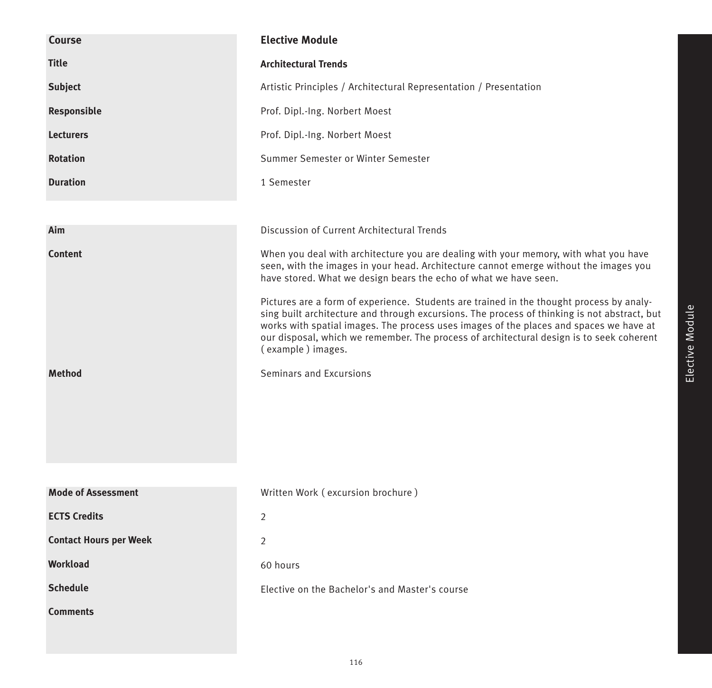| <b>Course</b>                 | <b>Elective Module</b>                                                                                                                                                                                                                                                                                                                                                                              |
|-------------------------------|-----------------------------------------------------------------------------------------------------------------------------------------------------------------------------------------------------------------------------------------------------------------------------------------------------------------------------------------------------------------------------------------------------|
| <b>Title</b>                  | <b>Architectural Trends</b>                                                                                                                                                                                                                                                                                                                                                                         |
| <b>Subject</b>                | Artistic Principles / Architectural Representation / Presentation                                                                                                                                                                                                                                                                                                                                   |
| Responsible                   | Prof. Dipl.-Ing. Norbert Moest                                                                                                                                                                                                                                                                                                                                                                      |
| <b>Lecturers</b>              | Prof. Dipl.-Ing. Norbert Moest                                                                                                                                                                                                                                                                                                                                                                      |
| <b>Rotation</b>               | Summer Semester or Winter Semester                                                                                                                                                                                                                                                                                                                                                                  |
| <b>Duration</b>               | 1 Semester                                                                                                                                                                                                                                                                                                                                                                                          |
|                               |                                                                                                                                                                                                                                                                                                                                                                                                     |
| Aim                           | Discussion of Current Architectural Trends                                                                                                                                                                                                                                                                                                                                                          |
| <b>Content</b>                | When you deal with architecture you are dealing with your memory, with what you have<br>seen, with the images in your head. Architecture cannot emerge without the images you<br>have stored. What we design bears the echo of what we have seen.                                                                                                                                                   |
|                               | Pictures are a form of experience. Students are trained in the thought process by analy-<br>sing built architecture and through excursions. The process of thinking is not abstract, but<br>works with spatial images. The process uses images of the places and spaces we have at<br>our disposal, which we remember. The process of architectural design is to seek coherent<br>(example) images. |
| <b>Method</b>                 | Seminars and Excursions                                                                                                                                                                                                                                                                                                                                                                             |
| <b>Mode of Assessment</b>     | Written Work (excursion brochure)                                                                                                                                                                                                                                                                                                                                                                   |
| <b>ECTS Credits</b>           | $\overline{2}$                                                                                                                                                                                                                                                                                                                                                                                      |
| <b>Contact Hours per Week</b> | $\overline{2}$                                                                                                                                                                                                                                                                                                                                                                                      |
| Workload                      | 60 hours                                                                                                                                                                                                                                                                                                                                                                                            |
| <b>Schedule</b>               |                                                                                                                                                                                                                                                                                                                                                                                                     |
|                               | Elective on the Bachelor's and Master's course                                                                                                                                                                                                                                                                                                                                                      |
| <b>Comments</b>               |                                                                                                                                                                                                                                                                                                                                                                                                     |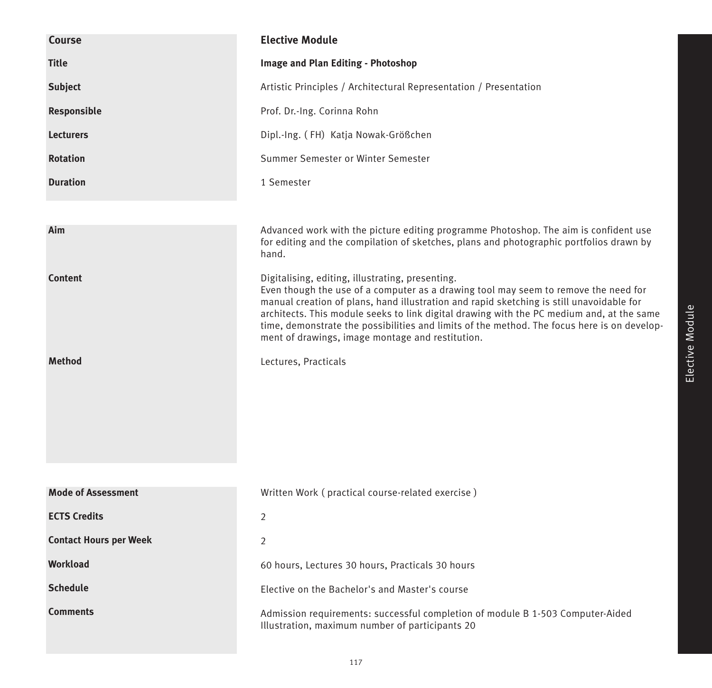| <b>Course</b>                 | <b>Elective Module</b>                                                                                                                                                                                                                                                                                                                                                                                                                                                              |
|-------------------------------|-------------------------------------------------------------------------------------------------------------------------------------------------------------------------------------------------------------------------------------------------------------------------------------------------------------------------------------------------------------------------------------------------------------------------------------------------------------------------------------|
| <b>Title</b>                  | Image and Plan Editing - Photoshop                                                                                                                                                                                                                                                                                                                                                                                                                                                  |
| <b>Subject</b>                | Artistic Principles / Architectural Representation / Presentation                                                                                                                                                                                                                                                                                                                                                                                                                   |
| Responsible                   | Prof. Dr.-Ing. Corinna Rohn                                                                                                                                                                                                                                                                                                                                                                                                                                                         |
| <b>Lecturers</b>              | Dipl.-Ing. (FH) Katja Nowak-Größchen                                                                                                                                                                                                                                                                                                                                                                                                                                                |
| <b>Rotation</b>               | Summer Semester or Winter Semester                                                                                                                                                                                                                                                                                                                                                                                                                                                  |
| <b>Duration</b>               | 1 Semester                                                                                                                                                                                                                                                                                                                                                                                                                                                                          |
|                               |                                                                                                                                                                                                                                                                                                                                                                                                                                                                                     |
| Aim                           | Advanced work with the picture editing programme Photoshop. The aim is confident use<br>for editing and the compilation of sketches, plans and photographic portfolios drawn by<br>hand.                                                                                                                                                                                                                                                                                            |
| <b>Content</b>                | Digitalising, editing, illustrating, presenting.<br>Even though the use of a computer as a drawing tool may seem to remove the need for<br>manual creation of plans, hand illustration and rapid sketching is still unavoidable for<br>architects. This module seeks to link digital drawing with the PC medium and, at the same<br>time, demonstrate the possibilities and limits of the method. The focus here is on develop-<br>ment of drawings, image montage and restitution. |
| <b>Method</b>                 | Lectures, Practicals                                                                                                                                                                                                                                                                                                                                                                                                                                                                |
|                               |                                                                                                                                                                                                                                                                                                                                                                                                                                                                                     |
| <b>Mode of Assessment</b>     | Written Work (practical course-related exercise)                                                                                                                                                                                                                                                                                                                                                                                                                                    |
| <b>ECTS Credits</b>           | 2                                                                                                                                                                                                                                                                                                                                                                                                                                                                                   |
| <b>Contact Hours per Week</b> | 2                                                                                                                                                                                                                                                                                                                                                                                                                                                                                   |
| Workload                      | 60 hours, Lectures 30 hours, Practicals 30 hours                                                                                                                                                                                                                                                                                                                                                                                                                                    |
| <b>Schedule</b>               | Elective on the Bachelor's and Master's course                                                                                                                                                                                                                                                                                                                                                                                                                                      |
| <b>Comments</b>               | Admission requirements: successful completion of module B 1-503 Computer-Aided<br>Illustration, maximum number of participants 20                                                                                                                                                                                                                                                                                                                                                   |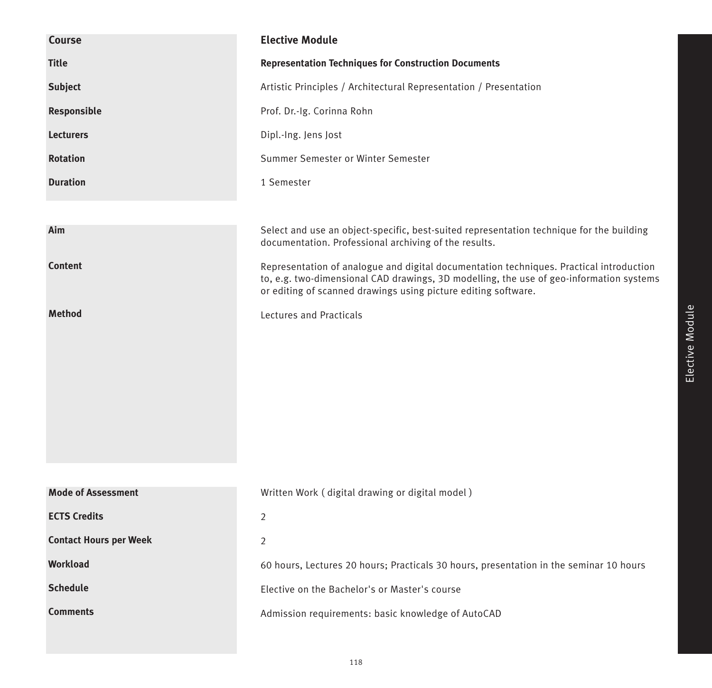| Course                        | <b>Elective Module</b>                                                                                                                                                                                                                               |
|-------------------------------|------------------------------------------------------------------------------------------------------------------------------------------------------------------------------------------------------------------------------------------------------|
| <b>Title</b>                  | <b>Representation Techniques for Construction Documents</b>                                                                                                                                                                                          |
| <b>Subject</b>                | Artistic Principles / Architectural Representation / Presentation                                                                                                                                                                                    |
| Responsible                   | Prof. Dr.-Ig. Corinna Rohn                                                                                                                                                                                                                           |
| <b>Lecturers</b>              | Dipl.-Ing. Jens Jost                                                                                                                                                                                                                                 |
| <b>Rotation</b>               | Summer Semester or Winter Semester                                                                                                                                                                                                                   |
| <b>Duration</b>               | 1 Semester                                                                                                                                                                                                                                           |
|                               |                                                                                                                                                                                                                                                      |
| Aim                           | Select and use an object-specific, best-suited representation technique for the building<br>documentation. Professional archiving of the results.                                                                                                    |
| <b>Content</b>                | Representation of analogue and digital documentation techniques. Practical introduction<br>to, e.g. two-dimensional CAD drawings, 3D modelling, the use of geo-information systems<br>or editing of scanned drawings using picture editing software. |
| <b>Method</b>                 | Lectures and Practicals                                                                                                                                                                                                                              |
|                               |                                                                                                                                                                                                                                                      |
|                               |                                                                                                                                                                                                                                                      |
|                               |                                                                                                                                                                                                                                                      |
|                               |                                                                                                                                                                                                                                                      |
|                               |                                                                                                                                                                                                                                                      |
|                               |                                                                                                                                                                                                                                                      |
|                               |                                                                                                                                                                                                                                                      |
| <b>Mode of Assessment</b>     | Written Work (digital drawing or digital model)                                                                                                                                                                                                      |
| <b>ECTS Credits</b>           | $\overline{2}$                                                                                                                                                                                                                                       |
| <b>Contact Hours per Week</b> | 2                                                                                                                                                                                                                                                    |
| Workload                      | 60 hours, Lectures 20 hours; Practicals 30 hours, presentation in the seminar 10 hours                                                                                                                                                               |
| <b>Schedule</b>               | Elective on the Bachelor's or Master's course                                                                                                                                                                                                        |
| <b>Comments</b>               | Admission requirements: basic knowledge of AutoCAD                                                                                                                                                                                                   |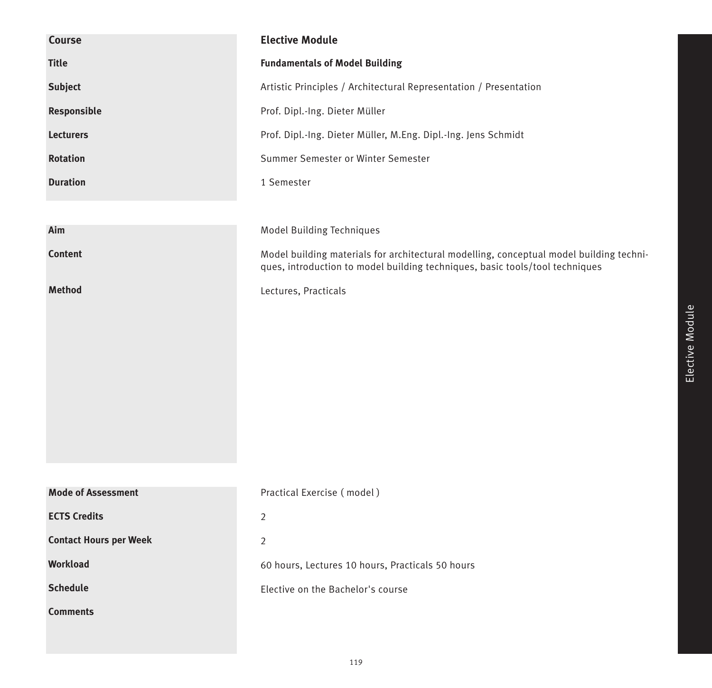| <b>Course</b>                 | <b>Elective Module</b>                                                                                                                                                  |
|-------------------------------|-------------------------------------------------------------------------------------------------------------------------------------------------------------------------|
| <b>Title</b>                  | <b>Fundamentals of Model Building</b>                                                                                                                                   |
| <b>Subject</b>                | Artistic Principles / Architectural Representation / Presentation                                                                                                       |
| Responsible                   | Prof. Dipl.-Ing. Dieter Müller                                                                                                                                          |
| <b>Lecturers</b>              | Prof. Dipl.-Ing. Dieter Müller, M.Eng. Dipl.-Ing. Jens Schmidt                                                                                                          |
| <b>Rotation</b>               | Summer Semester or Winter Semester                                                                                                                                      |
| <b>Duration</b>               | 1 Semester                                                                                                                                                              |
|                               |                                                                                                                                                                         |
| Aim                           | Model Building Techniques                                                                                                                                               |
| <b>Content</b>                | Model building materials for architectural modelling, conceptual model building techni-<br>ques, introduction to model building techniques, basic tools/tool techniques |
| <b>Method</b>                 | Lectures, Practicals                                                                                                                                                    |
|                               |                                                                                                                                                                         |
|                               |                                                                                                                                                                         |
|                               |                                                                                                                                                                         |
|                               |                                                                                                                                                                         |
|                               |                                                                                                                                                                         |
|                               |                                                                                                                                                                         |
|                               |                                                                                                                                                                         |
|                               |                                                                                                                                                                         |
| <b>Mode of Assessment</b>     | Practical Exercise (model)                                                                                                                                              |
| <b>ECTS Credits</b>           | $\overline{2}$                                                                                                                                                          |
| <b>Contact Hours per Week</b> | $\overline{2}$                                                                                                                                                          |
| <b>Workload</b>               | 60 hours, Lectures 10 hours, Practicals 50 hours                                                                                                                        |
| <b>Schedule</b>               | Elective on the Bachelor's course                                                                                                                                       |
| <b>Comments</b>               |                                                                                                                                                                         |
|                               |                                                                                                                                                                         |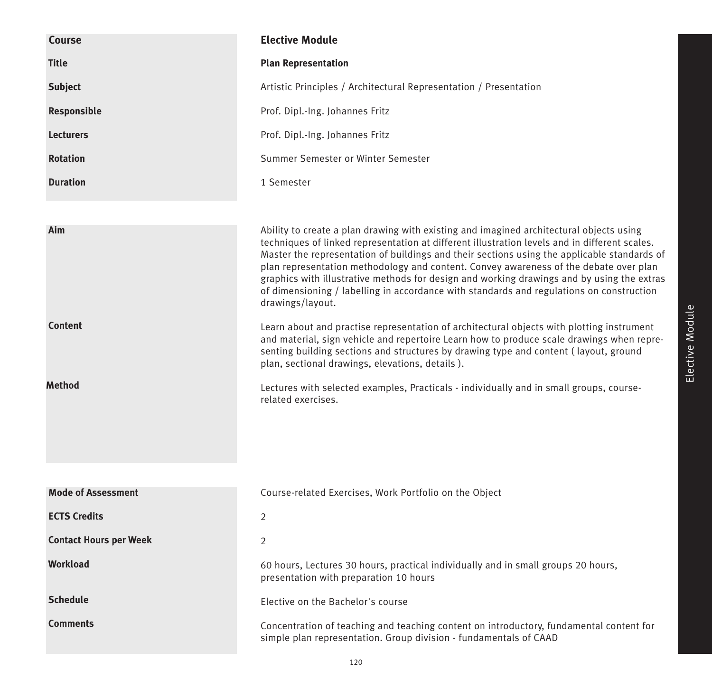| <b>Course</b>                   | <b>Elective Module</b>                                                                                                                                                                                                                                                                                                                                                                                                                                                                                                                                                                                                                                                                                                                                                                                                                                                                                                                                                                                                                               |
|---------------------------------|------------------------------------------------------------------------------------------------------------------------------------------------------------------------------------------------------------------------------------------------------------------------------------------------------------------------------------------------------------------------------------------------------------------------------------------------------------------------------------------------------------------------------------------------------------------------------------------------------------------------------------------------------------------------------------------------------------------------------------------------------------------------------------------------------------------------------------------------------------------------------------------------------------------------------------------------------------------------------------------------------------------------------------------------------|
| <b>Title</b>                    | <b>Plan Representation</b>                                                                                                                                                                                                                                                                                                                                                                                                                                                                                                                                                                                                                                                                                                                                                                                                                                                                                                                                                                                                                           |
| <b>Subject</b>                  | Artistic Principles / Architectural Representation / Presentation                                                                                                                                                                                                                                                                                                                                                                                                                                                                                                                                                                                                                                                                                                                                                                                                                                                                                                                                                                                    |
| Responsible                     | Prof. Dipl.-Ing. Johannes Fritz                                                                                                                                                                                                                                                                                                                                                                                                                                                                                                                                                                                                                                                                                                                                                                                                                                                                                                                                                                                                                      |
| <b>Lecturers</b>                | Prof. Dipl.-Ing. Johannes Fritz                                                                                                                                                                                                                                                                                                                                                                                                                                                                                                                                                                                                                                                                                                                                                                                                                                                                                                                                                                                                                      |
| <b>Rotation</b>                 | Summer Semester or Winter Semester                                                                                                                                                                                                                                                                                                                                                                                                                                                                                                                                                                                                                                                                                                                                                                                                                                                                                                                                                                                                                   |
| <b>Duration</b>                 | 1 Semester                                                                                                                                                                                                                                                                                                                                                                                                                                                                                                                                                                                                                                                                                                                                                                                                                                                                                                                                                                                                                                           |
| Aim<br><b>Content</b><br>Method | Ability to create a plan drawing with existing and imagined architectural objects using<br>techniques of linked representation at different illustration levels and in different scales.<br>Master the representation of buildings and their sections using the applicable standards of<br>plan representation methodology and content. Convey awareness of the debate over plan<br>graphics with illustrative methods for design and working drawings and by using the extras<br>of dimensioning / labelling in accordance with standards and regulations on construction<br>drawings/layout.<br>Learn about and practise representation of architectural objects with plotting instrument<br>and material, sign vehicle and repertoire Learn how to produce scale drawings when repre-<br>senting building sections and structures by drawing type and content (layout, ground<br>plan, sectional drawings, elevations, details).<br>Lectures with selected examples, Practicals - individually and in small groups, course-<br>related exercises. |
| <b>Mode of Assessment</b>       | Course-related Exercises, Work Portfolio on the Object                                                                                                                                                                                                                                                                                                                                                                                                                                                                                                                                                                                                                                                                                                                                                                                                                                                                                                                                                                                               |
| <b>ECTS Credits</b>             | 2                                                                                                                                                                                                                                                                                                                                                                                                                                                                                                                                                                                                                                                                                                                                                                                                                                                                                                                                                                                                                                                    |
| <b>Contact Hours per Week</b>   | 2                                                                                                                                                                                                                                                                                                                                                                                                                                                                                                                                                                                                                                                                                                                                                                                                                                                                                                                                                                                                                                                    |
| Workload                        | 60 hours, Lectures 30 hours, practical individually and in small groups 20 hours,                                                                                                                                                                                                                                                                                                                                                                                                                                                                                                                                                                                                                                                                                                                                                                                                                                                                                                                                                                    |
|                                 | presentation with preparation 10 hours                                                                                                                                                                                                                                                                                                                                                                                                                                                                                                                                                                                                                                                                                                                                                                                                                                                                                                                                                                                                               |
| <b>Schedule</b>                 | Elective on the Bachelor's course                                                                                                                                                                                                                                                                                                                                                                                                                                                                                                                                                                                                                                                                                                                                                                                                                                                                                                                                                                                                                    |
| <b>Comments</b>                 | Concentration of teaching and teaching content on introductory, fundamental content for<br>simple plan representation. Group division - fundamentals of CAAD                                                                                                                                                                                                                                                                                                                                                                                                                                                                                                                                                                                                                                                                                                                                                                                                                                                                                         |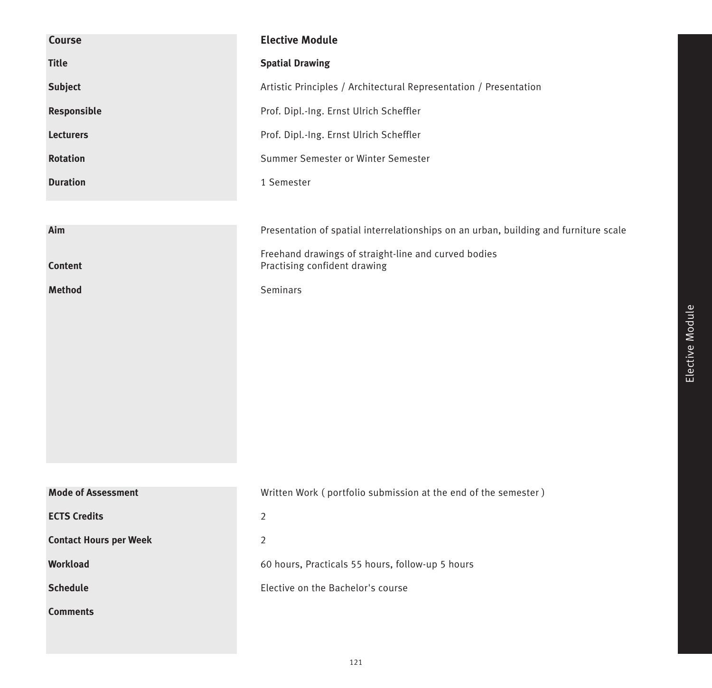| <b>Course</b>                 | <b>Elective Module</b>                                                               |
|-------------------------------|--------------------------------------------------------------------------------------|
| <b>Title</b>                  | <b>Spatial Drawing</b>                                                               |
| <b>Subject</b>                | Artistic Principles / Architectural Representation / Presentation                    |
| Responsible                   | Prof. Dipl.-Ing. Ernst Ulrich Scheffler                                              |
| <b>Lecturers</b>              | Prof. Dipl.-Ing. Ernst Ulrich Scheffler                                              |
| <b>Rotation</b>               | Summer Semester or Winter Semester                                                   |
| <b>Duration</b>               | 1 Semester                                                                           |
|                               |                                                                                      |
| Aim                           | Presentation of spatial interrelationships on an urban, building and furniture scale |
| <b>Content</b>                | Freehand drawings of straight-line and curved bodies<br>Practising confident drawing |
| <b>Method</b>                 | Seminars                                                                             |
|                               |                                                                                      |
|                               |                                                                                      |
|                               |                                                                                      |
|                               |                                                                                      |
|                               |                                                                                      |
|                               |                                                                                      |
|                               |                                                                                      |
|                               |                                                                                      |
| <b>Mode of Assessment</b>     | Written Work (portfolio submission at the end of the semester)                       |
| <b>ECTS Credits</b>           | $\overline{2}$                                                                       |
| <b>Contact Hours per Week</b> | $\overline{2}$                                                                       |
| <b>Workload</b>               | 60 hours, Practicals 55 hours, follow-up 5 hours                                     |
| <b>Schedule</b>               | Elective on the Bachelor's course                                                    |
| <b>Comments</b>               |                                                                                      |
|                               |                                                                                      |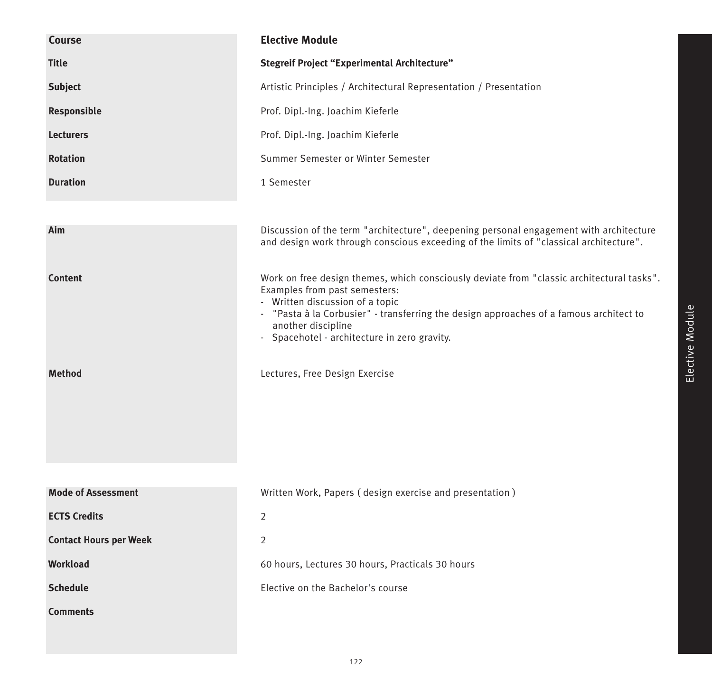| <b>Course</b>                 | <b>Elective Module</b>                                                                                                                                                                                                                                                                                                        |
|-------------------------------|-------------------------------------------------------------------------------------------------------------------------------------------------------------------------------------------------------------------------------------------------------------------------------------------------------------------------------|
| <b>Title</b>                  | <b>Stegreif Project "Experimental Architecture"</b>                                                                                                                                                                                                                                                                           |
| <b>Subject</b>                | Artistic Principles / Architectural Representation / Presentation                                                                                                                                                                                                                                                             |
| Responsible                   | Prof. Dipl.-Ing. Joachim Kieferle                                                                                                                                                                                                                                                                                             |
| <b>Lecturers</b>              | Prof. Dipl.-Ing. Joachim Kieferle                                                                                                                                                                                                                                                                                             |
| <b>Rotation</b>               | Summer Semester or Winter Semester                                                                                                                                                                                                                                                                                            |
| <b>Duration</b>               | 1 Semester                                                                                                                                                                                                                                                                                                                    |
|                               |                                                                                                                                                                                                                                                                                                                               |
| Aim                           | Discussion of the term "architecture", deepening personal engagement with architecture<br>and design work through conscious exceeding of the limits of "classical architecture".                                                                                                                                              |
| <b>Content</b>                | Work on free design themes, which consciously deviate from "classic architectural tasks".<br>Examples from past semesters:<br>- Written discussion of a topic<br>- "Pasta à la Corbusier" - transferring the design approaches of a famous architect to<br>another discipline<br>- Spacehotel - architecture in zero gravity. |
| <b>Method</b>                 | Lectures, Free Design Exercise                                                                                                                                                                                                                                                                                                |
|                               |                                                                                                                                                                                                                                                                                                                               |
| <b>Mode of Assessment</b>     | Written Work, Papers (design exercise and presentation)                                                                                                                                                                                                                                                                       |
| <b>ECTS Credits</b>           | $\overline{2}$                                                                                                                                                                                                                                                                                                                |
| <b>Contact Hours per Week</b> | 2                                                                                                                                                                                                                                                                                                                             |
| <b>Workload</b>               | 60 hours, Lectures 30 hours, Practicals 30 hours                                                                                                                                                                                                                                                                              |
| <b>Schedule</b>               | Elective on the Bachelor's course                                                                                                                                                                                                                                                                                             |
| <b>Comments</b>               |                                                                                                                                                                                                                                                                                                                               |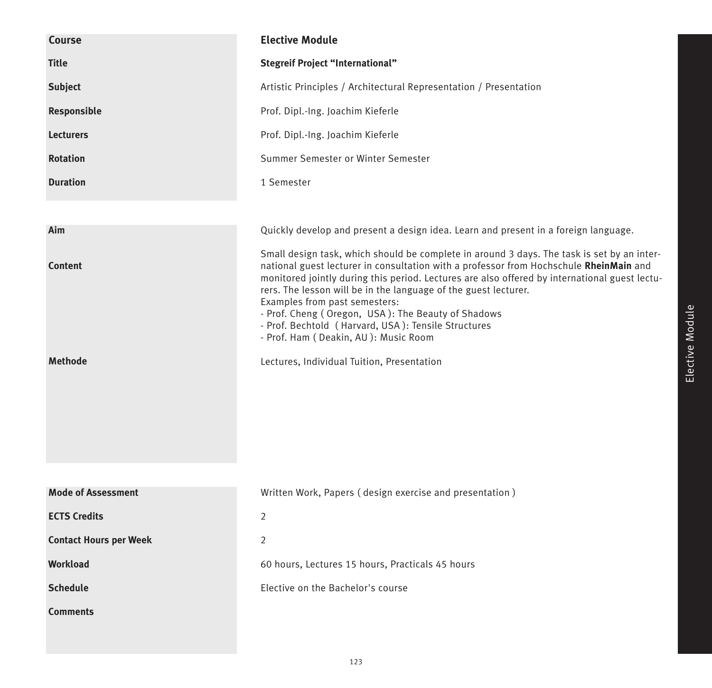| Course                        | <b>Elective Module</b>                                                                                                                                                                                                                                                                                                                                                                                                                                                                                                                         |
|-------------------------------|------------------------------------------------------------------------------------------------------------------------------------------------------------------------------------------------------------------------------------------------------------------------------------------------------------------------------------------------------------------------------------------------------------------------------------------------------------------------------------------------------------------------------------------------|
| <b>Title</b>                  | <b>Stegreif Project "International"</b>                                                                                                                                                                                                                                                                                                                                                                                                                                                                                                        |
| <b>Subject</b>                | Artistic Principles / Architectural Representation / Presentation                                                                                                                                                                                                                                                                                                                                                                                                                                                                              |
| Responsible                   | Prof. Dipl.-Ing. Joachim Kieferle                                                                                                                                                                                                                                                                                                                                                                                                                                                                                                              |
| <b>Lecturers</b>              | Prof. Dipl.-Ing. Joachim Kieferle                                                                                                                                                                                                                                                                                                                                                                                                                                                                                                              |
| <b>Rotation</b>               | Summer Semester or Winter Semester                                                                                                                                                                                                                                                                                                                                                                                                                                                                                                             |
| <b>Duration</b>               | 1 Semester                                                                                                                                                                                                                                                                                                                                                                                                                                                                                                                                     |
|                               |                                                                                                                                                                                                                                                                                                                                                                                                                                                                                                                                                |
| Aim                           | Quickly develop and present a design idea. Learn and present in a foreign language.                                                                                                                                                                                                                                                                                                                                                                                                                                                            |
| <b>Content</b>                | Small design task, which should be complete in around 3 days. The task is set by an inter-<br>national guest lecturer in consultation with a professor from Hochschule RheinMain and<br>monitored jointly during this period. Lectures are also offered by international guest lectu-<br>rers. The lesson will be in the language of the guest lecturer.<br>Examples from past semesters:<br>- Prof. Cheng (Oregon, USA): The Beauty of Shadows<br>- Prof. Bechtold (Harvard, USA): Tensile Structures<br>- Prof. Ham (Deakin, AU): Music Room |
| <b>Methode</b>                | Lectures, Individual Tuition, Presentation                                                                                                                                                                                                                                                                                                                                                                                                                                                                                                     |
| <b>Mode of Assessment</b>     | Written Work, Papers (design exercise and presentation)                                                                                                                                                                                                                                                                                                                                                                                                                                                                                        |
| <b>ECTS Credits</b>           | 2                                                                                                                                                                                                                                                                                                                                                                                                                                                                                                                                              |
| <b>Contact Hours per Week</b> | $\overline{2}$                                                                                                                                                                                                                                                                                                                                                                                                                                                                                                                                 |
| <b>Workload</b>               | 60 hours, Lectures 15 hours, Practicals 45 hours                                                                                                                                                                                                                                                                                                                                                                                                                                                                                               |
| <b>Schedule</b>               | Elective on the Bachelor's course                                                                                                                                                                                                                                                                                                                                                                                                                                                                                                              |
| <b>Comments</b>               |                                                                                                                                                                                                                                                                                                                                                                                                                                                                                                                                                |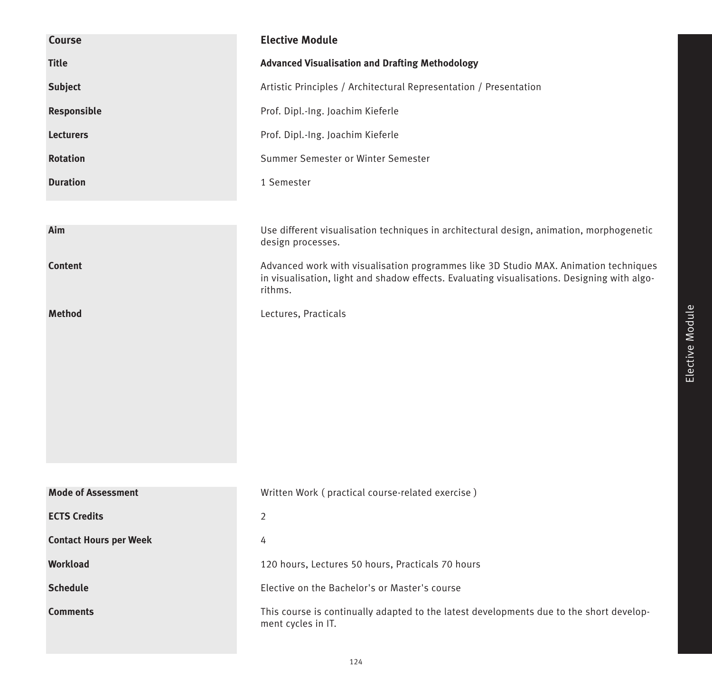| Course                        | <b>Elective Module</b>                                                                                                                                                                         |
|-------------------------------|------------------------------------------------------------------------------------------------------------------------------------------------------------------------------------------------|
| <b>Title</b>                  | <b>Advanced Visualisation and Drafting Methodology</b>                                                                                                                                         |
| <b>Subject</b>                | Artistic Principles / Architectural Representation / Presentation                                                                                                                              |
| Responsible                   | Prof. Dipl.-Ing. Joachim Kieferle                                                                                                                                                              |
| <b>Lecturers</b>              | Prof. Dipl.-Ing. Joachim Kieferle                                                                                                                                                              |
| <b>Rotation</b>               | Summer Semester or Winter Semester                                                                                                                                                             |
| <b>Duration</b>               | 1 Semester                                                                                                                                                                                     |
|                               |                                                                                                                                                                                                |
| Aim                           | Use different visualisation techniques in architectural design, animation, morphogenetic<br>design processes.                                                                                  |
| <b>Content</b>                | Advanced work with visualisation programmes like 3D Studio MAX. Animation techniques<br>in visualisation, light and shadow effects. Evaluating visualisations. Designing with algo-<br>rithms. |
| <b>Method</b>                 | Lectures, Practicals                                                                                                                                                                           |
|                               |                                                                                                                                                                                                |
|                               |                                                                                                                                                                                                |
|                               |                                                                                                                                                                                                |
|                               |                                                                                                                                                                                                |
|                               |                                                                                                                                                                                                |
|                               |                                                                                                                                                                                                |
|                               |                                                                                                                                                                                                |
| <b>Mode of Assessment</b>     | Written Work (practical course-related exercise)                                                                                                                                               |
| <b>ECTS Credits</b>           | 2                                                                                                                                                                                              |
| <b>Contact Hours per Week</b> | 4                                                                                                                                                                                              |
| <b>Workload</b>               | 120 hours, Lectures 50 hours, Practicals 70 hours                                                                                                                                              |
| <b>Schedule</b>               | Elective on the Bachelor's or Master's course                                                                                                                                                  |
| <b>Comments</b>               | This course is continually adapted to the latest developments due to the short develop-<br>ment cycles in IT.                                                                                  |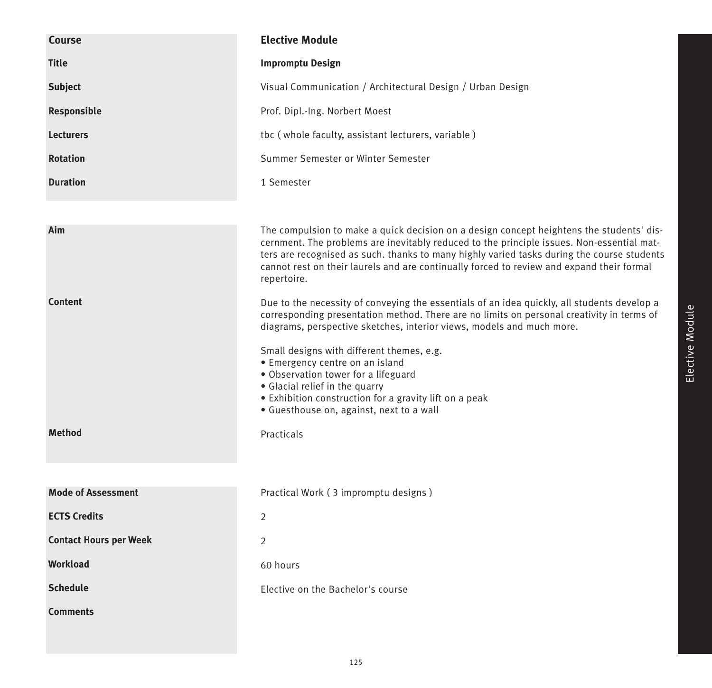| Course                        | <b>Elective Module</b>                                                                                                                                                                                                                                                                                                                                                                                                                                                                                                           |
|-------------------------------|----------------------------------------------------------------------------------------------------------------------------------------------------------------------------------------------------------------------------------------------------------------------------------------------------------------------------------------------------------------------------------------------------------------------------------------------------------------------------------------------------------------------------------|
| <b>Title</b>                  | <b>Impromptu Design</b>                                                                                                                                                                                                                                                                                                                                                                                                                                                                                                          |
| <b>Subject</b>                | Visual Communication / Architectural Design / Urban Design                                                                                                                                                                                                                                                                                                                                                                                                                                                                       |
| Responsible                   | Prof. Dipl.-Ing. Norbert Moest                                                                                                                                                                                                                                                                                                                                                                                                                                                                                                   |
| <b>Lecturers</b>              | tbc (whole faculty, assistant lecturers, variable)                                                                                                                                                                                                                                                                                                                                                                                                                                                                               |
| <b>Rotation</b>               | Summer Semester or Winter Semester                                                                                                                                                                                                                                                                                                                                                                                                                                                                                               |
| <b>Duration</b>               | 1 Semester                                                                                                                                                                                                                                                                                                                                                                                                                                                                                                                       |
|                               |                                                                                                                                                                                                                                                                                                                                                                                                                                                                                                                                  |
| Aim                           | The compulsion to make a quick decision on a design concept heightens the students' dis-<br>cernment. The problems are inevitably reduced to the principle issues. Non-essential mat-<br>ters are recognised as such. thanks to many highly varied tasks during the course students<br>cannot rest on their laurels and are continually forced to review and expand their formal<br>repertoire.                                                                                                                                  |
| <b>Content</b>                | Due to the necessity of conveying the essentials of an idea quickly, all students develop a<br>corresponding presentation method. There are no limits on personal creativity in terms of<br>diagrams, perspective sketches, interior views, models and much more.<br>Small designs with different themes, e.g.<br>· Emergency centre on an island<br>• Observation tower for a lifeguard<br>• Glacial relief in the quarry<br>• Exhibition construction for a gravity lift on a peak<br>· Guesthouse on, against, next to a wall |
| <b>Method</b>                 | Practicals                                                                                                                                                                                                                                                                                                                                                                                                                                                                                                                       |
| <b>Mode of Assessment</b>     | Practical Work (3 impromptu designs)                                                                                                                                                                                                                                                                                                                                                                                                                                                                                             |
| <b>ECTS Credits</b>           | $\overline{2}$                                                                                                                                                                                                                                                                                                                                                                                                                                                                                                                   |
| <b>Contact Hours per Week</b> |                                                                                                                                                                                                                                                                                                                                                                                                                                                                                                                                  |
| <b>Workload</b>               | 2                                                                                                                                                                                                                                                                                                                                                                                                                                                                                                                                |
|                               | 60 hours                                                                                                                                                                                                                                                                                                                                                                                                                                                                                                                         |
| <b>Schedule</b>               | Elective on the Bachelor's course                                                                                                                                                                                                                                                                                                                                                                                                                                                                                                |
| <b>Comments</b>               |                                                                                                                                                                                                                                                                                                                                                                                                                                                                                                                                  |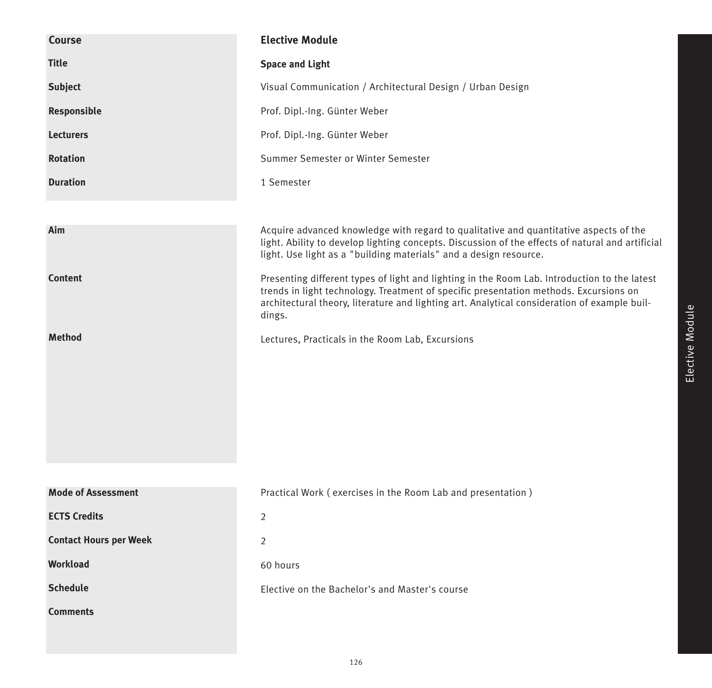| Course                        | <b>Elective Module</b>                                                                                                                                                                                                                                                                          |
|-------------------------------|-------------------------------------------------------------------------------------------------------------------------------------------------------------------------------------------------------------------------------------------------------------------------------------------------|
| <b>Title</b>                  | <b>Space and Light</b>                                                                                                                                                                                                                                                                          |
| <b>Subject</b>                | Visual Communication / Architectural Design / Urban Design                                                                                                                                                                                                                                      |
| Responsible                   | Prof. Dipl.-Ing. Günter Weber                                                                                                                                                                                                                                                                   |
| <b>Lecturers</b>              | Prof. Dipl.-Ing. Günter Weber                                                                                                                                                                                                                                                                   |
| <b>Rotation</b>               | Summer Semester or Winter Semester                                                                                                                                                                                                                                                              |
| <b>Duration</b>               | 1 Semester                                                                                                                                                                                                                                                                                      |
|                               |                                                                                                                                                                                                                                                                                                 |
| Aim                           | Acquire advanced knowledge with regard to qualitative and quantitative aspects of the<br>light. Ability to develop lighting concepts. Discussion of the effects of natural and artificial<br>light. Use light as a "building materials" and a design resource.                                  |
| <b>Content</b>                | Presenting different types of light and lighting in the Room Lab. Introduction to the latest<br>trends in light technology. Treatment of specific presentation methods. Excursions on<br>architectural theory, literature and lighting art. Analytical consideration of example buil-<br>dings. |
| <b>Method</b>                 | Lectures, Practicals in the Room Lab, Excursions                                                                                                                                                                                                                                                |
|                               |                                                                                                                                                                                                                                                                                                 |
|                               |                                                                                                                                                                                                                                                                                                 |
| <b>Mode of Assessment</b>     | Practical Work (exercises in the Room Lab and presentation)                                                                                                                                                                                                                                     |
| <b>ECTS Credits</b>           | $\overline{2}$                                                                                                                                                                                                                                                                                  |
| <b>Contact Hours per Week</b> | 2                                                                                                                                                                                                                                                                                               |
| <b>Workload</b>               | 60 hours                                                                                                                                                                                                                                                                                        |
| <b>Schedule</b>               | Elective on the Bachelor's and Master's course                                                                                                                                                                                                                                                  |
| <b>Comments</b>               |                                                                                                                                                                                                                                                                                                 |
|                               |                                                                                                                                                                                                                                                                                                 |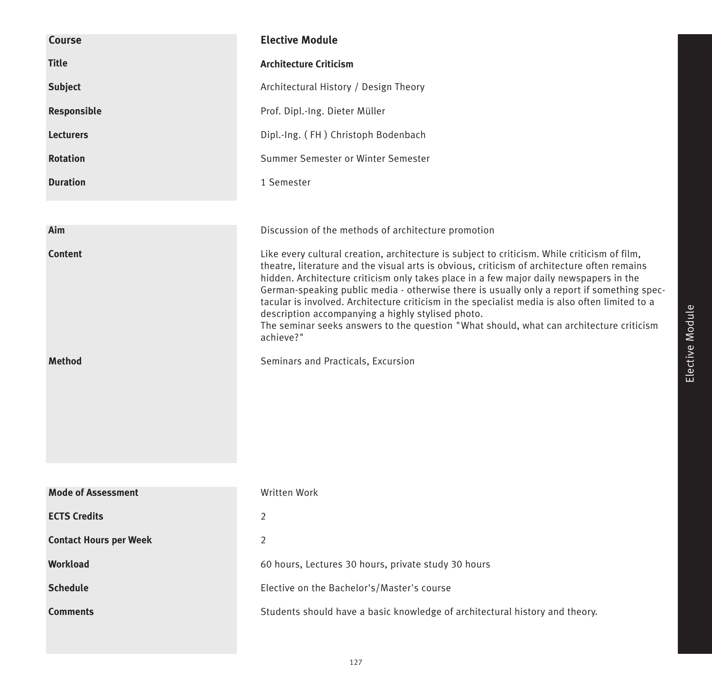| Course                          | <b>Elective Module</b>                                                                                                                                                                                                                                                                                                                                                                                                                                                                                                                                                                                                                                                                   |
|---------------------------------|------------------------------------------------------------------------------------------------------------------------------------------------------------------------------------------------------------------------------------------------------------------------------------------------------------------------------------------------------------------------------------------------------------------------------------------------------------------------------------------------------------------------------------------------------------------------------------------------------------------------------------------------------------------------------------------|
| <b>Title</b>                    | <b>Architecture Criticism</b>                                                                                                                                                                                                                                                                                                                                                                                                                                                                                                                                                                                                                                                            |
| <b>Subject</b>                  | Architectural History / Design Theory                                                                                                                                                                                                                                                                                                                                                                                                                                                                                                                                                                                                                                                    |
| Responsible                     | Prof. Dipl.-Ing. Dieter Müller                                                                                                                                                                                                                                                                                                                                                                                                                                                                                                                                                                                                                                                           |
| <b>Lecturers</b>                | Dipl.-Ing. (FH) Christoph Bodenbach                                                                                                                                                                                                                                                                                                                                                                                                                                                                                                                                                                                                                                                      |
| <b>Rotation</b>                 | Summer Semester or Winter Semester                                                                                                                                                                                                                                                                                                                                                                                                                                                                                                                                                                                                                                                       |
| <b>Duration</b>                 | 1 Semester                                                                                                                                                                                                                                                                                                                                                                                                                                                                                                                                                                                                                                                                               |
| Aim                             | Discussion of the methods of architecture promotion                                                                                                                                                                                                                                                                                                                                                                                                                                                                                                                                                                                                                                      |
| <b>Content</b><br><b>Method</b> | Like every cultural creation, architecture is subject to criticism. While criticism of film,<br>theatre, literature and the visual arts is obvious, criticism of architecture often remains<br>hidden. Architecture criticism only takes place in a few major daily newspapers in the<br>German-speaking public media - otherwise there is usually only a report if something spec-<br>tacular is involved. Architecture criticism in the specialist media is also often limited to a<br>description accompanying a highly stylised photo.<br>The seminar seeks answers to the question "What should, what can architecture criticism<br>achieve?"<br>Seminars and Practicals, Excursion |
|                                 |                                                                                                                                                                                                                                                                                                                                                                                                                                                                                                                                                                                                                                                                                          |
| <b>Mode of Assessment</b>       | Written Work                                                                                                                                                                                                                                                                                                                                                                                                                                                                                                                                                                                                                                                                             |
| <b>ECTS Credits</b>             | 2                                                                                                                                                                                                                                                                                                                                                                                                                                                                                                                                                                                                                                                                                        |
| <b>Contact Hours per Week</b>   | 2                                                                                                                                                                                                                                                                                                                                                                                                                                                                                                                                                                                                                                                                                        |
| Workload                        | 60 hours, Lectures 30 hours, private study 30 hours                                                                                                                                                                                                                                                                                                                                                                                                                                                                                                                                                                                                                                      |
| <b>Schedule</b>                 | Elective on the Bachelor's/Master's course                                                                                                                                                                                                                                                                                                                                                                                                                                                                                                                                                                                                                                               |
| <b>Comments</b>                 | Students should have a basic knowledge of architectural history and theory.                                                                                                                                                                                                                                                                                                                                                                                                                                                                                                                                                                                                              |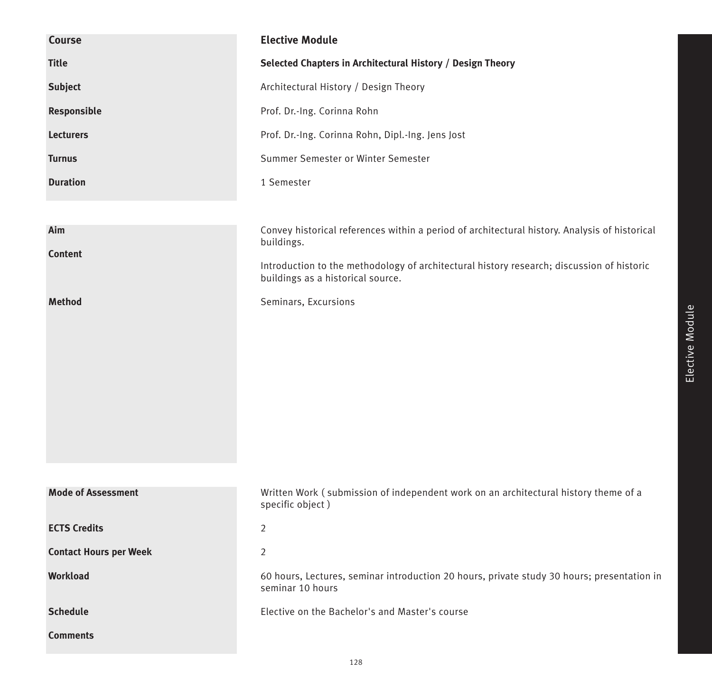| Course                        | <b>Elective Module</b>                                                                                                         |
|-------------------------------|--------------------------------------------------------------------------------------------------------------------------------|
| <b>Title</b>                  | Selected Chapters in Architectural History / Design Theory                                                                     |
| <b>Subject</b>                | Architectural History / Design Theory                                                                                          |
| Responsible                   | Prof. Dr.-Ing. Corinna Rohn                                                                                                    |
| <b>Lecturers</b>              | Prof. Dr.-Ing. Corinna Rohn, Dipl.-Ing. Jens Jost                                                                              |
| <b>Turnus</b>                 | Summer Semester or Winter Semester                                                                                             |
| <b>Duration</b>               | 1 Semester                                                                                                                     |
|                               |                                                                                                                                |
| Aim                           | Convey historical references within a period of architectural history. Analysis of historical<br>buildings.                    |
| <b>Content</b>                | Introduction to the methodology of architectural history research; discussion of historic<br>buildings as a historical source. |
| <b>Method</b>                 | Seminars, Excursions                                                                                                           |
| <b>Mode of Assessment</b>     | Written Work (submission of independent work on an architectural history theme of a<br>specific object)                        |
| <b>ECTS Credits</b>           | $\overline{2}$                                                                                                                 |
| <b>Contact Hours per Week</b> | $\overline{2}$                                                                                                                 |
| Workload                      | 60 hours, Lectures, seminar introduction 20 hours, private study 30 hours; presentation in<br>seminar 10 hours                 |
| <b>Schedule</b>               | Elective on the Bachelor's and Master's course                                                                                 |
| <b>Comments</b>               |                                                                                                                                |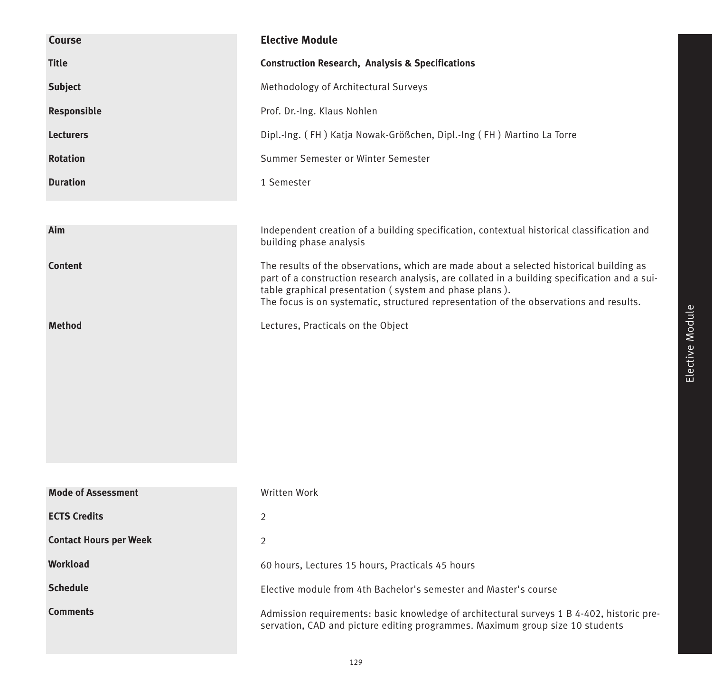| <b>Course</b>                 | <b>Elective Module</b>                                                                                                                                                                                                                                                                                                                       |
|-------------------------------|----------------------------------------------------------------------------------------------------------------------------------------------------------------------------------------------------------------------------------------------------------------------------------------------------------------------------------------------|
| <b>Title</b>                  | <b>Construction Research, Analysis &amp; Specifications</b>                                                                                                                                                                                                                                                                                  |
| <b>Subject</b>                | Methodology of Architectural Surveys                                                                                                                                                                                                                                                                                                         |
| Responsible                   | Prof. Dr.-Ing. Klaus Nohlen                                                                                                                                                                                                                                                                                                                  |
| <b>Lecturers</b>              | Dipl.-Ing. (FH) Katja Nowak-Größchen, Dipl.-Ing (FH) Martino La Torre                                                                                                                                                                                                                                                                        |
| <b>Rotation</b>               | Summer Semester or Winter Semester                                                                                                                                                                                                                                                                                                           |
| <b>Duration</b>               | 1 Semester                                                                                                                                                                                                                                                                                                                                   |
|                               |                                                                                                                                                                                                                                                                                                                                              |
| Aim                           | Independent creation of a building specification, contextual historical classification and<br>building phase analysis                                                                                                                                                                                                                        |
| <b>Content</b>                | The results of the observations, which are made about a selected historical building as<br>part of a construction research analysis, are collated in a building specification and a sui-<br>table graphical presentation (system and phase plans).<br>The focus is on systematic, structured representation of the observations and results. |
| <b>Method</b>                 | Lectures, Practicals on the Object                                                                                                                                                                                                                                                                                                           |
|                               |                                                                                                                                                                                                                                                                                                                                              |
|                               |                                                                                                                                                                                                                                                                                                                                              |
|                               |                                                                                                                                                                                                                                                                                                                                              |
|                               |                                                                                                                                                                                                                                                                                                                                              |
|                               |                                                                                                                                                                                                                                                                                                                                              |
|                               |                                                                                                                                                                                                                                                                                                                                              |
| <b>Mode of Assessment</b>     | Written Work                                                                                                                                                                                                                                                                                                                                 |
| <b>ECTS Credits</b>           | 2                                                                                                                                                                                                                                                                                                                                            |
| <b>Contact Hours per Week</b> | 2                                                                                                                                                                                                                                                                                                                                            |
| Workload                      | 60 hours, Lectures 15 hours, Practicals 45 hours                                                                                                                                                                                                                                                                                             |
| <b>Schedule</b>               | Elective module from 4th Bachelor's semester and Master's course                                                                                                                                                                                                                                                                             |
| <b>Comments</b>               | Admission requirements: basic knowledge of architectural surveys 1 B 4-402, historic pre-<br>servation, CAD and picture editing programmes. Maximum group size 10 students                                                                                                                                                                   |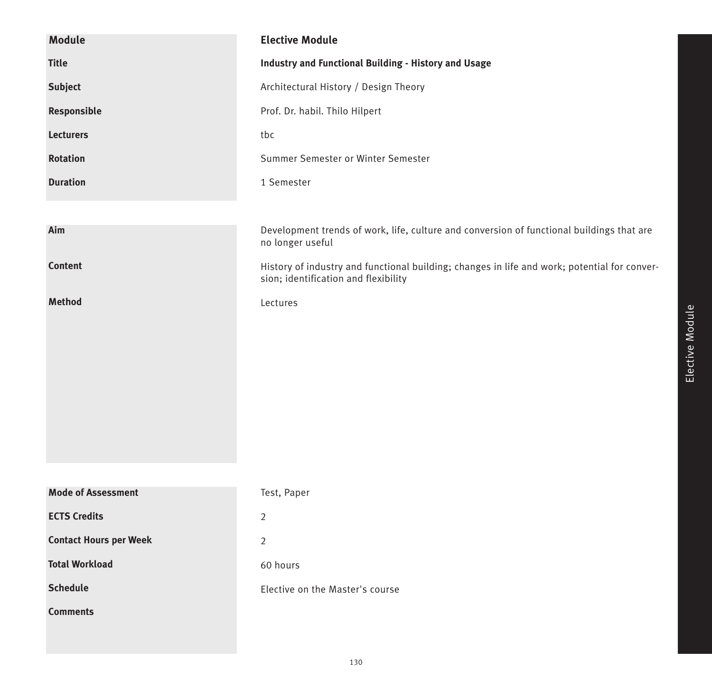| <b>Module</b>                 | <b>Elective Module</b>                                                                                                               |
|-------------------------------|--------------------------------------------------------------------------------------------------------------------------------------|
| <b>Title</b>                  | <b>Industry and Functional Building - History and Usage</b>                                                                          |
| <b>Subject</b>                | Architectural History / Design Theory                                                                                                |
| Responsible                   | Prof. Dr. habil. Thilo Hilpert                                                                                                       |
| <b>Lecturers</b>              | tbc                                                                                                                                  |
| <b>Rotation</b>               | Summer Semester or Winter Semester                                                                                                   |
| <b>Duration</b>               | 1 Semester                                                                                                                           |
|                               |                                                                                                                                      |
| Aim                           | Development trends of work, life, culture and conversion of functional buildings that are<br>no longer useful                        |
| Content                       | History of industry and functional building; changes in life and work; potential for conver-<br>sion; identification and flexibility |
| Method                        | Lectures                                                                                                                             |
|                               |                                                                                                                                      |
|                               |                                                                                                                                      |
|                               |                                                                                                                                      |
|                               |                                                                                                                                      |
|                               |                                                                                                                                      |
|                               |                                                                                                                                      |
|                               |                                                                                                                                      |
| <b>Mode of Assessment</b>     | Test, Paper                                                                                                                          |
| <b>ECTS Credits</b>           | $\overline{2}$                                                                                                                       |
| <b>Contact Hours per Week</b> | $\overline{2}$                                                                                                                       |
| <b>Total Workload</b>         | 60 hours                                                                                                                             |
| <b>Schedule</b>               | Elective on the Master's course                                                                                                      |
| <b>Comments</b>               |                                                                                                                                      |
|                               |                                                                                                                                      |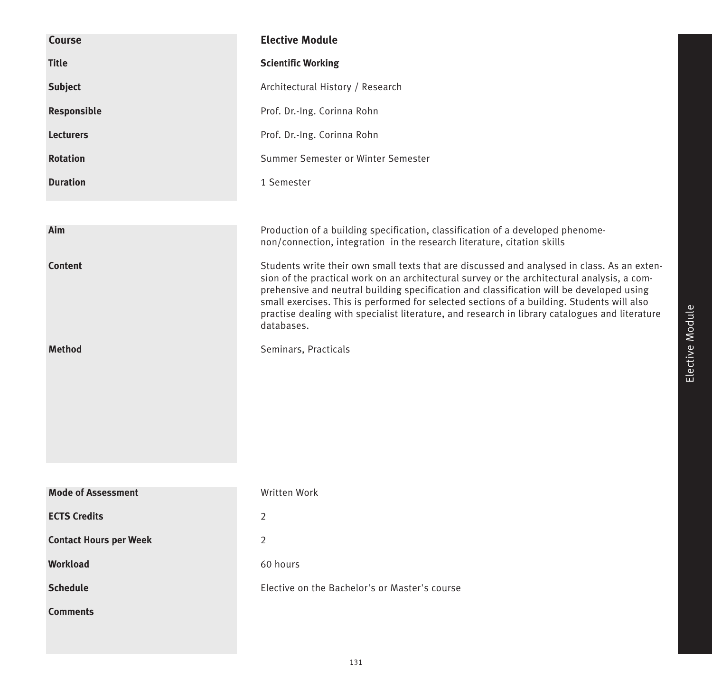| Course                        | <b>Elective Module</b>                                                                                                                                                                                                                                                                                                                                                                                                                                                                               |
|-------------------------------|------------------------------------------------------------------------------------------------------------------------------------------------------------------------------------------------------------------------------------------------------------------------------------------------------------------------------------------------------------------------------------------------------------------------------------------------------------------------------------------------------|
| <b>Title</b>                  | <b>Scientific Working</b>                                                                                                                                                                                                                                                                                                                                                                                                                                                                            |
| <b>Subject</b>                | Architectural History / Research                                                                                                                                                                                                                                                                                                                                                                                                                                                                     |
| Responsible                   | Prof. Dr.-Ing. Corinna Rohn                                                                                                                                                                                                                                                                                                                                                                                                                                                                          |
| <b>Lecturers</b>              | Prof. Dr.-Ing. Corinna Rohn                                                                                                                                                                                                                                                                                                                                                                                                                                                                          |
| <b>Rotation</b>               | Summer Semester or Winter Semester                                                                                                                                                                                                                                                                                                                                                                                                                                                                   |
| <b>Duration</b>               | 1 Semester                                                                                                                                                                                                                                                                                                                                                                                                                                                                                           |
|                               |                                                                                                                                                                                                                                                                                                                                                                                                                                                                                                      |
| Aim                           | Production of a building specification, classification of a developed phenome-<br>non/connection, integration in the research literature, citation skills                                                                                                                                                                                                                                                                                                                                            |
| <b>Content</b>                | Students write their own small texts that are discussed and analysed in class. As an exten-<br>sion of the practical work on an architectural survey or the architectural analysis, a com-<br>prehensive and neutral building specification and classification will be developed using<br>small exercises. This is performed for selected sections of a building. Students will also<br>practise dealing with specialist literature, and research in library catalogues and literature<br>databases. |
| <b>Method</b>                 | Seminars, Practicals                                                                                                                                                                                                                                                                                                                                                                                                                                                                                 |
| <b>Mode of Assessment</b>     | Written Work                                                                                                                                                                                                                                                                                                                                                                                                                                                                                         |
| <b>ECTS Credits</b>           | 2                                                                                                                                                                                                                                                                                                                                                                                                                                                                                                    |
| <b>Contact Hours per Week</b> | 2                                                                                                                                                                                                                                                                                                                                                                                                                                                                                                    |
| <b>Workload</b>               | 60 hours                                                                                                                                                                                                                                                                                                                                                                                                                                                                                             |
| <b>Schedule</b>               | Elective on the Bachelor's or Master's course                                                                                                                                                                                                                                                                                                                                                                                                                                                        |
|                               |                                                                                                                                                                                                                                                                                                                                                                                                                                                                                                      |
| <b>Comments</b>               |                                                                                                                                                                                                                                                                                                                                                                                                                                                                                                      |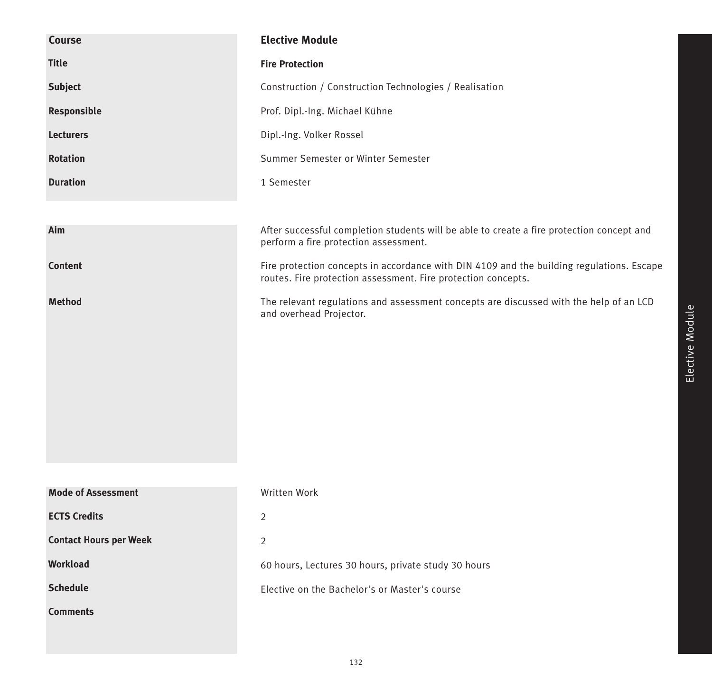| <b>Course</b>                 | <b>Elective Module</b>                                                                                                                                     |
|-------------------------------|------------------------------------------------------------------------------------------------------------------------------------------------------------|
| <b>Title</b>                  | <b>Fire Protection</b>                                                                                                                                     |
| <b>Subject</b>                | Construction / Construction Technologies / Realisation                                                                                                     |
| Responsible                   | Prof. Dipl.-Ing. Michael Kühne                                                                                                                             |
| <b>Lecturers</b>              | Dipl.-Ing. Volker Rossel                                                                                                                                   |
| <b>Rotation</b>               | Summer Semester or Winter Semester                                                                                                                         |
| <b>Duration</b>               | 1 Semester                                                                                                                                                 |
|                               |                                                                                                                                                            |
| Aim                           | After successful completion students will be able to create a fire protection concept and<br>perform a fire protection assessment.                         |
| Content                       | Fire protection concepts in accordance with DIN 4109 and the building regulations. Escape<br>routes. Fire protection assessment. Fire protection concepts. |
| <b>Method</b>                 | The relevant regulations and assessment concepts are discussed with the help of an LCD<br>and overhead Projector.                                          |
|                               |                                                                                                                                                            |
|                               |                                                                                                                                                            |
|                               |                                                                                                                                                            |
|                               |                                                                                                                                                            |
|                               |                                                                                                                                                            |
|                               |                                                                                                                                                            |
|                               |                                                                                                                                                            |
| <b>Mode of Assessment</b>     | Written Work                                                                                                                                               |
| <b>ECTS Credits</b>           | $\overline{2}$                                                                                                                                             |
| <b>Contact Hours per Week</b> | $\overline{2}$                                                                                                                                             |
| Workload                      | 60 hours, Lectures 30 hours, private study 30 hours                                                                                                        |
| <b>Schedule</b>               | Elective on the Bachelor's or Master's course                                                                                                              |
| <b>Comments</b>               |                                                                                                                                                            |
|                               |                                                                                                                                                            |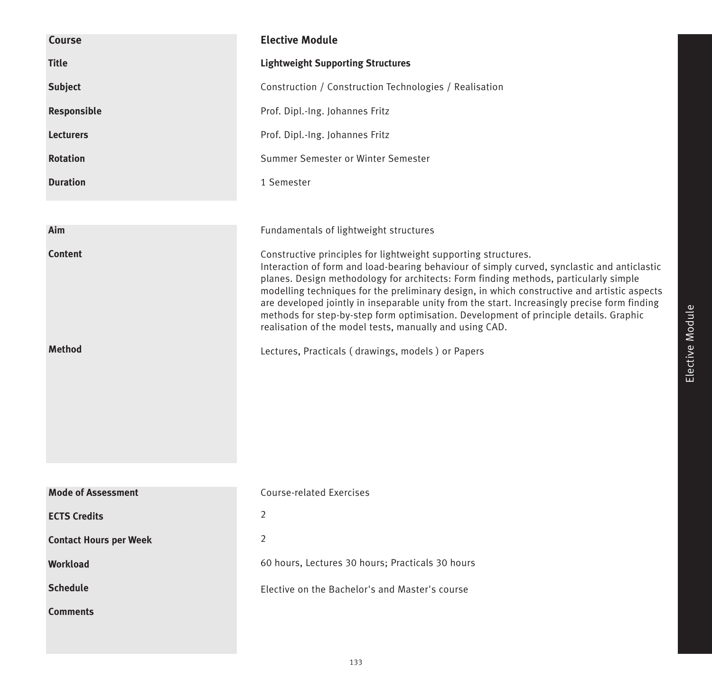| Course                        | <b>Elective Module</b>                                                                                                                                                                                                                                                                                                                                                                                                                                                                                                                                                                                   |
|-------------------------------|----------------------------------------------------------------------------------------------------------------------------------------------------------------------------------------------------------------------------------------------------------------------------------------------------------------------------------------------------------------------------------------------------------------------------------------------------------------------------------------------------------------------------------------------------------------------------------------------------------|
| <b>Title</b>                  | <b>Lightweight Supporting Structures</b>                                                                                                                                                                                                                                                                                                                                                                                                                                                                                                                                                                 |
| <b>Subject</b>                | Construction / Construction Technologies / Realisation                                                                                                                                                                                                                                                                                                                                                                                                                                                                                                                                                   |
| Responsible                   | Prof. Dipl.-Ing. Johannes Fritz                                                                                                                                                                                                                                                                                                                                                                                                                                                                                                                                                                          |
| <b>Lecturers</b>              | Prof. Dipl.-Ing. Johannes Fritz                                                                                                                                                                                                                                                                                                                                                                                                                                                                                                                                                                          |
| <b>Rotation</b>               | Summer Semester or Winter Semester                                                                                                                                                                                                                                                                                                                                                                                                                                                                                                                                                                       |
| <b>Duration</b>               | 1 Semester                                                                                                                                                                                                                                                                                                                                                                                                                                                                                                                                                                                               |
|                               |                                                                                                                                                                                                                                                                                                                                                                                                                                                                                                                                                                                                          |
| Aim                           | Fundamentals of lightweight structures                                                                                                                                                                                                                                                                                                                                                                                                                                                                                                                                                                   |
| <b>Content</b>                | Constructive principles for lightweight supporting structures.<br>Interaction of form and load-bearing behaviour of simply curved, synclastic and anticlastic<br>planes. Design methodology for architects: Form finding methods, particularly simple<br>modelling techniques for the preliminary design, in which constructive and artistic aspects<br>are developed jointly in inseparable unity from the start. Increasingly precise form finding<br>methods for step-by-step form optimisation. Development of principle details. Graphic<br>realisation of the model tests, manually and using CAD. |
| <b>Method</b>                 | Lectures, Practicals (drawings, models) or Papers                                                                                                                                                                                                                                                                                                                                                                                                                                                                                                                                                        |
| <b>Mode of Assessment</b>     | Course-related Exercises                                                                                                                                                                                                                                                                                                                                                                                                                                                                                                                                                                                 |
| <b>ECTS Credits</b>           | 2                                                                                                                                                                                                                                                                                                                                                                                                                                                                                                                                                                                                        |
| <b>Contact Hours per Week</b> | $\overline{2}$                                                                                                                                                                                                                                                                                                                                                                                                                                                                                                                                                                                           |
| <b>Workload</b>               | 60 hours, Lectures 30 hours; Practicals 30 hours                                                                                                                                                                                                                                                                                                                                                                                                                                                                                                                                                         |
|                               |                                                                                                                                                                                                                                                                                                                                                                                                                                                                                                                                                                                                          |
| <b>Schedule</b>               | Elective on the Bachelor's and Master's course                                                                                                                                                                                                                                                                                                                                                                                                                                                                                                                                                           |
| <b>Comments</b>               |                                                                                                                                                                                                                                                                                                                                                                                                                                                                                                                                                                                                          |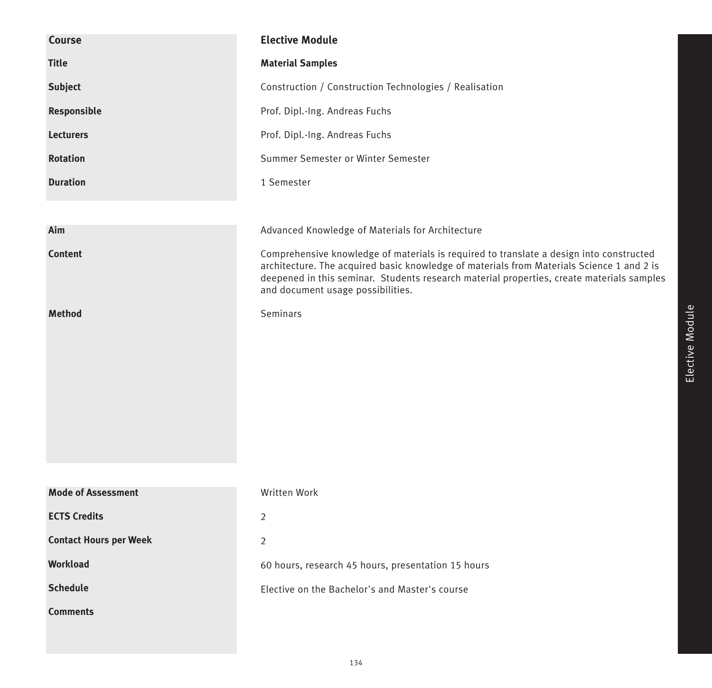| <b>Course</b>                 | <b>Elective Module</b>                                                                                                                                                                                                                                                                                                 |
|-------------------------------|------------------------------------------------------------------------------------------------------------------------------------------------------------------------------------------------------------------------------------------------------------------------------------------------------------------------|
| <b>Title</b>                  | <b>Material Samples</b>                                                                                                                                                                                                                                                                                                |
| <b>Subject</b>                | Construction / Construction Technologies / Realisation                                                                                                                                                                                                                                                                 |
| Responsible                   | Prof. Dipl.-Ing. Andreas Fuchs                                                                                                                                                                                                                                                                                         |
| <b>Lecturers</b>              | Prof. Dipl.-Ing. Andreas Fuchs                                                                                                                                                                                                                                                                                         |
| <b>Rotation</b>               | Summer Semester or Winter Semester                                                                                                                                                                                                                                                                                     |
| <b>Duration</b>               | 1 Semester                                                                                                                                                                                                                                                                                                             |
|                               |                                                                                                                                                                                                                                                                                                                        |
| Aim                           | Advanced Knowledge of Materials for Architecture                                                                                                                                                                                                                                                                       |
| <b>Content</b>                | Comprehensive knowledge of materials is required to translate a design into constructed<br>architecture. The acquired basic knowledge of materials from Materials Science 1 and 2 is<br>deepened in this seminar. Students research material properties, create materials samples<br>and document usage possibilities. |
| <b>Method</b>                 | Seminars                                                                                                                                                                                                                                                                                                               |
| <b>Mode of Assessment</b>     | Written Work                                                                                                                                                                                                                                                                                                           |
| <b>ECTS Credits</b>           | $\overline{2}$                                                                                                                                                                                                                                                                                                         |
| <b>Contact Hours per Week</b> | $\overline{2}$                                                                                                                                                                                                                                                                                                         |
| <b>Workload</b>               | 60 hours, research 45 hours, presentation 15 hours                                                                                                                                                                                                                                                                     |
| <b>Schedule</b>               | Elective on the Bachelor's and Master's course                                                                                                                                                                                                                                                                         |
| <b>Comments</b>               |                                                                                                                                                                                                                                                                                                                        |
|                               |                                                                                                                                                                                                                                                                                                                        |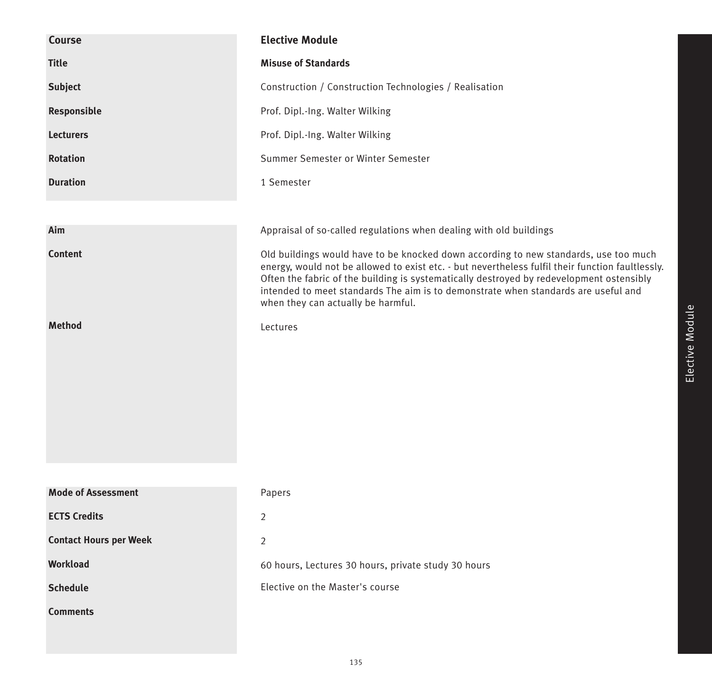| Course                        | <b>Elective Module</b>                                                                                                                                                                                                                                                                                                                                                                                           |
|-------------------------------|------------------------------------------------------------------------------------------------------------------------------------------------------------------------------------------------------------------------------------------------------------------------------------------------------------------------------------------------------------------------------------------------------------------|
| <b>Title</b>                  | <b>Misuse of Standards</b>                                                                                                                                                                                                                                                                                                                                                                                       |
| <b>Subject</b>                | Construction / Construction Technologies / Realisation                                                                                                                                                                                                                                                                                                                                                           |
| Responsible                   | Prof. Dipl.-Ing. Walter Wilking                                                                                                                                                                                                                                                                                                                                                                                  |
| <b>Lecturers</b>              | Prof. Dipl.-Ing. Walter Wilking                                                                                                                                                                                                                                                                                                                                                                                  |
| <b>Rotation</b>               | Summer Semester or Winter Semester                                                                                                                                                                                                                                                                                                                                                                               |
| <b>Duration</b>               | 1 Semester                                                                                                                                                                                                                                                                                                                                                                                                       |
|                               |                                                                                                                                                                                                                                                                                                                                                                                                                  |
| Aim                           | Appraisal of so-called regulations when dealing with old buildings                                                                                                                                                                                                                                                                                                                                               |
| <b>Content</b>                | Old buildings would have to be knocked down according to new standards, use too much<br>energy, would not be allowed to exist etc. - but nevertheless fulfil their function faultlessly.<br>Often the fabric of the building is systematically destroyed by redevelopment ostensibly<br>intended to meet standards The aim is to demonstrate when standards are useful and<br>when they can actually be harmful. |
| <b>Method</b>                 | Lectures                                                                                                                                                                                                                                                                                                                                                                                                         |
|                               |                                                                                                                                                                                                                                                                                                                                                                                                                  |
| <b>Mode of Assessment</b>     | Papers                                                                                                                                                                                                                                                                                                                                                                                                           |
| <b>ECTS Credits</b>           | $\overline{2}$                                                                                                                                                                                                                                                                                                                                                                                                   |
| <b>Contact Hours per Week</b> | $\overline{2}$                                                                                                                                                                                                                                                                                                                                                                                                   |
| <b>Workload</b>               | 60 hours, Lectures 30 hours, private study 30 hours                                                                                                                                                                                                                                                                                                                                                              |
| <b>Schedule</b>               | Elective on the Master's course                                                                                                                                                                                                                                                                                                                                                                                  |
| <b>Comments</b>               |                                                                                                                                                                                                                                                                                                                                                                                                                  |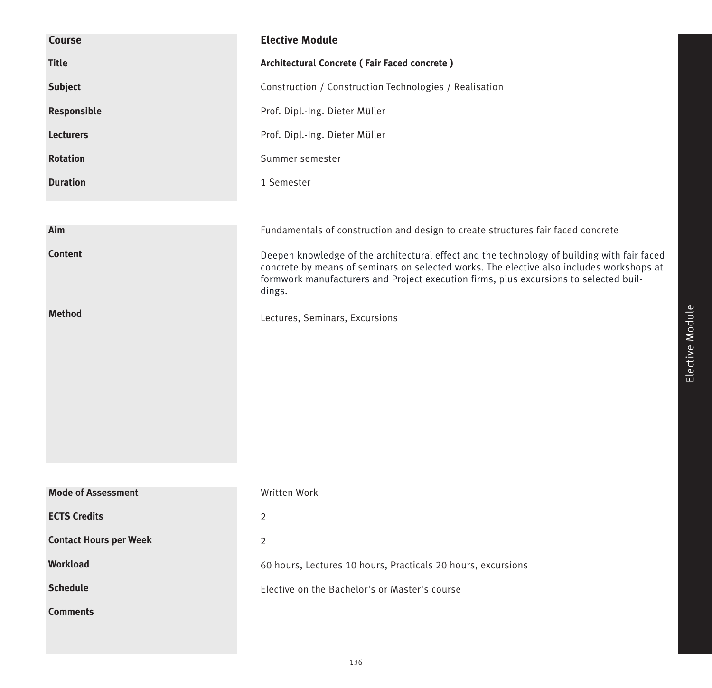| <b>Course</b>                 | <b>Elective Module</b>                                                                                                                                                                                                                                                                     |
|-------------------------------|--------------------------------------------------------------------------------------------------------------------------------------------------------------------------------------------------------------------------------------------------------------------------------------------|
| <b>Title</b>                  | Architectural Concrete (Fair Faced concrete)                                                                                                                                                                                                                                               |
| <b>Subject</b>                | Construction / Construction Technologies / Realisation                                                                                                                                                                                                                                     |
| Responsible                   | Prof. Dipl.-Ing. Dieter Müller                                                                                                                                                                                                                                                             |
| <b>Lecturers</b>              | Prof. Dipl.-Ing. Dieter Müller                                                                                                                                                                                                                                                             |
| <b>Rotation</b>               | Summer semester                                                                                                                                                                                                                                                                            |
| <b>Duration</b>               | 1 Semester                                                                                                                                                                                                                                                                                 |
|                               |                                                                                                                                                                                                                                                                                            |
| Aim                           | Fundamentals of construction and design to create structures fair faced concrete                                                                                                                                                                                                           |
| <b>Content</b>                | Deepen knowledge of the architectural effect and the technology of building with fair faced<br>concrete by means of seminars on selected works. The elective also includes workshops at<br>formwork manufacturers and Project execution firms, plus excursions to selected buil-<br>dings. |
| <b>Method</b>                 | Lectures, Seminars, Excursions                                                                                                                                                                                                                                                             |
| <b>Mode of Assessment</b>     | Written Work                                                                                                                                                                                                                                                                               |
| <b>ECTS Credits</b>           | $\overline{2}$                                                                                                                                                                                                                                                                             |
| <b>Contact Hours per Week</b> |                                                                                                                                                                                                                                                                                            |
| Workload                      | $\overline{2}$                                                                                                                                                                                                                                                                             |
|                               | 60 hours, Lectures 10 hours, Practicals 20 hours, excursions                                                                                                                                                                                                                               |
| <b>Schedule</b>               | Elective on the Bachelor's or Master's course                                                                                                                                                                                                                                              |
| <b>Comments</b>               |                                                                                                                                                                                                                                                                                            |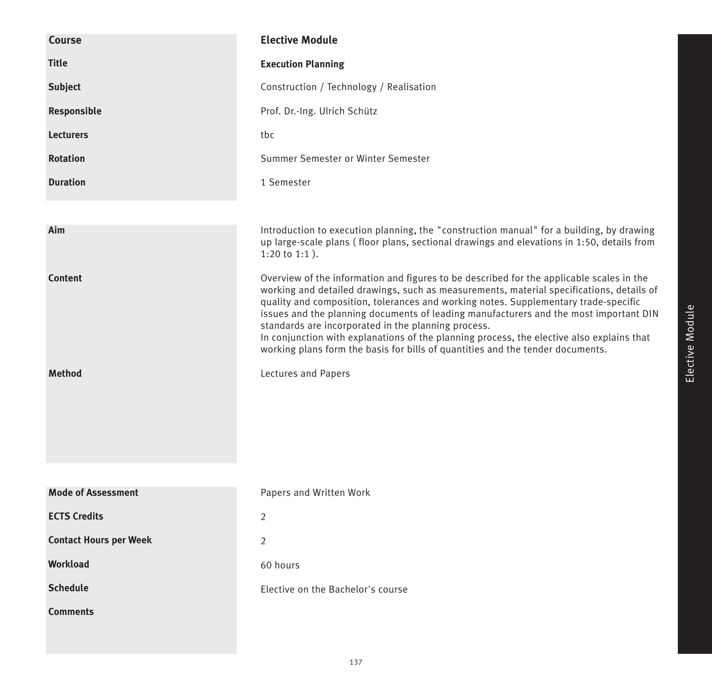| Course                        | <b>Elective Module</b>                                                                                                                                                                                                                                                                                                                                                                                                                                                                                                                                                                                     |
|-------------------------------|------------------------------------------------------------------------------------------------------------------------------------------------------------------------------------------------------------------------------------------------------------------------------------------------------------------------------------------------------------------------------------------------------------------------------------------------------------------------------------------------------------------------------------------------------------------------------------------------------------|
| <b>Title</b>                  | <b>Execution Planning</b>                                                                                                                                                                                                                                                                                                                                                                                                                                                                                                                                                                                  |
| <b>Subject</b>                | Construction / Technology / Realisation                                                                                                                                                                                                                                                                                                                                                                                                                                                                                                                                                                    |
| Responsible                   | Prof. Dr.-Ing. Ulrich Schütz                                                                                                                                                                                                                                                                                                                                                                                                                                                                                                                                                                               |
| <b>Lecturers</b>              | tbc                                                                                                                                                                                                                                                                                                                                                                                                                                                                                                                                                                                                        |
| <b>Rotation</b>               | Summer Semester or Winter Semester                                                                                                                                                                                                                                                                                                                                                                                                                                                                                                                                                                         |
| <b>Duration</b>               | 1 Semester                                                                                                                                                                                                                                                                                                                                                                                                                                                                                                                                                                                                 |
|                               |                                                                                                                                                                                                                                                                                                                                                                                                                                                                                                                                                                                                            |
| Aim                           | Introduction to execution planning, the "construction manual" for a building, by drawing<br>up large-scale plans (floor plans, sectional drawings and elevations in 1:50, details from<br>$1:20$ to $1:1$ ).                                                                                                                                                                                                                                                                                                                                                                                               |
| <b>Content</b>                | Overview of the information and figures to be described for the applicable scales in the<br>working and detailed drawings, such as measurements, material specifications, details of<br>quality and composition, tolerances and working notes. Supplementary trade-specific<br>issues and the planning documents of leading manufacturers and the most important DIN<br>standards are incorporated in the planning process.<br>In conjunction with explanations of the planning process, the elective also explains that<br>working plans form the basis for bills of quantities and the tender documents. |
| <b>Method</b>                 | Lectures and Papers                                                                                                                                                                                                                                                                                                                                                                                                                                                                                                                                                                                        |
| <b>Mode of Assessment</b>     | Papers and Written Work                                                                                                                                                                                                                                                                                                                                                                                                                                                                                                                                                                                    |
| <b>ECTS Credits</b>           | 2                                                                                                                                                                                                                                                                                                                                                                                                                                                                                                                                                                                                          |
| <b>Contact Hours per Week</b> | 2                                                                                                                                                                                                                                                                                                                                                                                                                                                                                                                                                                                                          |
| <b>Workload</b>               | 60 hours                                                                                                                                                                                                                                                                                                                                                                                                                                                                                                                                                                                                   |
| <b>Schedule</b>               | Elective on the Bachelor's course                                                                                                                                                                                                                                                                                                                                                                                                                                                                                                                                                                          |
| <b>Comments</b>               |                                                                                                                                                                                                                                                                                                                                                                                                                                                                                                                                                                                                            |
|                               |                                                                                                                                                                                                                                                                                                                                                                                                                                                                                                                                                                                                            |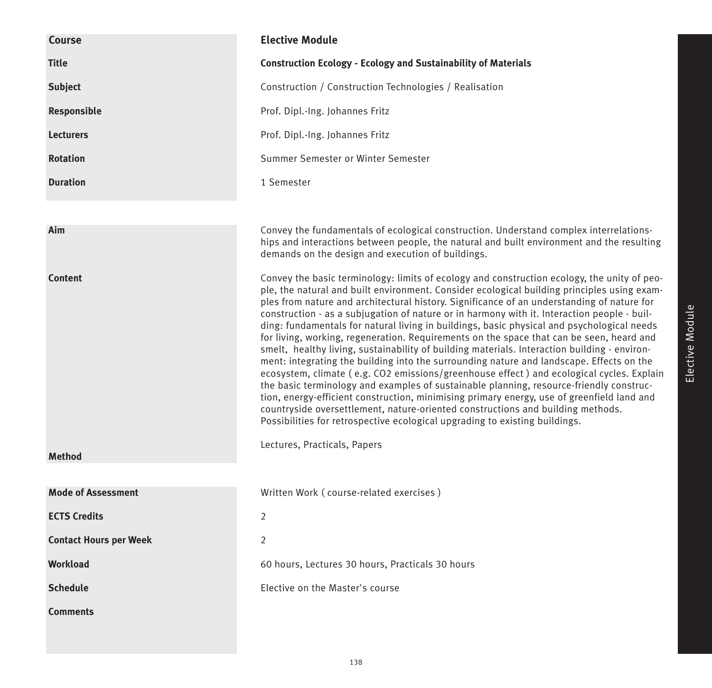| Course                        | <b>Elective Module</b>                                                                                                                                                                                                                                                                                                                                                                                                                                                                                                                                                                                                                                                                                                                                                                                                                                                                                                                                                                                                                                                                                                                                                                                                                                               |
|-------------------------------|----------------------------------------------------------------------------------------------------------------------------------------------------------------------------------------------------------------------------------------------------------------------------------------------------------------------------------------------------------------------------------------------------------------------------------------------------------------------------------------------------------------------------------------------------------------------------------------------------------------------------------------------------------------------------------------------------------------------------------------------------------------------------------------------------------------------------------------------------------------------------------------------------------------------------------------------------------------------------------------------------------------------------------------------------------------------------------------------------------------------------------------------------------------------------------------------------------------------------------------------------------------------|
| <b>Title</b>                  | <b>Construction Ecology - Ecology and Sustainability of Materials</b>                                                                                                                                                                                                                                                                                                                                                                                                                                                                                                                                                                                                                                                                                                                                                                                                                                                                                                                                                                                                                                                                                                                                                                                                |
| <b>Subject</b>                | Construction / Construction Technologies / Realisation                                                                                                                                                                                                                                                                                                                                                                                                                                                                                                                                                                                                                                                                                                                                                                                                                                                                                                                                                                                                                                                                                                                                                                                                               |
| Responsible                   | Prof. Dipl.-Ing. Johannes Fritz                                                                                                                                                                                                                                                                                                                                                                                                                                                                                                                                                                                                                                                                                                                                                                                                                                                                                                                                                                                                                                                                                                                                                                                                                                      |
| <b>Lecturers</b>              | Prof. Dipl.-Ing. Johannes Fritz                                                                                                                                                                                                                                                                                                                                                                                                                                                                                                                                                                                                                                                                                                                                                                                                                                                                                                                                                                                                                                                                                                                                                                                                                                      |
| <b>Rotation</b>               | Summer Semester or Winter Semester                                                                                                                                                                                                                                                                                                                                                                                                                                                                                                                                                                                                                                                                                                                                                                                                                                                                                                                                                                                                                                                                                                                                                                                                                                   |
| <b>Duration</b>               | 1 Semester                                                                                                                                                                                                                                                                                                                                                                                                                                                                                                                                                                                                                                                                                                                                                                                                                                                                                                                                                                                                                                                                                                                                                                                                                                                           |
|                               |                                                                                                                                                                                                                                                                                                                                                                                                                                                                                                                                                                                                                                                                                                                                                                                                                                                                                                                                                                                                                                                                                                                                                                                                                                                                      |
| Aim                           | Convey the fundamentals of ecological construction. Understand complex interrelations-<br>hips and interactions between people, the natural and built environment and the resulting<br>demands on the design and execution of buildings.                                                                                                                                                                                                                                                                                                                                                                                                                                                                                                                                                                                                                                                                                                                                                                                                                                                                                                                                                                                                                             |
| <b>Content</b>                | Convey the basic terminology: limits of ecology and construction ecology, the unity of peo-<br>ple, the natural and built environment. Consider ecological building principles using exam-<br>ples from nature and architectural history. Significance of an understanding of nature for<br>construction - as a subjugation of nature or in harmony with it. Interaction people - buil-<br>ding: fundamentals for natural living in buildings, basic physical and psychological needs<br>for living, working, regeneration. Requirements on the space that can be seen, heard and<br>smelt, healthy living, sustainability of building materials. Interaction building - environ-<br>ment: integrating the building into the surrounding nature and landscape. Effects on the<br>ecosystem, climate (e.g. CO2 emissions/greenhouse effect) and ecological cycles. Explain<br>the basic terminology and examples of sustainable planning, resource-friendly construc-<br>tion, energy-efficient construction, minimising primary energy, use of greenfield land and<br>countryside oversettlement, nature-oriented constructions and building methods.<br>Possibilities for retrospective ecological upgrading to existing buildings.<br>Lectures, Practicals, Papers |
| <b>Method</b>                 |                                                                                                                                                                                                                                                                                                                                                                                                                                                                                                                                                                                                                                                                                                                                                                                                                                                                                                                                                                                                                                                                                                                                                                                                                                                                      |
| <b>Mode of Assessment</b>     | Written Work (course-related exercises)                                                                                                                                                                                                                                                                                                                                                                                                                                                                                                                                                                                                                                                                                                                                                                                                                                                                                                                                                                                                                                                                                                                                                                                                                              |
| <b>ECTS Credits</b>           | 2                                                                                                                                                                                                                                                                                                                                                                                                                                                                                                                                                                                                                                                                                                                                                                                                                                                                                                                                                                                                                                                                                                                                                                                                                                                                    |
| <b>Contact Hours per Week</b> | $\overline{2}$                                                                                                                                                                                                                                                                                                                                                                                                                                                                                                                                                                                                                                                                                                                                                                                                                                                                                                                                                                                                                                                                                                                                                                                                                                                       |
| <b>Workload</b>               | 60 hours, Lectures 30 hours, Practicals 30 hours                                                                                                                                                                                                                                                                                                                                                                                                                                                                                                                                                                                                                                                                                                                                                                                                                                                                                                                                                                                                                                                                                                                                                                                                                     |
| <b>Schedule</b>               | Elective on the Master's course                                                                                                                                                                                                                                                                                                                                                                                                                                                                                                                                                                                                                                                                                                                                                                                                                                                                                                                                                                                                                                                                                                                                                                                                                                      |
|                               |                                                                                                                                                                                                                                                                                                                                                                                                                                                                                                                                                                                                                                                                                                                                                                                                                                                                                                                                                                                                                                                                                                                                                                                                                                                                      |
| <b>Comments</b>               |                                                                                                                                                                                                                                                                                                                                                                                                                                                                                                                                                                                                                                                                                                                                                                                                                                                                                                                                                                                                                                                                                                                                                                                                                                                                      |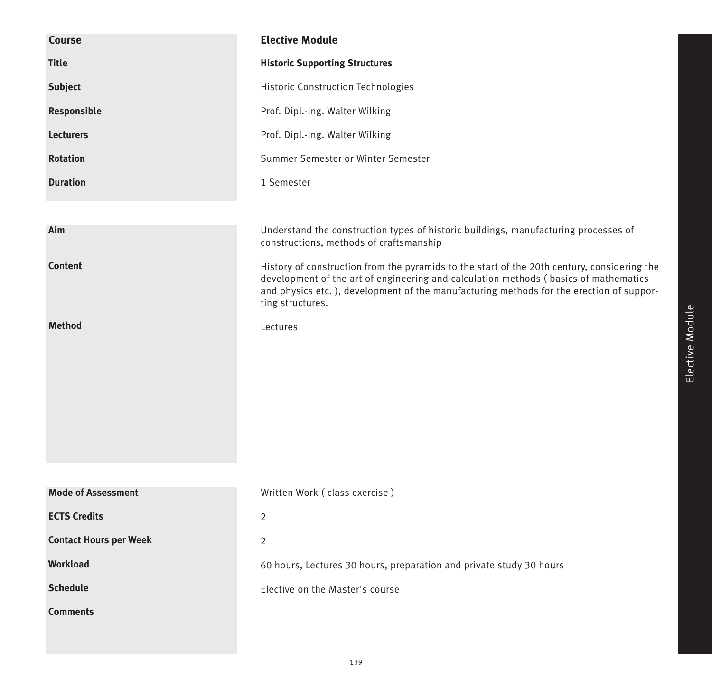| Course                        | <b>Elective Module</b>                                                                                                                                                                                                                                                                             |
|-------------------------------|----------------------------------------------------------------------------------------------------------------------------------------------------------------------------------------------------------------------------------------------------------------------------------------------------|
| <b>Title</b>                  | <b>Historic Supporting Structures</b>                                                                                                                                                                                                                                                              |
| <b>Subject</b>                | Historic Construction Technologies                                                                                                                                                                                                                                                                 |
| Responsible                   | Prof. Dipl.-Ing. Walter Wilking                                                                                                                                                                                                                                                                    |
| <b>Lecturers</b>              | Prof. Dipl.-Ing. Walter Wilking                                                                                                                                                                                                                                                                    |
| <b>Rotation</b>               | Summer Semester or Winter Semester                                                                                                                                                                                                                                                                 |
| <b>Duration</b>               | 1 Semester                                                                                                                                                                                                                                                                                         |
|                               |                                                                                                                                                                                                                                                                                                    |
| Aim                           | Understand the construction types of historic buildings, manufacturing processes of<br>constructions, methods of craftsmanship                                                                                                                                                                     |
| <b>Content</b>                | History of construction from the pyramids to the start of the 20th century, considering the<br>development of the art of engineering and calculation methods (basics of mathematics<br>and physics etc.), development of the manufacturing methods for the erection of suppor-<br>ting structures. |
| <b>Method</b>                 | Lectures                                                                                                                                                                                                                                                                                           |
|                               |                                                                                                                                                                                                                                                                                                    |
| <b>Mode of Assessment</b>     | Written Work (class exercise)                                                                                                                                                                                                                                                                      |
| <b>ECTS Credits</b>           | 2                                                                                                                                                                                                                                                                                                  |
| <b>Contact Hours per Week</b> | $\overline{2}$                                                                                                                                                                                                                                                                                     |
| <b>Workload</b>               | 60 hours, Lectures 30 hours, preparation and private study 30 hours                                                                                                                                                                                                                                |
| <b>Schedule</b>               | Elective on the Master's course                                                                                                                                                                                                                                                                    |
| <b>Comments</b>               |                                                                                                                                                                                                                                                                                                    |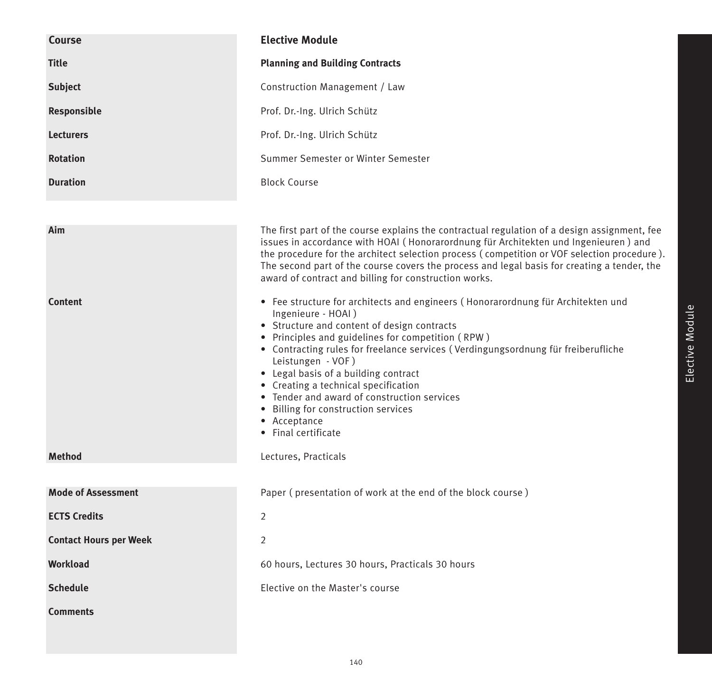| <b>Course</b>                 | <b>Elective Module</b>                                                                                                                                                                                                                                                                                                                                                                                                                                                                                                            |
|-------------------------------|-----------------------------------------------------------------------------------------------------------------------------------------------------------------------------------------------------------------------------------------------------------------------------------------------------------------------------------------------------------------------------------------------------------------------------------------------------------------------------------------------------------------------------------|
| <b>Title</b>                  | <b>Planning and Building Contracts</b>                                                                                                                                                                                                                                                                                                                                                                                                                                                                                            |
| <b>Subject</b>                | Construction Management / Law                                                                                                                                                                                                                                                                                                                                                                                                                                                                                                     |
| Responsible                   | Prof. Dr.-Ing. Ulrich Schütz                                                                                                                                                                                                                                                                                                                                                                                                                                                                                                      |
| <b>Lecturers</b>              | Prof. Dr.-Ing. Ulrich Schütz                                                                                                                                                                                                                                                                                                                                                                                                                                                                                                      |
| <b>Rotation</b>               | Summer Semester or Winter Semester                                                                                                                                                                                                                                                                                                                                                                                                                                                                                                |
| <b>Duration</b>               | <b>Block Course</b>                                                                                                                                                                                                                                                                                                                                                                                                                                                                                                               |
|                               |                                                                                                                                                                                                                                                                                                                                                                                                                                                                                                                                   |
| Aim                           | The first part of the course explains the contractual regulation of a design assignment, fee<br>issues in accordance with HOAI (Honorarordnung für Architekten und Ingenieuren) and<br>the procedure for the architect selection process (competition or VOF selection procedure).<br>The second part of the course covers the process and legal basis for creating a tender, the<br>award of contract and billing for construction works.                                                                                        |
| <b>Content</b>                | • Fee structure for architects and engineers (Honorarordnung für Architekten und<br>Ingenieure - HOAI)<br>• Structure and content of design contracts<br>• Principles and guidelines for competition (RPW)<br>• Contracting rules for freelance services (Verdingungsordnung für freiberufliche<br>Leistungen - VOF)<br>• Legal basis of a building contract<br>• Creating a technical specification<br>• Tender and award of construction services<br>• Billing for construction services<br>• Acceptance<br>• Final certificate |
| <b>Method</b>                 | Lectures, Practicals                                                                                                                                                                                                                                                                                                                                                                                                                                                                                                              |
| <b>Mode of Assessment</b>     | Paper (presentation of work at the end of the block course)                                                                                                                                                                                                                                                                                                                                                                                                                                                                       |
| <b>ECTS Credits</b>           | 2                                                                                                                                                                                                                                                                                                                                                                                                                                                                                                                                 |
| <b>Contact Hours per Week</b> | 2                                                                                                                                                                                                                                                                                                                                                                                                                                                                                                                                 |
| <b>Workload</b>               | 60 hours, Lectures 30 hours, Practicals 30 hours                                                                                                                                                                                                                                                                                                                                                                                                                                                                                  |
| <b>Schedule</b>               | Elective on the Master's course                                                                                                                                                                                                                                                                                                                                                                                                                                                                                                   |
| <b>Comments</b>               |                                                                                                                                                                                                                                                                                                                                                                                                                                                                                                                                   |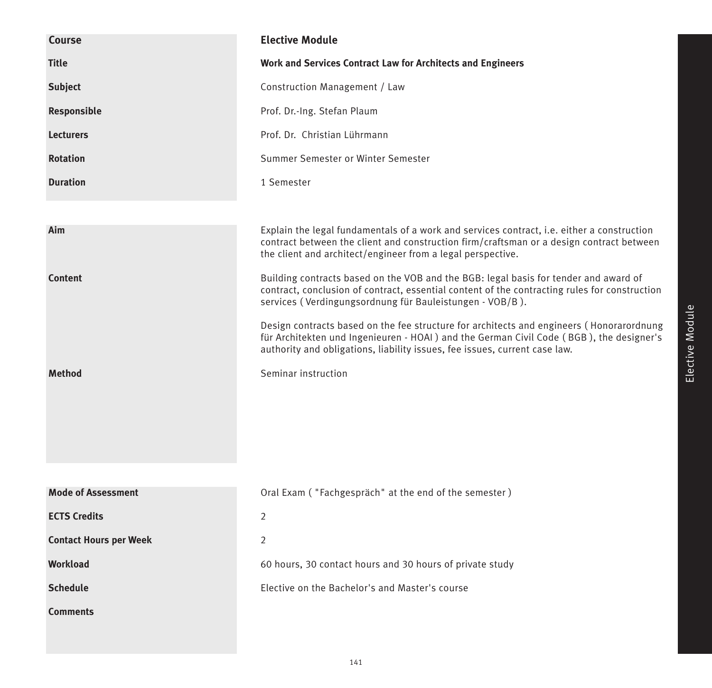| <b>Course</b>                 | <b>Elective Module</b>                                                                                                                                                                                                                                             |
|-------------------------------|--------------------------------------------------------------------------------------------------------------------------------------------------------------------------------------------------------------------------------------------------------------------|
| <b>Title</b>                  | Work and Services Contract Law for Architects and Engineers                                                                                                                                                                                                        |
| <b>Subject</b>                | Construction Management / Law                                                                                                                                                                                                                                      |
| Responsible                   | Prof. Dr.-Ing. Stefan Plaum                                                                                                                                                                                                                                        |
| <b>Lecturers</b>              | Prof. Dr. Christian Lührmann                                                                                                                                                                                                                                       |
| <b>Rotation</b>               | Summer Semester or Winter Semester                                                                                                                                                                                                                                 |
| <b>Duration</b>               | 1 Semester                                                                                                                                                                                                                                                         |
|                               |                                                                                                                                                                                                                                                                    |
| Aim                           | Explain the legal fundamentals of a work and services contract, i.e. either a construction<br>contract between the client and construction firm/craftsman or a design contract between<br>the client and architect/engineer from a legal perspective.              |
| <b>Content</b>                | Building contracts based on the VOB and the BGB: legal basis for tender and award of<br>contract, conclusion of contract, essential content of the contracting rules for construction<br>services (Verdingungsordnung für Bauleistungen - VOB/B).                  |
|                               | Design contracts based on the fee structure for architects and engineers (Honorarordnung<br>für Architekten und Ingenieuren - HOAI ) and the German Civil Code (BGB), the designer's<br>authority and obligations, liability issues, fee issues, current case law. |
| <b>Method</b>                 | Seminar instruction                                                                                                                                                                                                                                                |
|                               |                                                                                                                                                                                                                                                                    |
|                               |                                                                                                                                                                                                                                                                    |
|                               |                                                                                                                                                                                                                                                                    |
|                               |                                                                                                                                                                                                                                                                    |
| <b>Mode of Assessment</b>     | Oral Exam ("Fachgespräch" at the end of the semester)                                                                                                                                                                                                              |
| <b>ECTS Credits</b>           | 2                                                                                                                                                                                                                                                                  |
| <b>Contact Hours per Week</b> | $\overline{2}$                                                                                                                                                                                                                                                     |
| <b>Workload</b>               | 60 hours, 30 contact hours and 30 hours of private study                                                                                                                                                                                                           |
| <b>Schedule</b>               | Elective on the Bachelor's and Master's course                                                                                                                                                                                                                     |
| <b>Comments</b>               |                                                                                                                                                                                                                                                                    |
|                               |                                                                                                                                                                                                                                                                    |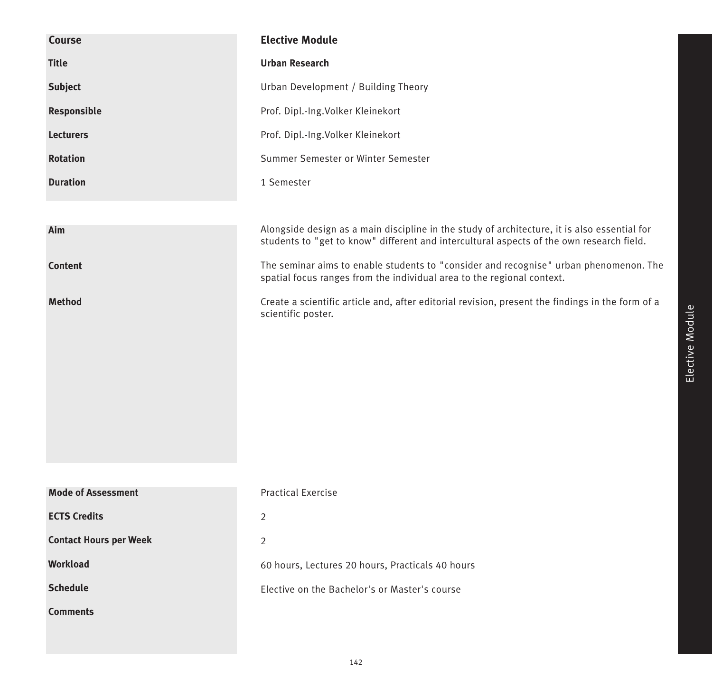| Course                        | <b>Elective Module</b>                                                                                                                                                                   |
|-------------------------------|------------------------------------------------------------------------------------------------------------------------------------------------------------------------------------------|
| <b>Title</b>                  | <b>Urban Research</b>                                                                                                                                                                    |
| <b>Subject</b>                | Urban Development / Building Theory                                                                                                                                                      |
| Responsible                   | Prof. Dipl.-Ing.Volker Kleinekort                                                                                                                                                        |
| <b>Lecturers</b>              | Prof. Dipl.-Ing.Volker Kleinekort                                                                                                                                                        |
| <b>Rotation</b>               | Summer Semester or Winter Semester                                                                                                                                                       |
| <b>Duration</b>               | 1 Semester                                                                                                                                                                               |
|                               |                                                                                                                                                                                          |
| Aim                           | Alongside design as a main discipline in the study of architecture, it is also essential for<br>students to "get to know" different and intercultural aspects of the own research field. |
| <b>Content</b>                | The seminar aims to enable students to "consider and recognise" urban phenomenon. The<br>spatial focus ranges from the individual area to the regional context.                          |
| <b>Method</b>                 | Create a scientific article and, after editorial revision, present the findings in the form of a<br>scientific poster.                                                                   |
|                               |                                                                                                                                                                                          |
|                               |                                                                                                                                                                                          |
|                               |                                                                                                                                                                                          |
|                               |                                                                                                                                                                                          |
|                               |                                                                                                                                                                                          |
|                               |                                                                                                                                                                                          |
|                               |                                                                                                                                                                                          |
| <b>Mode of Assessment</b>     | <b>Practical Exercise</b>                                                                                                                                                                |
| <b>ECTS Credits</b>           | $\overline{2}$                                                                                                                                                                           |
| <b>Contact Hours per Week</b> | 2                                                                                                                                                                                        |
| <b>Workload</b>               | 60 hours, Lectures 20 hours, Practicals 40 hours                                                                                                                                         |
| <b>Schedule</b>               | Elective on the Bachelor's or Master's course                                                                                                                                            |
| <b>Comments</b>               |                                                                                                                                                                                          |
|                               |                                                                                                                                                                                          |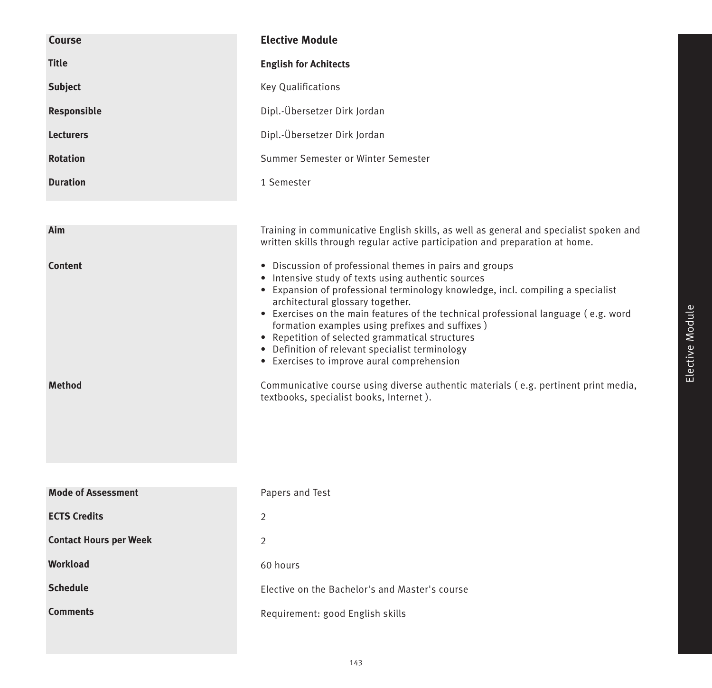| <b>Course</b>                   | <b>Elective Module</b>                                                                                                                                                                                                                                                                                                                                                                                                                                                                                                                                                                                                                                              |
|---------------------------------|---------------------------------------------------------------------------------------------------------------------------------------------------------------------------------------------------------------------------------------------------------------------------------------------------------------------------------------------------------------------------------------------------------------------------------------------------------------------------------------------------------------------------------------------------------------------------------------------------------------------------------------------------------------------|
| <b>Title</b>                    | <b>English for Achitects</b>                                                                                                                                                                                                                                                                                                                                                                                                                                                                                                                                                                                                                                        |
| <b>Subject</b>                  | Key Qualifications                                                                                                                                                                                                                                                                                                                                                                                                                                                                                                                                                                                                                                                  |
| Responsible                     | Dipl.-Übersetzer Dirk Jordan                                                                                                                                                                                                                                                                                                                                                                                                                                                                                                                                                                                                                                        |
| <b>Lecturers</b>                | Dipl.-Übersetzer Dirk Jordan                                                                                                                                                                                                                                                                                                                                                                                                                                                                                                                                                                                                                                        |
| <b>Rotation</b>                 | Summer Semester or Winter Semester                                                                                                                                                                                                                                                                                                                                                                                                                                                                                                                                                                                                                                  |
| <b>Duration</b>                 | 1 Semester                                                                                                                                                                                                                                                                                                                                                                                                                                                                                                                                                                                                                                                          |
|                                 |                                                                                                                                                                                                                                                                                                                                                                                                                                                                                                                                                                                                                                                                     |
| Aim                             | Training in communicative English skills, as well as general and specialist spoken and<br>written skills through regular active participation and preparation at home.                                                                                                                                                                                                                                                                                                                                                                                                                                                                                              |
| <b>Content</b><br><b>Method</b> | • Discussion of professional themes in pairs and groups<br>• Intensive study of texts using authentic sources<br>• Expansion of professional terminology knowledge, incl. compiling a specialist<br>architectural glossary together.<br>• Exercises on the main features of the technical professional language (e.g. word<br>formation examples using prefixes and suffixes)<br>• Repetition of selected grammatical structures<br>• Definition of relevant specialist terminology<br>• Exercises to improve aural comprehension<br>Communicative course using diverse authentic materials (e.g. pertinent print media,<br>textbooks, specialist books, Internet). |
| <b>Mode of Assessment</b>       | Papers and Test                                                                                                                                                                                                                                                                                                                                                                                                                                                                                                                                                                                                                                                     |
| <b>ECTS Credits</b>             | 2                                                                                                                                                                                                                                                                                                                                                                                                                                                                                                                                                                                                                                                                   |
| <b>Contact Hours per Week</b>   | $\overline{2}$                                                                                                                                                                                                                                                                                                                                                                                                                                                                                                                                                                                                                                                      |
| Workload                        | 60 hours                                                                                                                                                                                                                                                                                                                                                                                                                                                                                                                                                                                                                                                            |
| <b>Schedule</b>                 | Elective on the Bachelor's and Master's course                                                                                                                                                                                                                                                                                                                                                                                                                                                                                                                                                                                                                      |
| <b>Comments</b>                 | Requirement: good English skills                                                                                                                                                                                                                                                                                                                                                                                                                                                                                                                                                                                                                                    |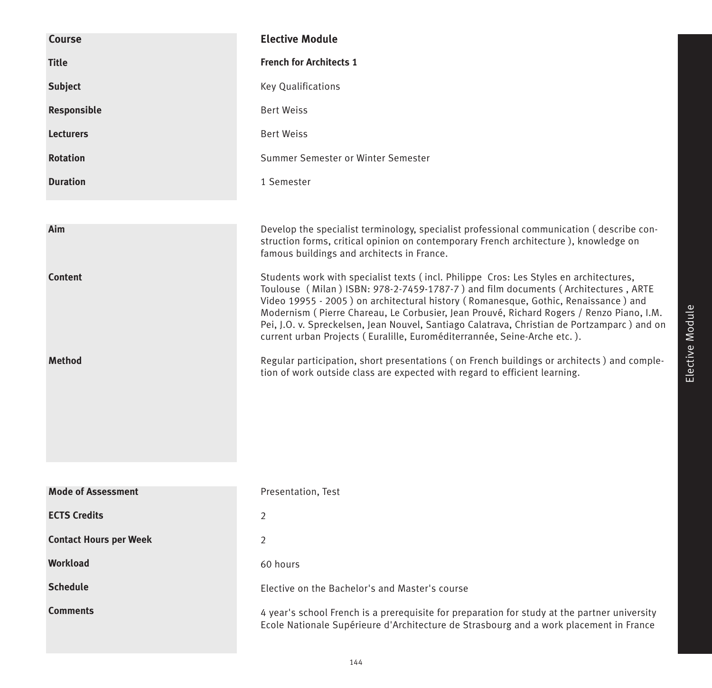| Course                        | <b>Elective Module</b>                                                                                                                                                                                                                                                                                                                                                                                                                                                                                                                   |
|-------------------------------|------------------------------------------------------------------------------------------------------------------------------------------------------------------------------------------------------------------------------------------------------------------------------------------------------------------------------------------------------------------------------------------------------------------------------------------------------------------------------------------------------------------------------------------|
| <b>Title</b>                  | <b>French for Architects 1</b>                                                                                                                                                                                                                                                                                                                                                                                                                                                                                                           |
| <b>Subject</b>                | <b>Key Qualifications</b>                                                                                                                                                                                                                                                                                                                                                                                                                                                                                                                |
| Responsible                   | <b>Bert Weiss</b>                                                                                                                                                                                                                                                                                                                                                                                                                                                                                                                        |
| <b>Lecturers</b>              | <b>Bert Weiss</b>                                                                                                                                                                                                                                                                                                                                                                                                                                                                                                                        |
| <b>Rotation</b>               | Summer Semester or Winter Semester                                                                                                                                                                                                                                                                                                                                                                                                                                                                                                       |
| <b>Duration</b>               | 1 Semester                                                                                                                                                                                                                                                                                                                                                                                                                                                                                                                               |
|                               |                                                                                                                                                                                                                                                                                                                                                                                                                                                                                                                                          |
| Aim                           | Develop the specialist terminology, specialist professional communication (describe con-<br>struction forms, critical opinion on contemporary French architecture), knowledge on<br>famous buildings and architects in France.                                                                                                                                                                                                                                                                                                           |
| <b>Content</b>                | Students work with specialist texts (incl. Philippe Cros: Les Styles en architectures,<br>Toulouse (Milan) ISBN: 978-2-7459-1787-7) and film documents (Architectures, ARTE<br>Video 19955 - 2005) on architectural history (Romanesque, Gothic, Renaissance) and<br>Modernism (Pierre Chareau, Le Corbusier, Jean Prouvé, Richard Rogers / Renzo Piano, I.M.<br>Pei, J.O. v. Spreckelsen, Jean Nouvel, Santiago Calatrava, Christian de Portzamparc) and on<br>current urban Projects (Euralille, Euroméditerrannée, Seine-Arche etc.). |
| <b>Method</b>                 | Regular participation, short presentations (on French buildings or architects) and comple-<br>tion of work outside class are expected with regard to efficient learning.                                                                                                                                                                                                                                                                                                                                                                 |
| <b>Mode of Assessment</b>     | Presentation, Test                                                                                                                                                                                                                                                                                                                                                                                                                                                                                                                       |
| <b>ECTS Credits</b>           | 2                                                                                                                                                                                                                                                                                                                                                                                                                                                                                                                                        |
| <b>Contact Hours per Week</b> | 2                                                                                                                                                                                                                                                                                                                                                                                                                                                                                                                                        |
| <b>Workload</b>               | 60 hours                                                                                                                                                                                                                                                                                                                                                                                                                                                                                                                                 |
| <b>Schedule</b>               | Elective on the Bachelor's and Master's course                                                                                                                                                                                                                                                                                                                                                                                                                                                                                           |
| <b>Comments</b>               | 4 year's school French is a prerequisite for preparation for study at the partner university<br>Ecole Nationale Supérieure d'Architecture de Strasbourg and a work placement in France                                                                                                                                                                                                                                                                                                                                                   |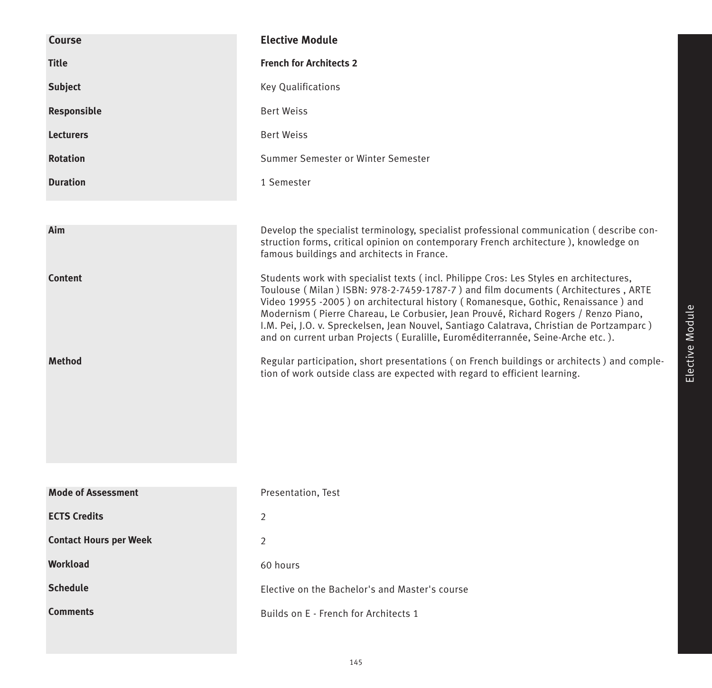| <b>Course</b>                 | <b>Elective Module</b>                                                                                                                                                                                                                                                                                                                                                                                                                                                                                                                  |
|-------------------------------|-----------------------------------------------------------------------------------------------------------------------------------------------------------------------------------------------------------------------------------------------------------------------------------------------------------------------------------------------------------------------------------------------------------------------------------------------------------------------------------------------------------------------------------------|
| <b>Title</b>                  | <b>French for Architects 2</b>                                                                                                                                                                                                                                                                                                                                                                                                                                                                                                          |
| <b>Subject</b>                | <b>Key Qualifications</b>                                                                                                                                                                                                                                                                                                                                                                                                                                                                                                               |
| Responsible                   | <b>Bert Weiss</b>                                                                                                                                                                                                                                                                                                                                                                                                                                                                                                                       |
| <b>Lecturers</b>              | <b>Bert Weiss</b>                                                                                                                                                                                                                                                                                                                                                                                                                                                                                                                       |
| <b>Rotation</b>               | Summer Semester or Winter Semester                                                                                                                                                                                                                                                                                                                                                                                                                                                                                                      |
| <b>Duration</b>               | 1 Semester                                                                                                                                                                                                                                                                                                                                                                                                                                                                                                                              |
|                               |                                                                                                                                                                                                                                                                                                                                                                                                                                                                                                                                         |
| Aim                           | Develop the specialist terminology, specialist professional communication (describe con-<br>struction forms, critical opinion on contemporary French architecture), knowledge on<br>famous buildings and architects in France.                                                                                                                                                                                                                                                                                                          |
| <b>Content</b>                | Students work with specialist texts (incl. Philippe Cros: Les Styles en architectures,<br>Toulouse (Milan) ISBN: 978-2-7459-1787-7) and film documents (Architectures, ARTE<br>Video 19955 -2005) on architectural history (Romanesque, Gothic, Renaissance) and<br>Modernism (Pierre Chareau, Le Corbusier, Jean Prouvé, Richard Rogers / Renzo Piano,<br>I.M. Pei, J.O. v. Spreckelsen, Jean Nouvel, Santiago Calatrava, Christian de Portzamparc)<br>and on current urban Projects (Euralille, Euroméditerrannée, Seine-Arche etc.). |
| <b>Method</b>                 | Regular participation, short presentations (on French buildings or architects) and comple-<br>tion of work outside class are expected with regard to efficient learning.                                                                                                                                                                                                                                                                                                                                                                |
|                               |                                                                                                                                                                                                                                                                                                                                                                                                                                                                                                                                         |
| <b>Mode of Assessment</b>     | Presentation, Test                                                                                                                                                                                                                                                                                                                                                                                                                                                                                                                      |
| <b>ECTS Credits</b>           | $\overline{2}$                                                                                                                                                                                                                                                                                                                                                                                                                                                                                                                          |
| <b>Contact Hours per Week</b> | $\overline{2}$                                                                                                                                                                                                                                                                                                                                                                                                                                                                                                                          |
| Workload                      | 60 hours                                                                                                                                                                                                                                                                                                                                                                                                                                                                                                                                |
| <b>Schedule</b>               | Elective on the Bachelor's and Master's course                                                                                                                                                                                                                                                                                                                                                                                                                                                                                          |
| <b>Comments</b>               | Builds on E - French for Architects 1                                                                                                                                                                                                                                                                                                                                                                                                                                                                                                   |